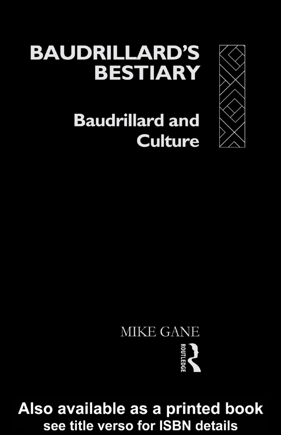# **BAUDRILLARD'S BESTIARY**

# **Baudrillard and Culture**



# **MIKE GANE COUTLEDGE**

Also available as a printed book see title verso for ISBN details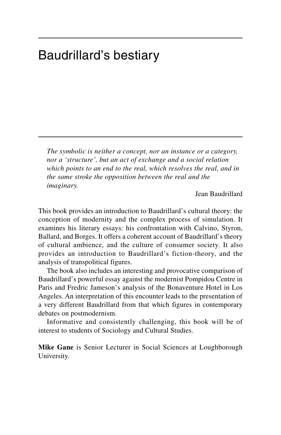### Baudrillard's bestiary

*The symbolic is neither a concept, nor an instance or a category, nor a 'structure', but an act of exchange and a social relation which points to an end to the real, which resolves the real, and in the same stroke the opposition between the real and the imaginary.*

Jean Baudrillard

This book provides an introduction to Baudrillard's cultural theory: the conception of modernity and the complex process of simulation. It examines his literary essays: his confrontation with Calvino, Styron, Ballard, and Borges. It offers a coherent account of Baudrillard's theory of cultural ambience, and the culture of consumer society. It also provides an introduction to Baudrillard's fiction-theory, and the analysis of transpolitical figures.

The book also includes an interesting and provocative comparison of Baudrillard's powerful essay against the modernist Pompidou Centre in Paris and Fredric Jameson's analysis of the Bonaventure Hotel in Los Angeles. An interpretation of this encounter leads to the presentation of a very different Baudrillard from that which figures in contemporary debates on postmodernism.

Informative and consistently challenging, this book will be of interest to students of Sociology and Cultural Studies.

**Mike Gane** is Senior Lecturer in Social Sciences at Loughborough University.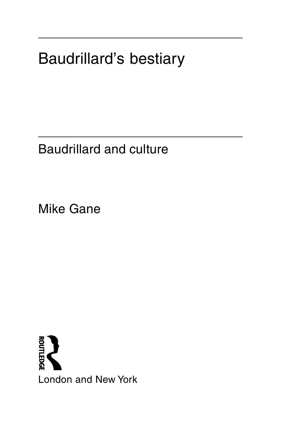# Baudrillard's bestiary

## Baudrillard and culture

Mike Gane

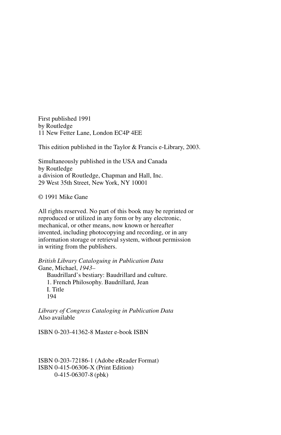First published 1991 by Routledge 11 New Fetter Lane, London EC4P 4EE

This edition published in the Taylor & Francis e-Library, 2003.

Simultaneously published in the USA and Canada by Routledge a division of Routledge, Chapman and Hall, Inc. 29 West 35th Street, New York, NY 10001

© 1991 Mike Gane

All rights reserved. No part of this book may be reprinted or reproduced or utilized in any form or by any electronic, mechanical, or other means, now known or hereafter invented, including photocopying and recording, or in any information storage or retrieval system, without permission in writing from the publishers.

*British Library Cataloguing in Publication Data* Gane, Michael, *1943–* Baudrillard's bestiary: Baudrillard and culture. 1. French Philosophy. Baudrillard, Jean I. Title 194

*Library of Congress Cataloging in Publication Data* Also available

ISBN 0-203-41362-8 Master e-book ISBN

ISBN 0-203-72186-1 (Adobe eReader Format) ISBN 0-415-06306-X (Print Edition) 0-415-06307-8 (pbk)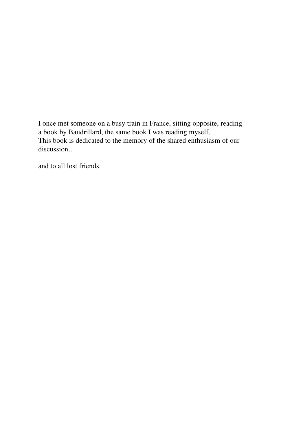I once met someone on a busy train in France, sitting opposite, reading a book by Baudrillard, the same book I was reading myself. This book is dedicated to the memory of the shared enthusiasm of our discussion…

and to all lost friends.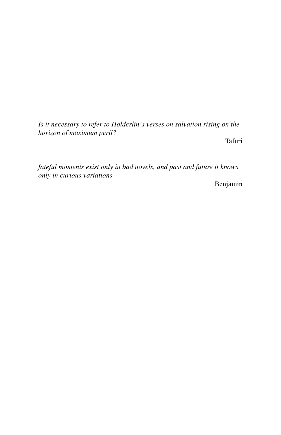*Is it necessary to refer to Holderlin's verses on salvation rising on the horizon of maximum peril?*

Tafuri

*fateful moments exist only in bad novels, and past and future it knows only in curious variations*

Benjamin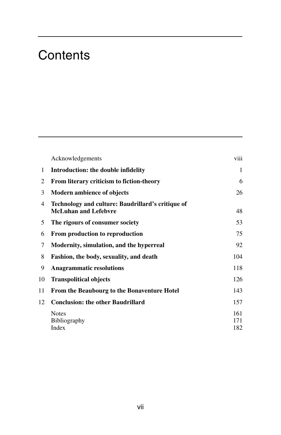## **Contents**

|    | Acknowledgements                                                                 | viii              |
|----|----------------------------------------------------------------------------------|-------------------|
| 1  | Introduction: the double infidelity                                              | 1                 |
| 2  | From literary criticism to fiction-theory                                        | 6                 |
| 3  | <b>Modern ambience of objects</b>                                                | 26                |
| 4  | Technology and culture: Baudrillard's critique of<br><b>McLuhan and Lefebvre</b> | 48                |
| 5  | The rigours of consumer society                                                  | 53                |
| 6  | From production to reproduction                                                  | 75                |
| 7  | Modernity, simulation, and the hyperreal                                         | 92                |
| 8  | Fashion, the body, sexuality, and death                                          | 104               |
| 9  | <b>Anagrammatic resolutions</b>                                                  | 118               |
| 10 | <b>Transpolitical objects</b>                                                    | 126               |
| 11 | From the Beaubourg to the Bonaventure Hotel                                      | 143               |
| 12 | <b>Conclusion: the other Baudrillard</b>                                         | 157               |
|    | <b>Notes</b><br><b>Bibliography</b><br>Index                                     | 161<br>171<br>182 |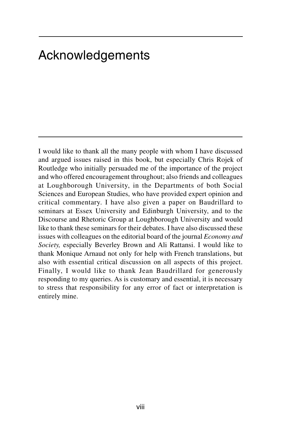### <span id="page-8-0"></span>Acknowledgements

I would like to thank all the many people with whom I have discussed and argued issues raised in this book, but especially Chris Rojek of Routledge who initially persuaded me of the importance of the project and who offered encouragement throughout; also friends and colleagues at Loughborough University, in the Departments of both Social Sciences and European Studies, who have provided expert opinion and critical commentary. I have also given a paper on Baudrillard to seminars at Essex University and Edinburgh University, and to the Discourse and Rhetoric Group at Loughborough University and would like to thank these seminars for their debates. I have also discussed these issues with colleagues on the editorial board of the journal *Economy and Society,* especially Beverley Brown and Ali Rattansi. I would like to thank Monique Arnaud not only for help with French translations, but also with essential critical discussion on all aspects of this project. Finally, I would like to thank Jean Baudrillard for generously responding to my queries. As is customary and essential, it is necessary to stress that responsibility for any error of fact or interpretation is entirely mine.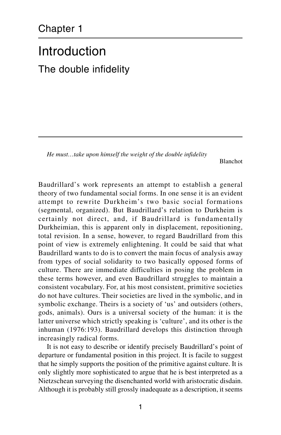### <span id="page-9-0"></span>Introduction The double infidelity

*He must…take upon himself the weight of the double infidelity*

Blanchot

Baudrillard's work represents an attempt to establish a general theory of two fundamental social forms. In one sense it is an evident attempt to rewrite Durkheim's two basic social formations (segmental, organized). But Baudrillard's relation to Durkheim is certainly not direct, and, if Baudrillard is fundamentally Durkheimian, this is apparent only in displacement, repositioning, total revision. In a sense, however, to regard Baudrillard from this point of view is extremely enlightening. It could be said that what Baudrillard wants to do is to convert the main focus of analysis away from types of social solidarity to two basically opposed forms of culture. There are immediate difficulties in posing the problem in these terms however, and even Baudrillard struggles to maintain a consistent vocabulary. For, at his most consistent, primitive societies do not have cultures. Their societies are lived in the symbolic, and in symbolic exchange. Theirs is a society of 'us' and outsiders (others, gods, animals). Ours is a universal society of the human: it is the latter universe which strictly speaking is 'culture', and its other is the inhuman (1976:193). Baudrillard develops this distinction through increasingly radical forms.

It is not easy to describe or identify precisely Baudrillard's point of departure or fundamental position in this project. It is facile to suggest that he simply supports the position of the primitive against culture. It is only slightly more sophisticated to argue that he is best interpreted as a Nietzschean surveying the disenchanted world with aristocratic disdain. Although it is probably still grossly inadequate as a description, it seems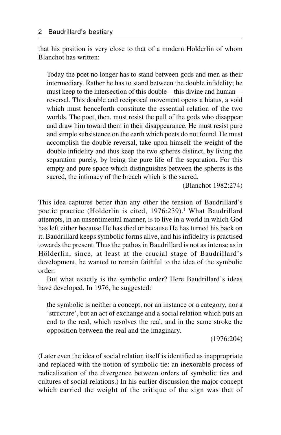that his position is very close to that of a modern Hölderlin of whom Blanchot has written:

Today the poet no longer has to stand between gods and men as their intermediary. Rather he has to stand between the double infidelity; he must keep to the intersection of this double—this divine and human reversal. This double and reciprocal movement opens a hiatus, a void which must henceforth constitute the essential relation of the two worlds. The poet, then, must resist the pull of the gods who disappear and draw him toward them in their disappearance. He must resist pure and simple subsistence on the earth which poets do not found. He must accomplish the double reversal, take upon himself the weight of the double infidelity and thus keep the two spheres distinct, by living the separation purely, by being the pure life of the separation. For this empty and pure space which distinguishes between the spheres is the sacred, the intimacy of the breach which is the sacred.

(Blanchot 1982:274)

This idea captures better than any other the tension of Baudrillard's poetic practice (Hölderlin is cited, 1976:239).<sup>1</sup> What Baudrillard attempts, in an unsentimental manner, is to live in a world in which God has left either because He has died or because He has turned his back on it. Baudrillard keeps symbolic forms alive, and his infidelity is practised towards the present. Thus the pathos in Baudrillard is not as intense as in Hölderlin, since, at least at the crucial stage of Baudrillard's development, he wanted to remain faithful to the idea of the symbolic order.

But what exactly is the symbolic order? Here Baudrillard's ideas have developed. In 1976, he suggested:

the symbolic is neither a concept, nor an instance or a category, nor a 'structure', but an act of exchange and a social relation which puts an end to the real, which resolves the real, and in the same stroke the opposition between the real and the imaginary.

(1976:204)

(Later even the idea of social relation itself is identified as inappropriate and replaced with the notion of symbolic tie: an inexorable process of radicalization of the divergence between orders of symbolic ties and cultures of social relations.) In his earlier discussion the major concept which carried the weight of the critique of the sign was that of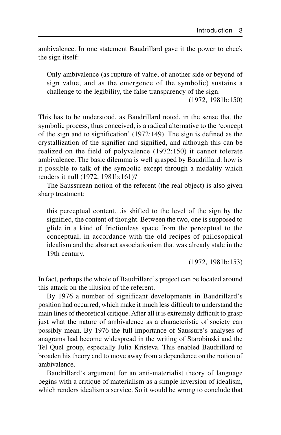ambivalence. In one statement Baudrillard gave it the power to check the sign itself:

Only ambivalence (as rupture of value, of another side or beyond of sign value, and as the emergence of the symbolic) sustains a challenge to the legibility, the false transparency of the sign.

(1972, 1981b:150)

This has to be understood, as Baudrillard noted, in the sense that the symbolic process, thus conceived, is a radical alternative to the 'concept of the sign and to signification' (1972:149). The sign is defined as the crystallization of the signifier and signified, and although this can be realized on the field of polyvalence (1972:150) it cannot tolerate ambivalence. The basic dilemma is well grasped by Baudrillard: how is it possible to talk of the symbolic except through a modality which renders it null (1972, 1981b:161)?

The Saussurean notion of the referent (the real object) is also given sharp treatment:

this perceptual content…is shifted to the level of the sign by the signified, the content of thought. Between the two, one is supposed to glide in a kind of frictionless space from the perceptual to the conceptual, in accordance with the old recipes of philosophical idealism and the abstract associationism that was already stale in the 19th century.

(1972, 1981b:153)

In fact, perhaps the whole of Baudrillard's project can be located around this attack on the illusion of the referent.

By 1976 a number of significant developments in Baudrillard's position had occurred, which make it much less difficult to understand the main lines of theoretical critique. After all it is extremely difficult to grasp just what the nature of ambivalence as a characteristic of society can possibly mean. By 1976 the full importance of Saussure's analyses of anagrams had become widespread in the writing of Starobinski and the Tel Quel group, especially Julia Kristeva. This enabled Baudrillard to broaden his theory and to move away from a dependence on the notion of ambivalence.

Baudrillard's argument for an anti-materialist theory of language begins with a critique of materialism as a simple inversion of idealism, which renders idealism a service. So it would be wrong to conclude that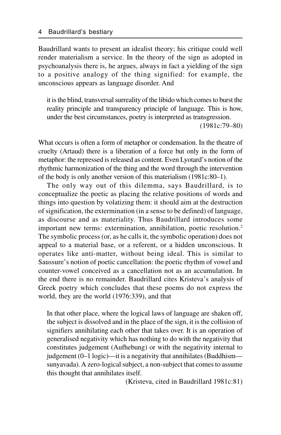Baudrillard wants to present an idealist theory; his critique could well render materialism a service. In the theory of the sign as adopted in psychoanalysis there is, he argues, always in fact a yielding of the sign to a positive analogy of the thing signified: for example, the unconscious appears as language disorder. And

it is the blind, transversal surreality of the libido which comes to burst the reality principle and transparency principle of language. This is how, under the best circumstances, poetry is interpreted as transgression.

(1981c:79–80)

What occurs is often a form of metaphor or condensation. In the theatre of cruelty (Artaud) there is a liberation of a force but only in the form of metaphor: the repressed is released as content. Even Lyotard's notion of the rhythmic harmonization of the thing and the word through the intervention of the body is only another version of this materialism (1981c:80–1).

The only way out of this dilemma, says Baudrillard, is to conceptualize the poetic as placing the relative positions of words and things into question by volatizing them: it should aim at the destruction of signification, the extermination (in a sense to be defined) of language, as discourse and as materiality. Thus Baudrillard introduces some important new terms: extermination, annihilation, poetic resolution.<sup>2</sup> The symbolic process (or, as he calls it, the symbolic operation) does not appeal to a material base, or a referent, or a hidden unconscious. It operates like anti-matter, without being ideal. This is similar to Saussure's notion of poetic cancellation: the poetic rhythm of vowel and counter-vowel conceived as a cancellation not as an accumulation. In the end there is no remainder. Baudrillard cites Kristeva's analysis of Greek poetry which concludes that these poems do not express the world, they are the world (1976:339), and that

In that other place, where the logical laws of language are shaken off, the subject is dissolved and in the place of the sign, it is the collision of signifiers annihilating each other that takes over. It is an operation of generalised negativity which has nothing to do with the negativity that constitutes judgement (Aufhebung) or with the negativity internal to judgement (0–1 logic)—it is a negativity that annihilates (Buddhism sunyavada). A zero-logical subject, a non-subject that comes to assume this thought that annihilates itself.

(Kristeva, cited in Baudrillard 1981c:81)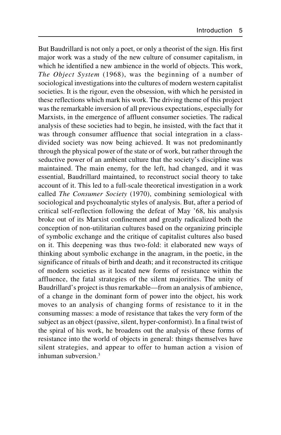But Baudrillard is not only a poet, or only a theorist of the sign. His first major work was a study of the new culture of consumer capitalism, in which he identified a new ambience in the world of objects. This work, *The Object System* (1968), was the beginning of a number of sociological investigations into the cultures of modern western capitalist societies. It is the rigour, even the obsession, with which he persisted in these reflections which mark his work. The driving theme of this project was the remarkable inversion of all previous expectations, especially for Marxists, in the emergence of affluent consumer societies. The radical analysis of these societies had to begin, he insisted, with the fact that it was through consumer affluence that social integration in a classdivided society was now being achieved. It was not predominantly through the physical power of the state or of work, but rather through the seductive power of an ambient culture that the society's discipline was maintained. The main enemy, for the left, had changed, and it was essential, Baudrillard maintained, to reconstruct social theory to take account of it. This led to a full-scale theoretical investigation in a work called *The Consumer Society* (1970), combining semiological with sociological and psychoanalytic styles of analysis. But, after a period of critical self-reflection following the defeat of May '68, his analysis broke out of its Marxist confinement and greatly radicalized both the conception of non-utilitarian cultures based on the organizing principle of symbolic exchange and the critique of capitalist cultures also based on it. This deepening was thus two-fold: it elaborated new ways of thinking about symbolic exchange in the anagram, in the poetic, in the significance of rituals of birth and death; and it reconstructed its critique of modern societies as it located new forms of resistance within the affluence, the fatal strategies of the silent majorities. The unity of Baudrillard's project is thus remarkable—from an analysis of ambience, of a change in the dominant form of power into the object, his work moves to an analysis of changing forms of resistance to it in the consuming masses: a mode of resistance that takes the very form of the subject as an object (passive, silent, hyper-conformist). In a final twist of the spiral of his work, he broadens out the analysis of these forms of resistance into the world of objects in general: things themselves have silent strategies, and appear to offer to human action a vision of inhuman subversion.3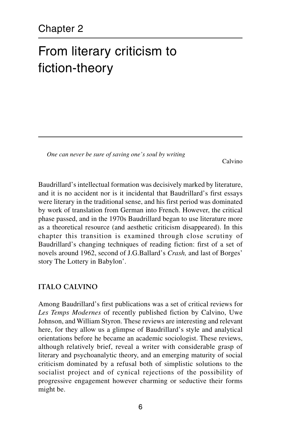## <span id="page-14-0"></span>From literary criticism to fiction-theory

*One can never be sure of saving one's soul by writing*

Calvino

Baudrillard's intellectual formation was decisively marked by literature, and it is no accident nor is it incidental that Baudrillard's first essays were literary in the traditional sense, and his first period was dominated by work of translation from German into French. However, the critical phase passed, and in the 1970s Baudrillard began to use literature more as a theoretical resource (and aesthetic criticism disappeared). In this chapter this transition is examined through close scrutiny of Baudrillard's changing techniques of reading fiction: first of a set of novels around 1962, second of J.G.Ballard's *Crash,* and last of Borges' story The Lottery in Babylon'.

#### **ITALO CALVINO**

Among Baudrillard's first publications was a set of critical reviews for *Les Temps Modernes* of recently published fiction by Calvino, Uwe Johnson, and William Styron. These reviews are interesting and relevant here, for they allow us a glimpse of Baudrillard's style and analytical orientations before he became an academic sociologist. These reviews, although relatively brief, reveal a writer with considerable grasp of literary and psychoanalytic theory, and an emerging maturity of social criticism dominated by a refusal both of simplistic solutions to the socialist project and of cynical rejections of the possibility of progressive engagement however charming or seductive their forms might be.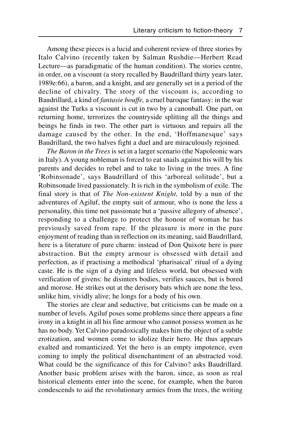Among these pieces is a lucid and coherent review of three stories by Italo Calvino (recently taken by Salman Rushdie—Herbert Read Lecture—as paradigmatic of the human condition). The stories centre, in order, on a viscount (a story recalled by Baudrillard thirty years later, 1989e:66), a baron, and a knight, and are generally set in a period of the decline of chivalry. The story of the viscount is, according to Baudrillard, a kind of *fantasie bouffe,* a cruel baroque fantasy: in the war against the Turks a viscount is cut in two by a canonball. One part, on returning home, terrorizes the countryside splitting all the things and beings he finds in two. The other part is virtuous and repairs all the damage caused by the other. In the end, 'Hoffmanesque' says Baudrillard, the two halves fight a duel and are miraculously rejoined.

*The Baron in the Trees* is set in a larger scenario (the Napoleonic wars in Italy). A young nobleman is forced to eat snails against his will by his parents and decides to rebel and to take to living in the trees. A fine 'Robinsonade', says Baudrillard of this 'arboreal solitude', but a Robinsonade lived passionately. It is rich in the symbolism of exile. The final story is that of *The Non-existent Knight,* told by a nun of the adventures of Agiluf, the empty suit of armour, who is none the less a personality, this time not passionate but a 'passive allegory of absence', responding to a challenge to protect the honour of woman he has previously saved from rape. If the pleasure is more in the pure enjoyment of reading than in reflection on its meaning, said Baudrillard, here is a literature of pure charm: instead of Don Quixote here is pure abstraction. But the empty armour is obsessed with detail and perfection, as if practising a methodical 'pharisaical' ritual of a dying caste. He is the sign of a dying and lifeless world, but obsessed with verification of givens: he disinters bodies, verifies sauces, but is bored and morose. He strikes out at the derisory bats which are none the less, unlike him, vividly alive; he longs for a body of his own.

The stories are clear and seductive, but criticisms can be made on a number of levels. Agiluf poses some problems since there appears a fine irony in a knight in all his fine armour who cannot possess women as he has no body. Yet Calvino paradoxically makes him the object of a subtle erotization, and women come to idolize their hero. He thus appears exalted and romanticized. Yet the hero is an empty impotence, even coming to imply the political disenchantment of an abstracted void. What could be the significance of this for Calvino? asks Baudrillard. Another basic problem arises with the baron, since, as soon as real historical elements enter into the scene, for example, when the baron condescends to aid the revolutionary armies from the trees, the writing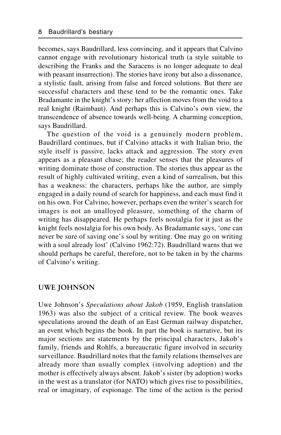becomes, says Baudrillard, less convincing, and it appears that Calvino cannot engage with revolutionary historical truth (a style suitable to describing the Franks and the Saracens is no longer adequate to deal with peasant insurrection). The stories have irony but also a dissonance, a stylistic fault, arising from false and forced solutions. But there are successful characters and these tend to be the romantic ones. Take Bradamante in the knight's story: her affection moves from the void to a real knight (Raimbaut). And perhaps this is Calvino's own view, the transcendence of absence towards well-being. A charming conception, says Baudrillard.

The question of the void is a genuinely modern problem, Baudrillard continues, but if Calvino attacks it with Italian brio, the style itself is passive, lacks attack and aggression. The story even appears as a pleasant chase; the reader senses that the pleasures of writing dominate those of construction. The stories thus appear as the result of highly cultivated writing, even a kind of surrealism, but this has a weakness: the characters, perhaps like the author, are simply engaged in a daily round of search for happiness, and each must find it on his own. For Calvino, however, perhaps even the writer's search for images is not an unalloyed pleasure, something of the charm of writing has disappeared. He perhaps feels nostalgia for it just as the knight feels nostalgia for his own body. As Bradamante says, 'one can never be sure of saving one's soul by writing. One may go on writing with a soul already lost' (Calvino 1962:72). Baudrillard warns that we should perhaps be careful, therefore, not to be taken in by the charms of Calvino's writing.

#### **UWE JOHNSON**

Uwe Johnson's *Speculations about Jakob* (1959, English translation 1963) was also the subject of a critical review. The book weaves speculations around the death of an East German railway dispatcher, an event which begins the book. In part the book is narrative, but its major sections are statements by the principal characters, Jakob's family, friends and Rohlfs, a bureaucratic figure involved in security surveillance. Baudrillard notes that the family relations themselves are already more than usually complex (involving adoption) and the mother is effectively always absent. Jakob's sister (by adoption) works in the west as a translator (for NATO) which gives rise to possibilities, real or imaginary, of espionage. The time of the action is the period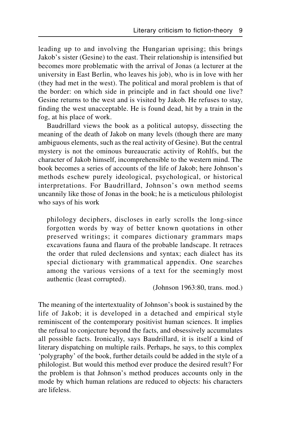leading up to and involving the Hungarian uprising; this brings Jakob's sister (Gesine) to the east. Their relationship is intensified but becomes more problematic with the arrival of Jonas (a lecturer at the university in East Berlin, who leaves his job), who is in love with her (they had met in the west). The political and moral problem is that of the border: on which side in principle and in fact should one live? Gesine returns to the west and is visited by Jakob. He refuses to stay, finding the west unacceptable. He is found dead, hit by a train in the fog, at his place of work.

Baudrillard views the book as a political autopsy, dissecting the meaning of the death of Jakob on many levels (though there are many ambiguous elements, such as the real activity of Gesine). But the central mystery is not the ominous bureaucratic activity of Rohlfs, but the character of Jakob himself, incomprehensible to the western mind. The book becomes a series of accounts of the life of Jakob; here Johnson's methods eschew purely ideological, psychological, or historical interpretations. For Baudrillard, Johnson's own method seems uncannily like those of Jonas in the book; he is a meticulous philologist who says of his work

philology deciphers, discloses in early scrolls the long-since forgotten words by way of better known quotations in other preserved writings; it compares dictionary grammars maps excavations fauna and flaura of the probable landscape. It retraces the order that ruled declensions and syntax; each dialect has its special dictionary with grammatical appendix. One searches among the various versions of a text for the seemingly most authentic (least corrupted).

(Johnson 1963:80, trans. mod.)

The meaning of the intertextuality of Johnson's book is sustained by the life of Jakob; it is developed in a detached and empirical style reminiscent of the contemporary positivist human sciences. It implies the refusal to conjecture beyond the facts, and obsessively accumulates all possible facts. Ironically, says Baudrillard, it is itself a kind of literary dispatching on multiple rails. Perhaps, he says, to this complex 'polygraphy' of the book, further details could be added in the style of a philologist. But would this method ever produce the desired result? For the problem is that Johnson's method produces accounts only in the mode by which human relations are reduced to objects: his characters are lifeless.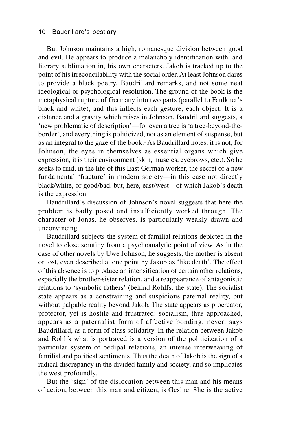But Johnson maintains a high, romanesque division between good and evil. He appears to produce a melancholy identification with, and literary sublimation in, his own characters. Jakob is tracked up to the point of his irreconcilability with the social order. At least Johnson dares to provide a black poetry, Baudrillard remarks, and not some neat ideological or psychological resolution. The ground of the book is the metaphysical rupture of Germany into two parts (parallel to Faulkner's black and white), and this inflects each gesture, each object. It is a distance and a gravity which raises in Johnson, Baudrillard suggests, a 'new problematic of description'—for even a tree is 'a tree-beyond-theborder', and everything is politicized, not as an element of suspense, but as an integral to the gaze of the book.1 As Baudrillard notes, it is not, for Johnson, the eyes in themselves as essential organs which give expression, it is their environment (skin, muscles, eyebrows, etc.). So he seeks to find, in the life of this East German worker, the secret of a new fundamental 'fracture' in modern society—in this case not directly black/white, or good/bad, but, here, east/west—of which Jakob's death is the expression.

Baudrillard's discussion of Johnson's novel suggests that here the problem is badly posed and insufficiently worked through. The character of Jonas, he observes, is particularly weakly drawn and unconvincing.

Baudrillard subjects the system of familial relations depicted in the novel to close scrutiny from a psychoanalytic point of view. As in the case of other novels by Uwe Johnson, he suggests, the mother is absent or lost, even described at one point by Jakob as 'like death'. The effect of this absence is to produce an intensification of certain other relations, especially the brother-sister relation, and a reappearance of antagonistic relations to 'symbolic fathers' (behind Rohlfs, the state). The socialist state appears as a constraining and suspicious paternal reality, but without palpable reality beyond Jakob. The state appears as procreator, protector, yet is hostile and frustrated: socialism, thus approached, appears as a paternalist form of affective bonding, never, says Baudrillard, as a form of class solidarity. In the relation between Jakob and Rohlfs what is portrayed is a version of the politicization of a particular system of oedipal relations, an intense interweaving of familial and political sentiments. Thus the death of Jakob is the sign of a radical discrepancy in the divided family and society, and so implicates the west profoundly.

But the 'sign' of the dislocation between this man and his means of action, between this man and citizen, is Gesine. She is the active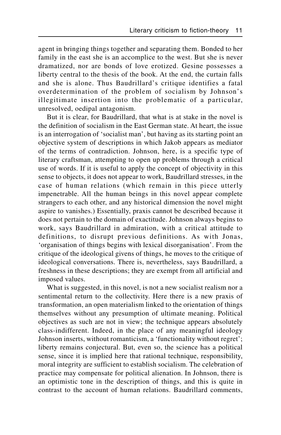agent in bringing things together and separating them. Bonded to her family in the east she is an accomplice to the west. But she is never dramatized, nor are bonds of love erotized. Gesine possesses a liberty central to the thesis of the book. At the end, the curtain falls and she is alone. Thus Baudrillard's critique identifies a fatal overdetermination of the problem of socialism by Johnson's illegitimate insertion into the problematic of a particular, unresolved, oedipal antagonism.

But it is clear, for Baudrillard, that what is at stake in the novel is the definition of socialism in the East German state. At heart, the issue is an interrogation of 'socialist man', but having as its starting point an objective system of descriptions in which Jakob appears as mediator of the terms of contradiction. Johnson, here, is a specific type of literary craftsman, attempting to open up problems through a critical use of words. If it is useful to apply the concept of objectivity in this sense to objects, it does not appear to work, Baudrillard stresses, in the case of human relations (which remain in this piece utterly impenetrable. All the human beings in this novel appear complete strangers to each other, and any historical dimension the novel might aspire to vanishes.) Essentially, praxis cannot be described because it does not pertain to the domain of exactitude. Johnson always begins to work, says Baudrillard in admiration, with a critical attitude to definitions, to disrupt previous definitions. As with Jonas, 'organisation of things begins with lexical disorganisation'. From the critique of the ideological givens of things, he moves to the critique of ideological conversations. There is, nevertheless, says Baudrillard, a freshness in these descriptions; they are exempt from all artificial and imposed values.

What is suggested, in this novel, is not a new socialist realism nor a sentimental return to the collectivity. Here there is a new praxis of transformation, an open materialism linked to the orientation of things themselves without any presumption of ultimate meaning. Political objectives as such are not in view; the technique appears absolutely class-indifferent. Indeed, in the place of any meaningful ideology Johnson inserts, without romanticism, a 'functionality without regret'; liberty remains conjectural. But, even so, the science has a political sense, since it is implied here that rational technique, responsibility, moral integrity are sufficient to establish socialism. The celebration of practice may compensate for political alienation. In Johnson, there is an optimistic tone in the description of things, and this is quite in contrast to the account of human relations. Baudrillard comments,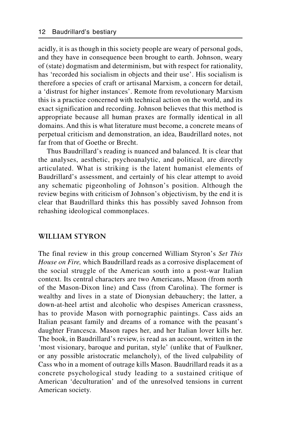acidly, it is as though in this society people are weary of personal gods, and they have in consequence been brought to earth. Johnson, weary of (state) dogmatism and determinism, but with respect for rationality, has 'recorded his socialism in objects and their use'. His socialism is therefore a species of craft or artisanal Marxism, a concern for detail, a 'distrust for higher instances'. Remote from revolutionary Marxism this is a practice concerned with technical action on the world, and its exact signification and recording. Johnson believes that this method is appropriate because all human praxes are formally identical in all domains. And this is what literature must become, a concrete means of perpetual criticism and demonstration, an idea, Baudrillard notes, not far from that of Goethe or Brecht.

Thus Baudrillard's reading is nuanced and balanced. It is clear that the analyses, aesthetic, psychoanalytic, and political, are directly articulated. What is striking is the latent humanist elements of Baudrillard's assessment, and certainly of his clear attempt to avoid any schematic pigeonholing of Johnson's position. Although the review begins with criticism of Johnson's objectivism, by the end it is clear that Baudrillard thinks this has possibly saved Johnson from rehashing ideological commonplaces.

### **WILLIAM STYRON**

The final review in this group concerned William Styron's *Set This House on Fire,* which Baudrillard reads as a corrosive displacement of the social struggle of the American south into a post-war Italian context. Its central characters are two Americans, Mason (from north of the Mason-Dixon line) and Cass (from Carolina). The former is wealthy and lives in a state of Dionysian debauchery; the latter, a down-at-heel artist and alcoholic who despises American crassness, has to provide Mason with pornographic paintings. Cass aids an Italian peasant family and dreams of a romance with the peasant's daughter Francesca. Mason rapes her, and her Italian lover kills her. The book, in Baudrillard's review, is read as an account, written in the 'most visionary, baroque and puritan, style' (unlike that of Faulkner, or any possible aristocratic melancholy), of the lived culpability of Cass who in a moment of outrage kills Mason. Baudrillard reads it as a concrete psychological study leading to a sustained critique of American 'deculturation' and of the unresolved tensions in current American society.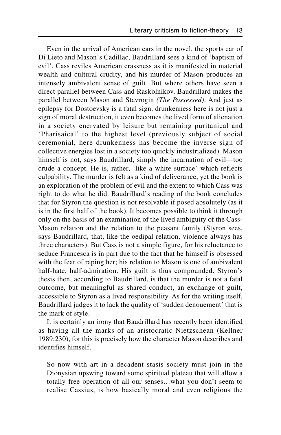Even in the arrival of American cars in the novel, the sports car of Di Lieto and Mason's Cadillac, Baudrillard sees a kind of 'baptism of evil'. Cass reviles American crassness as it is manifested in material wealth and cultural crudity, and his murder of Mason produces an intensely ambivalent sense of guilt. But where others have seen a direct parallel between Cass and Raskolnikov, Baudrillard makes the parallel between Mason and Stavrogin *(The Possessed)*. And just as epilepsy for Dostoevsky is a fatal sign, drunkenness here is not just a sign of moral destruction, it even becomes the lived form of alienation in a society enervated by leisure but remaining puritanical and 'Pharisaical' to the highest level (previously subject of social ceremonial, here drunkenness has become the inverse sign of collective energies lost in a society too quickly industrialized). Mason himself is not, says Baudrillard, simply the incarnation of evil—too crude a concept. He is, rather, 'like a white surface' which reflects culpability. The murder is felt as a kind of deliverance, yet the book is an exploration of the problem of evil and the extent to which Cass was right to do what he did. Baudrillard's reading of the book concludes that for Styron the question is not resolvable if posed absolutely (as it is in the first half of the book). It becomes possible to think it through only on the basis of an examination of the lived ambiguity of the Cass-Mason relation and the relation to the peasant family (Styron sees, says Baudrillard, that, like the oedipal relation, violence always has three characters). But Cass is not a simple figure, for his reluctance to seduce Francesca is in part due to the fact that he himself is obsessed with the fear of raping her; his relation to Mason is one of ambivalent half-hate, half-admiration. His guilt is thus compounded. Styron's thesis then, according to Baudrillard, is that the murder is not a fatal outcome, but meaningful as shared conduct, an exchange of guilt, accessible to Styron as a lived responsibility. As for the writing itself, Baudrillard judges it to lack the quality of 'sudden denouement' that is the mark of style.

It is certainly an irony that Baudrillard has recently been identified as having all the marks of an aristocratic Nietzschean (Kellner 1989:230), for this is precisely how the character Mason describes and identifies himself.

So now with art in a decadent stasis society must join in the Dionysian upswing toward some spiritual plateau that will allow a totally free operation of all our senses…what you don't seem to realise Cassius, is how basically moral and even religious the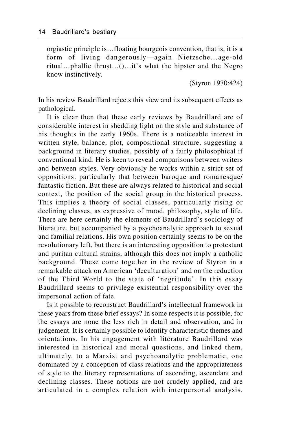orgiastic principle is…floating bourgeois convention, that is, it is a form of living dangerously—again Nietzsche…age-old ritual…phallic thrust…()…it's what the hipster and the Negro know instinctively.

(Styron 1970:424)

In his review Baudrillard rejects this view and its subsequent effects as pathological.

It is clear then that these early reviews by Baudrillard are of considerable interest in shedding light on the style and substance of his thoughts in the early 1960s. There is a noticeable interest in written style, balance, plot, compositional structure, suggesting a background in literary studies, possibly of a fairly philosophical if conventional kind. He is keen to reveal comparisons between writers and between styles. Very obviously he works within a strict set of oppositions: particularly that between baroque and romanesque/ fantastic fiction. But these are always related to historical and social context, the position of the social group in the historical process. This implies a theory of social classes, particularly rising or declining classes, as expressive of mood, philosophy, style of life. There are here certainly the elements of Baudrillard's sociology of literature, but accompanied by a psychoanalytic approach to sexual and familial relations. His own position certainly seems to be on the revolutionary left, but there is an interesting opposition to protestant and puritan cultural strains, although this does not imply a catholic background. These come together in the review of Styron in a remarkable attack on American 'deculturation' and on the reduction of the Third World to the state of 'negritude'. In this essay Baudrillard seems to privilege existential responsibility over the impersonal action of fate.

Is it possible to reconstruct Baudrillard's intellectual framework in these years from these brief essays? In some respects it is possible, for the essays are none the less rich in detail and observation, and in judgement. It is certainly possible to identify characteristic themes and orientations. In his engagement with literature Baudrillard was interested in historical and moral questions, and linked them, ultimately, to a Marxist and psychoanalytic problematic, one dominated by a conception of class relations and the appropriateness of style to the literary representations of ascending, ascendant and declining classes. These notions are not crudely applied, and are articulated in a complex relation with interpersonal analysis.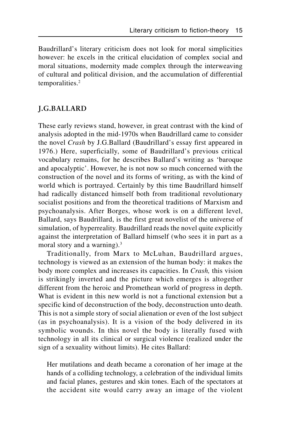Baudrillard's literary criticism does not look for moral simplicities however: he excels in the critical elucidation of complex social and moral situations, modernity made complex through the interweaving of cultural and political division, and the accumulation of differential temporalities.<sup>2</sup>

### **J.G.BALLARD**

These early reviews stand, however, in great contrast with the kind of analysis adopted in the mid-1970s when Baudrillard came to consider the novel *Crash* by J.G.Ballard (Baudrillard's essay first appeared in 1976.) Here, superficially, some of Baudrillard's previous critical vocabulary remains, for he describes Ballard's writing as 'baroque and apocalyptic'. However, he is not now so much concerned with the construction of the novel and its forms of writing, as with the kind of world which is portrayed. Certainly by this time Baudrillard himself had radically distanced himself both from traditional revolutionary socialist positions and from the theoretical traditions of Marxism and psychoanalysis. After Borges, whose work is on a different level, Ballard, says Baudrillard, is the first great novelist of the universe of simulation, of hyperreality. Baudrillard reads the novel quite explicitly against the interpretation of Ballard himself (who sees it in part as a moral story and a warning).<sup>3</sup>

Traditionally, from Marx to McLuhan, Baudrillard argues, technology is viewed as an extension of the human body: it makes the body more complex and increases its capacities. In *Crash,* this vision is strikingly inverted and the picture which emerges is altogether different from the heroic and Promethean world of progress in depth. What is evident in this new world is not a functional extension but a specific kind of deconstruction of the body, deconstruction unto death. This is not a simple story of social alienation or even of the lost subject (as in psychoanalysis). It is a vision of the body delivered in its symbolic wounds. In this novel the body is literally fused with technology in all its clinical or surgical violence (realized under the sign of a sexuality without limits). He cites Ballard:

Her mutilations and death became a coronation of her image at the hands of a colliding technology, a celebration of the individual limits and facial planes, gestures and skin tones. Each of the spectators at the accident site would carry away an image of the violent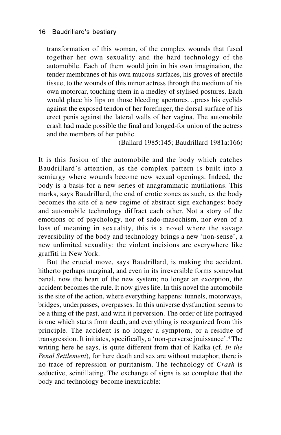transformation of this woman, of the complex wounds that fused together her own sexuality and the hard technology of the automobile. Each of them would join in his own imagination, the tender membranes of his own mucous surfaces, his groves of erectile tissue, to the wounds of this minor actress through the medium of his own motorcar, touching them in a medley of stylised postures. Each would place his lips on those bleeding apertures…press his eyelids against the exposed tendon of her forefinger, the dorsal surface of his erect penis against the lateral walls of her vagina. The automobile crash had made possible the final and longed-for union of the actress and the members of her public.

(Ballard 1985:145; Baudrillard 1981a:166)

It is this fusion of the automobile and the body which catches Baudrillard's attention, as the complex pattern is built into a semiurgy where wounds become new sexual openings. Indeed, the body is a basis for a new series of anagrammatic mutilations. This marks, says Baudrillard, the end of erotic zones as such, as the body becomes the site of a new regime of abstract sign exchanges: body and automobile technology diffract each other. Not a story of the emotions or of psychology, nor of sado-masochism, nor even of a loss of meaning in sexuality, this is a novel where the savage reversibility of the body and technology brings a new 'non-sense', a new unlimited sexuality: the violent incisions are everywhere like graffiti in New York.

But the crucial move, says Baudrillard, is making the accident, hitherto perhaps marginal, and even in its irreversible forms somewhat banal, now the heart of the new system; no longer an exception, the accident becomes the rule. It now gives life. In this novel the automobile is the site of the action, where everything happens: tunnels, motorways, bridges, underpasses, overpasses. In this universe dysfunction seems to be a thing of the past, and with it perversion. The order of life portrayed is one which starts from death, and everything is reorganized from this principle. The accident is no longer a symptom, or a residue of transgression. It initiates, specifically, a 'non-perverse jouissance'.4 The writing here he says, is quite different from that of Kafka (cf. *In the Penal Settlement*), for here death and sex are without metaphor, there is no trace of repression or puritanism. The technology of *Crash* is seductive, scintillating. The exchange of signs is so complete that the body and technology become inextricable: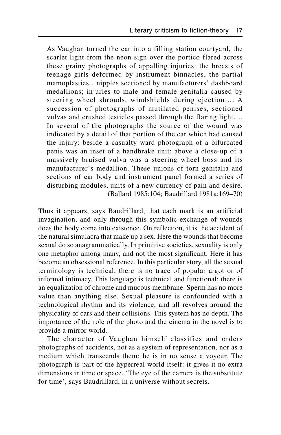As Vaughan turned the car into a filling station courtyard, the scarlet light from the neon sign over the portico flared across these grainy photographs of appalling injuries: the breasts of teenage girls deformed by instrument binnacles, the partial mamoplasties…nipples sectioned by manufacturers' dashboard medallions; injuries to male and female genitalia caused by steering wheel shrouds, windshields during ejection…. A succession of photographs of mutilated penises, sectioned vulvas and crushed testicles passed through the flaring light…. In several of the photographs the source of the wound was indicated by a detail of that portion of the car which had caused the injury: beside a casualty ward photograph of a bifurcated penis was an inset of a handbrake unit; above a close-up of a massively bruised vulva was a steering wheel boss and its manufacturer's medallion. These unions of torn genitalia and sections of car body and instrument panel formed a series of disturbing modules, units of a new currency of pain and desire. (Ballard 1985:104; Baudrillard 1981a:169–70)

Thus it appears, says Baudrillard, that each mark is an artificial invagination, and only through this symbolic exchange of wounds does the body come into existence. On reflection, it is the accident of the natural simulacra that make up a sex. Here the wounds that become sexual do so anagrammatically. In primitive societies, sexuality is only one metaphor among many, and not the most significant. Here it has become an obsessional reference. In this particular story, all the sexual terminology is technical, there is no trace of popular argot or of informal intimacy. This language is technical and functional; there is an equalization of chrome and mucous membrane. Sperm has no more value than anything else. Sexual pleasure is confounded with a technological rhythm and its violence, and all revolves around the physicality of cars and their collisions. This system has no depth. The importance of the role of the photo and the cinema in the novel is to provide a mirror world.

The character of Vaughan himself classifies and orders photographs of accidents, not as a system of representation, nor as a medium which transcends them: he is in no sense a voyeur. The photograph is part of the hyperreal world itself: it gives it no extra dimensions in time or space. 'The eye of the camera is the substitute for time', says Baudrillard, in a universe without secrets.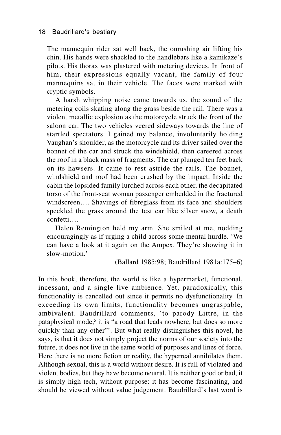The mannequin rider sat well back, the onrushing air lifting his chin. His hands were shackled to the handlebars like a kamikaze's pilots. His thorax was plastered with metering devices. In front of him, their expressions equally vacant, the family of four mannequins sat in their vehicle. The faces were marked with cryptic symbols.

A harsh whipping noise came towards us, the sound of the metering coils skating along the grass beside the rail. There was a violent metallic explosion as the motorcycle struck the front of the saloon car. The two vehicles veered sideways towards the line of startled spectators. I gained my balance, involuntarily holding Vaughan's shoulder, as the motorcycle and its driver sailed over the bonnet of the car and struck the windshield, then careered across the roof in a black mass of fragments. The car plunged ten feet back on its hawsers. It came to rest astride the rails. The bonnet, windshield and roof had been crushed by the impact. Inside the cabin the lopsided family lurched across each other, the decapitated torso of the front-seat woman passenger embedded in the fractured windscreen…. Shavings of fibreglass from its face and shoulders speckled the grass around the test car like silver snow, a death confetti….

Helen Remington held my arm. She smiled at me, nodding encouragingly as if urging a child across some mental hurdle. 'We can have a look at it again on the Ampex. They're showing it in slow-motion.'

(Ballard 1985:98; Baudrillard 1981a:175–6)

In this book, therefore, the world is like a hypermarket, functional, incessant, and a single live ambience. Yet, paradoxically, this functionality is cancelled out since it permits no dysfunctionality. In exceeding its own limits, functionality becomes ungraspable, ambivalent. Baudrillard comments, 'to parody Littre, in the pataphysical mode,<sup>5</sup> it is "a road that leads nowhere, but does so more quickly than any other"'. But what really distinguishes this novel, he says, is that it does not simply project the norms of our society into the future, it does not live in the same world of purposes and lines of force. Here there is no more fiction or reality, the hyperreal annihilates them. Although sexual, this is a world without desire. It is full of violated and violent bodies, but they have become neutral. It is neither good or bad, it is simply high tech, without purpose: it has become fascinating, and should be viewed without value judgement. Baudrillard's last word is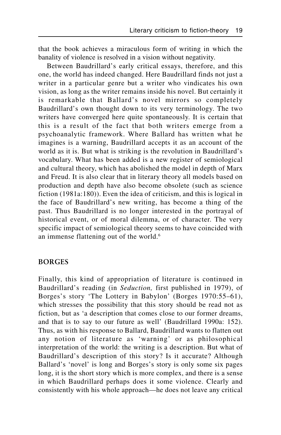that the book achieves a miraculous form of writing in which the banality of violence is resolved in a vision without negativity.

Between Baudrillard's early critical essays, therefore, and this one, the world has indeed changed. Here Baudrillard finds not just a writer in a particular genre but a writer who vindicates his own vision, as long as the writer remains inside his novel. But certainly it is remarkable that Ballard's novel mirrors so completely Baudrillard's own thought down to its very terminology. The two writers have converged here quite spontaneously. It is certain that this is a result of the fact that both writers emerge from a psychoanalytic framework. Where Ballard has written what he imagines is a warning, Baudrillard accepts it as an account of the world as it is. But what is striking is the revolution in Baudrillard's vocabulary. What has been added is a new register of semiological and cultural theory, which has abolished the model in depth of Marx and Freud. It is also clear that in literary theory all models based on production and depth have also become obsolete (such as science fiction (1981a:180)). Even the idea of criticism, and this is logical in the face of Baudrillard's new writing, has become a thing of the past. Thus Baudrillard is no longer interested in the portrayal of historical event, or of moral dilemma, or of character. The very specific impact of semiological theory seems to have coincided with an immense flattening out of the world.<sup>6</sup>

#### **BORGES**

Finally, this kind of appropriation of literature is continued in Baudrillard's reading (in *Seduction,* first published in 1979), of Borges's story 'The Lottery in Babylon' (Borges 1970:55–61), which stresses the possibility that this story should be read not as fiction, but as 'a description that comes close to our former dreams, and that is to say to our future as well' (Baudrillard 1990a: 152). Thus, as with his response to Ballard, Baudrillard wants to flatten out any notion of literature as 'warning' or as philosophical interpretation of the world: the writing is a description. But what of Baudrillard's description of this story? Is it accurate? Although Ballard's 'novel' is long and Borges's story is only some six pages long, it is the short story which is more complex, and there is a sense in which Baudrillard perhaps does it some violence. Clearly and consistently with his whole approach—he does not leave any critical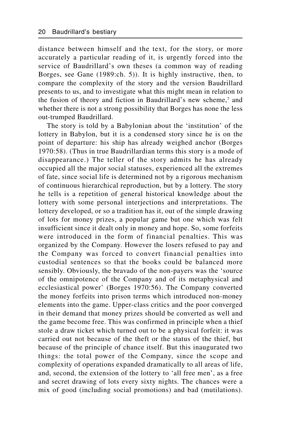distance between himself and the text, for the story, or more accurately a particular reading of it, is urgently forced into the service of Baudrillard's own theses (a common way of reading Borges, see Gane (1989:ch. 5)). It is highly instructive, then, to compare the complexity of the story and the version Baudrillard presents to us, and to investigate what this might mean in relation to the fusion of theory and fiction in Baudrillard's new scheme,<sup>7</sup> and whether there is not a strong possibility that Borges has none the less out-trumped Baudrillard.

The story is told by a Babylonian about the 'institution' of the lottery in Babylon, but it is a condensed story since he is on the point of departure: his ship has already weighed anchor (Borges 1970:58). (Thus in true Baudrillardian terms this story is a mode of disappearance.) The teller of the story admits he has already occupied all the major social statuses, experienced all the extremes of fate, since social life is determined not by a rigorous mechanism of continuous hierarchical reproduction, but by a lottery. The story he tells is a repetition of general historical knowledge about the lottery with some personal interjections and interpretations. The lottery developed, or so a tradition has it, out of the simple drawing of lots for money prizes, a popular game but one which was felt insufficient since it dealt only in money and hope. So, some forfeits were introduced in the form of financial penalties. This was organized by the Company. However the losers refused to pay and the Company was forced to convert financial penalties into custodial sentences so that the books could be balanced more sensibly. Obviously, the bravado of the non-payers was the 'source of the omnipotence of the Company and of its metaphysical and ecclesiastical power' (Borges 1970:56). The Company converted the money forfeits into prison terms which introduced non-money elements into the game. Upper-class critics and the poor converged in their demand that money prizes should be converted as well and the game become free. This was confirmed in principle when a thief stole a draw ticket which turned out to be a physical forfeit: it was carried out not because of the theft or the status of the thief, but because of the principle of chance itself. But this inaugurated two things: the total power of the Company, since the scope and complexity of operations expanded dramatically to all areas of life, and, second, the extension of the lottery to 'all free men', as a free and secret drawing of lots every sixty nights. The chances were a mix of good (including social promotions) and bad (mutilations).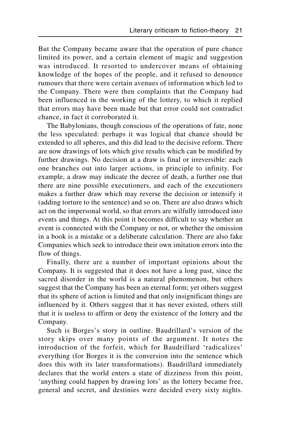But the Company became aware that the operation of pure chance limited its power, and a certain element of magic and suggestion was introduced. It resorted to undercover means of obtaining knowledge of the hopes of the people, and it refused to denounce rumours that there were certain avenues of information which led to the Company. There were then complaints that the Company had been influenced in the working of the lottery, to which it replied that errors may have been made but that error could not contradict chance, in fact it corroborated it.

The Babylonians, though conscious of the operations of fate, none the less speculated: perhaps it was logical that chance should be extended to all spheres, and this did lead to the decisive reform. There are now drawings of lots which give results which can be modified by further drawings. No decision at a draw is final or irreversible: each one branches out into larger actions, in principle to infinity. For example, a draw may indicate the decree of death, a further one that there are nine possible executioners, and each of the executioners makes a further draw which may reverse the decision or intensify it (adding torture to the sentence) and so on. There are also draws which act on the impersonal world, so that errors are wilfully introduced into events and things. At this point it becomes difficult to say whether an event is connected with the Company or not, or whether the omission in a book is a mistake or a deliberate calculation. There are also fake Companies which seek to introduce their own imitation errors into the flow of things.

Finally, there are a number of important opinions about the Company. It is suggested that it does not have a long past, since the sacred disorder in the world is a natural phenomenon, but others suggest that the Company has been an eternal form; yet others suggest that its sphere of action is limited and that only insignificant things are influenced by it. Others suggest that it has never existed, others still that it is useless to affirm or deny the existence of the lottery and the Company.

Such is Borges's story in outline. Baudrillard's version of the story skips over many points of the argument. It notes the introduction of the forfeit, which for Baudrillard 'radicalizes' everything (for Borges it is the conversion into the sentence which does this with its later transformations). Baudrillard immediately declares that the world enters a state of dizziness from this point, 'anything could happen by drawing lots' as the lottery became free, general and secret, and destinies were decided every sixty nights.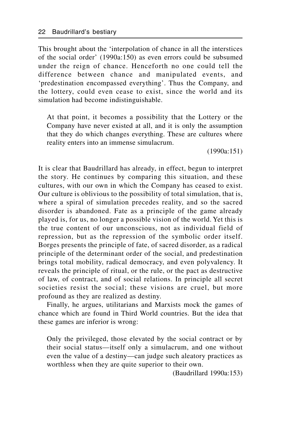This brought about the 'interpolation of chance in all the interstices of the social order' (1990a:150) as even errors could be subsumed under the reign of chance. Henceforth no one could tell the difference between chance and manipulated events, and 'predestination encompassed everything'. Thus the Company, and the lottery, could even cease to exist, since the world and its simulation had become indistinguishable.

At that point, it becomes a possibility that the Lottery or the Company have never existed at all, and it is only the assumption that they do which changes everything. These are cultures where reality enters into an immense simulacrum.

(1990a:151)

It is clear that Baudrillard has already, in effect, begun to interpret the story. He continues by comparing this situation, and these cultures, with our own in which the Company has ceased to exist. Our culture is oblivious to the possibility of total simulation, that is, where a spiral of simulation precedes reality, and so the sacred disorder is abandoned. Fate as a principle of the game already played is, for us, no longer a possible vision of the world. Yet this is the true content of our unconscious, not as individual field of repression, but as the repression of the symbolic order itself. Borges presents the principle of fate, of sacred disorder, as a radical principle of the determinant order of the social, and predestination brings total mobility, radical democracy, and even polyvalency. It reveals the principle of ritual, or the rule, or the pact as destructive of law, of contract, and of social relations. In principle all secret societies resist the social; these visions are cruel, but more profound as they are realized as destiny.

Finally, he argues, utilitarians and Marxists mock the games of chance which are found in Third World countries. But the idea that these games are inferior is wrong:

Only the privileged, those elevated by the social contract or by their social status—itself only a simulacrum, and one without even the value of a destiny—can judge such aleatory practices as worthless when they are quite superior to their own.

(Baudrillard 1990a:153)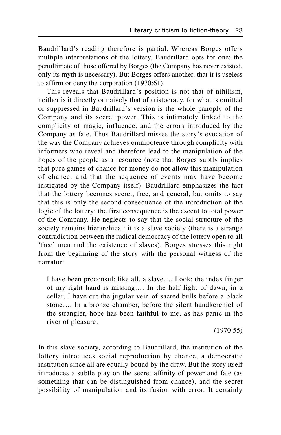Baudrillard's reading therefore is partial. Whereas Borges offers multiple interpretations of the lottery, Baudrillard opts for one: the penultimate of those offered by Borges (the Company has never existed, only its myth is necessary). But Borges offers another, that it is useless to affirm or deny the corporation (1970:61).

This reveals that Baudrillard's position is not that of nihilism, neither is it directly or naively that of aristocracy, for what is omitted or suppressed in Baudrillard's version is the whole panoply of the Company and its secret power. This is intimately linked to the complicity of magic, influence, and the errors introduced by the Company as fate. Thus Baudrillard misses the story's evocation of the way the Company achieves omnipotence through complicity with informers who reveal and therefore lead to the manipulation of the hopes of the people as a resource (note that Borges subtly implies that pure games of chance for money do not allow this manipulation of chance, and that the sequence of events may have become instigated by the Company itself). Baudrillard emphasizes the fact that the lottery becomes secret, free, and general, but omits to say that this is only the second consequence of the introduction of the logic of the lottery: the first consequence is the ascent to total power of the Company. He neglects to say that the social structure of the society remains hierarchical: it is a slave society (there is a strange contradiction between the radical democracy of the lottery open to all 'free' men and the existence of slaves). Borges stresses this right from the beginning of the story with the personal witness of the narrator:

I have been proconsul; like all, a slave…. Look: the index finger of my right hand is missing…. In the half light of dawn, in a cellar, I have cut the jugular vein of sacred bulls before a black stone…. In a bronze chamber, before the silent handkerchief of the strangler, hope has been faithful to me, as has panic in the river of pleasure.

(1970:55)

In this slave society, according to Baudrillard, the institution of the lottery introduces social reproduction by chance, a democratic institution since all are equally bound by the draw. But the story itself introduces a subtle play on the secret affinity of power and fate (as something that can be distinguished from chance), and the secret possibility of manipulation and its fusion with error. It certainly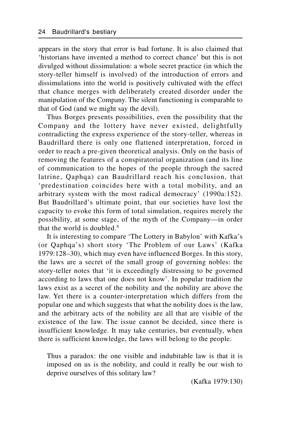appears in the story that error is bad fortune. It is also claimed that 'historians have invented a method to correct chance' but this is not divulged without dissimulation: a whole secret practice (in which the story-teller himself is involved) of the introduction of errors and dissimulations into the world is positively cultivated with the effect that chance merges with deliberately created disorder under the manipulation of the Company. The silent functioning is comparable to that of God (and we might say the devil).

Thus Borges presents possibilities, even the possibility that the Company and the lottery have never existed, delightfully contradicting the express experience of the story-teller, whereas in Baudrillard there is only one flattened interpretation, forced in order to reach a pre-given theoretical analysis. Only on the basis of removing the features of a conspiratorial organization (and its line of communication to the hopes of the people through the sacred latrine, Qaphqa) can Baudrillard reach his conclusion, that 'predestination coincides here with a total mobility, and an arbitrary system with the most radical democracy' (1990a:152). But Baudrillard's ultimate point, that our societies have lost the capacity to evoke this form of total simulation, requires merely the possibility, at some stage, of the myth of the Company—in order that the world is doubled.<sup>8</sup>

It is interesting to compare 'The Lottery in Babylon' with Kafka's (or Qaphqa's) short story 'The Problem of our Laws' (Kafka 1979:128–30), which may even have influenced Borges. In this story, the laws are a secret of the small group of governing nobles: the story-teller notes that 'it is exceedingly distressing to be governed according to laws that one does not know'. In popular tradition the laws exist as a secret of the nobility and the nobility are above the law. Yet there is a counter-interpretation which differs from the popular one and which suggests that what the nobility does is the law, and the arbitrary acts of the nobility are all that are visible of the existence of the law. The issue cannot be decided, since there is insufficient knowledge. It may take centuries, but eventually, when there is sufficient knowledge, the laws will belong to the people.

Thus a paradox: the one visible and indubitable law is that it is imposed on us is the nobility, and could it really be our wish to deprive ourselves of this solitary law?

(Kafka 1979:130)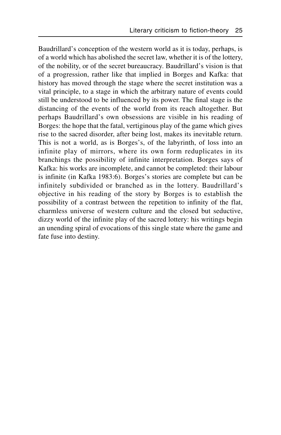Baudrillard's conception of the western world as it is today, perhaps, is of a world which has abolished the secret law, whether it is of the lottery, of the nobility, or of the secret bureaucracy. Baudrillard's vision is that of a progression, rather like that implied in Borges and Kafka: that history has moved through the stage where the secret institution was a vital principle, to a stage in which the arbitrary nature of events could still be understood to be influenced by its power. The final stage is the distancing of the events of the world from its reach altogether. But perhaps Baudrillard's own obsessions are visible in his reading of Borges: the hope that the fatal, vertiginous play of the game which gives rise to the sacred disorder, after being lost, makes its inevitable return. This is not a world, as is Borges's, of the labyrinth, of loss into an infinite play of mirrors, where its own form reduplicates in its branchings the possibility of infinite interpretation. Borges says of Kafka: his works are incomplete, and cannot be completed: their labour is infinite (in Kafka 1983:6). Borges's stories are complete but can be infinitely subdivided or branched as in the lottery. Baudrillard's objective in his reading of the story by Borges is to establish the possibility of a contrast between the repetition to infinity of the flat, charmless universe of western culture and the closed but seductive, dizzy world of the infinite play of the sacred lottery: his writings begin an unending spiral of evocations of this single state where the game and fate fuse into destiny.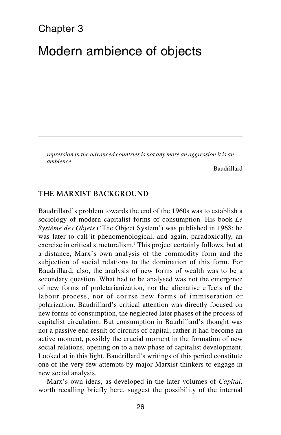### <span id="page-34-0"></span>Modern ambience of objects

*repression in the advanced countries is not any more an aggression it is an ambience.*

Baudrillard

### **THE MARXIST BACKGROUND**

Baudrillard's problem towards the end of the 1960s was to establish a sociology of modern capitalist forms of consumption. His book *Le Système des Objets* ('The Object System') was published in 1968; he was later to call it phenomenological, and again, paradoxically, an exercise in critical structuralism.<sup>1</sup> This project certainly follows, but at a distance, Marx's own analysis of the commodity form and the subjection of social relations to the domination of this form. For Baudrillard, also, the analysis of new forms of wealth was to be a secondary question. What had to be analysed was not the emergence of new forms of proletarianization, nor the alienative effects of the labour process, nor of course new forms of immiseration or polarization. Baudrillard's critical attention was directly focused on new forms of consumption, the neglected later phases of the process of capitalist circulation. But consumption in Baudrillard's thought was not a passive end result of circuits of capital; rather it had become an active moment, possibly the crucial moment in the formation of new social relations, opening on to a new phase of capitalist development. Looked at in this light, Baudrillard's writings of this period constitute one of the very few attempts by major Marxist thinkers to engage in new social analysis.

Marx's own ideas, as developed in the later volumes of *Capital,* worth recalling briefly here, suggest the possibility of the internal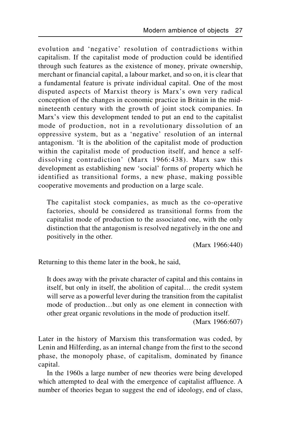evolution and 'negative' resolution of contradictions within capitalism. If the capitalist mode of production could be identified through such features as the existence of money, private ownership, merchant or financial capital, a labour market, and so on, it is clear that a fundamental feature is private individual capital. One of the most disputed aspects of Marxist theory is Marx's own very radical conception of the changes in economic practice in Britain in the midnineteenth century with the growth of joint stock companies. In Marx's view this development tended to put an end to the capitalist mode of production, not in a revolutionary dissolution of an oppressive system, but as a 'negative' resolution of an internal antagonism. 'It is the abolition of the capitalist mode of production within the capitalist mode of production itself, and hence a selfdissolving contradiction' (Marx 1966:438). Marx saw this development as establishing new 'social' forms of property which he identified as transitional forms, a new phase, making possible cooperative movements and production on a large scale.

The capitalist stock companies, as much as the co-operative factories, should be considered as transitional forms from the capitalist mode of production to the associated one, with the only distinction that the antagonism is resolved negatively in the one and positively in the other.

(Marx 1966:440)

Returning to this theme later in the book, he said,

It does away with the private character of capital and this contains in itself, but only in itself, the abolition of capital… the credit system will serve as a powerful lever during the transition from the capitalist mode of production…but only as one element in connection with other great organic revolutions in the mode of production itself.

(Marx 1966:607)

Later in the history of Marxism this transformation was coded, by Lenin and Hilferding, as an internal change from the first to the second phase, the monopoly phase, of capitalism, dominated by finance capital.

In the 1960s a large number of new theories were being developed which attempted to deal with the emergence of capitalist affluence. A number of theories began to suggest the end of ideology, end of class,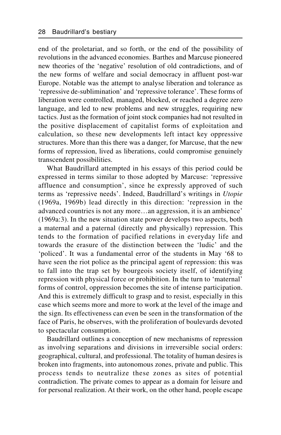end of the proletariat, and so forth, or the end of the possibility of revolutions in the advanced economies. Barthes and Marcuse pioneered new theories of the 'negative' resolution of old contradictions, and of the new forms of welfare and social democracy in affluent post-war Europe. Notable was the attempt to analyse liberation and tolerance as 'repressive de-sublimination' and 'repressive tolerance'. These forms of liberation were controlled, managed, blocked, or reached a degree zero language, and led to new problems and new struggles, requiring new tactics. Just as the formation of joint stock companies had not resulted in the positive displacement of capitalist forms of exploitation and calculation, so these new developments left intact key oppressive structures. More than this there was a danger, for Marcuse, that the new forms of repression, lived as liberations, could compromise genuinely transcendent possibilities.

What Baudrillard attempted in his essays of this period could be expressed in terms similar to those adopted by Marcuse: 'repressive affluence and consumption', since he expressly approved of such terms as 'repressive needs'. Indeed, Baudrillard's writings in *Utopie* (1969a, 1969b) lead directly in this direction: 'repression in the advanced countries is not any more…an aggression, it is an ambience' (1969a:3). In the new situation state power develops two aspects, both a maternal and a paternal (directly and physically) repression. This tends to the formation of pacified relations in everyday life and towards the erasure of the distinction between the 'ludic' and the 'policed'. It was a fundamental error of the students in May '68 to have seen the riot police as the principal agent of repression: this was to fall into the trap set by bourgeois society itself, of identifying repression with physical force or prohibition. In the turn to 'maternal' forms of control, oppression becomes the site of intense participation. And this is extremely difficult to grasp and to resist, especially in this case which seems more and more to work at the level of the image and the sign. Its effectiveness can even be seen in the transformation of the face of Paris, he observes, with the proliferation of boulevards devoted to spectacular consumption.

Baudrillard outlines a conception of new mechanisms of repression as involving separations and divisions in irreversible social orders: geographical, cultural, and professional. The totality of human desires is broken into fragments, into autonomous zones, private and public. This process tends to neutralize these zones as sites of potential contradiction. The private comes to appear as a domain for leisure and for personal realization. At their work, on the other hand, people escape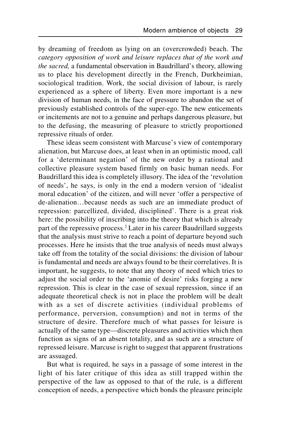by dreaming of freedom as lying on an (overcrowded) beach. The *category opposition of work and leisure replaces that of the work and the sacred,* a fundamental observation in Baudrillard's theory, allowing us to place his development directly in the French, Durkheimian, sociological tradition. Work, the social division of labour, is rarely experienced as a sphere of liberty. Even more important is a new division of human needs, in the face of pressure to abandon the set of previously established controls of the super-ego. The new enticements or incitements are not to a genuine and perhaps dangerous pleasure, but to the defusing, the measuring of pleasure to strictly proportioned repressive rituals of order.

These ideas seem consistent with Marcuse's view of contemporary alienation, but Marcuse does, at least when in an optimistic mood, call for a 'determinant negation' of the new order by a rational and collective pleasure system based firmly on basic human needs. For Baudrillard this idea is completely illusory. The idea of the 'revolution of needs', he says, is only in the end a modern version of 'idealist moral education' of the citizen, and will never 'offer a perspective of de-alienation…because needs as such are an immediate product of repression: parcellized, divided, disciplined'. There is a great risk here: the possibility of inscribing into the theory that which is already part of the repressive process.2 Later in his career Baudrillard suggests that the analysis must strive to reach a point of departure beyond such processes. Here he insists that the true analysis of needs must always take off from the totality of the social divisions: the division of labour is fundamental and needs are always found to be their correlatives. It is important, he suggests, to note that any theory of need which tries to adjust the social order to the 'anomie of desire' risks forging a new repression. This is clear in the case of sexual repression, since if an adequate theoretical check is not in place the problem will be dealt with as a set of discrete activities (individual problems of performance, perversion, consumption) and not in terms of the structure of desire. Therefore much of what passes for leisure is actually of the same type—discrete pleasures and activities which then function as signs of an absent totality, and as such are a structure of repressed leisure. Marcuse is right to suggest that apparent frustrations are assuaged.

But what is required, he says in a passage of some interest in the light of his later critique of this idea as still trapped within the perspective of the law as opposed to that of the rule, is a different conception of needs, a perspective which bonds the pleasure principle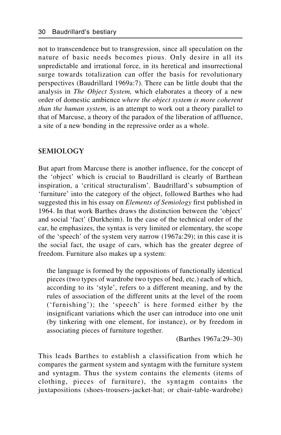not to transcendence but to transgression, since all speculation on the nature of basic needs becomes pious. Only desire in all its unpredictable and irrational force, in its heretical and insurrectional surge towards totalization can offer the basis for revolutionary perspectives (Baudrillard 1969a:7). There can be little doubt that the analysis in *The Object System,* which elaborates a theory of a new order of domestic ambience *where the object system is more coherent than the human system,* is an attempt to work out a theory parallel to that of Marcuse, a theory of the paradox of the liberation of affluence, a site of a new bonding in the repressive order as a whole.

### **SEMIOLOGY**

But apart from Marcuse there is another influence, for the concept of the 'object' which is crucial to Baudrillard is clearly of Barthean inspiration, a 'critical structuralism'. Baudrillard's subsumption of 'furniture' into the category of the object, followed Barthes who had suggested this in his essay on *Elements of Semiology* first published in 1964. In that work Barthes draws the distinction between the 'object' and social 'fact' (Durkheim). In the case of the technical order of the car, he emphasizes, the syntax is very limited or elementary, the scope of the 'speech' of the system very narrow (1967a:29); in this case it is the social fact, the usage of cars, which has the greater degree of freedom. Furniture also makes up a system:

the language is formed by the oppositions of functionally identical pieces (two types of wardrobe two types of bed, etc.) each of which, according to its 'style', refers to a different meaning, and by the rules of association of the different units at the level of the room ('furnishing'); the 'speech' is here formed either by the insignificant variations which the user can introduce into one unit (by tinkering with one element, for instance), or by freedom in associating pieces of furniture together.

(Barthes 1967a:29–30)

This leads Barthes to establish a classification from which he compares the garment system and syntagm with the furniture system and syntagm. Thus the system contains the elements (items of clothing, pieces of furniture), the syntagm contains the juxtapositions (shoes-trousers-jacket-hat; or chair-table-wardrobe)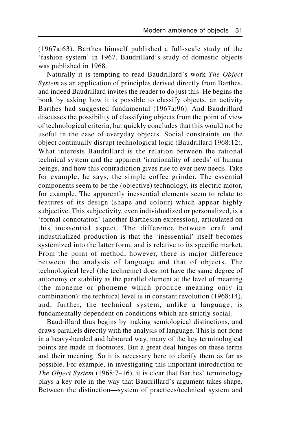(1967a:63). Barthes himself published a full-scale study of the 'fashion system' in 1967, Baudrillard's study of domestic objects was published in 1968.

Naturally it is tempting to read Baudrillard's work *The Object System* as an application of principles derived directly from Barthes, and indeed Baudrillard invites the reader to do just this. He begins the book by asking how it is possible to classify objects, an activity Barthes had suggested fundamental (1967a:96). And Baudrillard discusses the possibility of classifying objects from the point of view of technological criteria, but quickly concludes that this would not be useful in the case of everyday objects. Social constraints on the object continually disrupt technological logic (Baudrillard 1968:12). What interests Baudrillard is the relation between the rational technical system and the apparent 'irrationality of needs' of human beings, and how this contradiction gives rise to ever new needs. Take for example, he says, the simple coffee grinder. The essential components seem to be the (objective) technology, its electric motor, for example. The apparently inessential elements seem to relate to features of its design (shape and colour) which appear highly subjective. This subjectivity, even individualized or personalized, is a 'formal connotation' (another Barthesian expression), articulated on this inessential aspect. The difference between craft and industrialized production is that the 'inessential' itself becomes systemized into the latter form, and is relative to its specific market. From the point of method, however, there is major difference between the analysis of language and that of objects. The technological level (the techneme) does not have the same degree of autonomy or stability as the parallel element at the level of meaning (the moneme or phoneme which produce meaning only in combination): the technical level is in constant revolution (1968:14), and, further, the technical system, unlike a language, is fundamentally dependent on conditions which are strictly social.

Baudrillard thus begins by making semiological distinctions, and draws parallels directly with the analysis of language. This is not done in a heavy-handed and laboured way, many of the key terminological points are made in footnotes. But a great deal hinges on these terms and their meaning. So it is necessary here to clarify them as far as possible. For example, in investigating this important introduction to *The Object System* (1968:7–16), it is clear that Barthes' terminology plays a key role in the way that Baudrillard's argument takes shape. Between the distinction—system of practices/technical system and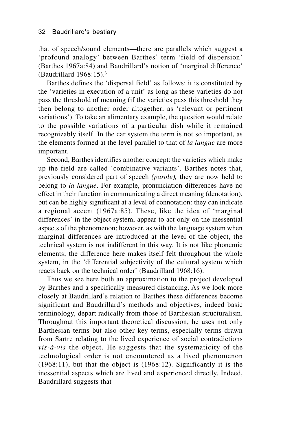that of speech/sound elements—there are parallels which suggest a 'profound analogy' between Barthes' term 'field of dispersion' (Barthes 1967a:84) and Baudrillard's notion of 'marginal difference' (Baudrillard  $1968:15$ ).<sup>3</sup>

Barthes defines the 'dispersal field' as follows: it is constituted by the 'varieties in execution of a unit' as long as these varieties do not pass the threshold of meaning (if the varieties pass this threshold they then belong to another order altogether, as 'relevant or pertinent variations'). To take an alimentary example, the question would relate to the possible variations of a particular dish while it remained recognizably itself. In the car system the term is not so important, as the elements formed at the level parallel to that of *la langue* are more important.

Second, Barthes identifies another concept: the varieties which make up the field are called 'combinative variants'. Barthes notes that, previously considered part of speech *(parole),* they are now held to belong to *la langue*. For example, pronunciation differences have no effect in their function in communicating a direct meaning (denotation), but can be highly significant at a level of connotation: they can indicate a regional accent (1967a:85). These, like the idea of 'marginal differences' in the object system, appear to act only on the inessential aspects of the phenomenon; however, as with the language system when marginal differences are introduced at the level of the object, the technical system is not indifferent in this way. It is not like phonemic elements; the difference here makes itself felt throughout the whole system, in the 'differential subjectivity of the cultural system which reacts back on the technical order' (Baudrillard 1968:16).

Thus we see here both an approximation to the project developed by Barthes and a specifically measured distancing. As we look more closely at Baudrillard's relation to Barthes these differences become significant and Baudrillard's methods and objectives, indeed basic terminology, depart radically from those of Barthesian structuralism. Throughout this important theoretical discussion, he uses not only Barthesian terms but also other key terms, especially terms drawn from Sartre relating to the lived experience of social contradictions *vis-à-vis* the object. He suggests that the systematicity of the technological order is not encountered as a lived phenomenon (1968:11), but that the object is (1968:12). Significantly it is the inessential aspects which are lived and experienced directly. Indeed, Baudrillard suggests that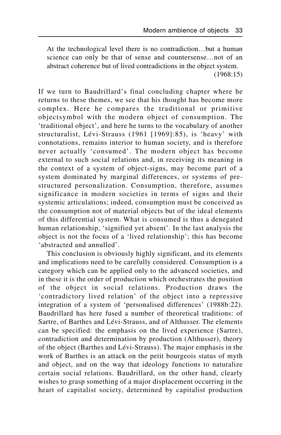At the technological level there is no contradiction…but a human science can only be that of sense and countersense…not of an abstract coherence but of lived contradictions in the object system. (1968:15)

If we turn to Baudrillard's final concluding chapter where he returns to these themes, we see that his thought has become more complex. Here he compares the traditional or primitive objectsymbol with the modern object of consumption. The 'traditional object', and here he turns to the vocabulary of another structuralist, Lévi-Strauss (1961 [1969]:85), is 'heavy' with connotations, remains interior to human society, and is therefore never actually 'consumed'. The modern object has become external to such social relations and, in receiving its meaning in the context of a system of object-signs, may become part of a system dominated by marginal differences, or systems of prestructured personalization. Consumption, therefore, assumes significance in modern societies in terms of signs and their systemic articulations; indeed, consumption must be conceived as the consumption not of material objects but of the ideal elements of this differential system. What is consumed is thus a denegated human relationship, 'signified yet absent'. In the last analysis the object is not the focus of a 'lived relationship'; this has become 'abstracted and annulled'.

This conclusion is obviously highly significant, and its elements and implications need to be carefully considered. Consumption is a category which can be applied only to the advanced societies, and in these it is the order of production which orchestrates the position of the object in social relations. Production draws the 'contradictory lived relation' of the object into a repressive integration of a system of 'personalised differences' (1988b:22). Baudrillard has here fused a number of theoretical traditions: of Sartre, of Barthes and Lévi-Strauss, and of Althusser. The elements can be specified: the emphasis on the lived experience (Sartre), contradiction and determination by production (Althusser), theory of the object (Barthes and Lévi-Strauss). The major emphasis in the work of Barthes is an attack on the petit bourgeois status of myth and object, and on the way that ideology functions to naturalize certain social relations. Baudrillard, on the other hand, clearly wishes to grasp something of a major displacement occurring in the heart of capitalist society, determined by capitalist production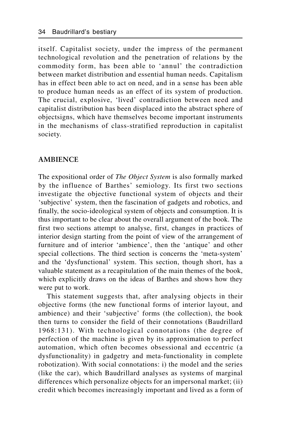itself. Capitalist society, under the impress of the permanent technological revolution and the penetration of relations by the commodity form, has been able to 'annul' the contradiction between market distribution and essential human needs. Capitalism has in effect been able to act on need, and in a sense has been able to produce human needs as an effect of its system of production. The crucial, explosive, 'lived' contradiction between need and capitalist distribution has been displaced into the abstract sphere of objectsigns, which have themselves become important instruments in the mechanisms of class-stratified reproduction in capitalist society.

### **AMBIENCE**

The expositional order of *The Object System* is also formally marked by the influence of Barthes' semiology. Its first two sections investigate the objective functional system of objects and their 'subjective' system, then the fascination of gadgets and robotics, and finally, the socio-ideological system of objects and consumption. It is thus important to be clear about the overall argument of the book. The first two sections attempt to analyse, first, changes in practices of interior design starting from the point of view of the arrangement of furniture and of interior 'ambience', then the 'antique' and other special collections. The third section is concerns the 'meta-system' and the 'dysfunctional' system. This section, though short, has a valuable statement as a recapitulation of the main themes of the book, which explicitly draws on the ideas of Barthes and shows how they were put to work.

This statement suggests that, after analysing objects in their objective forms (the new functional forms of interior layout, and ambience) and their 'subjective' forms (the collection), the book then turns to consider the field of their connotations (Baudrillard 1968:131). With technological connotations (the degree of perfection of the machine is given by its approximation to perfect automation, which often becomes obsessional and eccentric (a dysfunctionality) in gadgetry and meta-functionality in complete robotization). With social connotations: i) the model and the series (like the car), which Baudrillard analyses as systems of marginal differences which personalize objects for an impersonal market; (ii) credit which becomes increasingly important and lived as a form of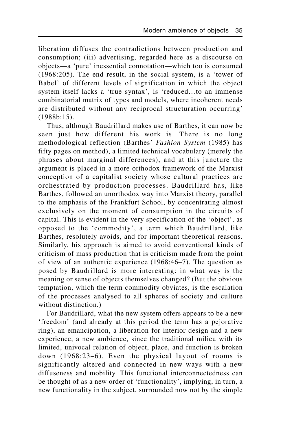liberation diffuses the contradictions between production and consumption; (iii) advertising, regarded here as a discourse on objects—a 'pure' inessential connotation—which too is consumed (1968:205). The end result, in the social system, is a 'tower of Babel' of different levels of signification in which the object system itself lacks a 'true syntax', is 'reduced…to an immense combinatorial matrix of types and models, where incoherent needs are distributed without any reciprocal structuration occurring' (1988b:15).

Thus, although Baudrillard makes use of Barthes, it can now be seen just how different his work is. There is no long methodological reflection (Barthes' *Fashion System* (1985) has fifty pages on method), a limited technical vocabulary (merely the phrases about marginal differences), and at this juncture the argument is placed in a more orthodox framework of the Marxist conception of a capitalist society whose cultural practices are orchestrated by production processes. Baudrillard has, like Barthes, followed an unorthodox way into Marxist theory, parallel to the emphasis of the Frankfurt School, by concentrating almost exclusively on the moment of consumption in the circuits of capital. This is evident in the very specification of the 'object', as opposed to the 'commodity', a term which Baudrillard, like Barthes, resolutely avoids, and for important theoretical reasons. Similarly, his approach is aimed to avoid conventional kinds of criticism of mass production that is criticism made from the point of view of an authentic experience (1968:46–7). The question as posed by Baudrillard is more interesting: in what way is the meaning or sense of objects themselves changed? (But the obvious temptation, which the term commodity obviates, is the escalation of the processes analysed to all spheres of society and culture without distinction.)

For Baudrillard, what the new system offers appears to be a new 'freedom' (and already at this period the term has a pejorative ring), an emancipation, a liberation for interior design and a new experience, a new ambience, since the traditional milieu with its limited, univocal relation of object, place, and function is broken down (1968:23–6). Even the physical layout of rooms is significantly altered and connected in new ways with a new diffuseness and mobility. This functional interconnectedness can be thought of as a new order of 'functionality', implying, in turn, a new functionality in the subject, surrounded now not by the simple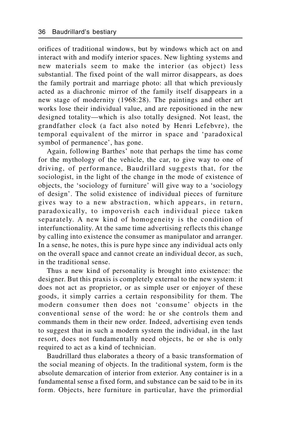orifices of traditional windows, but by windows which act on and interact with and modify interior spaces. New lighting systems and new materials seem to make the interior (as object) less substantial. The fixed point of the wall mirror disappears, as does the family portrait and marriage photo: all that which previously acted as a diachronic mirror of the family itself disappears in a new stage of modernity (1968:28). The paintings and other art works lose their individual value, and are repositioned in the new designed totality—which is also totally designed. Not least, the grandfather clock (a fact also noted by Henri Lefebvre), the temporal equivalent of the mirror in space and 'paradoxical symbol of permanence', has gone.

Again, following Barthes' note that perhaps the time has come for the mythology of the vehicle, the car, to give way to one of driving, of performance, Baudrillard suggests that, for the sociologist, in the light of the change in the mode of existence of objects, the 'sociology of furniture' will give way to a 'sociology of design'. The solid existence of individual pieces of furniture gives way to a new abstraction, which appears, in return, paradoxically, to impoverish each individual piece taken separately. A new kind of homogeneity is the condition of interfunctionality. At the same time advertising reflects this change by calling into existence the consumer as manipulator and arranger. In a sense, he notes, this is pure hype since any individual acts only on the overall space and cannot create an individual decor, as such, in the traditional sense.

Thus a new kind of personality is brought into existence: the designer. But this praxis is completely external to the new system: it does not act as proprietor, or as simple user or enjoyer of these goods, it simply carries a certain responsibility for them. The modern consumer then does not 'consume' objects in the conventional sense of the word: he or she controls them and commands them in their new order. Indeed, advertising even tends to suggest that in such a modern system the individual, in the last resort, does not fundamentally need objects, he or she is only required to act as a kind of technician.

Baudrillard thus elaborates a theory of a basic transformation of the social meaning of objects. In the traditional system, form is the absolute demarcation of interior from exterior. Any container is in a fundamental sense a fixed form, and substance can be said to be in its form. Objects, here furniture in particular, have the primordial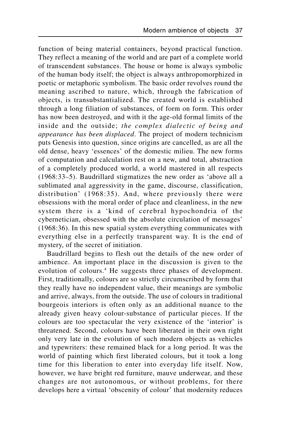function of being material containers, beyond practical function. They reflect a meaning of the world and are part of a complete world of transcendent substances. The house or home is always symbolic of the human body itself; the object is always anthropomorphized in poetic or metaphoric symbolism. The basic order revolves round the meaning ascribed to nature, which, through the fabrication of objects, is transubstantialized. The created world is established through a long filiation of substances, of form on form. This order has now been destroyed, and with it the age-old formal limits of the inside and the outside; *the complex dialectic of being and appearance has been displaced*. The project of modern technicism puts Genesis into question, since origins are cancelled, as are all the old dense, heavy 'essences' of the domestic milieu. The new forms of computation and calculation rest on a new, and total, abstraction of a completely produced world, a world mastered in all respects (1968:33–5). Baudrillard stigmatizes the new order as 'above all a sublimated anal aggressivity in the game, discourse, classification, distribution' (1968:35). And, where previously there were obsessions with the moral order of place and cleanliness, in the new system there is a 'kind of cerebral hypochondria of the cybernetician, obsessed with the absolute circulation of messages' (1968:36). In this new spatial system everything communicates with everything else in a perfectly transparent way. It is the end of mystery, of the secret of initiation.

Baudrillard begins to flesh out the details of the new order of ambience. An important place in the discussion is given to the evolution of colours.<sup>4</sup> He suggests three phases of development. First, traditionally, colours are so strictly circumscribed by form that they really have no independent value, their meanings are symbolic and arrive, always, from the outside. The use of colours in traditional bourgeois interiors is often only as an additional nuance to the already given heavy colour-substance of particular pieces. If the colours are too spectacular the very existence of the 'interior' is threatened. Second, colours have been liberated in their own right only very late in the evolution of such modern objects as vehicles and typewriters: these remained black for a long period. It was the world of painting which first liberated colours, but it took a long time for this liberation to enter into everyday life itself. Now, however, we have bright red furniture, mauve underwear, and these changes are not autonomous, or without problems, for there develops here a virtual 'obscenity of colour' that modernity reduces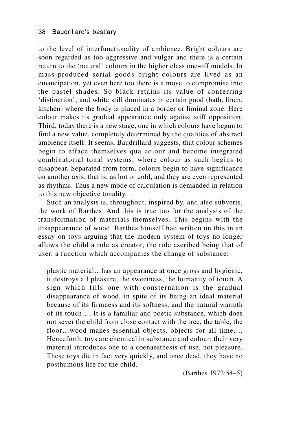to the level of interfunctionality of ambience. Bright colours are soon regarded as too aggressive and vulgar and there is a certain return to the 'natural' colours in the higher class one-off models. In mass-produced serial goods bright colours are lived as an emancipation, yet even here too there is a move to compromise into the pastel shades. So black retains its value of conferring 'distinction', and white still dominates in certain good (bath, linen, kitchen) where the body is placed in a border or liminal zone. Here colour makes its gradual appearance only against stiff opposition. Third, today there is a new stage, one in which colours have begun to find a new value, completely determined by the qualities of abstract ambience itself. It seems, Baudrillard suggests, that colour schemes begin to efface themselves qua colour and become integrated combinatorial tonal systems, where colour as such begins to disappear. Separated from form, colours begin to have significance on another axis, that is, as hot or cold, and they are even represented as rhythms. Thus a new mode of calculation is demanded in relation to this new objective tonality.

Such an analysis is, throughout, inspired by, and also subverts, the work of Barthes. And this is true too for the analysis of the transformation of materials themselves. This begins with the disappearance of wood. Barthes himself had written on this in an essay on toys arguing that the modern system of toys no longer allows the child a role as creator, the role ascribed being that of user, a function which accompanies the change of substance:

plastic material…has an appearance at once gross and hygienic, it destroys all pleasure, the sweetness, the humanity of touch. A sign which fills one with consternation is the gradual disappearance of wood, in spite of its being an ideal material because of its firmness and its softness, and the natural warmth of its touch…. It is a familiar and poetic substance, which does not sever the child from close contact with the tree, the table, the floor...wood makes essential objects, objects for all time.... Henceforth, toys are chemical in substance and colour; their very material introduces one to a coenaesthesis of use, not pleasure. These toys die in fact very quickly, and once dead, they have no posthumous life for the child.

(Barthes 1972:54–5)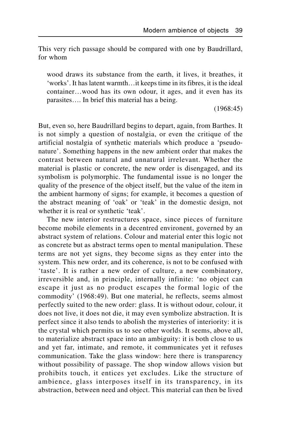This very rich passage should be compared with one by Baudrillard, for whom

wood draws its substance from the earth, it lives, it breathes, it 'works'. It has latent warmth…it keeps time in its fibres, it is the ideal container…wood has its own odour, it ages, and it even has its parasites…. In brief this material has a being.

(1968:45)

But, even so, here Baudrillard begins to depart, again, from Barthes. It is not simply a question of nostalgia, or even the critique of the artificial nostalgia of synthetic materials which produce a 'pseudonature'. Something happens in the new ambient order that makes the contrast between natural and unnatural irrelevant. Whether the material is plastic or concrete, the new order is disengaged, and its symbolism is polymorphic. The fundamental issue is no longer the quality of the presence of the object itself, but the value of the item in the ambient harmony of signs; for example, it becomes a question of the abstract meaning of 'oak' or 'teak' in the domestic design, not whether it is real or synthetic 'teak'.

The new interior restructures space, since pieces of furniture become mobile elements in a decentred environent, governed by an abstract system of relations. Colour and material enter this logic not as concrete but as abstract terms open to mental manipulation. These terms are not yet signs, they become signs as they enter into the system. This new order, and its coherence, is not to be confused with 'taste'. It is rather a new order of culture, a new combinatory, irreversible and, in principle, internally infinite: 'no object can escape it just as no product escapes the formal logic of the commodity' (1968:49). But one material, he reflects, seems almost perfectly suited to the new order: glass. It is without odour, colour, it does not live, it does not die, it may even symbolize abstraction. It is perfect since it also tends to abolish the mysteries of interiority: it is the crystal which permits us to see other worlds. It seems, above all, to materialize abstract space into an ambiguity: it is both close to us and yet far, intimate, and remote, it communicates yet it refuses communication. Take the glass window: here there is transparency without possibility of passage. The shop window allows vision but prohibits touch, it entices yet excludes. Like the structure of ambience, glass interposes itself in its transparency, in its abstraction, between need and object. This material can then be lived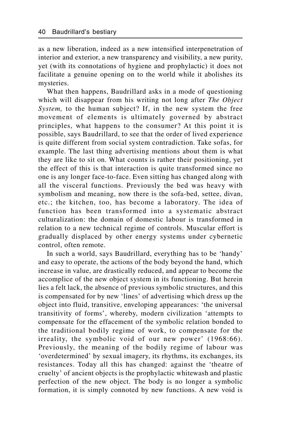as a new liberation, indeed as a new intensified interpenetration of interior and exterior, a new transparency and visibility, a new purity, yet (with its connotations of hygiene and prophylactic) it does not facilitate a genuine opening on to the world while it abolishes its mysteries.

What then happens, Baudrillard asks in a mode of questioning which will disappear from his writing not long after *The Object System,* to the human subject? If, in the new system the free movement of elements is ultimately governed by abstract principles, what happens to the consumer? At this point it is possible, says Baudrillard, to see that the order of lived experience is quite different from social system contradiction. Take sofas, for example. The last thing advertising mentions about them is what they are like to sit on. What counts is rather their positioning, yet the effect of this is that interaction is quite transformed since no one is any longer face-to-face. Even sitting has changed along with all the visceral functions. Previously the bed was heavy with symbolism and meaning, now there is the sofa-bed, settee, divan, etc.; the kitchen, too, has become a laboratory. The idea of function has been transformed into a systematic abstract culturalization: the domain of domestic labour is transformed in relation to a new technical regime of controls. Muscular effort is gradually displaced by other energy systems under cybernetic control, often remote.

In such a world, says Baudrillard, everything has to be 'handy' and easy to operate, the actions of the body beyond the hand, which increase in value, are drastically reduced, and appear to become the accomplice of the new object system in its functioning. But herein lies a felt lack, the absence of previous symbolic structures, and this is compensated for by new 'lines' of advertising which dress up the object into fluid, transitive, enveloping appearances: 'the universal transitivity of forms', whereby, modern civilization 'attempts to compensate for the effacement of the symbolic relation bonded to the traditional bodily regime of work, to compensate for the irreality, the symbolic void of our new power' (1968:66). Previously, the meaning of the bodily regime of labour was 'overdetermined' by sexual imagery, its rhythms, its exchanges, its resistances. Today all this has changed: against the 'theatre of cruelty' of ancient objects is the prophylactic whitewash and plastic perfection of the new object. The body is no longer a symbolic formation, it is simply connoted by new functions. A new void is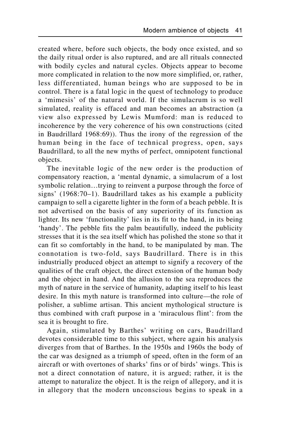created where, before such objects, the body once existed, and so the daily ritual order is also ruptured, and are all rituals connected with bodily cycles and natural cycles. Objects appear to become more complicated in relation to the now more simplified, or, rather, less differentiated, human beings who are supposed to be in control. There is a fatal logic in the quest of technology to produce a 'mimesis' of the natural world. If the simulacrum is so well simulated, reality is effaced and man becomes an abstraction (a view also expressed by Lewis Mumford: man is reduced to incoherence by the very coherence of his own constructions (cited in Baudrillard 1968:69)). Thus the irony of the regression of the human being in the face of technical progress, open, says Baudrillard, to all the new myths of perfect, omnipotent functional objects.

The inevitable logic of the new order is the production of compensatory reaction, a 'mental dynamic, a simulacrum of a lost symbolic relation…trying to reinvent a purpose through the force of signs' (1968:70–1). Baudrillard takes as his example a publicity campaign to sell a cigarette lighter in the form of a beach pebble. It is not advertised on the basis of any superiority of its function as lighter. Its new 'functionality' lies in its fit to the hand, in its being 'handy'. The pebble fits the palm beautifully, indeed the publicity stresses that it is the sea itself which has polished the stone so that it can fit so comfortably in the hand, to be manipulated by man. The connotation is two-fold, says Baudrillard. There is in this industrially produced object an attempt to signify a recovery of the qualities of the craft object, the direct extension of the human body and the object in hand. And the allusion to the sea reproduces the myth of nature in the service of humanity, adapting itself to his least desire. In this myth nature is transformed into culture—the role of polisher, a sublime artisan. This ancient mythological structure is thus combined with craft purpose in a 'miraculous flint': from the sea it is brought to fire.

Again, stimulated by Barthes' writing on cars, Baudrillard devotes considerable time to this subject, where again his analysis diverges from that of Barthes. In the 1950s and 1960s the body of the car was designed as a triumph of speed, often in the form of an aircraft or with overtones of sharks' fins or of birds' wings. This is not a direct connotation of nature, it is argued; rather, it is the attempt to naturalize the object. It is the reign of allegory, and it is in allegory that the modern unconscious begins to speak in a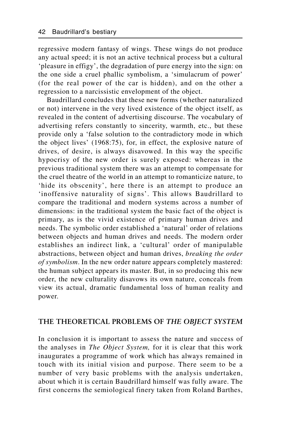regressive modern fantasy of wings. These wings do not produce any actual speed; it is not an active technical process but a cultural 'pleasure in effigy', the degradation of pure energy into the sign: on the one side a cruel phallic symbolism, a 'simulacrum of power' (for the real power of the car is hidden), and on the other a regression to a narcissistic envelopment of the object.

Baudrillard concludes that these new forms (whether naturalized or not) intervene in the very lived existence of the object itself, as revealed in the content of advertising discourse. The vocabulary of advertising refers constantly to sincerity, warmth, etc., but these provide only a 'false solution to the contradictory mode in which the object lives' (1968:75), for, in effect, the explosive nature of drives, of desire, is always disavowed. In this way the specific hypocrisy of the new order is surely exposed: whereas in the previous traditional system there was an attempt to compensate for the cruel theatre of the world in an attempt to romanticize nature, to 'hide its obscenity', here there is an attempt to produce an 'inoffensive naturality of signs'. This allows Baudrillard to compare the traditional and modern systems across a number of dimensions: in the traditional system the basic fact of the object is primary, as is the vivid existence of primary human drives and needs. The symbolic order established a 'natural' order of relations between objects and human drives and needs. The modern order establishes an indirect link, a 'cultural' order of manipulable abstractions, between object and human drives, *breaking the order of symbolism*. In the new order nature appears completely mastered: the human subject appears its master. But, in so producing this new order, the new culturality disavows its own nature, conceals from view its actual, dramatic fundamental loss of human reality and power.

### **THE THEORETICAL PROBLEMS OF** *THE OBJECT SYSTEM*

In conclusion it is important to assess the nature and success of the analyses in *The Object System,* for it is clear that this work inaugurates a programme of work which has always remained in touch with its initial vision and purpose. There seem to be a number of very basic problems with the analysis undertaken, about which it is certain Baudrillard himself was fully aware. The first concerns the semiological finery taken from Roland Barthes,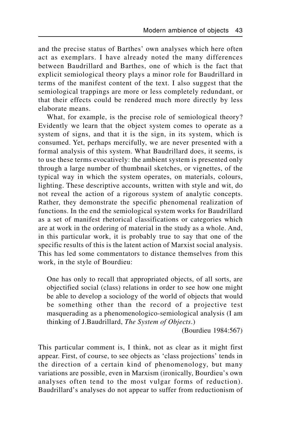and the precise status of Barthes' own analyses which here often act as exemplars. I have already noted the many differences between Baudrillard and Barthes, one of which is the fact that explicit semiological theory plays a minor role for Baudrillard in terms of the manifest content of the text. I also suggest that the semiological trappings are more or less completely redundant, or that their effects could be rendered much more directly by less elaborate means.

What, for example, is the precise role of semiological theory? Evidently we learn that the object system comes to operate as a system of signs, and that it is the sign, in its system, which is consumed. Yet, perhaps mercifully, we are never presented with a formal analysis of this system. What Baudrillard does, it seems, is to use these terms evocatively: the ambient system is presented only through a large number of thumbnail sketches, or vignettes, of the typical way in which the system operates, on materials, colours, lighting. These descriptive accounts, written with style and wit, do not reveal the action of a rigorous system of analytic concepts. Rather, they demonstrate the specific phenomenal realization of functions. In the end the semiological system works for Baudrillard as a set of manifest rhetorical classifications or categories which are at work in the ordering of material in the study as a whole. And, in this particular work, it is probably true to say that one of the specific results of this is the latent action of Marxist social analysis. This has led some commentators to distance themselves from this work, in the style of Bourdieu:

One has only to recall that appropriated objects, of all sorts, are objectified social (class) relations in order to see how one might be able to develop a sociology of the world of objects that would be something other than the record of a projective test masquerading as a phenomenologico-semiological analysis (I am thinking of J.Baudrillard, *The System of Objects*.)

(Bourdieu 1984:567)

This particular comment is, I think, not as clear as it might first appear. First, of course, to see objects as 'class projections' tends in the direction of a certain kind of phenomenology, but many variations are possible, even in Marxism (ironically, Bourdieu's own analyses often tend to the most vulgar forms of reduction). Baudrillard's analyses do not appear to suffer from reductionism of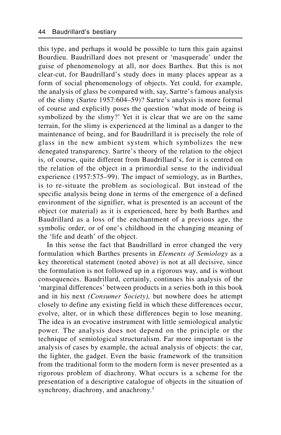this type, and perhaps it would be possible to turn this gain against Bourdieu. Baudrillard does not present or 'masquerade' under the guise of phenomenology at all, nor does Barthes. But this is not clear-cut, for Baudrillard's study does in many places appear as a form of social phenomenology of objects. Yet could, for example, the analysis of glass be compared with, say, Sartre's famous analysis of the slimy (Sartre 1957:604–59)? Sartre's analysis is more formal of course and explicitly poses the question 'what mode of being is symbolized by the slimy?' Yet it is clear that we are on the same terrain, for the slimy is experienced at the liminal as a danger to the maintenance of being, and for Baudrillard it is precisely the role of glass in the new ambient system which symbolizes the new denegated transparency. Sartre's theory of the relation to the object is, of course, quite different from Baudrillard's, for it is centred on the relation of the object in a primordial sense to the individual experience (1957:575–99). The impact of semiology, as in Barthes, is to re-situate the problem as sociological. But instead of the specific analysis being done in terms of the emergence of a defined environment of the signifier, what is presented is an account of the object (or material) as it is experienced, here by both Barthes and Baudrillard as a loss of the enchantment of a previous age, the symbolic order, or of one's childhood in the changing meaning of the 'life and death' of the object.

In this sense the fact that Baudrillard in error changed the very formulation which Barthes presents in *Elements of Semiology* as a key theoretical statement (noted above) is not at all decisive, since the formulation is not followed up in a rigorous way, and is without consequences. Baudrillard, certainly, continues his analysis of the 'marginal differences' between products in a series both in this book and in his next *(Consumer Society),* but nowhere does he attempt closely to define any existing field in which these differences occur, evolve, alter, or in which these differences begin to lose meaning. The idea is an evocative instrument with little semiological analytic power. The analysis does not depend on the principle or the technique of semiological structuralism. Far more important is the analysis of cases by example, the actual analysis of objects: the car, the lighter, the gadget. Even the basic framework of the transition from the traditional form to the modern form is never presented as a rigorous problem of diachrony. What occurs is a scheme for the presentation of a descriptive catalogue of objects in the situation of synchrony, diachrony, and anachrony.<sup>5</sup>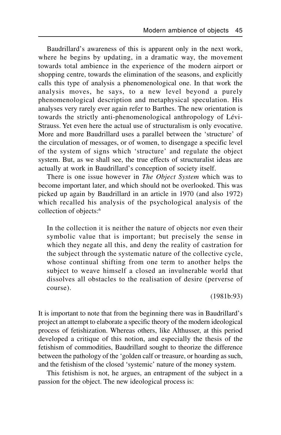Baudrillard's awareness of this is apparent only in the next work, where he begins by updating, in a dramatic way, the movement towards total ambience in the experience of the modern airport or shopping centre, towards the elimination of the seasons, and explicitly calls this type of analysis a phenomenological one. In that work the analysis moves, he says, to a new level beyond a purely phenomenological description and metaphysical speculation. His analyses very rarely ever again refer to Barthes. The new orientation is towards the strictly anti-phenomenological anthropology of Lévi-Strauss. Yet even here the actual use of structuralism is only evocative. More and more Baudrillard uses a parallel between the 'structure' of the circulation of messages, or of women, to disengage a specific level of the system of signs which 'structure' and regulate the object system. But, as we shall see, the true effects of structuralist ideas are actually at work in Baudrillard's conception of society itself.

There is one issue however in *The Object System* which was to become important later, and which should not be overlooked. This was picked up again by Baudrillard in an article in 1970 (and also 1972) which recalled his analysis of the psychological analysis of the collection of objects:<sup>6</sup>

In the collection it is neither the nature of objects nor even their symbolic value that is important; but precisely the sense in which they negate all this, and deny the reality of castration for the subject through the systematic nature of the collective cycle, whose continual shifting from one term to another helps the subject to weave himself a closed an invulnerable world that dissolves all obstacles to the realisation of desire (perverse of course).

(1981b:93)

It is important to note that from the beginning there was in Baudrillard's project an attempt to elaborate a specific theory of the modern ideological process of fetishization. Whereas others, like Althusser, at this period developed a critique of this notion, and especially the thesis of the fetishism of commodities, Baudrillard sought to theorize the difference between the pathology of the 'golden calf or treasure, or hoarding as such, and the fetishism of the closed 'systemic' nature of the money system.

This fetishism is not, he argues, an entrapment of the subject in a passion for the object. The new ideological process is: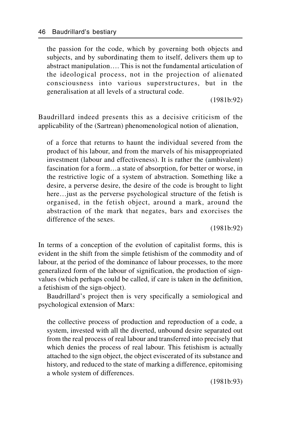the passion for the code, which by governing both objects and subjects, and by subordinating them to itself, delivers them up to abstract manipulation…. This is not the fundamental articulation of the ideological process, not in the projection of alienated consciousness into various superstructures, but in the generalisation at all levels of a structural code.

(1981b:92)

Baudrillard indeed presents this as a decisive criticism of the applicability of the (Sartrean) phenomenological notion of alienation,

of a force that returns to haunt the individual severed from the product of his labour, and from the marvels of his misappropriated investment (labour and effectiveness). It is rather the (ambivalent) fascination for a form…a state of absorption, for better or worse, in the restrictive logic of a system of abstraction. Something like a desire, a perverse desire, the desire of the code is brought to light here... just as the perverse psychological structure of the fetish is organised, in the fetish object, around a mark, around the abstraction of the mark that negates, bars and exorcises the difference of the sexes.

(1981b:92)

In terms of a conception of the evolution of capitalist forms, this is evident in the shift from the simple fetishism of the commodity and of labour, at the period of the dominance of labour processes, to the more generalized form of the labour of signification, the production of signvalues (which perhaps could be called, if care is taken in the definition, a fetishism of the sign-object).

Baudrillard's project then is very specifically a semiological and psychological extension of Marx:

the collective process of production and reproduction of a code, a system, invested with all the diverted, unbound desire separated out from the real process of real labour and transferred into precisely that which denies the process of real labour. This fetishism is actually attached to the sign object, the object eviscerated of its substance and history, and reduced to the state of marking a difference, epitomising a whole system of differences.

(1981b:93)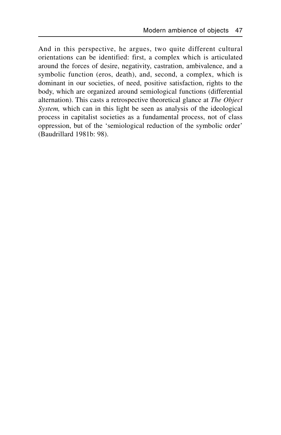And in this perspective, he argues, two quite different cultural orientations can be identified: first, a complex which is articulated around the forces of desire, negativity, castration, ambivalence, and a symbolic function (eros, death), and, second, a complex, which is dominant in our societies, of need, positive satisfaction, rights to the body, which are organized around semiological functions (differential alternation). This casts a retrospective theoretical glance at *The Object System,* which can in this light be seen as analysis of the ideological process in capitalist societies as a fundamental process, not of class oppression, but of the 'semiological reduction of the symbolic order' (Baudrillard 1981b: 98).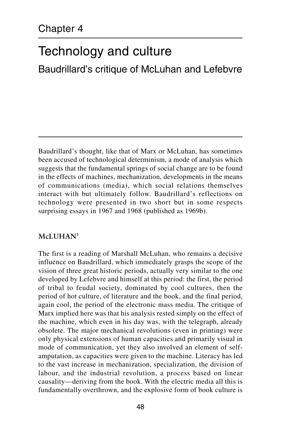# Technology and culture Baudrillard's critique of McLuhan and Lefebvre

Baudrillard's thought, like that of Marx or McLuhan, has sometimes been accused of technological determinism, a mode of analysis which suggests that the fundamental springs of social change are to be found in the effects of machines, mechanization, developments in the means of communications (media), which social relations themselves interact with but ultimately follow. Baudrillard's reflections on technology were presented in two short but in some respects surprising essays in 1967 and 1968 (published as 1969b).

# **McLUHAN1**

The first is a reading of Marshall McLuhan, who remains a decisive influence on Baudrillard, which immediately grasps the scope of the vision of three great historic periods, actually very similar to the one developed by Lefebvre and himself at this period: the first, the period of tribal to feudal society, dominated by cool cultures, then the period of hot culture, of literature and the book, and the final period, again cool, the period of the electronic mass media. The critique of Marx implied here was that his analysis rested simply on the effect of the machine, which even in his day was, with the telegraph, already obsolete. The major mechanical revolutions (even in printing) were only physical extensions of human capacities and primarily visual in mode of communication, yet they also involved an element of selfamputation, as capacities were given to the machine. Literacy has led to the vast increase in mechanization, specialization, the division of labour, and the industrial revolution, a process based on linear causality—deriving from the book. With the electric media all this is fundamentally overthrown, and the explosive form of book culture is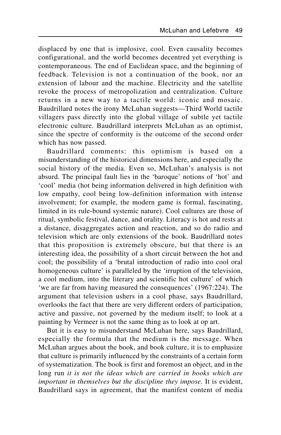displaced by one that is implosive, cool. Even causality becomes configurational, and the world becomes decentred yet everything is contemporaneous. The end of Euclidean space, and the beginning of feedback. Television is not a continuation of the book, nor an extension of labour and the machine. Electricity and the satellite revoke the process of metropolization and centralization. Culture returns in a new way to a tactile world: iconic and mosaic. Baudrillard notes the irony McLuhan suggests—Third World tactile villagers pass directly into the global village of subtle yet tactile electronic culture. Baudrillard interprets McLuhan as an optimist, since the spectre of conformity is the outcome of the second order which has now passed.

Baudrillard comments: this optimism is based on a misunderstanding of the historical dimensions here, and especially the social history of the media. Even so, McLuhan's analysis is not absurd. The principal fault lies in the 'baroque' notions of 'hot' and 'cool' media (hot being information delivered in high definition with low empathy, cool being low-definition information with intense involvement; for example, the modern game is formal, fascinating, limited in its rule-bound systemic nature). Cool cultures are those of ritual, symbolic festival, dance, and orality. Literacy is hot and rests at a distance, disaggregates action and reaction, and so do radio and television which are only extensions of the book. Baudrillard notes that this proposition is extremely obscure, but that there is an interesting idea, the possibility of a short circuit between the hot and cool; the possibility of a 'brutal introduction of radio into cool oral homogeneous culture' is paralleled by the 'irruption of the television, a cool medium, into the literary and scientific hot culture' of which 'we are far from having measured the consequences' (1967:224). The argument that television ushers in a cool phase, says Baudrillard, overlooks the fact that there are very different orders of participation, active and passive, not governed by the medium itself; to look at a painting by Vermeer is not the same thing as to look at op art.

But it is easy to misunderstand McLuhan here, says Baudrillard, especially the formula that the medium is the message. When McLuhan argues about the book, and book culture, it is to emphasize that culture is primarily influenced by the constraints of a certain form of systematization. The book is first and foremost an object, and in the long run *it is not the ideas which are carried in books which are important in themselves but the discipline they impose.* It is evident, Baudrillard says in agreement, that the manifest content of media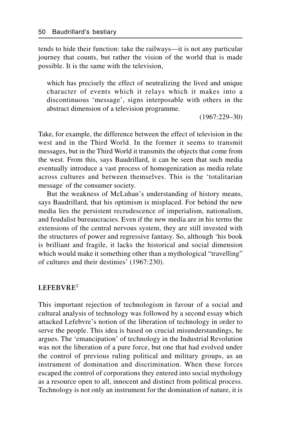tends to hide their function: take the railways—it is not any particular journey that counts, but rather the vision of the world that is made possible. It is the same with the television,

which has precisely the effect of neutralizing the lived and unique character of events which it relays which it makes into a discontinuous 'message', signs interposable with others in the abstract dimension of a television programme.

(1967:229–30)

Take, for example, the difference between the effect of television in the west and in the Third World. In the former it seems to transmit messages, but in the Third World it transmits the objects that come from the west. From this, says Baudrillard, it can be seen that such media eventually introduce a vast process of homogenization as media relate across cultures and between themselves. This is the 'totalitarian message' of the consumer society.

But the weakness of McLuhan's understanding of history means, says Baudrillard, that his optimism is misplaced. For behind the new media lies the persistent recrudescence of imperialism, nationalism, and feudalist bureaucracies. Even if the new media are in his terms the extensions of the central nervous system, they are still invested with the structures of power and regressive fantasy. So, although 'his book is brilliant and fragile, it lacks the historical and social dimension which would make it something other than a mythological "travelling" of cultures and their destinies' (1967:230).

### **LEFEBVRE2**

This important rejection of technologism in favour of a social and cultural analysis of technology was followed by a second essay which attacked Lefebvre's notion of the liberation of technology in order to serve the people. This idea is based on crucial misunderstandings, he argues. The 'emancipation' of technology in the Industrial Revolution was not the liberation of a pure force, but one that had evolved under the control of previous ruling political and military groups, as an instrument of domination and discrimination. When these forces escaped the control of corporations they entered into social mythology as a resource open to all, innocent and distinct from political process. Technology is not only an instrument for the domination of nature, it is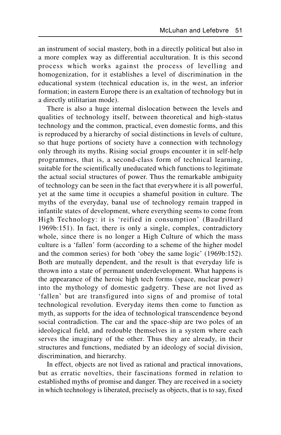an instrument of social mastery, both in a directly political but also in a more complex way as differential acculturation. It is this second process which works against the process of levelling and homogenization, for it establishes a level of discrimination in the educational system (technical education is, in the west, an inferior formation; in eastern Europe there is an exaltation of technology but in a directly utilitarian mode).

There is also a huge internal dislocation between the levels and qualities of technology itself, between theoretical and high-status technology and the common, practical, even domestic forms, and this is reproduced by a hierarchy of social distinctions in levels of culture, so that huge portions of society have a connection with technology only through its myths. Rising social groups encounter it in self-help programmes, that is, a second-class form of technical learning, suitable for the scientifically uneducated which functions to legitimate the actual social structures of power. Thus the remarkable ambiguity of technology can be seen in the fact that everywhere it is all powerful, yet at the same time it occupies a shameful position in culture. The myths of the everyday, banal use of technology remain trapped in infantile states of development, where everything seems to come from High Technology: it is 'reified in consumption' (Baudrillard 1969b:151). In fact, there is only a single, complex, contradictory whole, since there is no longer a High Culture of which the mass culture is a 'fallen' form (according to a scheme of the higher model and the common series) for both 'obey the same logic' (1969b:152). Both are mutually dependent, and the result is that everyday life is thrown into a state of permanent underdevelopment. What happens is the appearance of the heroic high tech forms (space, nuclear power) into the mythology of domestic gadgetry. These are not lived as 'fallen' but are transfigured into signs of and promise of total technological revolution. Everyday items then come to function as myth, as supports for the idea of technological transcendence beyond social contradiction. The car and the space-ship are two poles of an ideological field, and redouble themselves in a system where each serves the imaginary of the other. Thus they are already, in their structures and functions, mediated by an ideology of social division, discrimination, and hierarchy.

In effect, objects are not lived as rational and practical innovations, but as erratic novelties, their fascinations formed in relation to established myths of promise and danger. They are received in a society in which technology is liberated, precisely as objects, that is to say, fixed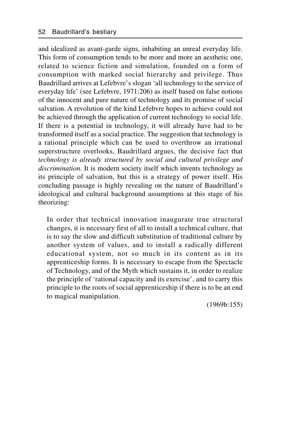and idealized as avant-garde signs, inhabiting an unreal everyday life. This form of consumption tends to be more and more an aesthetic one, related to science fiction and simulation, founded on a form of consumption with marked social hierarchy and privilege. Thus Baudrillard arrives at Lefebvre's slogan 'all technology to the service of everyday life' (see Lefebvre, 1971:206) as itself based on false notions of the innocent and pure nature of technology and its promise of social salvation. A revolution of the kind Lefebvre hopes to achieve could not be achieved through the application of current technology to social life. If there is a potential in technology, it will already have had to be transformed itself as a social practice. The suggestion that technology is a rational principle which can be used to overthrow an irrational superstructure overlooks, Baudrillard argues, the decisive fact that *technology is already structured by social and cultural privilege and discrimination*. It is modern society itself which invents technology as its principle of salvation, but this is a strategy of power itself. His concluding passage is highly revealing on the nature of Baudrillard's ideological and cultural background assumptions at this stage of his theorizing:

In order that technical innovation inaugurate true structural changes, it is necessary first of all to install a technical culture, that is to say the slow and difficult substitution of traditional culture by another system of values, and to install a radically different educational system, not so much in its content as in its apprenticeship forms. It is necessary to escape from the Spectacle of Technology, and of the Myth which sustains it, in order to realize the principle of 'rational capacity and its exercise', and to carry this principle to the roots of social apprenticeship if there is to be an end to magical manipulation.

(1969b:155)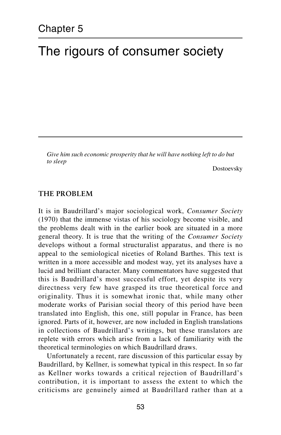# The rigours of consumer society

*Give him such economic prosperity that he will have nothing left to do but to sleep*

Dostoevsky

### **THE PROBLEM**

It is in Baudrillard's major sociological work, *Consumer Society* (1970) that the immense vistas of his sociology become visible, and the problems dealt with in the earlier book are situated in a more general theory. It is true that the writing of the *Consumer Society* develops without a formal structuralist apparatus, and there is no appeal to the semiological niceties of Roland Barthes. This text is written in a more accessible and modest way, yet its analyses have a lucid and brilliant character. Many commentators have suggested that this is Baudrillard's most successful effort, yet despite its very directness very few have grasped its true theoretical force and originality. Thus it is somewhat ironic that, while many other moderate works of Parisian social theory of this period have been translated into English, this one, still popular in France, has been ignored. Parts of it, however, are now included in English translations in collections of Baudrillard's writings, but these translators are replete with errors which arise from a lack of familiarity with the theoretical terminologies on which Baudrillard draws.

Unfortunately a recent, rare discussion of this particular essay by Baudrillard, by Kellner, is somewhat typical in this respect. In so far as Kellner works towards a critical rejection of Baudrillard's contribution, it is important to assess the extent to which the criticisms are genuinely aimed at Baudrillard rather than at a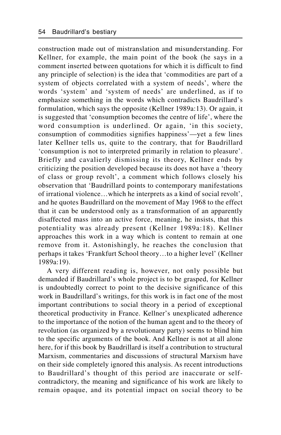construction made out of mistranslation and misunderstanding. For Kellner, for example, the main point of the book (he says in a comment inserted between quotations for which it is difficult to find any principle of selection) is the idea that 'commodities are part of a system of objects correlated with a system of needs', where the words 'system' and 'system of needs' are underlined, as if to emphasize something in the words which contradicts Baudrillard's formulation, which says the opposite (Kellner 1989a:13). Or again, it is suggested that 'consumption becomes the centre of life', where the word consumption is underlined. Or again, 'in this society, consumption of commodities signifies happiness'—yet a few lines later Kellner tells us, quite to the contrary, that for Baudrillard 'consumption is not to interpreted primarily in relation to pleasure'. Briefly and cavalierly dismissing its theory, Kellner ends by criticizing the position developed because its does not have a 'theory of class or group revolt', a comment which follows closely his observation that 'Baudrillard points to contemporary manifestations of irrational violence…which he interprets as a kind of social revolt', and he quotes Baudrillard on the movement of May 1968 to the effect that it can be understood only as a transformation of an apparently disaffected mass into an active force, meaning, he insists, that this potentiality was already present (Kellner 1989a:18). Kellner approaches this work in a way which is content to remain at one remove from it. Astonishingly, he reaches the conclusion that perhaps it takes 'Frankfurt School theory…to a higher level' (Kellner 1989a:19).

A very different reading is, however, not only possible but demanded if Baudrillard's whole project is to be grasped, for Kellner is undoubtedly correct to point to the decisive significance of this work in Baudrillard's writings, for this work is in fact one of the most important contributions to social theory in a period of exceptional theoretical productivity in France. Kellner's unexplicated adherence to the importance of the notion of the human agent and to the theory of revolution (as organized by a revolutionary party) seems to blind him to the specific arguments of the book. And Kellner is not at all alone here, for if this book by Baudrillard is itself a contribution to structural Marxism, commentaries and discussions of structural Marxism have on their side completely ignored this analysis. As recent introductions to Baudrillard's thought of this period are inaccurate or selfcontradictory, the meaning and significance of his work are likely to remain opaque, and its potential impact on social theory to be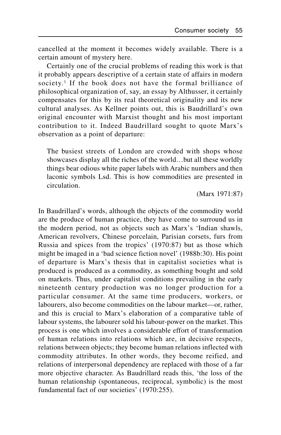cancelled at the moment it becomes widely available. There is a certain amount of mystery here.

Certainly one of the crucial problems of reading this work is that it probably appears descriptive of a certain state of affairs in modern society.<sup>1</sup> If the book does not have the formal brilliance of philosophical organization of, say, an essay by Althusser, it certainly compensates for this by its real theoretical originality and its new cultural analyses. As Kellner points out, this is Baudrillard's own original encounter with Marxist thought and his most important contribution to it. Indeed Baudrillard sought to quote Marx's observation as a point of departure:

The busiest streets of London are crowded with shops whose showcases display all the riches of the world…but all these worldly things bear odious white paper labels with Arabic numbers and then laconic symbols Lsd. This is how commodities are presented in circulation.

(Marx 1971:87)

In Baudrillard's words, although the objects of the commodity world are the produce of human practice, they have come to surround us in the modern period, not as objects such as Marx's 'Indian shawls, American revolvers, Chinese porcelain, Parisian corsets, furs from Russia and spices from the tropics' (1970:87) but as those which might be imaged in a 'bad science fiction novel' (1988b:30). His point of departure is Marx's thesis that in capitalist societies what is produced is produced as a commodity, as something bought and sold on markets. Thus, under capitalist conditions prevailing in the early nineteenth century production was no longer production for a particular consumer. At the same time producers, workers, or labourers, also become commodities on the labour market—or, rather, and this is crucial to Marx's elaboration of a comparative table of labour systems, the labourer sold his labour-power on the market. This process is one which involves a considerable effort of transformation of human relations into relations which are, in decisive respects, relations between objects; they become human relations inflected with commodity attributes. In other words, they become reified, and relations of interpersonal dependency are replaced with those of a far more objective character. As Baudrillard reads this, 'the loss of the human relationship (spontaneous, reciprocal, symbolic) is the most fundamental fact of our societies' (1970:255).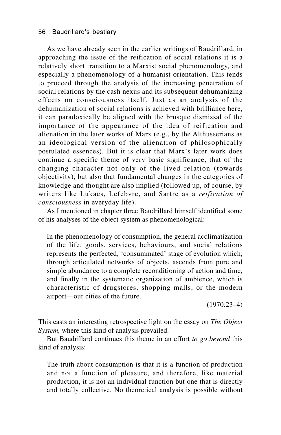As we have already seen in the earlier writings of Baudrillard, in approaching the issue of the reification of social relations it is a relatively short transition to a Marxist social phenomenology, and especially a phenomenology of a humanist orientation. This tends to proceed through the analysis of the increasing penetration of social relations by the cash nexus and its subsequent dehumanizing effects on consciousness itself. Just as an analysis of the dehumanization of social relations is achieved with brilliance here, it can paradoxically be aligned with the brusque dismissal of the importance of the appearance of the idea of reification and alienation in the later works of Marx (e.g., by the Althusserians as an ideological version of the alienation of philosophically postulated essences). But it is clear that Marx's later work does continue a specific theme of very basic significance, that of the changing character not only of the lived relation (towards objectivity), but also that fundamental changes in the categories of knowledge and thought are also implied (followed up, of course, by writers like Lukacs, Lefebvre, and Sartre as a *reification of consciousness* in everyday life).

As I mentioned in chapter three Baudrillard himself identified some of his analyses of the object system as phenomenological:

In the phenomenology of consumption, the general acclimatization of the life, goods, services, behaviours, and social relations represents the perfected, 'consummated' stage of evolution which, through articulated networks of objects, ascends from pure and simple abundance to a complete reconditioning of action and time, and finally in the systematic organization of ambience, which is characteristic of drugstores, shopping malls, or the modern airport—our cities of the future.

(1970:23–4)

This casts an interesting retrospective light on the essay on *The Object System,* where this kind of analysis prevailed.

But Baudrillard continues this theme in an effort *to go beyond* this kind of analysis:

The truth about consumption is that it is a function of production and not a function of pleasure, and therefore, like material production, it is not an individual function but one that is directly and totally collective. No theoretical analysis is possible without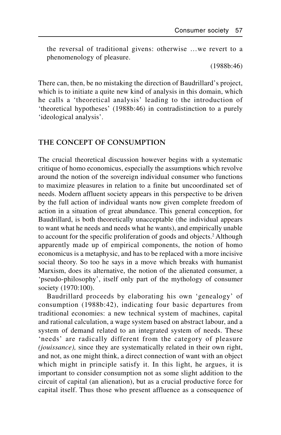the reversal of traditional givens: otherwise …we revert to a phenomenology of pleasure.

(1988b:46)

There can, then, be no mistaking the direction of Baudrillard's project, which is to initiate a quite new kind of analysis in this domain, which he calls a 'theoretical analysis' leading to the introduction of 'theoretical hypotheses' (1988b:46) in contradistinction to a purely 'ideological analysis'.

### **THE CONCEPT OF CONSUMPTION**

The crucial theoretical discussion however begins with a systematic critique of homo economicus, especially the assumptions which revolve around the notion of the sovereign individual consumer who functions to maximize pleasures in relation to a finite but uncoordinated set of needs. Modern affluent society appears in this perspective to be driven by the full action of individual wants now given complete freedom of action in a situation of great abundance. This general conception, for Baudrillard, is both theoretically unacceptable (the individual appears to want what he needs and needs what he wants), and empirically unable to account for the specific proliferation of goods and objects.<sup>2</sup> Although apparently made up of empirical components, the notion of homo economicus is a metaphysic, and has to be replaced with a more incisive social theory. So too he says in a move which breaks with humanist Marxism, does its alternative, the notion of the alienated consumer, a 'pseudo-philosophy', itself only part of the mythology of consumer society (1970:100).

Baudrillard proceeds by elaborating his own 'genealogy' of consumption (1988b:42), indicating four basic departures from traditional economies: a new technical system of machines, capital and rational calculation, a wage system based on abstract labour, and a system of demand related to an integrated system of needs. These 'needs' are radically different from the category of pleasure *(jouissance),* since they are systematically related in their own right, and not, as one might think, a direct connection of want with an object which might in principle satisfy it. In this light, he argues, it is important to consider consumption not as some slight addition to the circuit of capital (an alienation), but as a crucial productive force for capital itself. Thus those who present affluence as a consequence of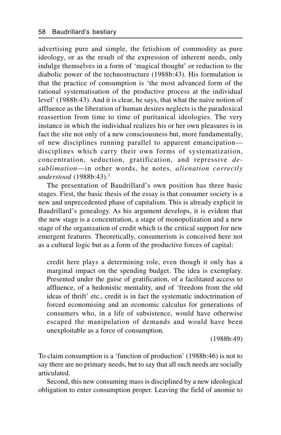advertising pure and simple, the fetishism of commodity as pure ideology, or as the result of the expression of inherent needs, only indulge themselves in a form of 'magical thought' or reduction to the diabolic power of the technostructure (1988b:43). His formulation is that the practice of consumption is 'the most advanced form of the rational systematisation of the productive process at the individual level' (1988b:43). And it is clear, he says, that what the naive notion of affluence as the liberation of human desires neglects is the paradoxical reassertion from time to time of puritanical ideologies. The very instance in which the individual realizes his or her own pleasures is in fact the site not only of a new consciousness but, more fundamentally, of new disciplines running parallel to apparent emancipation disciplines which carry their own forms of systematization, concentration, seduction, gratification, and repressive *desublimation*—in other words, he notes, *alienation correctly understood* (1988b:43).3

The presentation of Baudrillard's own position has three basic stages. First, the basic thesis of the essay is that consumer society is a new and unprecedented phase of capitalism. This is already explicit in Baudrillard's genealogy. As his argument develops, it is evident that the new stage is a concentration, a stage of monopolization and a new stage of the organization of credit which is the critical support for new emergent features. Theoretically, consumerism is conceived here not as a cultural logic but as a form of the productive forces of capital:

credit here plays a determining role, even though it only has a marginal impact on the spending budget. The idea is exemplary. Presented under the guise of gratification, of a facilitated access to affluence, of a hedonistic mentality, and of 'freedom from the old ideas of thrift' etc., credit is in fact the systematic indoctrination of forced economising and an economic calculus for generations of consumers who, in a life of subsistence, would have otherwise escaped the manipulation of demands and would have been unexploitable as a force of consumption.

(1988b:49)

To claim consumption is a 'function of production' (1988b:46) is not to say there are no primary needs, but to say that all such needs are socially articulated.

Second, this new consuming mass is disciplined by a new ideological obligation to enter consumption proper. Leaving the field of anomie to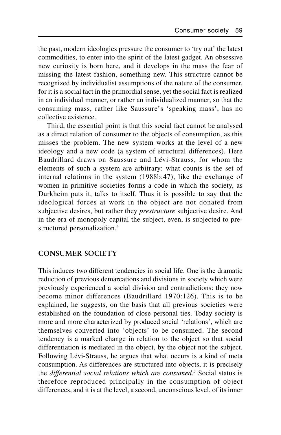the past, modern ideologies pressure the consumer to 'try out' the latest commodities, to enter into the spirit of the latest gadget. An obsessive new curiosity is born here, and it develops in the mass the fear of missing the latest fashion, something new. This structure cannot be recognized by individualist assumptions of the nature of the consumer, for it is a social fact in the primordial sense, yet the social fact is realized in an individual manner, or rather an individualized manner, so that the consuming mass, rather like Saussure's 'speaking mass', has no collective existence.

Third, the essential point is that this social fact cannot be analysed as a direct relation of consumer to the objects of consumption, as this misses the problem. The new system works at the level of a new ideology and a new code (a system of structural differences). Here Baudrillard draws on Saussure and Lévi-Strauss, for whom the elements of such a system are arbitrary: what counts is the set of internal relations in the system (1988b:47), like the exchange of women in primitive societies forms a code in which the society, as Durkheim puts it, talks to itself. Thus it is possible to say that the ideological forces at work in the object are not donated from subjective desires, but rather they *prestructure* subjective desire. And in the era of monopoly capital the subject, even, is subjected to prestructured personalization.4

## **CONSUMER SOCIETY**

This induces two different tendencies in social life. One is the dramatic reduction of previous demarcations and divisions in society which were previously experienced a social division and contradictions: they now become minor differences (Baudrillard 1970:126). This is to be explained, he suggests, on the basis that all previous societies were established on the foundation of close personal ties. Today society is more and more characterized by produced social 'relations', which are themselves converted into 'objects' to be consumed. The second tendency is a marked change in relation to the object so that social differentiation is mediated in the object, by the object not the subject. Following Lévi-Strauss, he argues that what occurs is a kind of meta consumption. As differences are structured into objects, it is precisely the *differential social relations which are consumed*. 5 Social status is therefore reproduced principally in the consumption of object differences, and it is at the level, a second, unconscious level, of its inner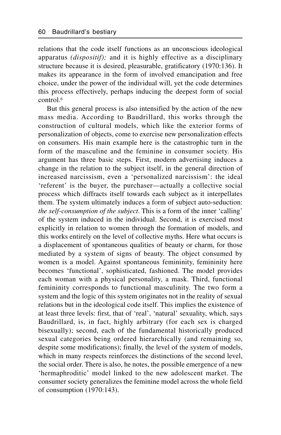relations that the code itself functions as an unconscious ideological apparatus *(dispositif);* and it is highly effective as a disciplinary structure because it is desired, pleasurable, gratificatory (1970:136). It makes its appearance in the form of involved emancipation and free choice, under the power of the individual will, yet the code determines this process effectively, perhaps inducing the deepest form of social control.6

But this general process is also intensified by the action of the new mass media. According to Baudrillard, this works through the construction of cultural models, which like the exterior forms of personalization of objects, come to exercise new personalization effects on consumers. His main example here is the catastrophic turn in the form of the masculine and the feminine in consumer society. His argument has three basic steps. First, modern advertising induces a change in the relation to the subject itself, in the general direction of increased narcissism, even a 'personalized narcissism': the ideal 'referent' is the buyer, the purchaser—actually a collective social process which diffracts itself towards each subject as it interpellates them. The system ultimately induces a form of subject auto-seduction: *the self-consumption of the subject*. This is a form of the inner 'calling' of the system induced in the individual. Second, it is exercised most explicitly in relation to women through the formation of models, and this works entirely on the level of collective myths. Here what occurs is a displacement of spontaneous qualities of beauty or charm, for those mediated by a system of signs of beauty. The object consumed by women is a model. Against spontaneous femininity, femininity here becomes 'functional', sophisticated, fashioned. The model provides each woman with a physical personality, a mask. Third, functional femininity corresponds to functional masculinity. The two form a system and the logic of this system originates not in the reality of sexual relations but in the ideological code itself. This implies the existence of at least three levels: first, that of 'real', 'natural' sexuality, which, says Baudrillard, is, in fact, highly arbitrary (for each sex is charged bisexually); second, each of the fundamental historically produced sexual categories being ordered hierarchically (and remaining so, despite some modifications); finally, the level of the system of models, which in many respects reinforces the distinctions of the second level, the social order. There is also, he notes, the possible emergence of a new 'hermaphroditic' model linked to the new adolescent market. The consumer society generalizes the feminine model across the whole field of consumption (1970:143).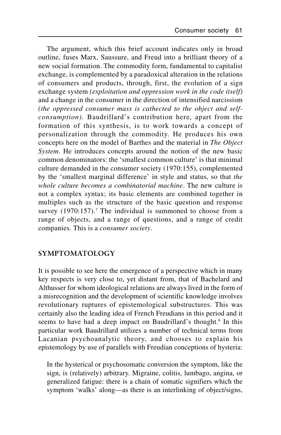The argument, which this brief account indicates only in broad outline, fuses Marx, Saussure, and Freud into a brilliant theory of a new social formation. The commodity form, fundamental to capitalist exchange, is complemented by a paradoxical alteration in the relations of consumers and products, through, first, the evolution of a sign exchange system *(exploitation and oppression work in the code itself)* and a change in the consumer in the direction of intensified narcissism *(the oppressed consumer mass is cathected to the object and selfconsumption)*. Baudrillard's contribution here, apart from the formation of this synthesis, is to work towards a concept of personalization through the commodity. He produces his own concepts here on the model of Barthes and the material in *The Object System*. He introduces concepts around the notion of the new basic common denominators: the 'smallest common culture' is that minimal culture demanded in the consumer society (1970:155), complemented by the 'smallest marginal difference' in style and status, so that *the whole culture becomes a combinatorial machine*. The new culture is not a complex syntax; its basic elements are combined together in multiples such as the structure of the basic question and response survey  $(1970:157)$ .<sup>7</sup> The individual is summoned to choose from a range of objects, and a range of questions, and a range of credit companies. This is a *consumer society*.

# **SYMPTOMATOLOGY**

It is possible to see here the emergence of a perspective which in many key respects is very close to, yet distant from, that of Bachelard and Althusser for whom ideological relations are always lived in the form of a misrecognition and the development of scientific knowledge involves revolutionary ruptures of epistemological substructures. This was certainly also the leading idea of French Freudians in this period and it seems to have had a deep impact on Baudrillard's thought.<sup>8</sup> In this particular work Baudrillard utilizes a number of technical terms from Lacanian psychoanalytic theory, and chooses to explain his epistemology by use of parallels with Freudian conceptions of hysteria:

In the hysterical or psychosomatic conversion the symptom, like the sign, is (relatively) arbitrary. Migraine, colitis, lumbago, angina, or generalized fatigue: there is a chain of somatic signifiers which the symptom 'walks' along—as there is an interlinking of object/signs,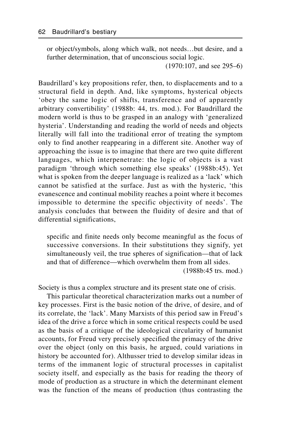or object/symbols, along which walk, not needs…but desire, and a further determination, that of unconscious social logic.

(1970:107, and see 295–6)

Baudrillard's key propositions refer, then, to displacements and to a structural field in depth. And, like symptoms, hysterical objects 'obey the same logic of shifts, transference and of apparently arbitrary convertibility' (1988b: 44, trs. mod.). For Baudrillard the modern world is thus to be grasped in an analogy with 'generalized hysteria'. Understanding and reading the world of needs and objects literally will fall into the traditional error of treating the symptom only to find another reappearing in a different site. Another way of approaching the issue is to imagine that there are two quite different languages, which interpenetrate: the logic of objects is a vast paradigm 'through which something else speaks' (1988b:45). Yet what is spoken from the deeper language is realized as a 'lack' which cannot be satisfied at the surface. Just as with the hysteric, 'this evanescence and continual mobility reaches a point where it becomes impossible to determine the specific objectivity of needs'. The analysis concludes that between the fluidity of desire and that of differential significations,

specific and finite needs only become meaningful as the focus of successive conversions. In their substitutions they signify, yet simultaneously veil, the true spheres of signification—that of lack and that of difference—which overwhelm them from all sides. (1988b:45 trs. mod.)

Society is thus a complex structure and its present state one of crisis.

This particular theoretical characterization marks out a number of key processes. First is the basic notion of the drive, of desire, and of its correlate, the 'lack'. Many Marxists of this period saw in Freud's idea of the drive a force which in some critical respects could be used as the basis of a critique of the ideological circularity of humanist accounts, for Freud very precisely specified the primacy of the drive over the object (only on this basis, he argued, could variations in history be accounted for). Althusser tried to develop similar ideas in terms of the immanent logic of structural processes in capitalist society itself, and especially as the basis for reading the theory of mode of production as a structure in which the determinant element was the function of the means of production (thus contrasting the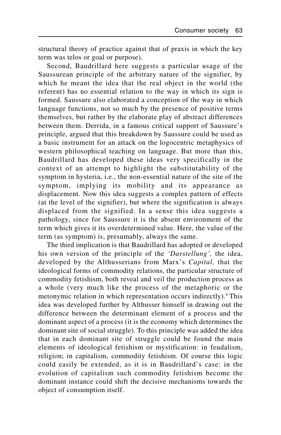structural theory of practice against that of praxis in which the key term was telos or goal or purpose).

Second, Baudrillard here suggests a particular usage of the Saussurean principle of the arbitrary nature of the signifier, by which he meant the idea that the real object in the world (the referent) has no essential relation to the way in which its sign is formed. Saussure also elaborated a conception of the way in which language functions, not so much by the presence of positive terms themselves, but rather by the elaborate play of abstract differences between them. Derrida, in a famous critical support of Saussure's principle, argued that this breakdown by Saussure could be used as a basic instrument for an attack on the logocentric metaphysics of western philosophical teaching on language. But more than this, Baudrillard has developed these ideas very specifically in the context of an attempt to highlight the substitutability of the symptom in hysteria, i.e., the non-essential nature of the site of the symptom, implying its mobility and its appearance as displacement. Now this idea suggests a complex pattern of effects (at the level of the signifier), but where the signification is always displaced from the signified. In a sense this idea suggests a pathology, since for Saussure it is the absent environment of the term which gives it its overdetermined value. Here, the value of the term (as symptom) is, presumably, always the same.

The third implication is that Baudrillard has adopted or developed his own version of the principle of the *'Darstellung',* the idea, developed by the Althusserians from Marx's *Capital,* that the ideological forms of commodity relations, the particular structure of commodity fetishism, both reveal and veil the production process as a whole (very much like the process of the metaphoric or the metonymic relation in which representation occurs indirectly).<sup>9</sup> This idea was developed further by Althusser himself in drawing out the difference between the determinant element of a process and the dominant aspect of a process (it is the economy which determines the dominant site of social struggle). To this principle was added the idea that in each dominant site of struggle could be found the main elements of ideological fetishism or mystification: in feudalism, religion; in capitalism, commodity fetishism. Of course this logic could easily be extended, as it is in Baudrillard's case: in the evolution of capitalism such commodity fetishism become the dominant instance could shift the decisive mechanisms towards the object of consumption itself.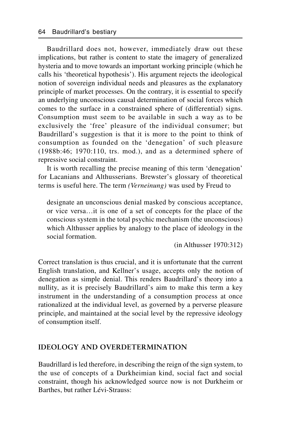Baudrillard does not, however, immediately draw out these implications, but rather is content to state the imagery of generalized hysteria and to move towards an important working principle (which he calls his 'theoretical hypothesis'). His argument rejects the ideological notion of sovereign individual needs and pleasures as the explanatory principle of market processes. On the contrary, it is essential to specify an underlying unconscious causal determination of social forces which comes to the surface in a constrained sphere of (differential) signs. Consumption must seem to be available in such a way as to be exclusively the 'free' pleasure of the individual consumer; but Baudrillard's suggestion is that it is more to the point to think of consumption as founded on the 'denegation' of such pleasure (1988b:46; 1970:110, trs. mod.), and as a determined sphere of repressive social constraint.

It is worth recalling the precise meaning of this term 'denegation' for Lacanians and Althusserians. Brewster's glossary of theoretical terms is useful here. The term *(Verneinung)* was used by Freud to

designate an unconscious denial masked by conscious acceptance, or vice versa…it is one of a set of concepts for the place of the conscious system in the total psychic mechanism (the unconscious) which Althusser applies by analogy to the place of ideology in the social formation.

(in Althusser 1970:312)

Correct translation is thus crucial, and it is unfortunate that the current English translation, and Kellner's usage, accepts only the notion of denegation as simple denial. This renders Baudrillard's theory into a nullity, as it is precisely Baudrillard's aim to make this term a key instrument in the understanding of a consumption process at once rationalized at the individual level, as governed by a perverse pleasure principle, and maintained at the social level by the repressive ideology of consumption itself.

#### **IDEOLOGY AND OVERDETERMINATION**

Baudrillard is led therefore, in describing the reign of the sign system, to the use of concepts of a Durkheimian kind, social fact and social constraint, though his acknowledged source now is not Durkheim or Barthes, but rather Lévi-Strauss: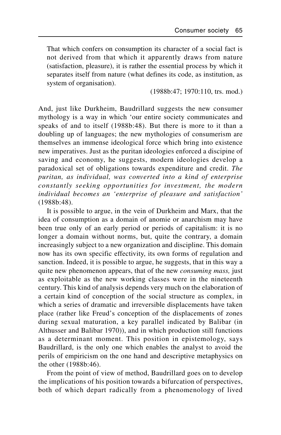That which confers on consumption its character of a social fact is not derived from that which it apparently draws from nature (satisfaction, pleasure), it is rather the essential process by which it separates itself from nature (what defines its code, as institution, as system of organisation).

(1988b:47; 1970:110, trs. mod.)

And, just like Durkheim, Baudrillard suggests the new consumer mythology is a way in which 'our entire society communicates and speaks of and to itself (1988b:48). But there is more to it than a doubling up of languages; the new mythologies of consumerism are themselves an immense ideological force which bring into existence new imperatives. Just as the puritan ideologies enforced a discipine of saving and economy, he suggests, modern ideologies develop a paradoxical set of obligations towards expenditure and credit. *The puritan, as individual, was converted into a kind of enterprise constantly seeking opportunities for investment, the modern individual becomes an 'enterprise of pleasure and satisfaction'* (1988b:48).

It is possible to argue, in the vein of Durkheim and Marx, that the idea of consumption as a domain of anomie or anarchism may have been true only of an early period or periods of capitalism: it is no longer a domain without norms, but, quite the contrary, a domain increasingly subject to a new organization and discipline. This domain now has its own specific effectivity, its own forms of regulation and sanction. Indeed, it is possible to argue, he suggests, that in this way a quite new phenomenon appears, that of the new *consuming mass,* just as exploitable as the new working classes were in the nineteenth century. This kind of analysis depends very much on the elaboration of a certain kind of conception of the social structure as complex, in which a series of dramatic and irreversible displacements have taken place (rather like Freud's conception of the displacements of zones during sexual maturation, a key parallel indicated by Balibar (in Althusser and Balibar 1970)), and in which production still functions as a determinant moment. This position in epistemology, says Baudrillard, is the only one which enables the analyst to avoid the perils of empiricism on the one hand and descriptive metaphysics on the other (1988b:46).

From the point of view of method, Baudrillard goes on to develop the implications of his position towards a bifurcation of perspectives, both of which depart radically from a phenomenology of lived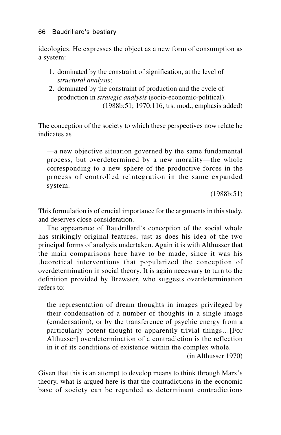ideologies. He expresses the object as a new form of consumption as a system:

- 1. dominated by the constraint of signification, at the level of *structural analysis;*
- 2. dominated by the constraint of production and the cycle of production in *strategic analysis* (socio-economic-political). (1988b:51; 1970:116, trs. mod., emphasis added)

The conception of the society to which these perspectives now relate he indicates as

—a new objective situation governed by the same fundamental process, but overdetermined by a new morality—the whole corresponding to a new sphere of the productive forces in the process of controlled reintegration in the same expanded system.

(1988b:51)

This formulation is of crucial importance for the arguments in this study, and deserves close consideration.

The appearance of Baudrillard's conception of the social whole has strikingly original features, just as does his idea of the two principal forms of analysis undertaken. Again it is with Althusser that the main comparisons here have to be made, since it was his theoretical interventions that popularized the conception of overdetermination in social theory. It is again necessary to turn to the definition provided by Brewster, who suggests overdetermination refers to:

the representation of dream thoughts in images privileged by their condensation of a number of thoughts in a single image (condensation), or by the transference of psychic energy from a particularly potent thought to apparently trivial things…[For Althusser] overdetermination of a contradiction is the reflection in it of its conditions of existence within the complex whole.

(in Althusser 1970)

Given that this is an attempt to develop means to think through Marx's theory, what is argued here is that the contradictions in the economic base of society can be regarded as determinant contradictions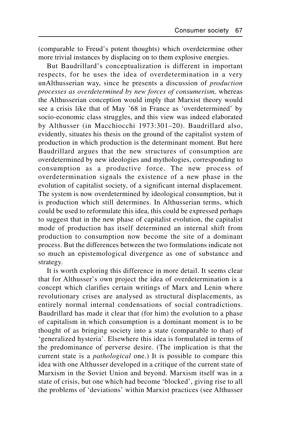(comparable to Freud's potent thoughts) which overdetermine other more trivial instances by displacing on to them explosive energies.

But Baudrillard's conceptualization is different in important respects, for he uses the idea of overdetermination in a very unAlthusserian way, since he presents a discussion of *production processes as overdetermined by new forces of consumerism,* whereas the Althusserian conception would imply that Marxist theory would see a crisis like that of May '68 in France as 'overdetermined' by socio-economic class struggles, and this view was indeed elaborated by Althusser (in Macchiocchi 1973:301–20). Baudrillard also, evidently, situates his thesis on the ground of the capitalist system of production in which production is the determinant moment. But here Baudrillard argues that the new structures of consumption are overdetermined by new ideologies and mythologies, corresponding to consumption as a productive force. The new process of overdetermination signals the existence of a new phase in the evolution of capitalist society, of a significant internal displacement. The system is now overdetermined by ideological consumption, but it is production which still determines. In Althusserian terms, which could be used to reformulate this idea, this could be expressed perhaps to suggest that in the new phase of capitalist evolution, the capitalist mode of production has itself determined an internal shift from production to consumption now become the site of a dominant process. But the differences between the two formulations indicate not so much an epistemological divergence as one of substance and strategy.

It is worth exploring this difference in more detail. It seems clear that for Althusser's own project the idea of overdetermination is a concept which clarifies certain writings of Marx and Lenin where revolutionary crises are analysed as structural displacements, as entirely normal internal condensations of social contradictions. Baudrillard has made it clear that (for him) the evolution to a phase of capitalism in which consumption is a dominant moment is to be thought of as bringing society into a state (comparable to that) of 'generalized hysteria'. Elsewhere this idea is formulated in terms of the predominance of perverse desire. (The implication is that the current state is a *pathological* one.) It is possible to compare this idea with one Althusser developed in a critique of the current state of Marxism in the Soviet Union and beyond. Marxism itself was in a state of crisis, but one which had become 'blocked', giving rise to all the problems of 'deviations' within Marxist practices (see Althusser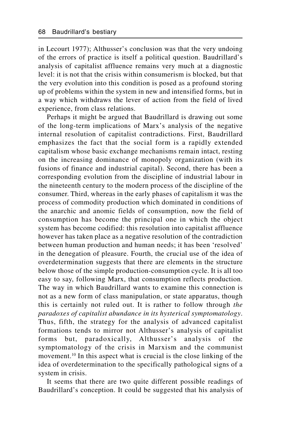in Lecourt 1977); Althusser's conclusion was that the very undoing of the errors of practice is itself a political question. Baudrillard's analysis of capitalist affluence remains very much at a diagnostic level: it is not that the crisis within consumerism is blocked, but that the very evolution into this condition is posed as a profound storing up of problems within the system in new and intensified forms, but in a way which withdraws the lever of action from the field of lived experience, from class relations.

Perhaps it might be argued that Baudrillard is drawing out some of the long-term implications of Marx's analysis of the negative internal resolution of capitalist contradictions. First, Baudrillard emphasizes the fact that the social form is a rapidly extended capitalism whose basic exchange mechanisms remain intact, resting on the increasing dominance of monopoly organization (with its fusions of finance and industrial capital). Second, there has been a corresponding evolution from the discipline of industrial labour in the nineteenth century to the modern process of the discipline of the consumer. Third, whereas in the early phases of capitalism it was the process of commodity production which dominated in conditions of the anarchic and anomic fields of consumption, now the field of consumption has become the principal one in which the object system has become codified: this resolution into capitalist affluence however has taken place as a negative resolution of the contradiction between human production and human needs; it has been 'resolved' in the denegation of pleasure. Fourth, the crucial use of the idea of overdetermination suggests that there are elements in the structure below those of the simple production-consumption cycle. It is all too easy to say, following Marx, that consumption reflects production. The way in which Baudrillard wants to examine this connection is not as a new form of class manipulation, or state apparatus, though this is certainly not ruled out. It is rather to follow through *the paradoxes of capitalist abundance in its hysterical symptomatology*. Thus, fifth, the strategy for the analysis of advanced capitalist formations tends to mirror not Althusser's analysis of capitalist forms but, paradoxically, Althusser's analysis of the symptomatology of the crisis in Marxism and the communist movement.10 In this aspect what is crucial is the close linking of the idea of overdetermination to the specifically pathological signs of a system in crisis.

It seems that there are two quite different possible readings of Baudrillard's conception. It could be suggested that his analysis of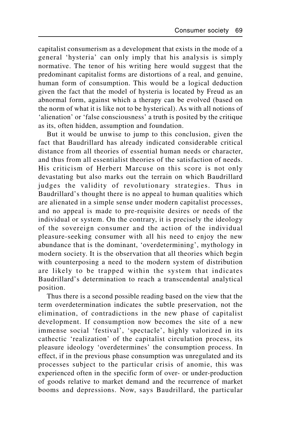capitalist consumerism as a development that exists in the mode of a general 'hysteria' can only imply that his analysis is simply normative. The tenor of his writing here would suggest that the predominant capitalist forms are distortions of a real, and genuine, human form of consumption. This would be a logical deduction given the fact that the model of hysteria is located by Freud as an abnormal form, against which a therapy can be evolved (based on the norm of what it is like not to be hysterical). As with all notions of 'alienation' or 'false consciousness' a truth is posited by the critique as its, often hidden, assumption and foundation.

But it would be unwise to jump to this conclusion, given the fact that Baudrillard has already indicated considerable critical distance from all theories of essential human needs or character, and thus from all essentialist theories of the satisfaction of needs. His criticism of Herbert Marcuse on this score is not only devastating but also marks out the terrain on which Baudrillard judges the validity of revolutionary strategies. Thus in Baudrillard's thought there is no appeal to human qualities which are alienated in a simple sense under modern capitalist processes, and no appeal is made to pre-requisite desires or needs of the individual or system. On the contrary, it is precisely the ideology of the sovereign consumer and the action of the individual pleasure-seeking consumer with all his need to enjoy the new abundance that is the dominant, 'overdetermining', mythology in modern society. It is the observation that all theories which begin with counterposing a need to the modern system of distribution are likely to be trapped within the system that indicates Baudrillard's determination to reach a transcendental analytical position.

Thus there is a second possible reading based on the view that the term overdetermination indicates the subtle preservation, not the elimination, of contradictions in the new phase of capitalist development. If consumption now becomes the site of a new immense social 'festival', 'spectacle', highly valorized in its cathectic 'realization' of the capitalist circulation process, its pleasure ideology 'overdetermines' the consumption process. In effect, if in the previous phase consumption was unregulated and its processes subject to the particular crisis of anomie, this was experienced often in the specific form of over- or under-production of goods relative to market demand and the recurrence of market booms and depressions. Now, says Baudrillard, the particular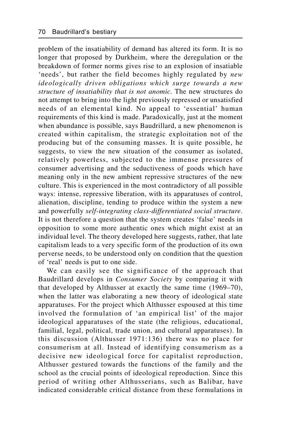problem of the insatiability of demand has altered its form. It is no longer that proposed by Durkheim, where the deregulation or the breakdown of former norms gives rise to an explosion of insatiable 'needs', but rather the field becomes highly regulated by *new ideologically driven obligations which surge towards a new structure of insatiability that is not anomic.* The new structures do not attempt to bring into the light previously repressed or unsatisfied needs of an elemental kind. No appeal to 'essential' human requirements of this kind is made. Paradoxically, just at the moment when abundance is possible, says Baudrillard, a new phenomenon is created within capitalism, the strategic exploitation not of the producing but of the consuming masses. It is quite possible, he suggests, to view the new situation of the consumer as isolated, relatively powerless, subjected to the immense pressures of consumer advertising and the seductiveness of goods which have meaning only in the new ambient repressive structures of the new culture. This is experienced in the most contradictory of all possible ways: intense, repressive liberation, with its apparatuses of control, alienation, discipline, tending to produce within the system a new and powerfully *self-integrating class-differentiated social structure*. It is not therefore a question that the system creates 'false' needs in opposition to some more authentic ones which might exist at an individual level. The theory developed here suggests, rather, that late capitalism leads to a very specific form of the production of its own perverse needs, to be understood only on condition that the question of 'real' needs is put to one side.

We can easily see the significance of the approach that Baudrillard develops in *Consumer Society* by comparing it with that developed by Althusser at exactly the same time (1969–70), when the latter was elaborating a new theory of ideological state apparatuses. For the project which Althusser espoused at this time involved the formulation of 'an empirical list' of the major ideological apparatuses of the state (the religious, educational, familial, legal, political, trade union, and cultural apparatuses). In this discussion (Althusser 1971:136) there was no place for consumerism at all. Instead of identifying consumerism as a decisive new ideological force for capitalist reproduction, Althusser gestured towards the functions of the family and the school as the crucial points of ideological reproduction. Since this period of writing other Althusserians, such as Balibar, have indicated considerable critical distance from these formulations in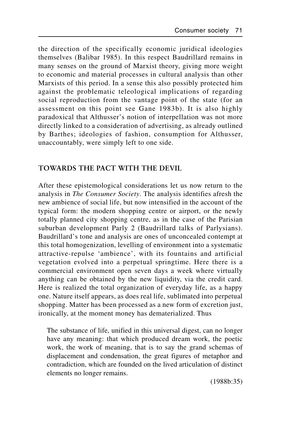the direction of the specifically economic juridical ideologies themselves (Balibar 1985). In this respect Baudrillard remains in many senses on the ground of Marxist theory, giving more weight to economic and material processes in cultural analysis than other Marxists of this period. In a sense this also possibly protected him against the problematic teleological implications of regarding social reproduction from the vantage point of the state (for an assessment on this point see Gane 1983b). It is also highly paradoxical that Althusser's notion of interpellation was not more directly linked to a consideration of advertising, as already outlined by Barthes; ideologies of fashion, consumption for Althusser, unaccountably, were simply left to one side.

# **TOWARDS THE PACT WITH THE DEVIL**

After these epistemological considerations let us now return to the analysis in *The Consumer Society*. The analysis identifies afresh the new ambience of social life, but now intensified in the account of the typical form: the modern shopping centre or airport, or the newly totally planned city shopping centre, as in the case of the Parisian suburban development Parly 2 (Baudrillard talks of Parlysians). Baudrillard's tone and analysis are ones of unconcealed contempt at this total homogenization, levelling of environment into a systematic attractive-repulse 'ambience', with its fountains and artificial vegetation evolved into a perpetual springtime. Here there is a commercial environment open seven days a week where virtually anything can be obtained by the new liquidity, via the credit card. Here is realized the total organization of everyday life, as a happy one. Nature itself appears, as does real life, sublimated into perpetual shopping. Matter has been processed as a new form of excretion just, ironically, at the moment money has dematerialized. Thus

The substance of life, unified in this universal digest, can no longer have any meaning: that which produced dream work, the poetic work, the work of meaning, that is to say the grand schemas of displacement and condensation, the great figures of metaphor and contradiction, which are founded on the lived articulation of distinct elements no longer remains.

(1988b:35)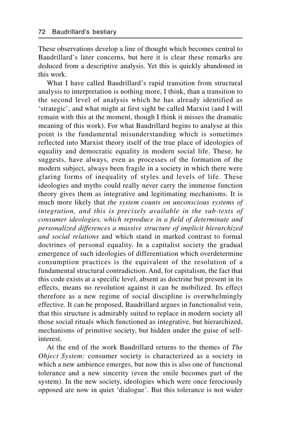These observations develop a line of thought which becomes central to Baudrillard's later concerns, but here it is clear these remarks are deduced from a descriptive analysis. Yet this is quickly abandoned in this work.

What I have called Baudrillard's rapid transition from structural analysis to interpretation is nothing more, I think, than a transition to the second level of analysis which he has already identified as 'strategic', and what might at first sight be called Marxist (and I will remain with this at the moment, though I think it misses the dramatic meaning of this work). For what Baudrillard begins to analyse at this point is the fundamental misunderstanding which is sometimes reflected into Marxist theory itself of the true place of ideologies of equality and democratic equality in modern social life. These, he suggests, have always, even as processes of the formation of the modern subject, always been fragile in a society in which there were glaring forms of inequality of styles and levels of life. These ideologies and myths could really never carry the immense function theory gives them as integrative and legitimating mechanisms. It is much more likely that *the system counts on unconscious systems of integration, and this is precisely available in the sub-texts of consumer ideologies, which reproduce in a field of determinate and personalized differences a massive structure of implicit hierarchized and social relations* and which stand in marked contrast to formal doctrines of personal equality. In a capitalist society the gradual emergence of such ideologies of differentiation which overdetermine consumption practices is the equivalent of the resolution of a fundamental structural contradiction. And, for capitalism, the fact that this code exists at a specific level, absent as doctrine but present in its effects, means no revolution against it can be mobilized. Its effect therefore as a new regime of social discipline is overwhelmingly effective. It can be proposed, Baudrillard argues in functionalist vein, that this structure is admirably suited to replace in modern society all those social rituals which functioned as integrative, but hierarchized, mechanisms of primitive society, but hidden under the guise of selfinterest.

At the end of the work Baudrillard returns to the themes of *The Object System:* consumer society is characterized as a society in which a new ambience emerges, but now this is also one of functional tolerance and a new sincerity (even the smile becomes part of the system). In the new society, ideologies which were once ferociously opposed are now in quiet 'dialogue'. But this tolerance is not wider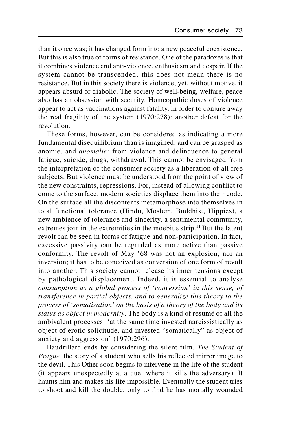than it once was; it has changed form into a new peaceful coexistence. But this is also true of forms of resistance. One of the paradoxes is that it combines violence and anti-violence, enthusiasm and despair. If the system cannot be transcended, this does not mean there is no resistance. But in this society there is violence, yet, without motive, it appears absurd or diabolic. The society of well-being, welfare, peace also has an obsession with security. Homeopathic doses of violence appear to act as vaccinations against fatality, in order to conjure away the real fragility of the system (1970:278): another defeat for the revolution.

These forms, however, can be considered as indicating a more fundamental disequilibrium than is imagined, and can be grasped as anomie, and *anomalie:* from violence and delinquence to general fatigue, suicide, drugs, withdrawal. This cannot be envisaged from the interpretation of the consumer society as a liberation of all free subjects. But violence must be understood from the point of view of the new constraints, repressions. For, instead of allowing conflict to come to the surface, modern societies displace them into their code. On the surface all the discontents metamorphose into themselves in total functional tolerance (Hindu, Moslem, Buddhist, Hippies), a new ambience of tolerance and sincerity, a sentimental community, extremes join in the extremities in the moebius strip.<sup>11</sup> But the latent revolt can be seen in forms of fatigue and non-participation. In fact, excessive passivity can be regarded as more active than passive conformity. The revolt of May '68 was not an explosion, nor an inversion; it has to be conceived as conversion of one form of revolt into another. This society cannot release its inner tensions except by pathological displacement. Indeed, it is essential to analyse *consumption as a global process of 'conversion' in this sense, of transference in partial objects, and to generalize this theory to the process of 'somatization' on the basis of a theory of the body and its status as object in modernity*. The body is a kind of resumé of all the ambivalent processes: 'at the same time invested narcissistically as object of erotic solicitude, and invested "somatically" as object of anxiety and aggression' (1970:296).

Baudrillard ends by considering the silent film, *The Student of Prague,* the story of a student who sells his reflected mirror image to the devil. This Other soon begins to intervene in the life of the student (it appears unexpectedly at a duel where it kills the adversary). It haunts him and makes his life impossible. Eventually the student tries to shoot and kill the double, only to find he has mortally wounded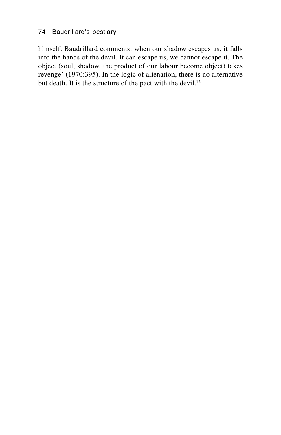himself. Baudrillard comments: when our shadow escapes us, it falls into the hands of the devil. It can escape us, we cannot escape it. The object (soul, shadow, the product of our labour become object) takes revenge' (1970:395). In the logic of alienation, there is no alternative but death. It is the structure of the pact with the devil.<sup>12</sup>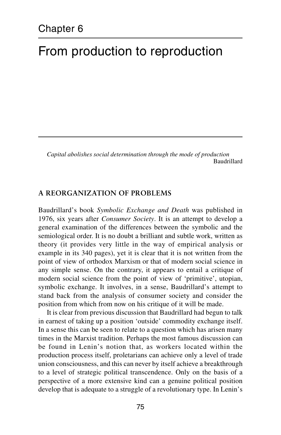# From production to reproduction

*Capital abolishes social determination through the mode of production* Baudrillard

### **A REORGANIZATION OF PROBLEMS**

Baudrillard's book *Symbolic Exchange and Death* was published in 1976, six years after *Consumer Society*. It is an attempt to develop a general examination of the differences between the symbolic and the semiological order. It is no doubt a brilliant and subtle work, written as theory (it provides very little in the way of empirical analysis or example in its 340 pages), yet it is clear that it is not written from the point of view of orthodox Marxism or that of modern social science in any simple sense. On the contrary, it appears to entail a critique of modern social science from the point of view of 'primitive', utopian, symbolic exchange. It involves, in a sense, Baudrillard's attempt to stand back from the analysis of consumer society and consider the position from which from now on his critique of it will be made.

It is clear from previous discussion that Baudrillard had begun to talk in earnest of taking up a position 'outside' commodity exchange itself. In a sense this can be seen to relate to a question which has arisen many times in the Marxist tradition. Perhaps the most famous discussion can be found in Lenin's notion that, as workers located within the production process itself, proletarians can achieve only a level of trade union consciousness, and this can never by itself achieve a breakthrough to a level of strategic political transcendence. Only on the basis of a perspective of a more extensive kind can a genuine political position develop that is adequate to a struggle of a revolutionary type. In Lenin's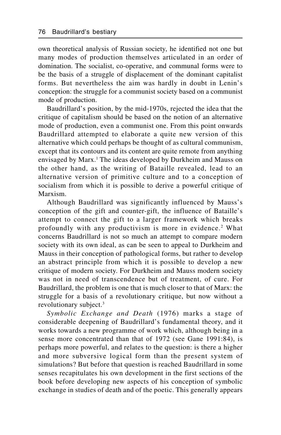own theoretical analysis of Russian society, he identified not one but many modes of production themselves articulated in an order of domination. The socialist, co-operative, and communal forms were to be the basis of a struggle of displacement of the dominant capitalist forms. But nevertheless the aim was hardly in doubt in Lenin's conception: the struggle for a communist society based on a communist mode of production.

Baudrillard's position, by the mid-1970s, rejected the idea that the critique of capitalism should be based on the notion of an alternative mode of production, even a communist one. From this point onwards Baudrillard attempted to elaborate a quite new version of this alternative which could perhaps be thought of as cultural communism, except that its contours and its content are quite remote from anything envisaged by Marx.<sup>1</sup> The ideas developed by Durkheim and Mauss on the other hand, as the writing of Bataille revealed, lead to an alternative version of primitive culture and to a conception of socialism from which it is possible to derive a powerful critique of Marxism.

Although Baudrillard was significantly influenced by Mauss's conception of the gift and counter-gift, the influence of Bataille's attempt to connect the gift to a larger framework which breaks profoundly with any productivism is more in evidence.<sup>2</sup> What concerns Baudrillard is not so much an attempt to compare modern society with its own ideal, as can be seen to appeal to Durkheim and Mauss in their conception of pathological forms, but rather to develop an abstract principle from which it is possible to develop a new critique of modern society. For Durkheim and Mauss modern society was not in need of transcendence but of treatment, of cure. For Baudrillard, the problem is one that is much closer to that of Marx: the struggle for a basis of a revolutionary critique, but now without a revolutionary subject.3

*Symbolic Exchange and Death* (1976) marks a stage of considerable deepening of Baudrillard's fundamental theory, and it works towards a new programme of work which, although being in a sense more concentrated than that of 1972 (see Gane 1991:84), is perhaps more powerful, and relates to the question: is there a higher and more subversive logical form than the present system of simulations? But before that question is reached Baudrillard in some senses recapitulates his own development in the first sections of the book before developing new aspects of his conception of symbolic exchange in studies of death and of the poetic. This generally appears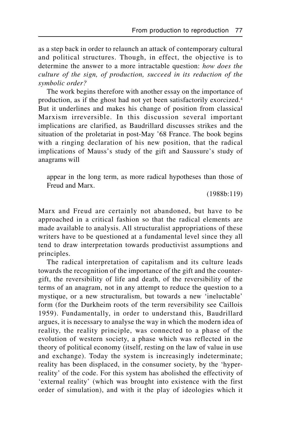as a step back in order to relaunch an attack of contemporary cultural and political structures. Though, in effect, the objective is to determine the answer to a more intractable question: *how does the culture of the sign, of production, succeed in its reduction of the symbolic order?*

The work begins therefore with another essay on the importance of production, as if the ghost had not yet been satisfactorily exorcized.4 But it underlines and makes his change of position from classical Marxism irreversible. In this discussion several important implications are clarified, as Baudrillard discusses strikes and the situation of the proletariat in post-May '68 France. The book begins with a ringing declaration of his new position, that the radical implications of Mauss's study of the gift and Saussure's study of anagrams will

appear in the long term, as more radical hypotheses than those of Freud and Marx.

(1988b:119)

Marx and Freud are certainly not abandoned, but have to be approached in a critical fashion so that the radical elements are made available to analysis. All structuralist appropriations of these writers have to be questioned at a fundamental level since they all tend to draw interpretation towards productivist assumptions and principles.

The radical interpretation of capitalism and its culture leads towards the recognition of the importance of the gift and the countergift, the reversibility of life and death, of the reversibility of the terms of an anagram, not in any attempt to reduce the question to a mystique, or a new structuralism, but towards a new 'ineluctable' form (for the Durkheim roots of the term reversibility see Caillois 1959). Fundamentally, in order to understand this, Baudrillard argues, it is necessary to analyse the way in which the modern idea of reality, the reality principle, was connected to a phase of the evolution of western society, a phase which was reflected in the theory of political economy (itself, resting on the law of value in use and exchange). Today the system is increasingly indeterminate; reality has been displaced, in the consumer society, by the 'hyperreality' of the code. For this system has abolished the effectivity of 'external reality' (which was brought into existence with the first order of simulation), and with it the play of ideologies which it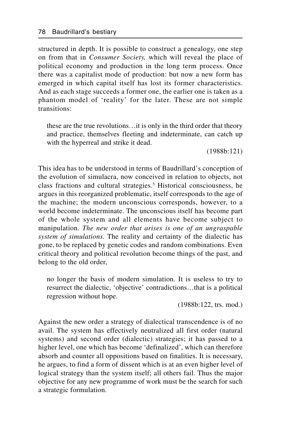structured in depth. It is possible to construct a genealogy, one step on from that in *Consumer Society,* which will reveal the place of political economy and production in the long term process. Once there was a capitalist mode of production: but now a new form has emerged in which capital itself has lost its former characteristics. And as each stage succeeds a former one, the earlier one is taken as a phantom model of 'reality' for the later. These are not simple transitions:

these are the true revolutions…it is only in the third order that theory and practice, themselves fleeting and indeterminate, can catch up with the hyperreal and strike it dead.

(1988b:121)

This idea has to be understood in terms of Baudrillard's conception of the evolution of simulacra, now conceived in relation to objects, not class fractions and cultural strategies.<sup>5</sup> Historical consciousness, he argues in this reorganized problematic, itself corresponds to the age of the machine; the modern unconscious corresponds, however, to a world become indeterminate. The unconscious itself has become part of the whole system and all elements have become subject to manipulation. *The new order that arises is one of an ungraspable system of simulations.* The reality and certainty of the dialectic has gone, to be replaced by genetic codes and random combinations. Even critical theory and political revolution become things of the past, and belong to the old order,

no longer the basis of modern simulation. It is useless to try to resurrect the dialectic, 'objective' contradictions…that is a political regression without hope.

(1988b:122, trs. mod.)

Against the new order a strategy of dialectical transcendence is of no avail. The system has effectively neutralized all first order (natural systems) and second order (dialectic) strategies; it has passed to a higher level, one which has become 'definalized', which can therefore absorb and counter all oppositions based on finalities. It is necessary, he argues, to find a form of dissent which is at an even higher level of logical strategy than the system itself; all others fail. Thus the major objective for any new programme of work must be the search for such a strategic formulation.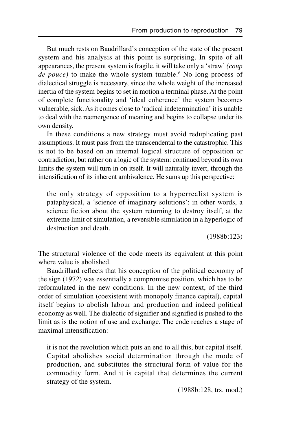But much rests on Baudrillard's conception of the state of the present system and his analysis at this point is surprising. In spite of all appearances, the present system is fragile, it will take only a 'straw' *(coup* de pouce) to make the whole system tumble.<sup>6</sup> No long process of dialectical struggle is necessary, since the whole weight of the increased inertia of the system begins to set in motion a terminal phase. At the point of complete functionality and 'ideal coherence' the system becomes vulnerable, sick. As it comes close to 'radical indetermination' it is unable to deal with the reemergence of meaning and begins to collapse under its own density.

In these conditions a new strategy must avoid reduplicating past assumptions. It must pass from the transcendental to the catastrophic. This is not to be based on an internal logical structure of opposition or contradiction, but rather on a logic of the system: continued beyond its own limits the system will turn in on itself. It will naturally invert, through the intensification of its inherent ambivalence. He sums up this perspective:

the only strategy of opposition to a hyperrealist system is pataphysical, a 'science of imaginary solutions': in other words, a science fiction about the system returning to destroy itself, at the extreme limit of simulation, a reversible simulation in a hyperlogic of destruction and death.

(1988b:123)

The structural violence of the code meets its equivalent at this point where value is abolished.

Baudrillard reflects that his conception of the political economy of the sign (1972) was essentially a compromise position, which has to be reformulated in the new conditions. In the new context, of the third order of simulation (coexistent with monopoly finance capital), capital itself begins to abolish labour and production and indeed political economy as well. The dialectic of signifier and signified is pushed to the limit as is the notion of use and exchange. The code reaches a stage of maximal intensification:

it is not the revolution which puts an end to all this, but capital itself. Capital abolishes social determination through the mode of production, and substitutes the structural form of value for the commodity form. And it is capital that determines the current strategy of the system.

(1988b:128, trs. mod.)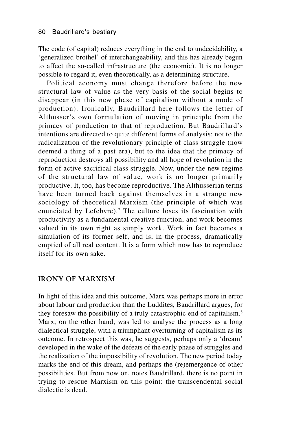The code (of capital) reduces everything in the end to undecidability, a 'generalized brothel' of interchangeability, and this has already begun to affect the so-called infrastructure (the economic). It is no longer possible to regard it, even theoretically, as a determining structure.

Political economy must change therefore before the new structural law of value as the very basis of the social begins to disappear (in this new phase of capitalism without a mode of production). Ironically, Baudrillard here follows the letter of Althusser's own formulation of moving in principle from the primacy of production to that of reproduction. But Baudrillard's intentions are directed to quite different forms of analysis: not to the radicalization of the revolutionary principle of class struggle (now deemed a thing of a past era), but to the idea that the primacy of reproduction destroys all possibility and all hope of revolution in the form of active sacrifical class struggle. Now, under the new regime of the structural law of value, work is no longer primarily productive. It, too, has become reproductive. The Althusserian terms have been turned back against themselves in a strange new sociology of theoretical Marxism (the principle of which was enunciated by Lefebvre).<sup>7</sup> The culture loses its fascination with productivity as a fundamental creative function, and work becomes valued in its own right as simply work. Work in fact becomes a simulation of its former self, and is, in the process, dramatically emptied of all real content. It is a form which now has to reproduce itself for its own sake.

#### **IRONY OF MARXISM**

In light of this idea and this outcome, Marx was perhaps more in error about labour and production than the Luddites, Baudrillard argues, for they foresaw the possibility of a truly catastrophic end of capitalism.<sup>8</sup> Marx, on the other hand, was led to analyse the process as a long dialectical struggle, with a triumphant overturning of capitalism as its outcome. In retrospect this was, he suggests, perhaps only a 'dream' developed in the wake of the defeats of the early phase of struggles and the realization of the impossibility of revolution. The new period today marks the end of this dream, and perhaps the (re)emergence of other possibilities. But from now on, notes Baudrillard, there is no point in trying to rescue Marxism on this point: the transcendental social dialectic is dead.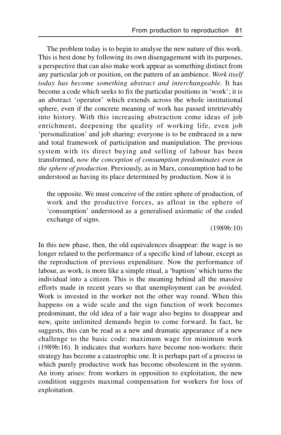The problem today is to begin to analyse the new nature of this work. This is best done by following its own disengagement with its purposes, a perspective that can also make work appear as something distinct from any particular job or position, on the pattern of an ambience. *Work itself today has become something abstract and interchangeable.* It has become a code which seeks to fix the particular positions in 'work'; it is an abstract 'operator' which extends across the whole institutional sphere, even if the concrete meaning of work has passed irretrievably into history. With this increasing abstraction come ideas of job enrichment, deepening the quality of working life, even job 'personalization' and job sharing: everyone is to be embraced in a new and total framework of participation and manipulation. The previous system with its direct buying and selling of labour has been transformed, *now the conception of consumption predominates even in the sphere of production*. Previously, as in Marx, consumption had to be understood as having its place determined by production. Now it is

the opposite. We must conceive of the entire sphere of production, of work and the productive forces, as afloat in the sphere of 'consumption' understood as a generalised axiomatic of the coded exchange of signs.

(1989b:10)

In this new phase, then, the old equivalences disappear: the wage is no longer related to the performance of a specific kind of labour, except as the reproduction of previous expenditure. Now the performance of labour, as work, is more like a simple ritual, a 'baptism' which turns the individual into a citizen. This is the meaning behind all the massive efforts made in recent years so that unemployment can be avoided. Work is invested in the worker not the other way round. When this happens on a wide scale and the sign function of work becomes predominant, the old idea of a fair wage also begins to disappear and new, quite unlimited demands begin to come forward. In fact, he suggests, this can be read as a new and dramatic appearance of a new challenge to the basic code: maximum wage for minimum work (1989b:16). It indicates that workers have become non-workers: their strategy has become a catastrophic one. It is perhaps part of a process in which purely productive work has become obsolescent in the system. An irony arises: from workers in opposition to exploitation, the new condition suggests maximal compensation for workers for loss of exploitation.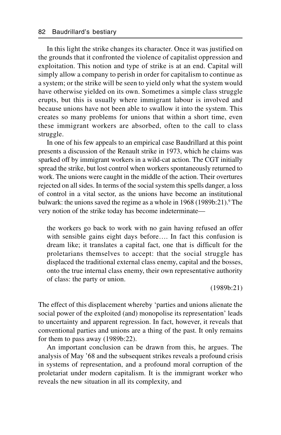In this light the strike changes its character. Once it was justified on the grounds that it confronted the violence of capitalist oppression and exploitation. This notion and type of strike is at an end. Capital will simply allow a company to perish in order for capitalism to continue as a system; or the strike will be seen to yield only what the system would have otherwise yielded on its own. Sometimes a simple class struggle erupts, but this is usually where immigrant labour is involved and because unions have not been able to swallow it into the system. This creates so many problems for unions that within a short time, even these immigrant workers are absorbed, often to the call to class struggle.

In one of his few appeals to an empirical case Baudrillard at this point presents a discussion of the Renault strike in 1973, which he claims was sparked off by immigrant workers in a wild-cat action. The CGT initially spread the strike, but lost control when workers spontaneously returned to work. The unions were caught in the middle of the action. Their overtures rejected on all sides. In terms of the social system this spells danger, a loss of control in a vital sector, as the unions have become an institutional bulwark: the unions saved the regime as a whole in 1968 (1989b:21). The very notion of the strike today has become indeterminate—

the workers go back to work with no gain having refused an offer with sensible gains eight days before…. In fact this confusion is dream like; it translates a capital fact, one that is difficult for the proletarians themselves to accept: that the social struggle has displaced the traditional external class enemy, capital and the bosses, onto the true internal class enemy, their own representative authority of class: the party or union.

(1989b:21)

The effect of this displacement whereby 'parties and unions alienate the social power of the exploited (and) monopolise its representation' leads to uncertainty and apparent regression. In fact, however, it reveals that conventional parties and unions are a thing of the past. It only remains for them to pass away (1989b:22).

An important conclusion can be drawn from this, he argues. The analysis of May '68 and the subsequent strikes reveals a profound crisis in systems of representation, and a profound moral corruption of the proletariat under modern capitalism. It is the immigrant worker who reveals the new situation in all its complexity, and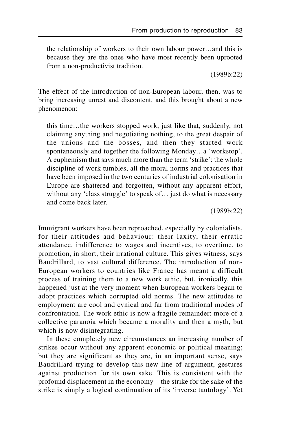the relationship of workers to their own labour power…and this is because they are the ones who have most recently been uprooted from a non-productivist tradition.

(1989b:22)

The effect of the introduction of non-European labour, then, was to bring increasing unrest and discontent, and this brought about a new phenomenon:

this time…the workers stopped work, just like that, suddenly, not claiming anything and negotiating nothing, to the great despair of the unions and the bosses, and then they started work spontaneously and together the following Monday…a 'workstop'. A euphemism that says much more than the term 'strike': the whole discipline of work tumbles, all the moral norms and practices that have been imposed in the two centuries of industrial colonisation in Europe are shattered and forgotten, without any apparent effort, without any 'class struggle' to speak of... just do what is necessary and come back later.

(1989b:22)

Immigrant workers have been reproached, especially by colonialists, for their attitudes and behaviour: their laxity, their erratic attendance, indifference to wages and incentives, to overtime, to promotion, in short, their irrational culture. This gives witness, says Baudrillard, to vast cultural difference. The introduction of non-European workers to countries like France has meant a difficult process of training them to a new work ethic, but, ironically, this happened just at the very moment when European workers began to adopt practices which corrupted old norms. The new attitudes to employment are cool and cynical and far from traditional modes of confrontation. The work ethic is now a fragile remainder: more of a collective paranoia which became a morality and then a myth, but which is now disintegrating.

In these completely new circumstances an increasing number of strikes occur without any apparent economic or political meaning; but they are significant as they are, in an important sense, says Baudrillard trying to develop this new line of argument, gestures against production for its own sake. This is consistent with the profound displacement in the economy—the strike for the sake of the strike is simply a logical continuation of its 'inverse tautology'. Yet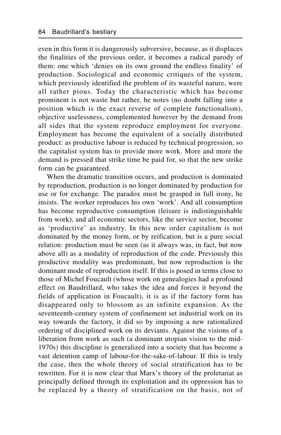even in this form it is dangerously subversive, because, as it displaces the finalities of the previous order, it becomes a radical parody of them: one which 'denies on its own ground the endless finality' of production. Sociological and economic critiques of the system, which previously identified the problem of its wasteful nature, were all rather pious. Today the characteristic which has become prominent is not waste but rather, he notes (no doubt falling into a position which is the exact reverse of complete functionalism), objective uselessness, complemented however by the demand from all sides that the system reproduce employment for everyone. Employment has become the equivalent of a socially distributed product: as productive labour is reduced by technical progression, so the capitalist system has to provide more work. More and more the demand is pressed that strike time be paid for, so that the new strike form can be guaranteed.

When the dramatic transition occurs, and production is dominated by reproduction, production is no longer dominated by production for use or for exchange. The paradox must be grasped in full irony, he insists. The worker reproduces his own 'work'. And all consumption has become reproductive consumption (leisure is indistinguishable from work), and all economic sectors, like the service sector, become as 'productive' as industry. In this new order capitalism is not dominated by the money form, or by reification, but is a pure social relation: production must be seen (as it always was, in fact, but now above all) as a modality of reproduction of the code. Previously this productive modality was predominant, but now reproduction is the dominant mode of reproduction itself. If this is posed in terms close to those of Michel Foucault (whose work on genealogies had a profound effect on Baudrillard, who takes the idea and forces it beyond the fields of application in Foucault), it is as if the factory form has disappeared only to blossom as an infinite expansion. As the seventeenth-century system of confinement set industrial work on its way towards the factory, it did so by imposing a new rationalized ordering of disciplined work on its deviants. Against the visions of a liberation from work as such (a dominant utopian vision to the mid-1970s) this discipline is generalized into a society that has become a vast detention camp of labour-for-the-sake-of-labour. If this is truly the case, then the whole theory of social stratification has to be rewritten. For it is now clear that Marx's theory of the proletariat as principally defined through its exploitation and its oppression has to be replaced by a theory of stratification on the basis, not of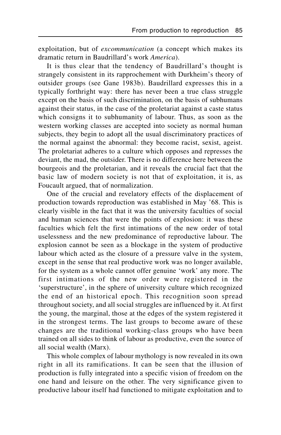exploitation, but of *excommunication* (a concept which makes its dramatic return in Baudrillard's work *America*).

It is thus clear that the tendency of Baudrillard's thought is strangely consistent in its rapprochement with Durkheim's theory of outsider groups (see Gane 1983b). Baudrillard expresses this in a typically forthright way: there has never been a true class struggle except on the basis of such discrimination, on the basis of subhumans against their status, in the case of the proletariat against a caste status which consigns it to subhumanity of labour. Thus, as soon as the western working classes are accepted into society as normal human subjects, they begin to adopt all the usual discriminatory practices of the normal against the abnormal: they become racist, sexist, ageist. The proletariat adheres to a culture which opposes and represses the deviant, the mad, the outsider. There is no difference here between the bourgeois and the proletarian, and it reveals the crucial fact that the basic law of modern society is not that of exploitation, it is, as Foucault argued, that of normalization.

One of the crucial and revelatory effects of the displacement of production towards reproduction was established in May '68. This is clearly visible in the fact that it was the university faculties of social and human sciences that were the points of explosion: it was these faculties which felt the first intimations of the new order of total uselessness and the new predominance of reproductive labour. The explosion cannot be seen as a blockage in the system of productive labour which acted as the closure of a pressure valve in the system, except in the sense that real productive work was no longer available, for the system as a whole cannot offer genuine 'work' any more. The first intimations of the new order were registered in the 'superstructure', in the sphere of university culture which recognized the end of an historical epoch. This recognition soon spread throughout society, and all social struggles are influenced by it. At first the young, the marginal, those at the edges of the system registered it in the strongest terms. The last groups to become aware of these changes are the traditional working-class groups who have been trained on all sides to think of labour as productive, even the source of all social wealth (Marx).

This whole complex of labour mythology is now revealed in its own right in all its ramifications. It can be seen that the illusion of production is fully integrated into a specific vision of freedom on the one hand and leisure on the other. The very significance given to productive labour itself had functioned to mitigate exploitation and to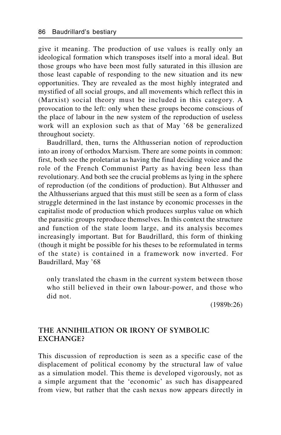give it meaning. The production of use values is really only an ideological formation which transposes itself into a moral ideal. But those groups who have been most fully saturated in this illusion are those least capable of responding to the new situation and its new opportunities. They are revealed as the most highly integrated and mystified of all social groups, and all movements which reflect this in (Marxist) social theory must be included in this category. A provocation to the left: only when these groups become conscious of the place of labour in the new system of the reproduction of useless work will an explosion such as that of May '68 be generalized throughout society.

Baudrillard, then, turns the Althusserian notion of reproduction into an irony of orthodox Marxism. There are some points in common: first, both see the proletariat as having the final deciding voice and the role of the French Communist Party as having been less than revolutionary. And both see the crucial problems as lying in the sphere of reproduction (of the conditions of production). But Althusser and the Althusserians argued that this must still be seen as a form of class struggle determined in the last instance by economic processes in the capitalist mode of production which produces surplus value on which the parasitic groups reproduce themselves. In this context the structure and function of the state loom large, and its analysis becomes increasingly important. But for Baudrillard, this form of thinking (though it might be possible for his theses to be reformulated in terms of the state) is contained in a framework now inverted. For Baudrillard, May '68

only translated the chasm in the current system between those who still believed in their own labour-power, and those who did not.

(1989b:26)

# **THE ANNIHILATION OR IRONY OF SYMBOLIC EXCHANGE?**

This discussion of reproduction is seen as a specific case of the displacement of political economy by the structural law of value as a simulation model. This theme is developed vigorously, not as a simple argument that the 'economic' as such has disappeared from view, but rather that the cash nexus now appears directly in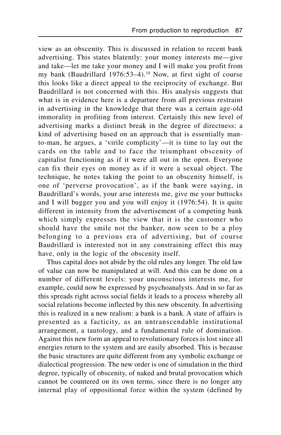view as an obscenity. This is discussed in relation to recent bank advertising. This states blatently: your money interests me—give and take—let me take your money and I will make you profit from my bank (Baudrillard 1976:53-4).<sup>10</sup> Now, at first sight of course this looks like a direct appeal to the reciprocity of exchange. But Baudrillard is not concerned with this. His analysis suggests that what is in evidence here is a departure from all previous restraint in advertising in the knowledge that there was a certain age-old immorality in profiting from interest. Certainly this new level of advertising marks a distinct break in the degree of directness: a kind of advertising based on an approach that is essentially manto-man, he argues, a 'virile complicity'—it is time to lay out the cards on the table and to face the triumphant obscenity of capitalist functioning as if it were all out in the open. Everyone can fix their eyes on money as if it were a sexual object. The technique, he notes taking the point to an obscenity himself, is one of 'perverse provocation', as if the bank were saying, in Baudrillard's words, your arse interests me, give me your buttocks and I will bugger you and you will enjoy it (1976:54). It is quite different in intensity from the advertisement of a competing bank which simply expresses the view that it is the customer who should have the smile not the banker, now seen to be a ploy belonging to a previous era of advertising, but of course Baudrillard is interested not in any constraining effect this may have, only in the logic of the obscenity itself.

Thus capital does not abide by the old rules any longer. The old law of value can now be manipulated at will. And this can be done on a number of different levels: your unconscious interests me, for example, could now be expressed by psychoanalysts. And in so far as this spreads right across social fields it leads to a process whereby all social relations become inflected by this new obscenity. In advertising this is realized in a new realism: a bank is a bank. A state of affairs is presented as a facticity, as an untranscendable institutional arrangement, a tautology, and a fundamental rule of domination. Against this new form an appeal to revolutionary forces is lost since all energies return to the system and are easily absorbed. This is because the basic structures are quite different from any symbolic exchange or dialectical progression. The new order is one of simulation in the third degree, typically of obscenity, of naked and brutal provocation which cannot be countered on its own terms, since there is no longer any internal play of oppositional force within the system (defined by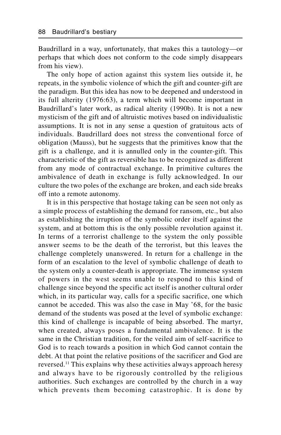Baudrillard in a way, unfortunately, that makes this a tautology—or perhaps that which does not conform to the code simply disappears from his view).

The only hope of action against this system lies outside it, he repeats, in the symbolic violence of which the gift and counter-gift are the paradigm. But this idea has now to be deepened and understood in its full alterity (1976:63), a term which will become important in Baudrillard's later work, as radical alterity (1990b). It is not a new mysticism of the gift and of altruistic motives based on individualistic assumptions. It is not in any sense a question of gratuitous acts of individuals. Baudrillard does not stress the conventional force of obligation (Mauss), but he suggests that the primitives know that the gift is a challenge, and it is annulled only in the counter-gift. This characteristic of the gift as reversible has to be recognized as different from any mode of contractual exchange. In primitive cultures the ambivalence of death in exchange is fully acknowledged. In our culture the two poles of the exchange are broken, and each side breaks off into a remote autonomy.

It is in this perspective that hostage taking can be seen not only as a simple process of establishing the demand for ransom, etc., but also as establishing the irruption of the symbolic order itself against the system, and at bottom this is the only possible revolution against it. In terms of a terrorist challenge to the system the only possible answer seems to be the death of the terrorist, but this leaves the challenge completely unanswered. In return for a challenge in the form of an escalation to the level of symbolic challenge of death to the system only a counter-death is appropriate. The immense system of powers in the west seems unable to respond to this kind of challenge since beyond the specific act itself is another cultural order which, in its particular way, calls for a specific sacrifice, one which cannot be acceded. This was also the case in May '68, for the basic demand of the students was posed at the level of symbolic exchange: this kind of challenge is incapable of being absorbed. The martyr, when created, always poses a fundamental ambivalence. It is the same in the Christian tradition, for the veiled aim of self-sacrifice to God is to reach towards a position in which God cannot contain the debt. At that point the relative positions of the sacrificer and God are reversed.11 This explains why these activities always approach heresy and always have to be rigorously controlled by the religious authorities. Such exchanges are controlled by the church in a way which prevents them becoming catastrophic. It is done by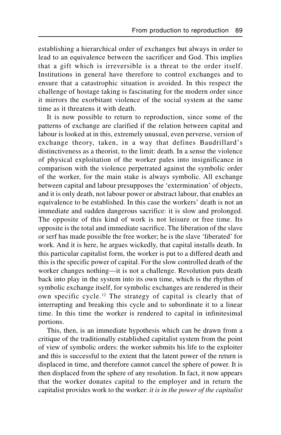establishing a hierarchical order of exchanges but always in order to lead to an equivalence between the sacrificer and God. This implies that a gift which is irreversible is a threat to the order itself. Institutions in general have therefore to control exchanges and to ensure that a catastrophic situation is avoided. In this respect the challenge of hostage taking is fascinating for the modern order since it mirrors the exorbitant violence of the social system at the same time as it threatens it with death.

It is now possible to return to reproduction, since some of the patterns of exchange are clarified if the relation between capital and labour is looked at in this, extremely unusual, even perverse, version of exchange theory, taken, in a way that defines Baudrillard's distinctiveness as a theorist, to the limit: death. In a sense the violence of physical exploitation of the worker pales into insignificance in comparison with the violence perpetrated against the symbolic order of the worker, for the main stake is always symbolic. All exchange between capital and labour presupposes the 'extermination' of objects, and it is only death, not labour power or abstract labour, that enables an equivalence to be established. In this case the workers' death is not an immediate and sudden dangerous sacrifice: it is slow and prolonged. The opposite of this kind of work is not leisure or free time. Its opposite is the total and immediate sacrifice. The liberation of the slave or serf has made possible the free worker; he is the slave 'liberated' for work. And it is here, he argues wickedly, that capital installs death. In this particular capitalist form, the worker is put to a differed death and this is the specific power of capital. For the slow controlled death of the worker changes nothing—it is not a challenge. Revolution puts death back into play in the system into its own time, which is the rhythm of symbolic exchange itself, for symbolic exchanges are rendered in their own specific cycle.12 The strategy of capital is clearly that of interrupting and breaking this cycle and to subordinate it to a linear time. In this time the worker is rendered to capital in infinitesimal portions.

This, then, is an immediate hypothesis which can be drawn from a critique of the traditionally established capitalist system from the point of view of symbolic orders: the worker submits his life to the exploiter and this is successful to the extent that the latent power of the return is displaced in time, and therefore cannot cancel the sphere of power. It is then displaced from the sphere of any resolution. In fact, it now appears that the worker donates capital to the employer and in return the capitalist provides work to the worker: *it is in the power of the capitalist*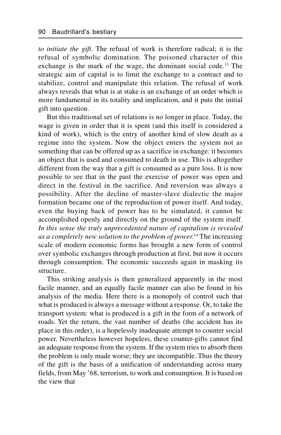*to initiate the gift*. The refusal of work is therefore radical; it is the refusal of symbolic domination. The poisoned character of this exchange is the mark of the wage, the dominant social code.<sup>13</sup> The strategic aim of capital is to limit the exchange to a contract and to stabilize, control and manipulate this relation. The refusal of work always reveals that what is at stake is an exchange of an order which is more fundamental in its totality and implication, and it puts the initial gift into question.

But this traditional set of relations is no longer in place. Today, the wage is given in order that it is spent (and this itself is considered a kind of work), which is the entry of another kind of slow death as a regime into the system. Now the object enters the system not as something that can be offered up as a sacrifice in exchange: it becomes an object that is used and consumed to death in use. This is altogether different from the way that a gift is consumed as a pure loss. It is now possible to see that in the past the exercise of power was open and direct in the festival in the sacrifice. And reversion was always a possibility. After the decline of master-slave dialectic the major formation became one of the reproduction of power itself. And today, even the buying back of power has to be simulated, it cannot be accomplished openly and directly on the ground of the system itself. *In this sense the truly unprecedented nature of capitalism is revealed as a completely new solution to the problem of power.*14 The increasing scale of modern economic forms has brought a new form of control over symbolic exchanges through production at first, but now it occurs through consumption. The economic succeeds again in masking its structure.

This striking analysis is then generalized apparently in the most facile manner, and an equally facile manner can also be found in his analysis of the media. Here there is a monopoly of control such that what is produced is always a message without a response. Or, to take the transport system: what is produced is a gift in the form of a network of roads. Yet the return, the vast number of deaths (the accident has its place in this order), is a hopelessly inadequate attempt to counter social power. Nevertheless however hopeless, these counter-gifts cannot find an adequate response from the system. If the system tries to absorb them the problem is only made worse; they are incompatible. Thus the theory of the gift is the basis of a unification of understanding across many fields, from May '68, terrorism, to work and consumption. It is based on the view that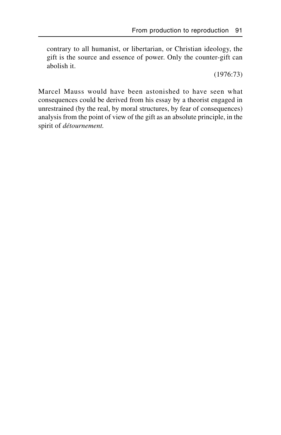contrary to all humanist, or libertarian, or Christian ideology, the gift is the source and essence of power. Only the counter-gift can abolish it.

(1976:73)

Marcel Mauss would have been astonished to have seen what consequences could be derived from his essay by a theorist engaged in unrestrained (by the real, by moral structures, by fear of consequences) analysis from the point of view of the gift as an absolute principle, in the spirit of *détournement.*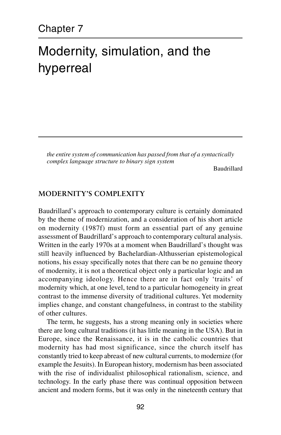# Modernity, simulation, and the hyperreal

*the entire system of communication has passed from that of a syntactically complex language structure to binary sign system*

Baudrillard

#### **MODERNITY'S COMPLEXITY**

Baudrillard's approach to contemporary culture is certainly dominated by the theme of modernization, and a consideration of his short article on modernity (1987f) must form an essential part of any genuine assessment of Baudrillard's approach to contemporary cultural analysis. Written in the early 1970s at a moment when Baudrillard's thought was still heavily influenced by Bachelardian-Althusserian epistemological notions, his essay specifically notes that there can be no genuine theory of modernity, it is not a theoretical object only a particular logic and an accompanying ideology. Hence there are in fact only 'traits' of modernity which, at one level, tend to a particular homogeneity in great contrast to the immense diversity of traditional cultures. Yet modernity implies change, and constant changefulness, in contrast to the stability of other cultures.

The term, he suggests, has a strong meaning only in societies where there are long cultural traditions (it has little meaning in the USA). But in Europe, since the Renaissance, it is in the catholic countries that modernity has had most significance, since the church itself has constantly tried to keep abreast of new cultural currents, to modernize (for example the Jesuits). In European history, modernism has been associated with the rise of individualist philosophical rationalism, science, and technology. In the early phase there was continual opposition between ancient and modern forms, but it was only in the nineteenth century that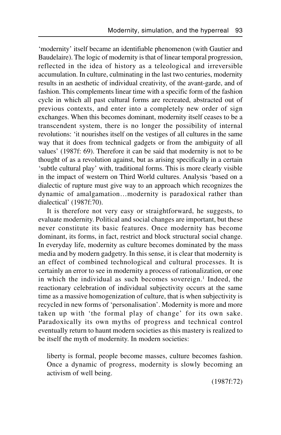'modernity' itself became an identifiable phenomenon (with Gautier and Baudelaire). The logic of modernity is that of linear temporal progression, reflected in the idea of history as a teleological and irreversible accumulation. In culture, culminating in the last two centuries, modernity results in an aesthetic of individual creativity, of the avant-garde, and of fashion. This complements linear time with a specific form of the fashion cycle in which all past cultural forms are recreated, abstracted out of previous contexts, and enter into a completely new order of sign exchanges. When this becomes dominant, modernity itself ceases to be a transcendent system, there is no longer the possibility of internal revolutions: 'it nourishes itself on the vestiges of all cultures in the same way that it does from technical gadgets or from the ambiguity of all values' (1987f: 69). Therefore it can be said that modernity is not to be thought of as a revolution against, but as arising specifically in a certain 'subtle cultural play' with, traditional forms. This is more clearly visible in the impact of western on Third World cultures. Analysis 'based on a dialectic of rupture must give way to an approach which recognizes the dynamic of amalgamation…modernity is paradoxical rather than dialectical' (1987f:70).

It is therefore not very easy or straightforward, he suggests, to evaluate modernity. Political and social changes are important, but these never constitute its basic features. Once modernity has become dominant, its forms, in fact, restrict and block structural social change. In everyday life, modernity as culture becomes dominated by the mass media and by modern gadgetry. In this sense, it is clear that modernity is an effect of combined technological and cultural processes. It is certainly an error to see in modernity a process of rationalization, or one in which the individual as such becomes sovereign.<sup>1</sup> Indeed, the reactionary celebration of individual subjectivity occurs at the same time as a massive homogenization of culture, that is when subjectivity is recycled in new forms of 'personalisation'. Modernity is more and more taken up with 'the formal play of change' for its own sake. Paradoxically its own myths of progress and technical control eventually return to haunt modern societies as this mastery is realized to be itself the myth of modernity. In modern societies:

liberty is formal, people become masses, culture becomes fashion. Once a dynamic of progress, modernity is slowly becoming an activism of well being.

(1987f:72)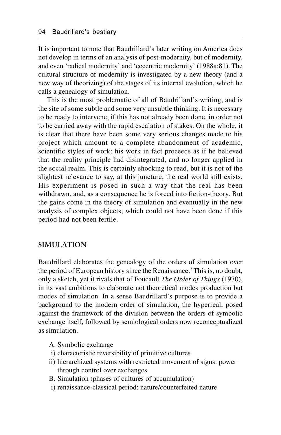It is important to note that Baudrillard's later writing on America does not develop in terms of an analysis of post-modernity, but of modernity, and even 'radical modernity' and 'eccentric modernity' (1988a:81). The cultural structure of modernity is investigated by a new theory (and a new way of theorizing) of the stages of its internal evolution, which he calls a genealogy of simulation.

This is the most problematic of all of Baudrillard's writing, and is the site of some subtle and some very unsubtle thinking. It is necessary to be ready to intervene, if this has not already been done, in order not to be carried away with the rapid escalation of stakes. On the whole, it is clear that there have been some very serious changes made to his project which amount to a complete abandonment of academic, scientific styles of work: his work in fact proceeds as if he believed that the reality principle had disintegrated, and no longer applied in the social realm. This is certainly shocking to read, but it is not of the slightest relevance to say, at this juncture, the real world still exists. His experiment is posed in such a way that the real has been withdrawn, and, as a consequence he is forced into fiction-theory. But the gains come in the theory of simulation and eventually in the new analysis of complex objects, which could not have been done if this period had not been fertile.

#### **SIMULATION**

Baudrillard elaborates the genealogy of the orders of simulation over the period of European history since the Renaissance.2 This is, no doubt, only a sketch, yet it rivals that of Foucault *The Order of Things* (1970), in its vast ambitions to elaborate not theoretical modes production but modes of simulation. In a sense Baudrillard's purpose is to provide a background to the modern order of simulation, the hyperreal, posed against the framework of the division between the orders of symbolic exchange itself, followed by semiological orders now reconceptualized as simulation.

- A. Symbolic exchange
- i) characteristic reversibility of primitive cultures
- ii) hierarchized systems with restricted movement of signs: power through control over exchanges
- B. Simulation (phases of cultures of accumulation)
- i) renaissance-classical period: nature/counterfeited nature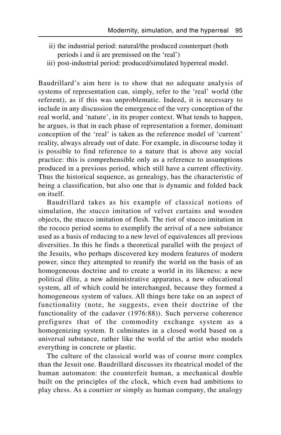- ii) the industrial period: natural/the produced counterpart (both periods i and ii are premissed on the 'real')
- iii) post-industrial period: produced/simulated hyperreal model.

Baudrillard's aim here is to show that no adequate analysis of systems of representation can, simply, refer to the 'real' world (the referent), as if this was unproblematic. Indeed, it is necessary to include in any discussion the emergence of the very conception of the real world, and 'nature', in its proper context. What tends to happen, he argues, is that in each phase of representation a former, dominant conception of the 'real' is taken as the reference model of 'current' reality, always already out of date. For example, in discourse today it is possible to find reference to a nature that is above any social practice: this is comprehensible only as a reference to assumptions produced in a previous period, which still have a current effectivity. Thus the historical sequence, as genealogy, has the characteristic of being a classification, but also one that is dynamic and folded back on itself.

Baudrillard takes as his example of classical notions of simulation, the stucco imitation of velvet curtains and wooden objects, the stucco imitation of flesh. The riot of stucco imitation in the rococo period seems to exemplify the arrival of a new substance used as a basis of reducing to a new level of equivalences all previous diversities. In this he finds a theoretical parallel with the project of the Jesuits, who perhaps discovered key modern features of modern power, since they attempted to reunify the world on the basis of an homogeneous doctrine and to create a world in its likeness: a new political élite, a new administrative apparatus, a new educational system, all of which could be interchanged, because they formed a homogeneous system of values. All things here take on an aspect of functionality (note, he suggests, even their doctrine of the functionality of the cadaver (1976:88)). Such perverse coherence prefigures that of the commodity exchange system as a homogenizing system. It culminates in a closed world based on a universal substance, rather like the world of the artist who models everything in concrete or plastic.

The culture of the classical world was of course more complex than the Jesuit one. Baudrillard discusses its theatrical model of the human automaton: the counterfeit human, a mechanical double built on the principles of the clock, which even had ambitions to play chess. As a courtier or simply as human company, the analogy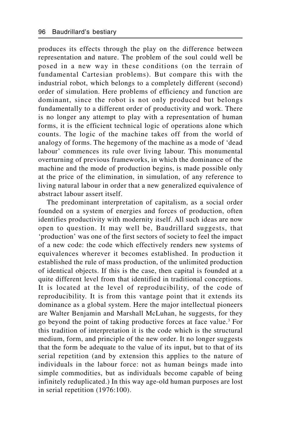produces its effects through the play on the difference between representation and nature. The problem of the soul could well be posed in a new way in these conditions (on the terrain of fundamental Cartesian problems). But compare this with the industrial robot, which belongs to a completely different (second) order of simulation. Here problems of efficiency and function are dominant, since the robot is not only produced but belongs fundamentally to a different order of productivity and work. There is no longer any attempt to play with a representation of human forms, it is the efficient technical logic of operations alone which counts. The logic of the machine takes off from the world of analogy of forms. The hegemony of the machine as a mode of 'dead labour' commences its rule over living labour. This monumental overturning of previous frameworks, in which the dominance of the machine and the mode of production begins, is made possible only at the price of the elimination, in simulation, of any reference to living natural labour in order that a new generalized equivalence of abstract labour assert itself.

The predominant interpretation of capitalism, as a social order founded on a system of energies and forces of production, often identifies productivity with modernity itself. All such ideas are now open to question. It may well be, Baudrillard suggests, that 'production' was one of the first sectors of society to feel the impact of a new code: the code which effectively renders new systems of equivalences wherever it becomes established. In production it established the rule of mass production, of the unlimited production of identical objects. If this is the case, then capital is founded at a quite different level from that identified in traditional conceptions. It is located at the level of reproducibility, of the code of reproducibility. It is from this vantage point that it extends its dominance as a global system. Here the major intellectual pioneers are Walter Benjamin and Marshall McLuhan, he suggests, for they go beyond the point of taking productive forces at face value.3 For this tradition of interpretation it is the code which is the structural medium, form, and principle of the new order. It no longer suggests that the form be adequate to the value of its input, but to that of its serial repetition (and by extension this applies to the nature of individuals in the labour force: not as human beings made into simple commodities, but as individuals become capable of being infinitely reduplicated.) In this way age-old human purposes are lost in serial repetition (1976:100).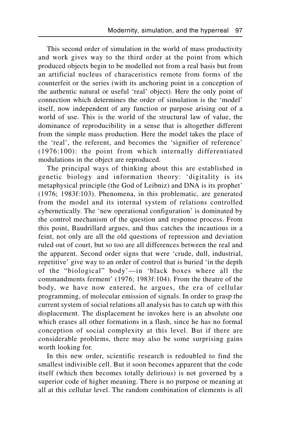This second order of simulation in the world of mass productivity and work gives way to the third order at the point from which produced objects begin to be modelled not from a real basis but from an artificial nucleus of characeristics remote from forms of the counterfeit or the series (with its anchoring point in a conception of the authentic natural or useful 'real' object). Here the only point of connection which determines the order of simulation is the 'model' itself, now independent of any function or purpose arising out of a world of use. This is the world of the structural law of value, the dominance of reproducibility in a sense that is altogether different from the simple mass production. Here the model takes the place of the 'real', the referent, and becomes the 'signifier of reference' (1976:100): the point from which internally differentiated modulations in the object are reproduced.

The principal ways of thinking about this are established in genetic biology and information theory: 'digitality is its metaphysical principle (the God of Leibniz) and DNA is its prophet' (1976; 1983f:103). Phenomena, in this problematic, are generated from the model and its internal system of relations controlled cybernetically. The 'new operational configuration' is dominated by the control mechanism of the question and response process. From this point, Baudrillard argues, and thus catches the incautious in a feint, not only are all the old questions of repression and deviation ruled out of court, but so too are all differences between the real and the apparent. Second order signs that were 'crude, dull, industrial, repetitive' give way to an order of control that is buried 'in the depth of the "biological" body'—in 'black boxes where all the commandments ferment' (1976; 1983f:104). From the theatre of the body, we have now entered, he argues, the era of cellular programming, of molecular emission of signals. In order to grasp the current system of social relations all analysis has to catch up with this displacement. The displacement he invokes here is an absolute one which erases all other formations in a flash, since he has no formal conception of social complexity at this level. But if there are considerable problems, there may also be some surprising gains worth looking for.

In this new order, scientific research is redoubled to find the smallest indivisible cell. But it soon becomes apparent that the code itself (which then becomes totally delirious) is not governed by a superior code of higher meaning. There is no purpose or meaning at all at this cellular level. The random combination of elements is all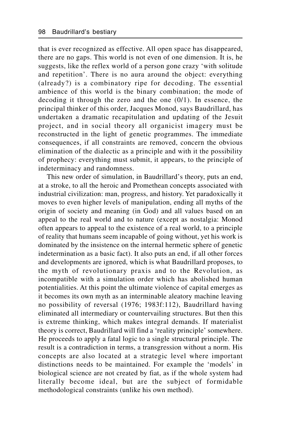that is ever recognized as effective. All open space has disappeared, there are no gaps. This world is not even of one dimension. It is, he suggests, like the reflex world of a person gone crazy 'with solitude and repetition'. There is no aura around the object: everything (already?) is a combinatory ripe for decoding. The essential ambience of this world is the binary combination; the mode of decoding it through the zero and the one (0/1). In essence, the principal thinker of this order, Jacques Monod, says Baudrillard, has undertaken a dramatic recapitulation and updating of the Jesuit project, and in social theory all organicist imagery must be reconstructed in the light of genetic programmes. The immediate consequences, if all constraints are removed, concern the obvious elimination of the dialectic as a principle and with it the possibility of prophecy: everything must submit, it appears, to the principle of indeterminacy and randomness.

This new order of simulation, in Baudrillard's theory, puts an end, at a stroke, to all the heroic and Promethean concepts associated with industrial civilization: man, progress, and history. Yet paradoxically it moves to even higher levels of manipulation, ending all myths of the origin of society and meaning (in God) and all values based on an appeal to the real world and to nature (except as nostalgia: Monod often appears to appeal to the existence of a real world, to a principle of reality that humans seem incapable of going without, yet his work is dominated by the insistence on the internal hermetic sphere of genetic indetermination as a basic fact). It also puts an end, if all other forces and developments are ignored, which is what Baudrillard proposes, to the myth of revolutionary praxis and to the Revolution, as incompatible with a simulation order which has abolished human potentialities. At this point the ultimate violence of capital emerges as it becomes its own myth as an interminable aleatory machine leaving no possibility of reversal (1976; 1983f:112), Baudrillard having eliminated all intermediary or countervailing structures. But then this is extreme thinking, which makes integral demands. If materialist theory is correct, Baudrillard will find a 'reality principle' somewhere. He proceeds to apply a fatal logic to a single structural principle. The result is a contradiction in terms, a transgression without a norm. His concepts are also located at a strategic level where important distinctions needs to be maintained. For example the 'models' in biological science are not created by fiat, as if the whole system had literally become ideal, but are the subject of formidable methodological constraints (unlike his own method).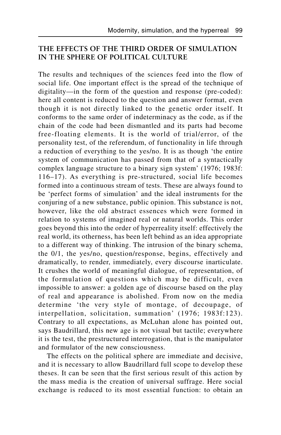# **THE EFFECTS OF THE THIRD ORDER OF SIMULATION IN THE SPHERE OF POLITICAL CULTURE**

The results and techniques of the sciences feed into the flow of social life. One important effect is the spread of the technique of digitality—in the form of the question and response (pre-coded): here all content is reduced to the question and answer format, even though it is not directly linked to the genetic order itself. It conforms to the same order of indeterminacy as the code, as if the chain of the code had been dismantled and its parts had become free-floating elements. It is the world of trial/error, of the personality test, of the referendum, of functionality in life through a reduction of everything to the yes/no. It is as though 'the entire system of communication has passed from that of a syntactically complex language structure to a binary sign system' (1976; 1983f: 116–17). As everything is pre-structured, social life becomes formed into a continuous stream of tests. These are always found to be 'perfect forms of simulation' and the ideal instruments for the conjuring of a new substance, public opinion. This substance is not, however, like the old abstract essences which were formed in relation to systems of imagined real or natural worlds. This order goes beyond this into the order of hyperreality itself: effectively the real world, its otherness, has been left behind as an idea appropriate to a different way of thinking. The intrusion of the binary schema, the 0/1, the yes/no, question/response, begins, effectively and dramatically, to render, immediately, every discourse inarticulate. It crushes the world of meaningful dialogue, of representation, of the formulation of questions which may be difficult, even impossible to answer: a golden age of discourse based on the play of real and appearance is abolished. From now on the media determine 'the very style of montage, of decoupage, of interpellation, solicitation, summation' (1976; 1983f:123). Contrary to all expectations, as McLuhan alone has pointed out, says Baudrillard, this new age is not visual but tactile; everywhere it is the test, the prestructured interrogation, that is the manipulator and formulator of the new consciousness.

The effects on the political sphere are immediate and decisive, and it is necessary to allow Baudrillard full scope to develop these theses. It can be seen that the first serious result of this action by the mass media is the creation of universal suffrage. Here social exchange is reduced to its most essential function: to obtain an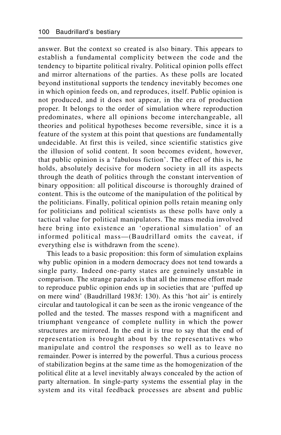answer. But the context so created is also binary. This appears to establish a fundamental complicity between the code and the tendency to bipartite political rivalry. Political opinion polls effect and mirror alternations of the parties. As these polls are located beyond institutional supports the tendency inevitably becomes one in which opinion feeds on, and reproduces, itself. Public opinion is not produced, and it does not appear, in the era of production proper. It belongs to the order of simulation where reproduction predominates, where all opinions become interchangeable, all theories and political hypotheses become reversible, since it is a feature of the system at this point that questions are fundamentally undecidable. At first this is veiled, since scientific statistics give the illusion of solid content. It soon becomes evident, however, that public opinion is a 'fabulous fiction'. The effect of this is, he holds, absolutely decisive for modern society in all its aspects through the death of politics through the constant intervention of binary opposition: all political discourse is thoroughly drained of content. This is the outcome of the manipulation of the political by the politicians. Finally, political opinion polls retain meaning only for politicians and political scientists as these polls have only a tactical value for political manipulators. The mass media involved here bring into existence an 'operational simulation' of an informed political mass—(Baudrillard omits the caveat, if everything else is withdrawn from the scene).

This leads to a basic proposition: this form of simulation explains why public opinion in a modern democracy does not tend towards a single party. Indeed one-party states are genuinely unstable in comparison. The strange paradox is that all the immense effort made to reproduce public opinion ends up in societies that are 'puffed up on mere wind' (Baudrillard 1983f: 130). As this 'hot air' is entirely circular and tautological it can be seen as the ironic vengeance of the polled and the tested. The masses respond with a magnificent and triumphant vengeance of complete nullity in which the power structures are mirrored. In the end it is true to say that the end of representation is brought about by the representatives who manipulate and control the responses so well as to leave no remainder. Power is interred by the powerful. Thus a curious process of stabilization begins at the same time as the homogenization of the political élite at a level inevitably always concealed by the action of party alternation. In single-party systems the essential play in the system and its vital feedback processes are absent and public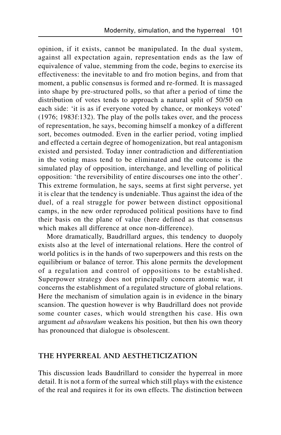opinion, if it exists, cannot be manipulated. In the dual system, against all expectation again, representation ends as the law of equivalence of value, stemming from the code, begins to exercise its effectiveness: the inevitable to and fro motion begins, and from that moment, a public consensus is formed and re-formed. It is massaged into shape by pre-structured polls, so that after a period of time the distribution of votes tends to approach a natural split of 50/50 on each side: 'it is as if everyone voted by chance, or monkeys voted' (1976; 1983f:132). The play of the polls takes over, and the process of representation, he says, becoming himself a monkey of a different sort, becomes outmoded. Even in the earlier period, voting implied and effected a certain degree of homogenization, but real antagonism existed and persisted. Today inner contradiction and differentiation in the voting mass tend to be eliminated and the outcome is the simulated play of opposition, interchange, and levelling of political opposition: 'the reversibility of entire discourses one into the other'. This extreme formulation, he says, seems at first sight perverse, yet it is clear that the tendency is undeniable. Thus against the idea of the duel, of a real struggle for power between distinct oppositional camps, in the new order reproduced political positions have to find their basis on the plane of value (here defined as that consensus which makes all difference at once non-difference).

More dramatically, Baudrillard argues, this tendency to duopoly exists also at the level of international relations. Here the control of world politics is in the hands of two superpowers and this rests on the equilibrium or balance of terror. This alone permits the development of a regulation and control of oppositions to be established. Superpower strategy does not principally concern atomic war, it concerns the establishment of a regulated structure of global relations. Here the mechanism of simulation again is in evidence in the binary scansion. The question however is why Baudrillard does not provide some counter cases, which would strengthen his case. His own argument *ad absurdum* weakens his position, but then his own theory has pronounced that dialogue is obsolescent.

#### **THE HYPERREAL AND AESTHETICIZATION**

This discussion leads Baudrillard to consider the hyperreal in more detail. It is not a form of the surreal which still plays with the existence of the real and requires it for its own effects. The distinction between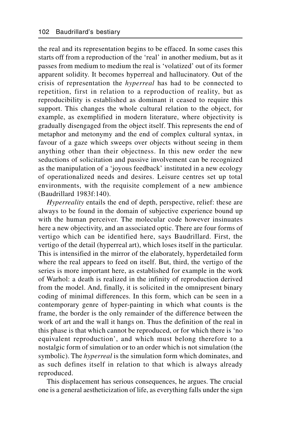the real and its representation begins to be effaced. In some cases this starts off from a reproduction of the 'real' in another medium, but as it passes from medium to medium the real is 'volatized' out of its former apparent solidity. It becomes hyperreal and hallucinatory. Out of the crisis of representation the *hyperreal* has had to be connected to repetition, first in relation to a reproduction of reality, but as reproducibility is established as dominant it ceased to require this support. This changes the whole cultural relation to the object, for example, as exemplified in modern literature, where objectivity is gradually disengaged from the object itself. This represents the end of metaphor and metonymy and the end of complex cultural syntax, in favour of a gaze which sweeps over objects without seeing in them anything other than their objectness. In this new order the new seductions of solicitation and passive involvement can be recognized as the manipulation of a 'joyous feedback' instituted in a new ecology of operationalized needs and desires. Leisure centres set up total environments, with the requisite complement of a new ambience (Baudrillard 1983f:140).

*Hyperreality* entails the end of depth, perspective, relief: these are always to be found in the domain of subjective experience bound up with the human perceiver. The molecular code however insinuates here a new objectivity, and an associated optic. There are four forms of vertigo which can be identified here, says Baudrillard. First, the vertigo of the detail (hyperreal art), which loses itself in the particular. This is intensified in the mirror of the elaborately, hyperdetailed form where the real appears to feed on itself. But, third, the vertigo of the series is more important here, as established for example in the work of Warhol: a death is realized in the infinity of reproduction derived from the model. And, finally, it is solicited in the omnipresent binary coding of minimal differences. In this form, which can be seen in a contemporary genre of hyper-painting in which what counts is the frame, the border is the only remainder of the difference between the work of art and the wall it hangs on. Thus the definition of the real in this phase is that which cannot be reproduced, or for which there is 'no equivalent reproduction', and which must belong therefore to a nostalgic form of simulation or to an order which is not simulation (the symbolic). The *hyperreal* is the simulation form which dominates, and as such defines itself in relation to that which is always already reproduced.

This displacement has serious consequences, he argues. The crucial one is a general aestheticization of life, as everything falls under the sign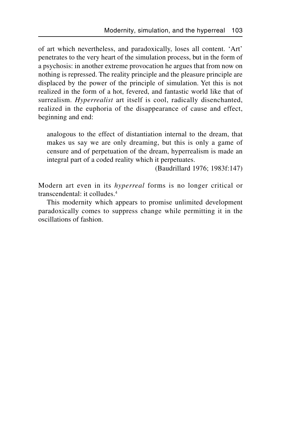of art which nevertheless, and paradoxically, loses all content. 'Art' penetrates to the very heart of the simulation process, but in the form of a psychosis: in another extreme provocation he argues that from now on nothing is repressed. The reality principle and the pleasure principle are displaced by the power of the principle of simulation. Yet this is not realized in the form of a hot, fevered, and fantastic world like that of surrealism. *Hyperrealist* art itself is cool, radically disenchanted, realized in the euphoria of the disappearance of cause and effect, beginning and end:

analogous to the effect of distantiation internal to the dream, that makes us say we are only dreaming, but this is only a game of censure and of perpetuation of the dream, hyperrealism is made an integral part of a coded reality which it perpetuates.

(Baudrillard 1976; 1983f:147)

Modern art even in its *hyperreal* forms is no longer critical or transcendental: it colludes.4

This modernity which appears to promise unlimited development paradoxically comes to suppress change while permitting it in the oscillations of fashion.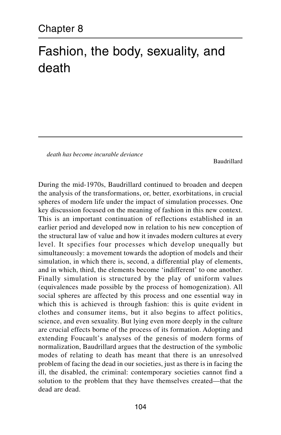# Fashion, the body, sexuality, and death

*death has become incurable deviance*

Baudrillard

During the mid-1970s, Baudrillard continued to broaden and deepen the analysis of the transformations, or, better, exorbitations, in crucial spheres of modern life under the impact of simulation processes. One key discussion focused on the meaning of fashion in this new context. This is an important continuation of reflections established in an earlier period and developed now in relation to his new conception of the structural law of value and how it invades modern cultures at every level. It specifies four processes which develop unequally but simultaneously: a movement towards the adoption of models and their simulation, in which there is, second, a differential play of elements, and in which, third, the elements become 'indifferent' to one another. Finally simulation is structured by the play of uniform values (equivalences made possible by the process of homogenization). All social spheres are affected by this process and one essential way in which this is achieved is through fashion: this is quite evident in clothes and consumer items, but it also begins to affect politics, science, and even sexuality. But lying even more deeply in the culture are crucial effects borne of the process of its formation. Adopting and extending Foucault's analyses of the genesis of modern forms of normalization, Baudrillard argues that the destruction of the symbolic modes of relating to death has meant that there is an unresolved problem of facing the dead in our societies, just as there is in facing the ill, the disabled, the criminal: contemporary societies cannot find a solution to the problem that they have themselves created—that the dead are dead.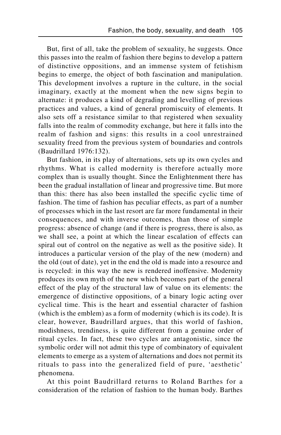But, first of all, take the problem of sexuality, he suggests. Once this passes into the realm of fashion there begins to develop a pattern of distinctive oppositions, and an immense system of fetishism begins to emerge, the object of both fascination and manipulation. This development involves a rupture in the culture, in the social imaginary, exactly at the moment when the new signs begin to alternate: it produces a kind of degrading and levelling of previous practices and values, a kind of general promiscuity of elements. It also sets off a resistance similar to that registered when sexuality falls into the realm of commodity exchange, but here it falls into the realm of fashion and signs: this results in a cool unrestrained sexuality freed from the previous system of boundaries and controls (Baudrillard 1976:132).

But fashion, in its play of alternations, sets up its own cycles and rhythms. What is called modernity is therefore actually more complex than is usually thought. Since the Enlightenment there has been the gradual installation of linear and progressive time. But more than this: there has also been installed the specific cyclic time of fashion. The time of fashion has peculiar effects, as part of a number of processes which in the last resort are far more fundamental in their consequences, and with inverse outcomes, than those of simple progress: absence of change (and if there is progress, there is also, as we shall see, a point at which the linear escalation of effects can spiral out of control on the negative as well as the positive side). It introduces a particular version of the play of the new (modern) and the old (out of date), yet in the end the old is made into a resource and is recycled: in this way the new is rendered inoffensive. Modernity produces its own myth of the new which becomes part of the general effect of the play of the structural law of value on its elements: the emergence of distinctive oppositions, of a binary logic acting over cyclical time. This is the heart and essential character of fashion (which is the emblem) as a form of modernity (which is its code). It is clear, however, Baudrillard argues, that this world of fashion, modishness, trendiness, is quite different from a genuine order of ritual cycles. In fact, these two cycles are antagonistic, since the symbolic order will not admit this type of combinatory of equivalent elements to emerge as a system of alternations and does not permit its rituals to pass into the generalized field of pure, 'aesthetic' phenomena.

At this point Baudrillard returns to Roland Barthes for a consideration of the relation of fashion to the human body. Barthes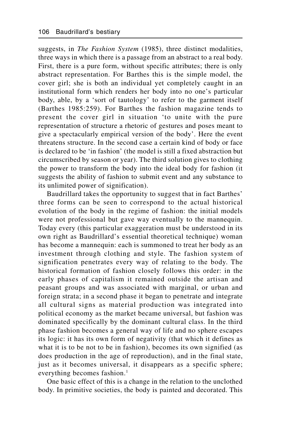suggests, in *The Fashion System* (1985), three distinct modalities, three ways in which there is a passage from an abstract to a real body. First, there is a pure form, without specific attributes; there is only abstract representation. For Barthes this is the simple model, the cover girl; she is both an individual yet completely caught in an institutional form which renders her body into no one's particular body, able, by a 'sort of tautology' to refer to the garment itself (Barthes 1985:259). For Barthes the fashion magazine tends to present the cover girl in situation 'to unite with the pure representation of structure a rhetoric of gestures and poses meant to give a spectacularly empirical version of the body'. Here the event threatens structure. In the second case a certain kind of body or face is declared to be 'in fashion' (the model is still a fixed abstraction but circumscribed by season or year). The third solution gives to clothing the power to transform the body into the ideal body for fashion (it suggests the ability of fashion to submit event and any substance to its unlimited power of signification).

Baudrillard takes the opportunity to suggest that in fact Barthes' three forms can be seen to correspond to the actual historical evolution of the body in the regime of fashion: the initial models were not professional but gave way eventually to the mannequin. Today every (this particular exaggeration must be understood in its own right as Baudrillard's essential theoretical technique) woman has become a mannequin: each is summoned to treat her body as an investment through clothing and style. The fashion system of signification penetrates every way of relating to the body. The historical formation of fashion closely follows this order: in the early phases of capitalism it remained outside the artisan and peasant groups and was associated with marginal, or urban and foreign strata; in a second phase it began to penetrate and integrate all cultural signs as material production was integrated into political economy as the market became universal, but fashion was dominated specifically by the dominant cultural class. In the third phase fashion becomes a general way of life and no sphere escapes its logic: it has its own form of negativity (that which it defines as what it is to be not to be in fashion), becomes its own signified (as does production in the age of reproduction), and in the final state, just as it becomes universal, it disappears as a specific sphere; everything becomes fashion.<sup>1</sup>

One basic effect of this is a change in the relation to the unclothed body. In primitive societies, the body is painted and decorated. This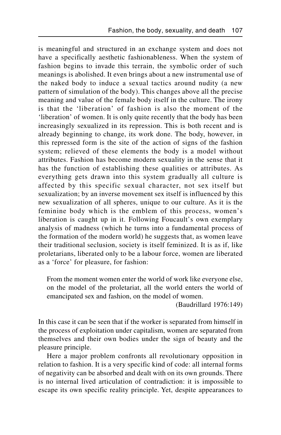is meaningful and structured in an exchange system and does not have a specifically aesthetic fashionableness. When the system of fashion begins to invade this terrain, the symbolic order of such meanings is abolished. It even brings about a new instrumental use of the naked body to induce a sexual tactics around nudity (a new pattern of simulation of the body). This changes above all the precise meaning and value of the female body itself in the culture. The irony is that the 'liberation' of fashion is also the moment of the 'liberation' of women. It is only quite recently that the body has been increasingly sexualized in its repression. This is both recent and is already beginning to change, its work done. The body, however, in this repressed form is the site of the action of signs of the fashion system; relieved of these elements the body is a model without attributes. Fashion has become modern sexuality in the sense that it has the function of establishing these qualities or attributes. As everything gets drawn into this system gradually all culture is affected by this specific sexual character, not sex itself but sexualization; by an inverse movement sex itself is influenced by this new sexualization of all spheres, unique to our culture. As it is the feminine body which is the emblem of this process, women's liberation is caught up in it. Following Foucault's own exemplary analysis of madness (which he turns into a fundamental process of the formation of the modern world) he suggests that, as women leave their traditional seclusion, society is itself feminized. It is as if, like proletarians, liberated only to be a labour force, women are liberated as a 'force' for pleasure, for fashion:

From the moment women enter the world of work like everyone else, on the model of the proletariat, all the world enters the world of emancipated sex and fashion, on the model of women.

(Baudrillard 1976:149)

In this case it can be seen that if the worker is separated from himself in the process of exploitation under capitalism, women are separated from themselves and their own bodies under the sign of beauty and the pleasure principle.

Here a major problem confronts all revolutionary opposition in relation to fashion. It is a very specific kind of code: all internal forms of negativity can be absorbed and dealt with on its own grounds. There is no internal lived articulation of contradiction: it is impossible to escape its own specific reality principle. Yet, despite appearances to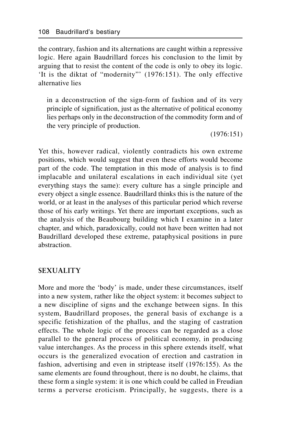the contrary, fashion and its alternations are caught within a repressive logic. Here again Baudrillard forces his conclusion to the limit by arguing that to resist the content of the code is only to obey its logic. 'It is the diktat of "modernity"' (1976:151). The only effective alternative lies

in a deconstruction of the sign-form of fashion and of its very principle of signification, just as the alternative of political economy lies perhaps only in the deconstruction of the commodity form and of the very principle of production.

(1976:151)

Yet this, however radical, violently contradicts his own extreme positions, which would suggest that even these efforts would become part of the code. The temptation in this mode of analysis is to find implacable and unilateral escalations in each individual site (yet everything stays the same): every culture has a single principle and every object a single essence. Baudrillard thinks this is the nature of the world, or at least in the analyses of this particular period which reverse those of his early writings. Yet there are important exceptions, such as the analysis of the Beaubourg building which I examine in a later chapter, and which, paradoxically, could not have been written had not Baudrillard developed these extreme, pataphysical positions in pure abstraction.

# **SEXUALITY**

More and more the 'body' is made, under these circumstances, itself into a new system, rather like the object system: it becomes subject to a new discipline of signs and the exchange between signs. In this system, Baudrillard proposes, the general basis of exchange is a specific fetishization of the phallus, and the staging of castration effects. The whole logic of the process can be regarded as a close parallel to the general process of political economy, in producing value interchanges. As the process in this sphere extends itself, what occurs is the generalized evocation of erection and castration in fashion, advertising and even in striptease itself (1976:155). As the same elements are found throughout, there is no doubt, he claims, that these form a single system: it is one which could be called in Freudian terms a perverse eroticism. Principally, he suggests, there is a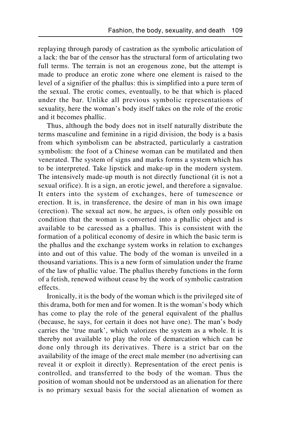replaying through parody of castration as the symbolic articulation of a lack: the bar of the censor has the structural form of articulating two full terms. The terrain is not an erogenous zone, but the attempt is made to produce an erotic zone where one element is raised to the level of a signifier of the phallus: this is simplified into a pure term of the sexual. The erotic comes, eventually, to be that which is placed under the bar. Unlike all previous symbolic representations of sexuality, here the woman's body itself takes on the role of the erotic and it becomes phallic.

Thus, although the body does not in itself naturally distribute the terms masculine and feminine in a rigid division, the body is a basis from which symbolism can be abstracted, particularly a castration symbolism: the foot of a Chinese woman can be mutilated and then venerated. The system of signs and marks forms a system which has to be interpreted. Take lipstick and make-up in the modern system. The intensively made-up mouth is not directly functional (it is not a sexual orifice). It is a sign, an erotic jewel, and therefore a signvalue. It enters into the system of exchanges, here of tumescence or erection. It is, in transference, the desire of man in his own image (erection). The sexual act now, he argues, is often only possible on condition that the woman is converted into a phallic object and is available to be caressed as a phallus. This is consistent with the formation of a political economy of desire in which the basic term is the phallus and the exchange system works in relation to exchanges into and out of this value. The body of the woman is unveiled in a thousand variations. This is a new form of simulation under the frame of the law of phallic value. The phallus thereby functions in the form of a fetish, renewed without cease by the work of symbolic castration effects.

Ironically, it is the body of the woman which is the privileged site of this drama, both for men and for women. It is the woman's body which has come to play the role of the general equivalent of the phallus (because, he says, for certain it does not have one). The man's body carries the 'true mark', which valorizes the system as a whole. It is thereby not available to play the role of demarcation which can be done only through its derivatives. There is a strict bar on the availability of the image of the erect male member (no advertising can reveal it or exploit it directly). Representation of the erect penis is controlled, and transferred to the body of the woman. Thus the position of woman should not be understood as an alienation for there is no primary sexual basis for the social alienation of women as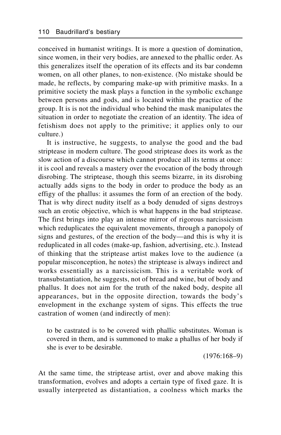conceived in humanist writings. It is more a question of domination, since women, in their very bodies, are annexed to the phallic order. As this generalizes itself the operation of its effects and its bar condemn women, on all other planes, to non-existence. (No mistake should be made, he reflects, by comparing make-up with primitive masks. In a primitive society the mask plays a function in the symbolic exchange between persons and gods, and is located within the practice of the group. It is is not the individual who behind the mask manipulates the situation in order to negotiate the creation of an identity. The idea of fetishism does not apply to the primitive; it applies only to our culture.)

It is instructive, he suggests, to analyse the good and the bad striptease in modern culture. The good striptease does its work as the slow action of a discourse which cannot produce all its terms at once: it is cool and reveals a mastery over the evocation of the body through disrobing. The striptease, though this seems bizarre, in its disrobing actually adds signs to the body in order to produce the body as an effigy of the phallus: it assumes the form of an erection of the body. That is why direct nudity itself as a body denuded of signs destroys such an erotic objective, which is what happens in the bad striptease. The first brings into play an intense mirror of rigorous narcissicism which reduplicates the equivalent movements, through a panopoly of signs and gestures, of the erection of the body—and this is why it is reduplicated in all codes (make-up, fashion, advertising, etc.). Instead of thinking that the striptease artist makes love to the audience (a popular misconception, he notes) the striptease is always indirect and works essentially as a narcissicism. This is a veritable work of transubstantiation, he suggests, not of bread and wine, but of body and phallus. It does not aim for the truth of the naked body, despite all appearances, but in the opposite direction, towards the body's envelopment in the exchange system of signs. This effects the true castration of women (and indirectly of men):

to be castrated is to be covered with phallic substitutes. Woman is covered in them, and is summoned to make a phallus of her body if she is ever to be desirable.

(1976:168–9)

At the same time, the striptease artist, over and above making this transformation, evolves and adopts a certain type of fixed gaze. It is usually interpreted as distantiation, a coolness which marks the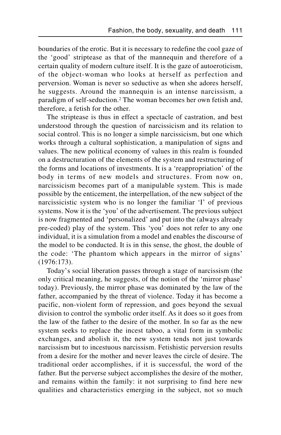boundaries of the erotic. But it is necessary to redefine the cool gaze of the 'good' striptease as that of the mannequin and therefore of a certain quality of modern culture itself. It is the gaze of autoeroticism, of the object-woman who looks at herself as perfection and perversion. Woman is never so seductive as when she adores herself, he suggests. Around the mannequin is an intense narcissism, a paradigm of self-seduction.<sup>2</sup> The woman becomes her own fetish and, therefore, a fetish for the other.

The striptease is thus in effect a spectacle of castration, and best understood through the question of narcissicism and its relation to social control. This is no longer a simple narcissicism, but one which works through a cultural sophistication, a manipulation of signs and values. The new political economy of values in this realm is founded on a destructuration of the elements of the system and restructuring of the forms and locations of investments. It is a 'reappropriation' of the body in terms of new models and structures. From now on, narcissicism becomes part of a manipulable system. This is made possible by the enticement, the interpellation, of the new subject of the narcissicistic system who is no longer the familiar 'I' of previous systems. Now it is the 'you' of the advertisement. The previous subject is now fragmented and 'personalized' and put into the (always already pre-coded) play of the system. This 'you' does not refer to any one individual, it is a simulation from a model and enables the discourse of the model to be conducted. It is in this sense, the ghost, the double of the code: 'The phantom which appears in the mirror of signs' (1976:173).

Today's social liberation passes through a stage of narcissism (the only critical meaning, he suggests, of the notion of the 'mirror phase' today). Previously, the mirror phase was dominated by the law of the father, accompanied by the threat of violence. Today it has become a pacific, non-violent form of repression, and goes beyond the sexual division to control the symbolic order itself. As it does so it goes from the law of the father to the desire of the mother. In so far as the new system seeks to replace the incest taboo, a vital form in symbolic exchanges, and abolish it, the new system tends not just towards narcissism but to incestuous narcissism. Fetishistic perversion results from a desire for the mother and never leaves the circle of desire. The traditional order accomplishes, if it is successful, the word of the father. But the perverse subject accomplishes the desire of the mother, and remains within the family: it not surprising to find here new qualities and characteristics emerging in the subject, not so much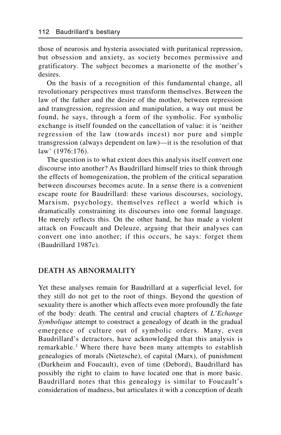those of neurosis and hysteria associated with puritanical repression, but obsession and anxiety, as society becomes permissive and gratificatory. The subject becomes a marionette of the mother's desires.

On the basis of a recognition of this fundamental change, all revolutionary perspectives must transform themselves. Between the law of the father and the desire of the mother, between repression and transgression, regression and manipulation, a way out must be found, he says, through a form of the symbolic. For symbolic exchange is itself founded on the cancellation of value: it is 'neither regression of the law (towards incest) nor pure and simple transgression (always dependent on law)—it is the resolution of that law' (1976:176).

The question is to what extent does this analysis itself convert one discourse into another? As Baudrillard himself tries to think through the effects of homogenization, the problem of the critical separation between discourses becomes acute. In a sense there is a convenient escape route for Baudrillard: these various discourses, sociology, Marxism, psychology, themselves reflect a world which is dramatically constraining its discourses into one formal language. He merely reflects this. On the other hand, he has made a violent attack on Foucault and Deleuze, arguing that their analyses can convert one into another; if this occurs, he says: forget them (Baudrillard 1987c).

# **DEATH AS ABNORMALITY**

Yet these analyses remain for Baudrillard at a superficial level, for they still do not get to the root of things. Beyond the question of sexuality there is another which affects even more profoundly the fate of the body: death. The central and crucial chapters of *L'Echange Symbolique* attempt to construct a genealogy of death in the gradual emergence of culture out of symbolic orders. Many, even Baudrillard's detractors, have acknowledged that this analysis is remarkable.<sup>3</sup> Where there have been many attempts to establish genealogies of morals (Nietzsche), of capital (Marx), of punishment (Durkheim and Foucault), even of time (Debord), Baudrillard has possibly the right to claim to have located one that is more basic. Baudrillard notes that this genealogy is similar to Foucault's consideration of madness, but articulates it with a conception of death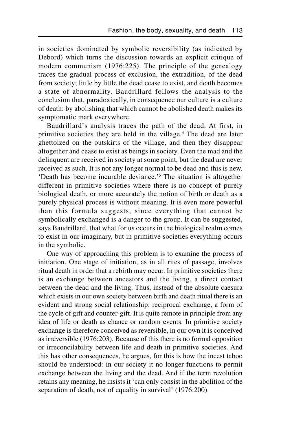in societies dominated by symbolic reversibility (as indicated by Debord) which turns the discussion towards an explicit critique of modern communism (1976:225). The principle of the genealogy traces the gradual process of exclusion, the extradition, of the dead from society; little by little the dead cease to exist, and death becomes a state of abnormality. Baudrillard follows the analysis to the conclusion that, paradoxically, in consequence our culture is a culture of death: by abolishing that which cannot be abolished death makes its symptomatic mark everywhere.

Baudrillard's analysis traces the path of the dead. At first, in primitive societies they are held in the village.<sup>4</sup> The dead are later ghettoized on the outskirts of the village, and then they disappear altogether and cease to exist as beings in society. Even the mad and the delinquent are received in society at some point, but the dead are never received as such. It is not any longer normal to be dead and this is new. 'Death has become incurable deviance.'5 The situation is altogether different in primitive societies where there is no concept of purely biological death, or more accurately the notion of birth or death as a purely physical process is without meaning. It is even more powerful than this formula suggests, since everything that cannot be symbolically exchanged is a danger to the group. It can be suggested, says Baudrillard, that what for us occurs in the biological realm comes to exist in our imaginary, but in primitive societies everything occurs in the symbolic.

One way of approaching this problem is to examine the process of initiation. One stage of initiation, as in all rites of passage, involves ritual death in order that a rebirth may occur. In primitive societies there is an exchange between ancestors and the living, a direct contact between the dead and the living. Thus, instead of the absolute caesura which exists in our own society between birth and death ritual there is an evident and strong social relationship: reciprocal exchange, a form of the cycle of gift and counter-gift. It is quite remote in principle from any idea of life or death as chance or random events. In primitive society exchange is therefore conceived as reversible, in our own it is conceived as irreversible (1976:203). Because of this there is no formal opposition or irreconcilability between life and death in primitive societies. And this has other consequences, he argues, for this is how the incest taboo should be understood: in our society it no longer functions to permit exchange between the living and the dead. And if the term revolution retains any meaning, he insists it 'can only consist in the abolition of the separation of death, not of equality in survival' (1976:200).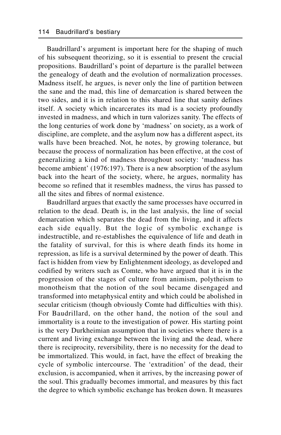Baudrillard's argument is important here for the shaping of much of his subsequent theorizing, so it is essential to present the crucial propositions. Baudrillard's point of departure is the parallel between the genealogy of death and the evolution of normalization processes. Madness itself, he argues, is never only the line of partition between the sane and the mad, this line of demarcation is shared between the two sides, and it is in relation to this shared line that sanity defines itself. A society which incarcerates its mad is a society profoundly invested in madness, and which in turn valorizes sanity. The effects of the long centuries of work done by 'madness' on society, as a work of discipline, are complete, and the asylum now has a different aspect, its walls have been breached. Not, he notes, by growing tolerance, but because the process of normalization has been effective, at the cost of generalizing a kind of madness throughout society: 'madness has become ambient' (1976:197). There is a new absorption of the asylum back into the heart of the society, where, he argues, normality has become so refined that it resembles madness, the virus has passed to all the sites and fibres of normal existence.

Baudrillard argues that exactly the same processes have occurred in relation to the dead. Death is, in the last analysis, the line of social demarcation which separates the dead from the living, and it affects each side equally. But the logic of symbolic exchange is indestructible, and re-establishes the equivalence of life and death in the fatality of survival, for this is where death finds its home in repression, as life is a survival determined by the power of death. This fact is hidden from view by Enlightenment ideology, as developed and codified by writers such as Comte, who have argued that it is in the progression of the stages of culture from animism, polytheism to monotheism that the notion of the soul became disengaged and transformed into metaphysical entity and which could be abolished in secular criticism (though obviously Comte had difficulties with this). For Baudrillard, on the other hand, the notion of the soul and immortality is a route to the investigation of power. His starting point is the very Durkheimian assumption that in societies where there is a current and living exchange between the living and the dead, where there is reciprocity, reversibility, there is no necessity for the dead to be immortalized. This would, in fact, have the effect of breaking the cycle of symbolic intercourse. The 'extradition' of the dead, their exclusion, is accompanied, when it arrives, by the increasing power of the soul. This gradually becomes immortal, and measures by this fact the degree to which symbolic exchange has broken down. It measures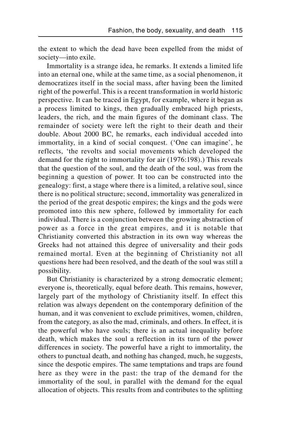the extent to which the dead have been expelled from the midst of society—into exile.

Immortality is a strange idea, he remarks. It extends a limited life into an eternal one, while at the same time, as a social phenomenon, it democratizes itself in the social mass, after having been the limited right of the powerful. This is a recent transformation in world historic perspective. It can be traced in Egypt, for example, where it began as a process limited to kings, then gradually embraced high priests, leaders, the rich, and the main figures of the dominant class. The remainder of society were left the right to their death and their double. About 2000 BC, he remarks, each individual acceded into immortality, in a kind of social conquest. ('One can imagine', he reflects, 'the revolts and social movements which developed the demand for the right to immortality for air (1976:198).) This reveals that the question of the soul, and the death of the soul, was from the beginning a question of power. It too can be constructed into the genealogy: first, a stage where there is a limited, a relative soul, since there is no political structure; second, immortality was generalized in the period of the great despotic empires; the kings and the gods were promoted into this new sphere, followed by immortality for each individual. There is a conjunction between the growing abstraction of power as a force in the great empires, and it is notable that Christianity converted this abstraction in its own way whereas the Greeks had not attained this degree of universality and their gods remained mortal. Even at the beginning of Christianity not all questions here had been resolved, and the death of the soul was still a possibility.

But Christianity is characterized by a strong democratic element; everyone is, theoretically, equal before death. This remains, however, largely part of the mythology of Christianity itself. In effect this relation was always dependent on the contemporary definition of the human, and it was convenient to exclude primitives, women, children, from the category, as also the mad, criminals, and others. In effect, it is the powerful who have souls; there is an actual inequality before death, which makes the soul a reflection in its turn of the power differences in society. The powerful have a right to immortality, the others to punctual death, and nothing has changed, much, he suggests, since the despotic empires. The same temptations and traps are found here as they were in the past: the trap of the demand for the immortality of the soul, in parallel with the demand for the equal allocation of objects. This results from and contributes to the splitting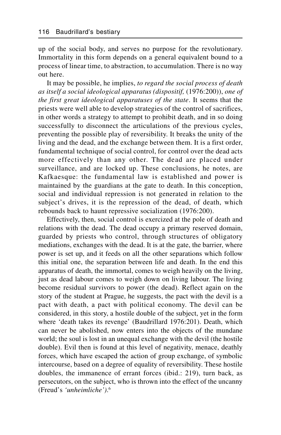up of the social body, and serves no purpose for the revolutionary. Immortality in this form depends on a general equivalent bound to a process of linear time, to abstraction, to accumulation. There is no way out here.

It may be possible, he implies, *to regard the social process of death as itself a social ideological apparatus (dispositif,* (1976:200)), *one of the first great ideological apparatuses of the state*. It seems that the priests were well able to develop strategies of the control of sacrifices, in other words a strategy to attempt to prohibit death, and in so doing successfully to disconnect the articulations of the previous cycles, preventing the possible play of reversibility. It breaks the unity of the living and the dead, and the exchange between them. It is a first order, fundamental technique of social control, for control over the dead acts more effectively than any other. The dead are placed under surveillance, and are locked up. These conclusions, he notes, are Kafkaesque: the fundamental law is established and power is maintained by the guardians at the gate to death. In this conception, social and individual repression is not generated in relation to the subject's drives, it is the repression of the dead, of death, which rebounds back to haunt repressive socialization (1976:200).

Effectively, then, social control is exercized at the pole of death and relations with the dead. The dead occupy a primary reserved domain, guarded by priests who control, through structures of obligatory mediations, exchanges with the dead. It is at the gate, the barrier, where power is set up, and it feeds on all the other separations which follow this initial one, the separation between life and death. In the end this apparatus of death, the immortal, comes to weigh heavily on the living, just as dead labour comes to weigh down on living labour. The living become residual survivors to power (the dead). Reflect again on the story of the student at Prague, he suggests, the pact with the devil is a pact with death, a pact with political economy. The devil can be considered, in this story, a hostile double of the subject, yet in the form where 'death takes its revenge' (Baudrillard 1976:201). Death, which can never be abolished, now enters into the objects of the mundane world; the soul is lost in an unequal exchange with the devil (the hostile double). Evil then is found at this level of negativity, menace, deathly forces, which have escaped the action of group exchange, of symbolic intercourse, based on a degree of equality of reversibility. These hostile doubles, the immanence of errant forces (ibid.: 219), turn back, as persecutors, on the subject, who is thrown into the effect of the uncanny (Freud's *'unheimliche')*. 6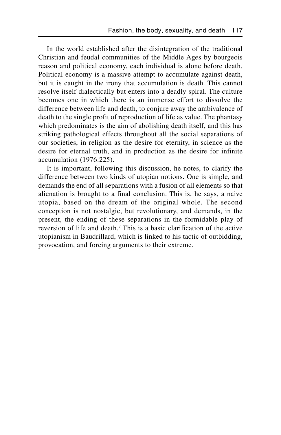In the world established after the disintegration of the traditional Christian and feudal communities of the Middle Ages by bourgeois reason and political economy, each individual is alone before death. Political economy is a massive attempt to accumulate against death, but it is caught in the irony that accumulation is death. This cannot resolve itself dialectically but enters into a deadly spiral. The culture becomes one in which there is an immense effort to dissolve the difference between life and death, to conjure away the ambivalence of death to the single profit of reproduction of life as value. The phantasy which predominates is the aim of abolishing death itself, and this has striking pathological effects throughout all the social separations of our societies, in religion as the desire for eternity, in science as the desire for eternal truth, and in production as the desire for infinite accumulation (1976:225).

It is important, following this discussion, he notes, to clarify the difference between two kinds of utopian notions. One is simple, and demands the end of all separations with a fusion of all elements so that alienation is brought to a final conclusion. This is, he says, a naive utopia, based on the dream of the original whole. The second conception is not nostalgic, but revolutionary, and demands, in the present, the ending of these separations in the formidable play of reversion of life and death.<sup>7</sup> This is a basic clarification of the active utopianism in Baudrillard, which is linked to his tactic of outbidding, provocation, and forcing arguments to their extreme.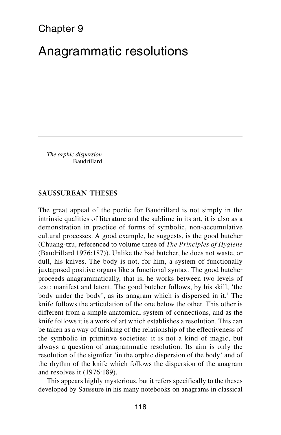# Anagrammatic resolutions

*The orphic dispersion* Baudrillard

### **SAUSSUREAN THESES**

The great appeal of the poetic for Baudrillard is not simply in the intrinsic qualities of literature and the sublime in its art, it is also as a demonstration in practice of forms of symbolic, non-accumulative cultural processes. A good example, he suggests, is the good butcher (Chuang-tzu, referenced to volume three of *The Principles of Hygiene* (Baudrillard 1976:187)). Unlike the bad butcher, he does not waste, or dull, his knives. The body is not, for him, a system of functionally juxtaposed positive organs like a functional syntax. The good butcher proceeds anagrammatically, that is, he works between two levels of text: manifest and latent. The good butcher follows, by his skill, 'the body under the body', as its anagram which is dispersed in it.<sup>1</sup> The knife follows the articulation of the one below the other. This other is different from a simple anatomical system of connections, and as the knife follows it is a work of art which establishes a resolution. This can be taken as a way of thinking of the relationship of the effectiveness of the symbolic in primitive societies: it is not a kind of magic, but always a question of anagrammatic resolution. Its aim is only the resolution of the signifier 'in the orphic dispersion of the body' and of the rhythm of the knife which follows the dispersion of the anagram and resolves it (1976:189).

This appears highly mysterious, but it refers specifically to the theses developed by Saussure in his many notebooks on anagrams in classical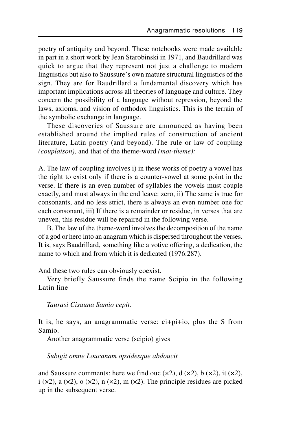poetry of antiquity and beyond. These notebooks were made available in part in a short work by Jean Starobinski in 1971, and Baudrillard was quick to argue that they represent not just a challenge to modern linguistics but also to Saussure's own mature structural linguistics of the sign. They are for Baudrillard a fundamental discovery which has important implications across all theories of language and culture. They concern the possibility of a language without repression, beyond the laws, axioms, and vision of orthodox linguistics. This is the terrain of the symbolic exchange in language.

These discoveries of Saussure are announced as having been established around the implied rules of construction of ancient literature, Latin poetry (and beyond). The rule or law of coupling *(couplaison),* and that of the theme-word *(mot-theme):*

A. The law of coupling involves i) in these works of poetry a vowel has the right to exist only if there is a counter-vowel at some point in the verse. If there is an even number of syllables the vowels must couple exactly, and must always in the end leave: zero, ii) The same is true for consonants, and no less strict, there is always an even number one for each consonant, iii) If there is a remainder or residue, in verses that are uneven, this residue will be repaired in the following verse.

B. The law of the theme-word involves the decomposition of the name of a god or hero into an anagram which is dispersed throughout the verses. It is, says Baudrillard, something like a votive offering, a dedication, the name to which and from which it is dedicated (1976:287).

And these two rules can obviously coexist.

Very briefly Saussure finds the name Scipio in the following Latin line

*Taurasi Cisauna Samio cepit.*

It is, he says, an anagrammatic verse: ci+pi+io, plus the S from Samio.

Another anagrammatic verse (scipio) gives

*Subigit omne Loucanam opsidesque abdoucit*

and Saussure comments: here we find ouc  $(x2)$ ,  $d (x2)$ ,  $b (x2)$ , it  $(x2)$ , i  $(x2)$ , a  $(x2)$ , o  $(x2)$ , n  $(x2)$ , m  $(x2)$ . The principle residues are picked up in the subsequent verse.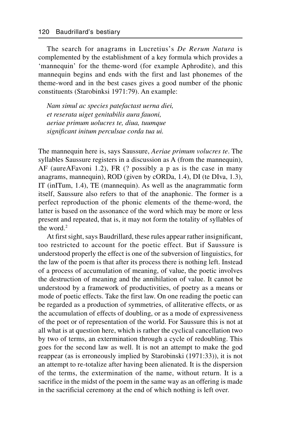The search for anagrams in Lucretius's *De Rerum Natura* is complemented by the establishment of a key formula which provides a 'mannequin' for the theme-word (for example Aphrodite), and this mannequin begins and ends with the first and last phonemes of the theme-word and in the best cases gives a good number of the phonic constituents (Starobinksi 1971:79). An example:

*Nam simul ac species patefactast uerna diei, et reserata uiget genitabilis aura fauoni, aeriae primum uolucres te, diua, tuumque significant initum perculsae corda tua ui.*

The mannequin here is, says Saussure, *Aeriae primum volucres te*. The syllables Saussure registers in a discussion as A (from the mannequin), AF (aureAFavoni 1.2), FR (? possibly a p as is the case in many anagrams, mannequin), ROD (given by cORDa, 1.4), DI (te DIva, 1.3), IT (inITum, 1.4), TE (mannequin). As well as the anagrammatic form itself, Saussure also refers to that of the anaphonic. The former is a perfect reproduction of the phonic elements of the theme-word, the latter is based on the assonance of the word which may be more or less present and repeated, that is, it may not form the totality of syllables of the word.<sup>2</sup>

At first sight, says Baudrillard, these rules appear rather insignificant, too restricted to account for the poetic effect. But if Saussure is understood properly the effect is one of the subversion of linguistics, for the law of the poem is that after its process there is nothing left. Instead of a process of accumulation of meaning, of value, the poetic involves the destruction of meaning and the annihilation of value. It cannot be understood by a framework of productivities, of poetry as a means or mode of poetic effects. Take the first law. On one reading the poetic can be regarded as a production of symmetries, of alliterative effects, or as the accumulation of effects of doubling, or as a mode of expressiveness of the poet or of representation of the world. For Saussure this is not at all what is at question here, which is rather the cyclical cancellation two by two of terms, an extermination through a cycle of redoubling. This goes for the second law as well. It is not an attempt to make the god reappear (as is erroneously implied by Starobinski (1971:33)), it is not an attempt to re-totalize after having been alienated. It is the dispersion of the terms, the extermination of the name, without return. It is a sacrifice in the midst of the poem in the same way as an offering is made in the sacrificial ceremony at the end of which nothing is left over.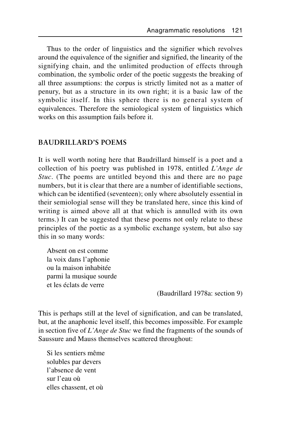Thus to the order of linguistics and the signifier which revolves around the equivalence of the signifier and signified, the linearity of the signifying chain, and the unlimited production of effects through combination, the symbolic order of the poetic suggests the breaking of all three assumptions: the corpus is strictly limited not as a matter of penury, but as a structure in its own right; it is a basic law of the symbolic itself. In this sphere there is no general system of equivalences. Therefore the semiological system of linguistics which works on this assumption fails before it.

#### **BAUDRILLARD'S POEMS**

It is well worth noting here that Baudrillard himself is a poet and a collection of his poetry was published in 1978, entitled *L'Ange de Stuc*. (The poems are untitled beyond this and there are no page numbers, but it is clear that there are a number of identifiable sections, which can be identified (seventeen); only where absolutely essential in their semiologial sense will they be translated here, since this kind of writing is aimed above all at that which is annulled with its own terms.) It can be suggested that these poems not only relate to these principles of the poetic as a symbolic exchange system, but also say this in so many words:

Absent on est comme la voix dans l'aphonie ou la maison inhabitée parmi la musique sourde et les éclats de verre

(Baudrillard 1978a: section 9)

This is perhaps still at the level of signification, and can be translated, but, at the anaphonic level itself, this becomes impossible. For example in section five of *L'Ange de Stuc* we find the fragments of the sounds of Saussure and Mauss themselves scattered throughout:

Si les sentiers même solubles par devers l'absence de vent sur l'eau où elles chassent, et où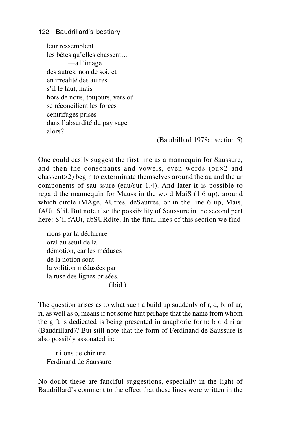leur ressemblent les bêtes qu'elles chassent… —à l'image des autres, non de soi, et en irrealité des autres s'il le faut, mais hors de nous, toujours, vers où se réconcilient les forces centrifuges prises dans l'absurdité du pay sage alors?

(Baudrillard 1978a: section 5)

One could easily suggest the first line as a mannequin for Saussure, and then the consonants and vowels, even words (ou×2 and chassent×2) begin to exterminate themselves around the au and the ur components of sau-ssure (eau/sur 1.4). And later it is possible to regard the mannequin for Mauss in the word MaiS (1.6 up), around which circle iMAge, AUtres, deSautres, or in the line 6 up, Mais, fAUt, S'il. But note also the possibility of Saussure in the second part here: S'il fAUt, abSURdite. In the final lines of this section we find

rions par la déchirure oral au seuil de la démotion, car les méduses de la notion sont la volition médusées par la ruse des lignes brisées. (ibid.)

The question arises as to what such a build up suddenly of r, d, b, of ar, ri, as well as o, means if not some hint perhaps that the name from whom the gift is dedicated is being presented in anaphoric form: b o d ri ar (Baudrillard)? But still note that the form of Ferdinand de Saussure is also possibly assonated in:

 r i ons de chir ure Ferdinand de Saussure

No doubt these are fanciful suggestions, especially in the light of Baudrillard's comment to the effect that these lines were written in the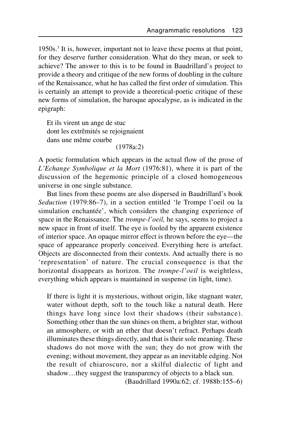1950s.3 It is, however, important not to leave these poems at that point, for they deserve further consideration. What do they mean, or seek to achieve? The answer to this is to be found in Baudrillard's project to provide a theory and critique of the new forms of doubling in the culture of the Renaissance, what he has called the first order of simulation. This is certainly an attempt to provide a theoretical-poetic critique of these new forms of simulation, the baroque apocalypse, as is indicated in the epigraph:

Et ils virent un ange de stuc dont les extrêmités se rejoignaient dans une même courbe (1978a:2)

A poetic formulation which appears in the actual flow of the prose of *L'Echange Symbolique et la Mort* (1976:81), where it is part of the discussion of the hegemonic principle of a closed homogeneous universe in one single substance.

But lines from these poems are also dispersed in Baudrillard's book *Seduction* (1979:86–7), in a section entitled 'le Trompe l'oeil ou la simulation enchantée', which considers the changing experience of space in the Renaissance. The *trompe-l'oeil,* he says, seems to project a new space in front of itself. The eye is fooled by the apparent existence of interior space. An opaque mirror effect is thrown before the eye—the space of appearance properly conceived. Everything here is artefact. Objects are disconnected from their contexts. And actually there is no 'representation' of nature. The crucial consequence is that the horizontal disappears as horizon. The *trompe-l'oeil* is weightless, everything which appears is maintained in suspense (in light, time).

If there is light it is mysterious, without origin, like stagnant water, water without depth, soft to the touch like a natural death. Here things have long since lost their shadows (their substance). Something other than the sun shines on them, a brighter star, without an atmosphere, or with an ether that doesn't refract. Perhaps death illuminates these things directly, and that is their sole meaning. These shadows do not move with the sun; they do not grow with the evening; without movement, they appear as an inevitable edging. Not the result of chiaroscuro, nor a skilful dialectic of light and shadow...they suggest the transparency of objects to a black sun.

(Baudrillard 1990a:62; cf. 1988b:155–6)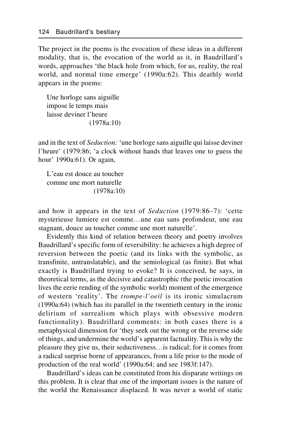The project in the poems is the evocation of these ideas in a different modality, that is, the evocation of the world as it, in Baudrillard's words, approaches 'the black hole from which, for us, reality, the real world, and normal time emerge' (1990a:62). This deathly world appears in the poems:

Une horloge sans aiguille impose le temps mais laisse deviner l'heure (1978a:10)

and in the text of *Seduction:* 'une horloge sans aiguille qui laisse deviner l'heure' (1979:86; 'a clock without hands that leaves one to guess the hour' 1990a:61). Or again,

L'eau est douce au toucher comme une mort naturelle (1978a:10)

and how it appears in the text of *Seduction* (1979:86–7): 'cette mysterieuse lumiere est comme…une eau sans profondeur, une eau stagnant, douce au toucher comme une mort naturelle'.

Evidently this kind of relation between theory and poetry involves Baudrillard's specific form of reversibility: he achieves a high degree of reversion between the poetic (and its links with the symbolic, as transfinite, untranslatable), and the semiological (as finite). But what exactly is Baudrillard trying to evoke? It is conceived, he says, in theoretical terms, as the decisive and catastrophic (the poetic invocation lives the eerie rending of the symbolic world) moment of the emergence of western 'reality'. The *trompe-l'oeil* is its ironic simulacrum (1990a:64) (which has its parallel in the twentieth century in the ironic delirium of surrealism which plays with obsessive modern functionality). Baudrillard comments: in both cases there is a metaphysical dimension for 'they seek out the wrong or the reverse side of things, and undermine the world's apparent factuality. This is why the pleasure they give us, their seductiveness…is radical; for it comes from a radical surprise borne of appearances, from a life prior to the mode of production of the real world' (1990a:64; and see 1983f:147).

Baudrillard's ideas can be constituted from his disparate writings on this problem. It is clear that one of the important issues is the nature of the world the Renaissance displaced. It was never a world of static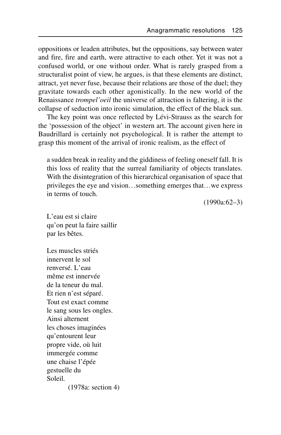oppositions or leaden attributes, but the oppositions, say between water and fire, fire and earth, were attractive to each other. Yet it was not a confused world, or one without order. What is rarely grasped from a structuralist point of view, he argues, is that these elements are distinct, attract, yet never fuse, because their relations are those of the duel; they gravitate towards each other agonistically. In the new world of the Renaissance *trompel'oeil* the universe of attraction is faltering, it is the collapse of seduction into ironic simulation, the effect of the black sun.

The key point was once reflected by Lévi-Strauss as the search for the 'possession of the object' in western art. The account given here in Baudrillard is certainly not psychological. It is rather the attempt to grasp this moment of the arrival of ironic realism, as the effect of

a sudden break in reality and the giddiness of feeling oneself fall. It is this loss of reality that the surreal familiarity of objects translates. With the disintegration of this hierarchical organisation of space that privileges the eye and vision…something emerges that…we express in terms of touch.

(1990a:62–3)

L'eau est si claire qu'on peut la faire saillir par les bêtes.

Les muscles striés innervent le sol renversé. L'eau même est innervée de la teneur du mal. Et rien n'est séparé. Tout est exact comme le sang sous les ongles. Ainsi alternent les choses imaginées qu'entourent leur propre vide, où luit immergée comme une chaise l'épée gestuelle du Soleil. (1978a: section 4)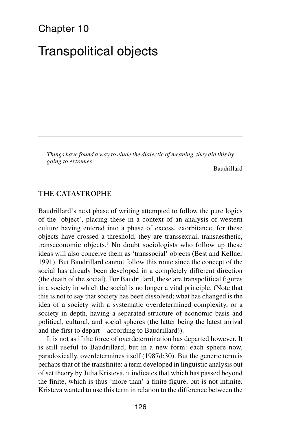# Transpolitical objects

*Things have found a way to elude the dialectic of meaning, they did this by going to extremes*

Baudrillard

### **THE CATASTROPHE**

Baudrillard's next phase of writing attempted to follow the pure logics of the 'object', placing these in a context of an analysis of western culture having entered into a phase of excess, exorbitance, for these objects have crossed a threshold, they are transsexual, transaesthetic, transeconomic objects.1 No doubt sociologists who follow up these ideas will also conceive them as 'transsocial' objects (Best and Kellner 1991). But Baudrillard cannot follow this route since the concept of the social has already been developed in a completely different direction (the death of the social). For Baudrillard, these are transpolitical figures in a society in which the social is no longer a vital principle. (Note that this is not to say that society has been dissolved; what has changed is the idea of a society with a systematic overdetermined complexity, or a society in depth, having a separated structure of economic basis and political, cultural, and social spheres (the latter being the latest arrival and the first to depart—according to Baudrillard)).

It is not as if the force of overdetermination has departed however. It is still useful to Baudrillard, but in a new form: each sphere now, paradoxically, overdetermines itself (1987d:30). But the generic term is perhaps that of the transfinite: a term developed in linguistic analysis out of set theory by Julia Kristeva, it indicates that which has passed beyond the finite, which is thus 'more than' a finite figure, but is not infinite. Kristeva wanted to use this term in relation to the difference between the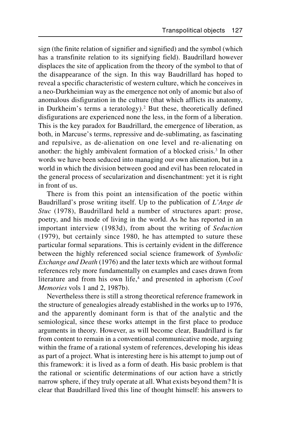sign (the finite relation of signifier and signified) and the symbol (which has a transfinite relation to its signifying field). Baudrillard however displaces the site of application from the theory of the symbol to that of the disappearance of the sign. In this way Baudrillard has hoped to reveal a specific characteristic of western culture, which he conceives in a neo-Durkheimian way as the emergence not only of anomic but also of anomalous disfiguration in the culture (that which afflicts its anatomy, in Durkheim's terms a teratology).<sup>2</sup> But these, theoretically defined disfigurations are experienced none the less, in the form of a liberation. This is the key paradox for Baudrillard, the emergence of liberation, as both, in Marcuse's terms, repressive and de-sublimating, as fascinating and repulsive, as de-alienation on one level and re-alienating on another: the highly ambivalent formation of a blocked crisis.<sup>3</sup> In other words we have been seduced into managing our own alienation, but in a world in which the division between good and evil has been relocated in the general process of secularization and disenchantment: yet it is right in front of us.

There is from this point an intensification of the poetic within Baudrillard's prose writing itself. Up to the publication of *L'Ange de Stuc* (1978), Baudrillard held a number of structures apart: prose, poetry, and his mode of living in the world. As he has reported in an important interview (1983d), from about the writing of *Seduction* (1979), but certainly since 1980, he has attempted to suture these particular formal separations. This is certainly evident in the difference between the highly referenced social science framework of *Symbolic Exchange and Death* (1976) and the later texts which are without formal references rely more fundamentally on examples and cases drawn from literature and from his own life,<sup>4</sup> and presented in aphorism (*Cool Memories* vols 1 and 2, 1987b).

Nevertheless there is still a strong theoretical reference framework in the structure of genealogies already established in the works up to 1976, and the apparently dominant form is that of the analytic and the semiological, since these works attempt in the first place to produce arguments in theory. However, as will become clear, Baudrillard is far from content to remain in a conventional communicative mode, arguing within the frame of a rational system of references, developing his ideas as part of a project. What is interesting here is his attempt to jump out of this framework: it is lived as a form of death. His basic problem is that the rational or scientific determinations of our action have a strictly narrow sphere, if they truly operate at all. What exists beyond them? It is clear that Baudrillard lived this line of thought himself: his answers to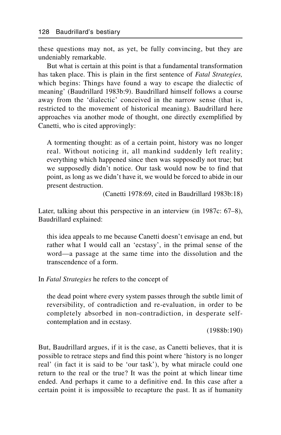these questions may not, as yet, be fully convincing, but they are undeniably remarkable.

But what is certain at this point is that a fundamental transformation has taken place. This is plain in the first sentence of *Fatal Strategies,* which begins: Things have found a way to escape the dialectic of meaning' (Baudrillard 1983b:9). Baudrillard himself follows a course away from the 'dialectic' conceived in the narrow sense (that is, restricted to the movement of historical meaning). Baudrillard here approaches via another mode of thought, one directly exemplified by Canetti, who is cited approvingly:

A tormenting thought: as of a certain point, history was no longer real. Without noticing it, all mankind suddenly left reality; everything which happened since then was supposedly not true; but we supposedly didn't notice. Our task would now be to find that point, as long as we didn't have it, we would be forced to abide in our present destruction.

(Canetti 1978:69, cited in Baudrillard 1983b:18)

Later, talking about this perspective in an interview (in 1987c: 67–8), Baudrillard explained:

this idea appeals to me because Canetti doesn't envisage an end, but rather what I would call an 'ecstasy', in the primal sense of the word—a passage at the same time into the dissolution and the transcendence of a form.

In *Fatal Strategies* he refers to the concept of

the dead point where every system passes through the subtle limit of reversibility, of contradiction and re-evaluation, in order to be completely absorbed in non-contradiction, in desperate selfcontemplation and in ecstasy.

(1988b:190)

But, Baudrillard argues, if it is the case, as Canetti believes, that it is possible to retrace steps and find this point where 'history is no longer real' (in fact it is said to be 'our task'), by what miracle could one return to the real or the true? It was the point at which linear time ended. And perhaps it came to a definitive end. In this case after a certain point it is impossible to recapture the past. It as if humanity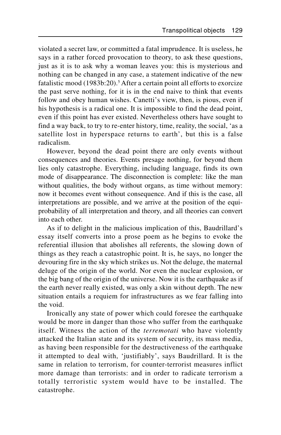violated a secret law, or committed a fatal imprudence. It is useless, he says in a rather forced provocation to theory, to ask these questions, just as it is to ask why a woman leaves you: this is mysterious and nothing can be changed in any case, a statement indicative of the new fatalistic mood (1983b:20).<sup>5</sup> After a certain point all efforts to exorcize the past serve nothing, for it is in the end naive to think that events follow and obey human wishes. Canetti's view, then, is pious, even if his hypothesis is a radical one. It is impossible to find the dead point, even if this point has ever existed. Nevertheless others have sought to find a way back, to try to re-enter history, time, reality, the social, 'as a satellite lost in hyperspace returns to earth', but this is a false radicalism.

However, beyond the dead point there are only events without consequences and theories. Events presage nothing, for beyond them lies only catastrophe. Everything, including language, finds its own mode of disappearance. The disconnection is complete: like the man without qualities, the body without organs, as time without memory: now it becomes event without consequence. And if this is the case, all interpretations are possible, and we arrive at the position of the equiprobability of all interpretation and theory, and all theories can convert into each other.

As if to delight in the malicious implication of this, Baudrillard's essay itself converts into a prose poem as he begins to evoke the referential illusion that abolishes all referents, the slowing down of things as they reach a catastrophic point. It is, he says, no longer the devouring fire in the sky which strikes us. Not the deluge, the maternal deluge of the origin of the world. Nor even the nuclear explosion, or the big bang of the origin of the universe. Now it is the earthquake as if the earth never really existed, was only a skin without depth. The new situation entails a requiem for infrastructures as we fear falling into the void.

Ironically any state of power which could foresee the earthquake would be more in danger than those who suffer from the earthquake itself. Witness the action of the *terremotati* who have violently attacked the Italian state and its system of security, its mass media, as having been responsible for the destructiveness of the earthquake it attempted to deal with, 'justifiably', says Baudrillard. It is the same in relation to terrorism, for counter-terrorist measures inflict more damage than terrorists: and in order to radicate terrorism a totally terroristic system would have to be installed. The catastrophe.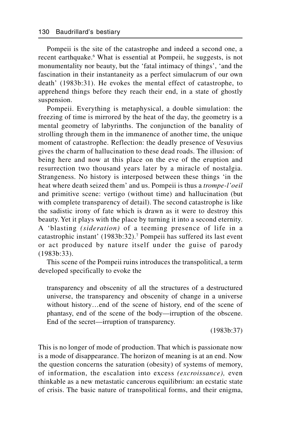Pompeii is the site of the catastrophe and indeed a second one, a recent earthquake.<sup>6</sup> What is essential at Pompeii, he suggests, is not monumentality nor beauty, but the 'fatal intimacy of things', 'and the fascination in their instantaneity as a perfect simulacrum of our own death' (1983b:31). He evokes the mental effect of catastrophe, to apprehend things before they reach their end, in a state of ghostly suspension.

Pompeii. Everything is metaphysical, a double simulation: the freezing of time is mirrored by the heat of the day, the geometry is a mental geometry of labyrinths. The conjunction of the banality of strolling through them in the immanence of another time, the unique moment of catastrophe. Reflection: the deadly presence of Vesuvius gives the charm of hallucination to these dead roads. The illusion: of being here and now at this place on the eve of the eruption and resurrection two thousand years later by a miracle of nostalgia. Strangeness. No history is interposed between these things 'in the heat where death seized them' and us. Pompeii is thus a *trompe-l'oeil* and primitive scene: vertigo (without time) and hallucination (but with complete transparency of detail). The second catastrophe is like the sadistic irony of fate which is drawn as it were to destroy this beauty. Yet it plays with the place by turning it into a second eternity. A 'blasting *(sideration)* of a teeming presence of life in a catastrophic instant' (1983b:32).7 Pompeii has suffered its last event or act produced by nature itself under the guise of parody (1983b:33).

This scene of the Pompeii ruins introduces the transpolitical, a term developed specifically to evoke the

transparency and obscenity of all the structures of a destructured universe, the transparency and obscenity of change in a universe without history…end of the scene of history, end of the scene of phantasy, end of the scene of the body—irruption of the obscene. End of the secret—irruption of transparency.

(1983b:37)

This is no longer of mode of production. That which is passionate now is a mode of disappearance. The horizon of meaning is at an end. Now the question concerns the saturation (obesity) of systems of memory, of information, the escalation into excess *(excroissance),* even thinkable as a new metastatic cancerous equilibrium: an ecstatic state of crisis. The basic nature of transpolitical forms, and their enigma,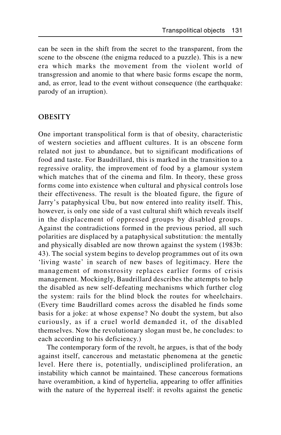can be seen in the shift from the secret to the transparent, from the scene to the obscene (the enigma reduced to a puzzle). This is a new era which marks the movement from the violent world of transgression and anomie to that where basic forms escape the norm, and, as error, lead to the event without consequence (the earthquake: parody of an irruption).

# **OBESITY**

One important transpolitical form is that of obesity, characteristic of western societies and affluent cultures. It is an obscene form related not just to abundance, but to significant modifications of food and taste. For Baudrillard, this is marked in the transition to a regressive orality, the improvement of food by a glamour system which matches that of the cinema and film. In theory, these gross forms come into existence when cultural and physical controls lose their effectiveness. The result is the bloated figure, the figure of Jarry's pataphysical Ubu, but now entered into reality itself. This, however, is only one side of a vast cultural shift which reveals itself in the displacement of oppressed groups by disabled groups. Against the contradictions formed in the previous period, all such polarities are displaced by a pataphysical substitution: the mentally and physically disabled are now thrown against the system (1983b: 43). The social system begins to develop programmes out of its own 'living waste' in search of new bases of legitimacy. Here the management of monstrosity replaces earlier forms of crisis management. Mockingly, Baudrillard describes the attempts to help the disabled as new self-defeating mechanisms which further clog the system: rails for the blind block the routes for wheelchairs. (Every time Baudrillard comes across the disabled he finds some basis for a joke: at whose expense? No doubt the system, but also curiously, as if a cruel world demanded it, of the disabled themselves. Now the revolutionary slogan must be, he concludes: to each according to his deficiency.)

The contemporary form of the revolt, he argues, is that of the body against itself, cancerous and metastatic phenomena at the genetic level. Here there is, potentially, undisciplined proliferation, an instability which cannot be maintained. These cancerous formations have overambition, a kind of hypertelia, appearing to offer affinities with the nature of the hyperreal itself: it revolts against the genetic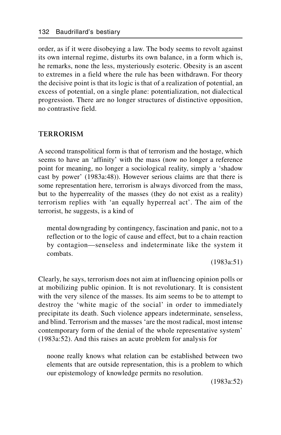order, as if it were disobeying a law. The body seems to revolt against its own internal regime, disturbs its own balance, in a form which is, he remarks, none the less, mysteriously esoteric. Obesity is an ascent to extremes in a field where the rule has been withdrawn. For theory the decisive point is that its logic is that of a realization of potential, an excess of potential, on a single plane: potentialization, not dialectical progression. There are no longer structures of distinctive opposition, no contrastive field.

### **TERRORISM**

A second transpolitical form is that of terrorism and the hostage, which seems to have an 'affinity' with the mass (now no longer a reference point for meaning, no longer a sociological reality, simply a 'shadow cast by power' (1983a:48)). However serious claims are that there is some representation here, terrorism is always divorced from the mass, but to the hyperreality of the masses (they do not exist as a reality) terrorism replies with 'an equally hyperreal act'. The aim of the terrorist, he suggests, is a kind of

mental downgrading by contingency, fascination and panic, not to a reflection or to the logic of cause and effect, but to a chain reaction by contagion—senseless and indeterminate like the system it combats.

(1983a:51)

Clearly, he says, terrorism does not aim at influencing opinion polls or at mobilizing public opinion. It is not revolutionary. It is consistent with the very silence of the masses. Its aim seems to be to attempt to destroy the 'white magic of the social' in order to immediately precipitate its death. Such violence appears indeterminate, senseless, and blind. Terrorism and the masses 'are the most radical, most intense contemporary form of the denial of the whole representative system' (1983a:52). And this raises an acute problem for analysis for

noone really knows what relation can be established between two elements that are outside representation, this is a problem to which our epistemology of knowledge permits no resolution.

(1983a:52)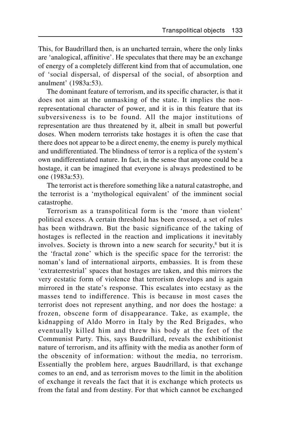This, for Baudrillard then, is an uncharted terrain, where the only links are 'analogical, affinitive'. He speculates that there may be an exchange of energy of a completely different kind from that of accumulation, one of 'social dispersal, of dispersal of the social, of absorption and anulment' (1983a:53).

The dominant feature of terrorism, and its specific character, is that it does not aim at the unmasking of the state. It implies the nonrepresentational character of power, and it is in this feature that its subversiveness is to be found. All the major institutions of representation are thus threatened by it, albeit in small but powerful doses. When modern terrorists take hostages it is often the case that there does not appear to be a direct enemy, the enemy is purely mythical and undifferentiated. The blindness of terror is a replica of the system's own undifferentiated nature. In fact, in the sense that anyone could be a hostage, it can be imagined that everyone is always predestined to be one (1983a:53).

The terrorist act is therefore something like a natural catastrophe, and the terrorist is a 'mythological equivalent' of the imminent social catastrophe.

Terrorism as a transpolitical form is the 'more than violent' political excess. A certain threshold has been crossed, a set of rules has been withdrawn. But the basic significance of the taking of hostages is reflected in the reaction and implications it inevitably involves. Society is thrown into a new search for security,<sup>8</sup> but it is the 'fractal zone' which is the specific space for the terrorist: the noman's land of international airports, embassies. It is from these 'extraterrestrial' spaces that hostages are taken, and this mirrors the very ecstatic form of violence that terrorism develops and is again mirrored in the state's response. This escalates into ecstasy as the masses tend to indifference. This is because in most cases the terrorist does not represent anything, and nor does the hostage: a frozen, obscene form of disappearance. Take, as example, the kidnapping of Aldo Morro in Italy by the Red Brigades, who eventually killed him and threw his body at the feet of the Communist Party. This, says Baudrillard, reveals the exhibitionist nature of terrorism, and its affinity with the media as another form of the obscenity of information: without the media, no terrorism. Essentially the problem here, argues Baudrillard, is that exchange comes to an end, and as terrorism moves to the limit in the abolition of exchange it reveals the fact that it is exchange which protects us from the fatal and from destiny. For that which cannot be exchanged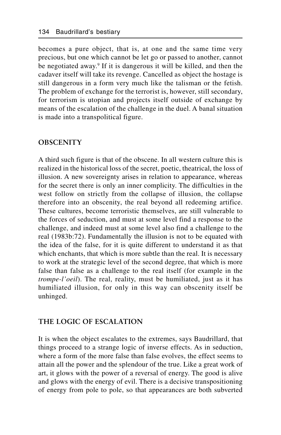becomes a pure object, that is, at one and the same time very precious, but one which cannot be let go or passed to another, cannot be negotiated away.<sup>9</sup> If it is dangerous it will be killed, and then the cadaver itself will take its revenge. Cancelled as object the hostage is still dangerous in a form very much like the talisman or the fetish. The problem of exchange for the terrorist is, however, still secondary, for terrorism is utopian and projects itself outside of exchange by means of the escalation of the challenge in the duel. A banal situation is made into a transpolitical figure.

# **OBSCENITY**

A third such figure is that of the obscene. In all western culture this is realized in the historical loss of the secret, poetic, theatrical, the loss of illusion. A new sovereignty arises in relation to appearance, whereas for the secret there is only an inner complicity. The difficulties in the west follow on strictly from the collapse of illusion, the collapse therefore into an obscenity, the real beyond all redeeming artifice. These cultures, become terroristic themselves, are still vulnerable to the forces of seduction, and must at some level find a response to the challenge, and indeed must at some level also find a challenge to the real (1983b:72). Fundamentally the illusion is not to be equated with the idea of the false, for it is quite different to understand it as that which enchants, that which is more subtle than the real. It is necessary to work at the strategic level of the second degree, that which is more false than false as a challenge to the real itself (for example in the *trompe-l'oeil*). The real, reality, must be humiliated, just as it has humiliated illusion, for only in this way can obscenity itself be unhinged.

# **THE LOGIC OF ESCALATION**

It is when the object escalates to the extremes, says Baudrillard, that things proceed to a strange logic of inverse effects. As in seduction, where a form of the more false than false evolves, the effect seems to attain all the power and the splendour of the true. Like a great work of art, it glows with the power of a reversal of energy. The good is alive and glows with the energy of evil. There is a decisive transpositioning of energy from pole to pole, so that appearances are both subverted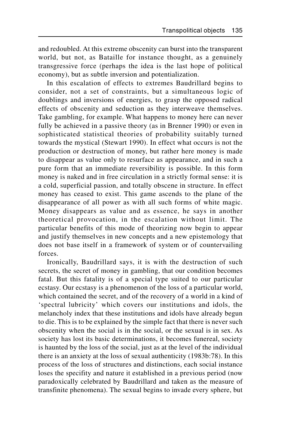and redoubled. At this extreme obscenity can burst into the transparent world, but not, as Bataille for instance thought, as a genuinely transgressive force (perhaps the idea is the last hope of political economy), but as subtle inversion and potentialization.

In this escalation of effects to extremes Baudrillard begins to consider, not a set of constraints, but a simultaneous logic of doublings and inversions of energies, to grasp the opposed radical effects of obscenity and seduction as they interweave themselves. Take gambling, for example. What happens to money here can never fully be achieved in a passive theory (as in Brenner 1990) or even in sophisticated statistical theories of probability suitably turned towards the mystical (Stewart 1990). In effect what occurs is not the production or destruction of money, but rather here money is made to disappear as value only to resurface as appearance, and in such a pure form that an immediate reversibility is possible. In this form money is naked and in free circulation in a strictly formal sense: it is a cold, superficial passion, and totally obscene in structure. In effect money has ceased to exist. This game ascends to the plane of the disappearance of all power as with all such forms of white magic. Money disappears as value and as essence, he says in another theoretical provocation, in the escalation without limit. The particular benefits of this mode of theorizing now begin to appear and justify themselves in new concepts and a new epistemology that does not base itself in a framework of system or of countervailing forces.

Ironically, Baudrillard says, it is with the destruction of such secrets, the secret of money in gambling, that our condition becomes fatal. But this fatality is of a special type suited to our particular ecstasy. Our ecstasy is a phenomenon of the loss of a particular world, which contained the secret, and of the recovery of a world in a kind of 'spectral lubricity' which covers our institutions and idols, the melancholy index that these institutions and idols have already begun to die. This is to be explained by the simple fact that there is never such obscenity when the social is in the social, or the sexual is in sex. As society has lost its basic determinations, it becomes funereal, society is haunted by the loss of the social, just as at the level of the individual there is an anxiety at the loss of sexual authenticity (1983b:78). In this process of the loss of structures and distinctions, each social instance loses the specifity and nature it established in a previous period (now paradoxically celebrated by Baudrillard and taken as the measure of transfinite phenomena). The sexual begins to invade every sphere, but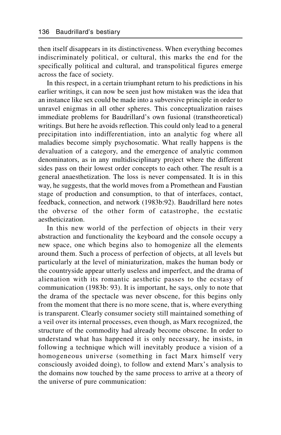then itself disappears in its distinctiveness. When everything becomes indiscriminately political, or cultural, this marks the end for the specifically political and cultural, and transpolitical figures emerge across the face of society.

In this respect, in a certain triumphant return to his predictions in his earlier writings, it can now be seen just how mistaken was the idea that an instance like sex could be made into a subversive principle in order to unravel enigmas in all other spheres. This conceptualization raises immediate problems for Baudrillard's own fusional (transtheoretical) writings. But here he avoids reflection. This could only lead to a general precipitation into indifferentiation, into an analytic fog where all maladies become simply psychosomatic. What really happens is the devaluation of a category, and the emergence of analytic common denominators, as in any multidisciplinary project where the different sides pass on their lowest order concepts to each other. The result is a general anaesthetization. The loss is never compensated. It is in this way, he suggests, that the world moves from a Promethean and Faustian stage of production and consumption, to that of interfaces, contact, feedback, connection, and network (1983b:92). Baudrillard here notes the obverse of the other form of catastrophe, the ecstatic aestheticization.

In this new world of the perfection of objects in their very abstraction and functionality the keyboard and the console occupy a new space, one which begins also to homogenize all the elements around them. Such a process of perfection of objects, at all levels but particularly at the level of miniaturization, makes the human body or the countryside appear utterly useless and imperfect, and the drama of alienation with its romantic aesthetic passes to the ecstasy of communication (1983b: 93). It is important, he says, only to note that the drama of the spectacle was never obscene, for this begins only from the moment that there is no more scene, that is, where everything is transparent. Clearly consumer society still maintained something of a veil over its internal processes, even though, as Marx recognized, the structure of the commodity had already become obscene. In order to understand what has happened it is only necessary, he insists, in following a technique which will inevitably produce a vision of a homogeneous universe (something in fact Marx himself very consciously avoided doing), to follow and extend Marx's analysis to the domains now touched by the same process to arrive at a theory of the universe of pure communication: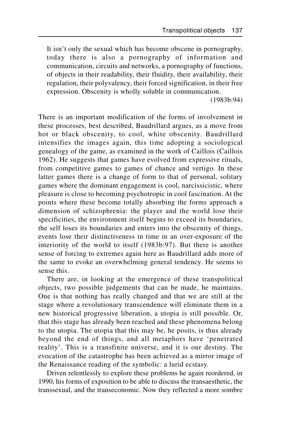It isn't only the sexual which has become obscene in pornography, today there is also a pornography of information and communication, circuits and networks, a pornography of functions, of objects in their readability, their fluidity, their availability, their regulation, their polyvalency, their forced signification, in their free expression. Obscenity is wholly soluble in communication.

(1983b:94)

There is an important modification of the forms of involvement in these processes, best described, Baudrillard argues, as a move from hot or black obscenity, to cool, white obscenity. Baudrillard intensifies the images again, this time adopting a sociological genealogy of the game, as examined in the work of Caillois (Caillois 1962). He suggests that games have evolved from expressive rituals, from competitive games to games of chance and vertigo. In these latter games there is a change of form to that of personal, solitary games where the dominant engagement is cool, narcissicistic, where pleasure is close to becoming psychotropic in cool fascination. At the points where these become totally absorbing the forms approach a dimension of schizophrenia: the player and the world lose their specificities, the environment itself begins to exceed its boundaries, the self loses its boundaries and enters into the obscenity of things, events lose their distinctiveness in time in an over-exposure of the interiority of the world to itself (1983b:97). But there is another sense of forcing to extremes again here as Baudrillard adds more of the same to evoke an overwhelming general tendency. He seems to sense this.

There are, in looking at the emergence of these transpolitical objects, two possible judgements that can be made, he maintains. One is that nothing has really changed and that we are still at the stage where a revolutionary transcendence will eliminate them in a new historical progressive liberation, a utopia is still possible. Or, that this stage has already been reached and these phenomena belong to the utopia. The utopia that this may be, he posits, is thus already beyond the end of things, and all metaphors have 'penetrated reality'. This is a transfinite universe, and it is our destiny. The evocation of the catastrophe has been achieved as a mirror image of the Renaissance reading of the symbolic: a lurid ecstasy.

Driven relentlessly to explore these problems he again reordered, in 1990, his forms of exposition to be able to discuss the transaesthetic, the transsexual, and the transeconomic. Now they reflected a more sombre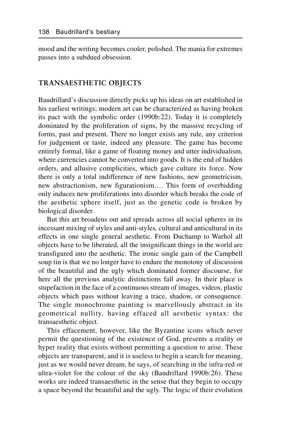mood and the writing becomes cooler, polished. The mania for extremes passes into a subdued obsession.

# **TRANSAESTHETIC OBJECTS**

Baudrillard's discussion directly picks up his ideas on art established in his earliest writings; modern art can be characterized as having broken its pact with the symbolic order (1990b:22). Today it is completely dominated by the proliferation of signs, by the massive recycling of forms, past and present. There no longer exists any rule, any criterion for judgement or taste, indeed any pleasure. The game has become entirely formal, like a game of floating money and utter individualism, where currencies cannot be converted into goods. It is the end of hidden orders, and allusive complicities, which gave culture its force. Now there is only a total indifference of new fashions, new geometricism, new abstractionism, new figurationism…. This form of overbidding only induces new proliferations into disorder which breaks the code of the aesthetic sphere itself, just as the genetic code is broken by biological disorder.

But this art broadens out and spreads across all social spheres in its incessant mixing of styles and anti-styles, cultural and anticultural in its effects in one single general aesthetic. From Duchamp to Warhol all objects have to be liberated, all the insignificant things in the world are transfigured into the aesthetic. The ironic single gain of the Campbell soup tin is that we no longer have to endure the monotony of discussion of the beautiful and the ugly which dominated former discourse, for here all the previous analytic distinctions fall away. In their place is stupefaction in the face of a continuous stream of images, videos, plastic objects which pass without leaving a trace, shadow, or consequence. The single monochrome painting is marvellously abstract in its geometrical nullity, having effaced all aesthetic syntax: the transaesthetic object.

This effacement, however, like the Byzantine icons which never permit the questioning of the existence of God, presents a reality or hyper reality that exists without permitting a question to arise. These objects are transparent, and it is useless to begin a search for meaning, just as we would never dream, he says, of searching in the infra-red or ultra-violet for the colour of the sky (Baudrillard 1990b:26). These works are indeed transaesthetic in the sense that they begin to occupy a space beyond the beautiful and the ugly. The logic of their evolution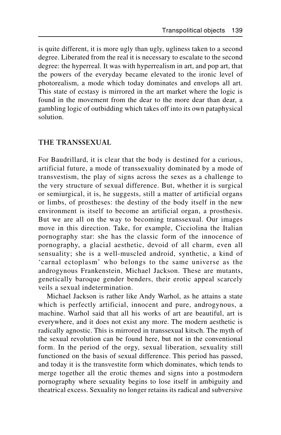is quite different, it is more ugly than ugly, ugliness taken to a second degree. Liberated from the real it is necessary to escalate to the second degree: the hyperreal. It was with hyperrealism in art, and pop art, that the powers of the everyday became elevated to the ironic level of photorealism, a mode which today dominates and envelops all art. This state of ecstasy is mirrored in the art market where the logic is found in the movement from the dear to the more dear than dear, a gambling logic of outbidding which takes off into its own pataphysical solution.

# **THE TRANSSEXUAL**

For Baudrillard, it is clear that the body is destined for a curious, artificial future, a mode of transsexuality dominated by a mode of transvestism, the play of signs across the sexes as a challenge to the very structure of sexual difference. But, whether it is surgical or semiurgical, it is, he suggests, still a matter of artificial organs or limbs, of prostheses: the destiny of the body itself in the new environment is itself to become an artificial organ, a prosthesis. But we are all on the way to becoming transsexual. Our images move in this direction. Take, for example, Cicciolina the Italian pornography star: she has the classic form of the innocence of pornography, a glacial aesthetic, devoid of all charm, even all sensuality; she is a well-muscled android, synthetic, a kind of 'carnal ectoplasm' who belongs to the same universe as the androgynous Frankenstein, Michael Jackson. These are mutants, genetically baroque gender benders, their erotic appeal scarcely veils a sexual indetermination.

Michael Jackson is rather like Andy Warhol, as he attains a state which is perfectly artificial, innocent and pure, androgynous, a machine. Warhol said that all his works of art are beautiful, art is everywhere, and it does not exist any more. The modern aesthetic is radically agnostic. This is mirrored in transsexual kitsch. The myth of the sexual revolution can be found here, but not in the conventional form. In the period of the orgy, sexual liberation, sexuality still functioned on the basis of sexual difference. This period has passed, and today it is the transvestite form which dominates, which tends to merge together all the erotic themes and signs into a postmodern pornography where sexuality begins to lose itself in ambiguity and theatrical excess. Sexuality no longer retains its radical and subversive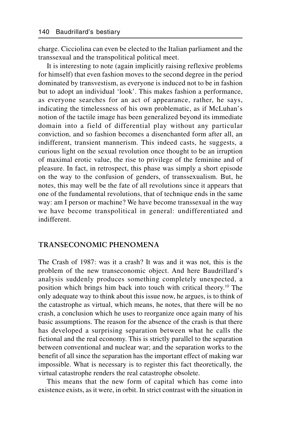charge. Cicciolina can even be elected to the Italian parliament and the transsexual and the transpolitical political meet.

It is interesting to note (again implicitly raising reflexive problems for himself) that even fashion moves to the second degree in the period dominated by transvestism, as everyone is induced not to be in fashion but to adopt an individual 'look'. This makes fashion a performance, as everyone searches for an act of appearance, rather, he says, indicating the timelessness of his own problematic, as if McLuhan's notion of the tactile image has been generalized beyond its immediate domain into a field of differential play without any particular conviction, and so fashion becomes a disenchanted form after all, an indifferent, transient mannerism. This indeed casts, he suggests, a curious light on the sexual revolution once thought to be an irruption of maximal erotic value, the rise to privilege of the feminine and of pleasure. In fact, in retrospect, this phase was simply a short episode on the way to the confusion of genders, of transsexualism. But, he notes, this may well be the fate of all revolutions since it appears that one of the fundamental revolutions, that of technique ends in the same way: am I person or machine? We have become transsexual in the way we have become transpolitical in general: undifferentiated and indifferent.

# **TRANSECONOMIC PHENOMENA**

The Crash of 1987: was it a crash? It was and it was not, this is the problem of the new transeconomic object. And here Baudrillard's analysis suddenly produces something completely unexpected, a position which brings him back into touch with critical theory.10 The only adequate way to think about this issue now, he argues, is to think of the catastrophe as virtual, which means, he notes, that there will be no crash, a conclusion which he uses to reorganize once again many of his basic assumptions. The reason for the absence of the crash is that there has developed a surprising separation between what he calls the fictional and the real economy. This is strictly parallel to the separation between conventional and nuclear war; and the separation works to the benefit of all since the separation has the important effect of making war impossible. What is necessary is to register this fact theoretically, the virtual catastrophe renders the real catastrophe obsolete.

This means that the new form of capital which has come into existence exists, as it were, in orbit. In strict contrast with the situation in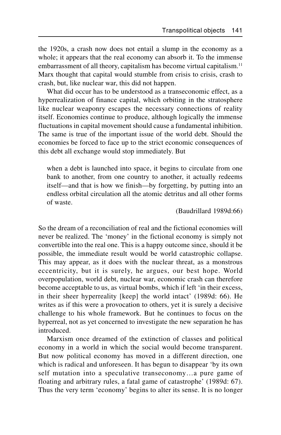the 1920s, a crash now does not entail a slump in the economy as a whole; it appears that the real economy can absorb it. To the immense embarrassment of all theory, capitalism has become virtual capitalism.<sup>11</sup> Marx thought that capital would stumble from crisis to crisis, crash to crash, but, like nuclear war, this did not happen.

What did occur has to be understood as a transeconomic effect, as a hyperrealization of finance capital, which orbiting in the stratosphere like nuclear weaponry escapes the necessary connections of reality itself. Economies continue to produce, although logically the immense fluctuations in capital movement should cause a fundamental inhibition. The same is true of the important issue of the world debt. Should the economies be forced to face up to the strict economic consequences of this debt all exchange would stop immediately. But

when a debt is launched into space, it begins to circulate from one bank to another, from one country to another, it actually redeems itself—and that is how we finish—by forgetting, by putting into an endless orbital circulation all the atomic detritus and all other forms of waste.

#### (Baudrillard 1989d:66)

So the dream of a reconciliation of real and the fictional economies will never be realized. The 'money' in the fictional economy is simply not convertible into the real one. This is a happy outcome since, should it be possible, the immediate result would be world catastrophic collapse. This may appear, as it does with the nuclear threat, as a monstrous eccentricity, but it is surely, he argues, our best hope. World overpopulation, world debt, nuclear war, economic crash can therefore become acceptable to us, as virtual bombs, which if left 'in their excess, in their sheer hyperreality [keep] the world intact' (1989d: 66). He writes as if this were a provocation to others, yet it is surely a decisive challenge to his whole framework. But he continues to focus on the hyperreal, not as yet concerned to investigate the new separation he has introduced.

Marxism once dreamed of the extinction of classes and political economy in a world in which the social would become transparent. But now political economy has moved in a different direction, one which is radical and unforeseen. It has begun to disappear 'by its own self mutation into a speculative transeconomy…a pure game of floating and arbitrary rules, a fatal game of catastrophe' (1989d: 67). Thus the very term 'economy' begins to alter its sense. It is no longer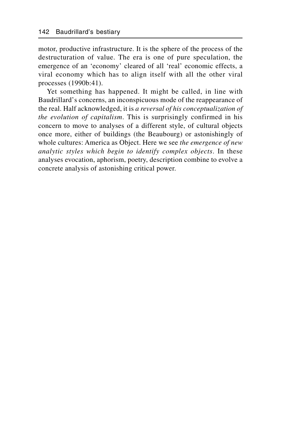motor, productive infrastructure. It is the sphere of the process of the destructuration of value. The era is one of pure speculation, the emergence of an 'economy' cleared of all 'real' economic effects, a viral economy which has to align itself with all the other viral processes (1990b:41).

Yet something has happened. It might be called, in line with Baudrillard's concerns, an inconspicuous mode of the reappearance of the real. Half acknowledged, it is *a reversal of his conceptualization of the evolution of capitalism*. This is surprisingly confirmed in his concern to move to analyses of a different style, of cultural objects once more, either of buildings (the Beaubourg) or astonishingly of whole cultures: America as Object. Here we see *the emergence of new analytic styles which begin to identify complex objects*. In these analyses evocation, aphorism, poetry, description combine to evolve a concrete analysis of astonishing critical power.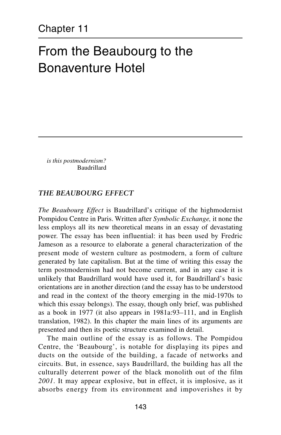# From the Beaubourg to the Bonaventure Hotel

*is this postmodernism?* Baudrillard

# *THE BEAUBOURG EFFECT*

*The Beaubourg Effect* is Baudrillard's critique of the highmodernist Pompidou Centre in Paris. Written after *Symbolic Exchange,* it none the less employs all its new theoretical means in an essay of devastating power. The essay has been influential: it has been used by Fredric Jameson as a resource to elaborate a general characterization of the present mode of western culture as postmodern, a form of culture generated by late capitalism. But at the time of writing this essay the term postmodernism had not become current, and in any case it is unlikely that Baudrillard would have used it, for Baudrillard's basic orientations are in another direction (and the essay has to be understood and read in the context of the theory emerging in the mid-1970s to which this essay belongs). The essay, though only brief, was published as a book in 1977 (it also appears in 1981a:93–111, and in English translation, 1982). In this chapter the main lines of its arguments are presented and then its poetic structure examined in detail.

The main outline of the essay is as follows. The Pompidou Centre, the 'Beaubourg', is notable for displaying its pipes and ducts on the outside of the building, a facade of networks and circuits. But, in essence, says Baudrillard, the building has all the culturally deterrent power of the black monolith out of the film *2001*. It may appear explosive, but in effect, it is implosive, as it absorbs energy from its environment and impoverishes it by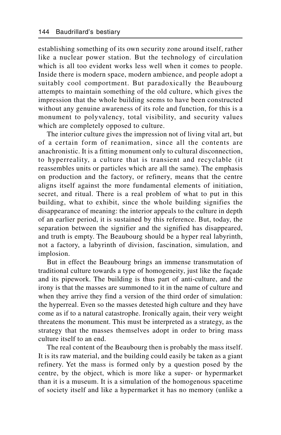establishing something of its own security zone around itself, rather like a nuclear power station. But the technology of circulation which is all too evident works less well when it comes to people. Inside there is modern space, modern ambience, and people adopt a suitably cool comportment. But paradoxically the Beaubourg attempts to maintain something of the old culture, which gives the impression that the whole building seems to have been constructed without any genuine awareness of its role and function, for this is a monument to polyvalency, total visibility, and security values which are completely opposed to culture.

The interior culture gives the impression not of living vital art, but of a certain form of reanimation, since all the contents are anachronistic. It is a fitting monument only to cultural disconnection, to hyperreality, a culture that is transient and recyclable (it reassembles units or particles which are all the same). The emphasis on production and the factory, or refinery, means that the centre aligns itself against the more fundamental elements of initiation, secret, and ritual. There is a real problem of what to put in this building, what to exhibit, since the whole building signifies the disappearance of meaning: the interior appeals to the culture in depth of an earlier period, it is sustained by this reference. But, today, the separation between the signifier and the signified has disappeared, and truth is empty. The Beaubourg should be a hyper real labyrinth, not a factory, a labyrinth of division, fascination, simulation, and implosion.

But in effect the Beaubourg brings an immense transmutation of traditional culture towards a type of homogeneity, just like the façade and its pipework. The building is thus part of anti-culture, and the irony is that the masses are summoned to it in the name of culture and when they arrive they find a version of the third order of simulation: the hyperreal. Even so the masses detested high culture and they have come as if to a natural catastrophe. Ironically again, their very weight threatens the monument. This must be interpreted as a strategy, as the strategy that the masses themselves adopt in order to bring mass culture itself to an end.

The real content of the Beaubourg then is probably the mass itself. It is its raw material, and the building could easily be taken as a giant refinery. Yet the mass is formed only by a question posed by the centre, by the object, which is more like a super- or hypermarket than it is a museum. It is a simulation of the homogenous spacetime of society itself and like a hypermarket it has no memory (unlike a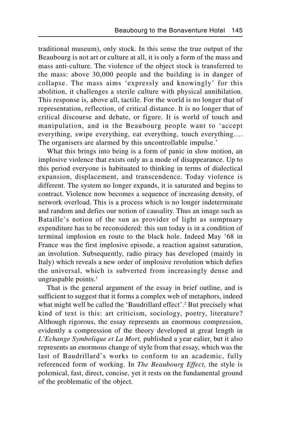traditional museum), only stock. In this sense the true output of the Beaubourg is not art or culture at all, it is only a form of the mass and mass anti-culture. The violence of the object stock is transferred to the mass: above 30,000 people and the building is in danger of collapse. The mass aims 'expressly and knowingly' for this abolition, it challenges a sterile culture with physical annihilation. This response is, above all, tactile. For the world is no longer that of representation, reflection, of critical distance. It is no longer that of critical discourse and debate, or figure. It is world of touch and manipulation, and in the Beaubourg people want to 'accept everything, swipe everything, eat everything, touch everything…. The organisers are alarmed by this uncontrollable impulse.'

What this brings into being is a form of panic in slow motion, an implosive violence that exists only as a mode of disappearance. Up to this period everyone is habituated to thinking in terms of dialectical expansion, displacement, and transcendence. Today violence is different. The system no longer expands, it is saturated and begins to contract. Violence now becomes a sequence of increasing density, of network overload. This is a process which is no longer indeterminate and random and defies our notion of causality. Thus an image such as Bataille's notion of the sun as provider of light as sumptuary expenditure has to be reconsidered: this sun today is in a condition of terminal implosion en route to the black hole. Indeed May '68 in France was the first implosive episode, a reaction against saturation, an involution. Subsequently, radio piracy has developed (mainly in Italy) which reveals a new order of implosive revolution which defies the universal, which is subverted from increasingly dense and ungraspable points.<sup>1</sup>

That is the general argument of the essay in brief outline, and is sufficient to suggest that it forms a complex web of metaphors, indeed what might well be called the 'Baudrillard effect'.<sup>2</sup> But precisely what kind of text is this: art criticism, sociology, poetry, literature? Although rigorous, the essay represents an enormous compression, evidently a compression of the theory developed at great length in *L'Echange Symbolique et La Mort,* published a year ealier, but it also represents an enormous change of style from that essay, which was the last of Baudrillard's works to conform to an academic, fully referenced form of working. In *The Beaubourg Effect,* the style is polemical, fast, direct, concise, yet it rests on the fundamental ground of the problematic of the object.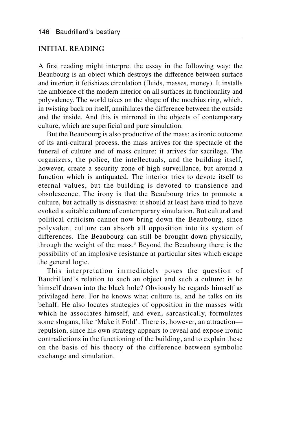#### **INITIAL READING**

A first reading might interpret the essay in the following way: the Beaubourg is an object which destroys the difference between surface and interior; it fetishizes circulation (fluids, masses, money). It installs the ambience of the modern interior on all surfaces in functionality and polyvalency. The world takes on the shape of the moebius ring, which, in twisting back on itself, annihilates the difference between the outside and the inside. And this is mirrored in the objects of contemporary culture, which are superficial and pure simulation.

But the Beaubourg is also productive of the mass; as ironic outcome of its anti-cultural process, the mass arrives for the spectacle of the funeral of culture and of mass culture: it arrives for sacrilege. The organizers, the police, the intellectuals, and the building itself, however, create a security zone of high surveillance, but around a function which is antiquated. The interior tries to devote itself to eternal values, but the building is devoted to transience and obsolescence. The irony is that the Beaubourg tries to promote a culture, but actually is dissuasive: it should at least have tried to have evoked a suitable culture of contemporary simulation. But cultural and political criticism cannot now bring down the Beaubourg, since polyvalent culture can absorb all opposition into its system of differences. The Beaubourg can still be brought down physically, through the weight of the mass.<sup>3</sup> Beyond the Beaubourg there is the possibility of an implosive resistance at particular sites which escape the general logic.

This interpretation immediately poses the question of Baudrillard's relation to such an object and such a culture: is he himself drawn into the black hole? Obviously he regards himself as privileged here. For he knows what culture is, and he talks on its behalf. He also locates strategies of opposition in the masses with which he associates himself, and even, sarcastically, formulates some slogans, like 'Make it Fold'. There is, however, an attraction repulsion, since his own strategy appears to reveal and expose ironic contradictions in the functioning of the building, and to explain these on the basis of his theory of the difference between symbolic exchange and simulation.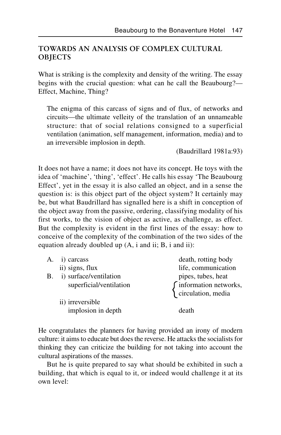# **TOWARDS AN ANALYSIS OF COMPLEX CULTURAL OBJECTS**

What is striking is the complexity and density of the writing. The essay begins with the crucial question: what can he call the Beaubourg?— Effect, Machine, Thing?

The enigma of this carcass of signs and of flux, of networks and circuits—the ultimate velleity of the translation of an unnameable structure: that of social relations consigned to a superficial ventilation (animation, self management, information, media) and to an irreversible implosion in depth.

(Baudrillard 1981a:93)

It does not have a name; it does not have its concept. He toys with the idea of 'machine', 'thing', 'effect'. He calls his essay 'The Beaubourg Effect', yet in the essay it is also called an object, and in a sense the question is: is this object part of the object system? It certainly may be, but what Baudrillard has signalled here is a shift in conception of the object away from the passive, ordering, classifying modality of his first works, to the vision of object as active, as challenge, as effect. But the complexity is evident in the first lines of the essay: how to conceive of the complexity of the combination of the two sides of the equation already doubled up (A, i and ii; B, i and ii):

| А. | i) carcass                | death, rotting body          |
|----|---------------------------|------------------------------|
|    | ii) signs, flux           | life, communication          |
|    | B. i) surface/ventilation | pipes, tubes, heat           |
|    | superficial/ventilation   | $\int$ information networks, |
|    |                           | L circulation, media         |
|    | ii) irreversible          |                              |
|    | implosion in depth        | death                        |

He congratulates the planners for having provided an irony of modern culture: it aims to educate but does the reverse. He attacks the socialists for thinking they can criticize the building for not taking into account the cultural aspirations of the masses.

But he is quite prepared to say what should be exhibited in such a building, that which is equal to it, or indeed would challenge it at its own level: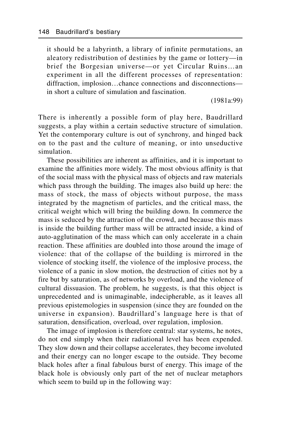it should be a labyrinth, a library of infinite permutations, an aleatory redistribution of destinies by the game or lottery—in brief the Borgesian universe—or yet Circular Ruins…an experiment in all the different processes of representation: diffraction, implosion…chance connections and disconnections in short a culture of simulation and fascination.

(1981a:99)

There is inherently a possible form of play here, Baudrillard suggests, a play within a certain seductive structure of simulation. Yet the contemporary culture is out of synchrony, and hinged back on to the past and the culture of meaning, or into unseductive simulation.

These possibilities are inherent as affinities, and it is important to examine the affinities more widely. The most obvious affinity is that of the social mass with the physical mass of objects and raw materials which pass through the building. The images also build up here: the mass of stock, the mass of objects without purpose, the mass integrated by the magnetism of particles, and the critical mass, the critical weight which will bring the building down. In commerce the mass is seduced by the attraction of the crowd, and because this mass is inside the building further mass will be attracted inside, a kind of auto-agglutination of the mass which can only accelerate in a chain reaction. These affinities are doubled into those around the image of violence: that of the collapse of the building is mirrored in the violence of stocking itself, the violence of the implosive process, the violence of a panic in slow motion, the destruction of cities not by a fire but by saturation, as of networks by overload, and the violence of cultural dissuasion. The problem, he suggests, is that this object is unprecedented and is unimaginable, indecipherable, as it leaves all previous epistemologies in suspension (since they are founded on the universe in expansion). Baudrillard's language here is that of saturation, densification, overload, over regulation, implosion.

The image of implosion is therefore central: star systems, he notes, do not end simply when their radiational level has been expended. They slow down and their collapse accelerates, they become involuted and their energy can no longer escape to the outside. They become black holes after a final fabulous burst of energy. This image of the black hole is obviously only part of the net of nuclear metaphors which seem to build up in the following way: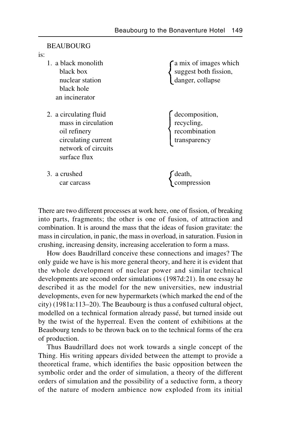BEAUBOURG

is:

- black hole an incinerator
- 2. a circulating fluid  $\left\{ \text{decomposition}, \right.$ mass in circulation recycling, oil refinery recombination circulating current network of circuits surface flux

1. a black monolith  $\int a \text{ mix of images which}$ black box  $\langle$  suggest both fission, nuclear station and danger, collapse

3. a crushed  $\int$  death,

car carcass car compression

There are two different processes at work here, one of fission, of breaking into parts, fragments; the other is one of fusion, of attraction and combination. It is around the mass that the ideas of fusion gravitate: the mass in circulation, in panic, the mass in overload, in saturation. Fusion in crushing, increasing density, increasing acceleration to form a mass.

How does Baudrillard conceive these connections and images? The only guide we have is his more general theory, and here it is evident that the whole development of nuclear power and similar technical developments are second order simulations (1987d:21). In one essay he described it as the model for the new universities, new industrial developments, even for new hypermarkets (which marked the end of the city) (1981a:113–20). The Beaubourg is thus a confused cultural object, modelled on a technical formation already passé, but turned inside out by the twist of the hyperreal. Even the content of exhibitions at the Beaubourg tends to be thrown back on to the technical forms of the era of production.

Thus Baudrillard does not work towards a single concept of the Thing. His writing appears divided between the attempt to provide a theoretical frame, which identifies the basic opposition between the symbolic order and the order of simulation, a theory of the different orders of simulation and the possibility of a seductive form, a theory of the nature of modern ambience now exploded from its initial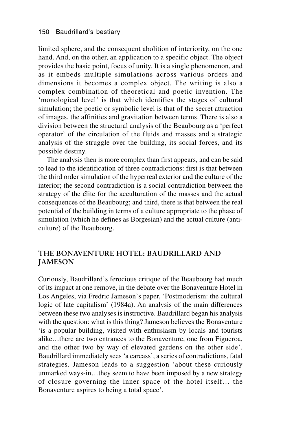limited sphere, and the consequent abolition of interiority, on the one hand. And, on the other, an application to a specific object. The object provides the basic point, focus of unity. It is a single phenomenon, and as it embeds multiple simulations across various orders and dimensions it becomes a complex object. The writing is also a complex combination of theoretical and poetic invention. The 'monological level' is that which identifies the stages of cultural simulation; the poetic or symbolic level is that of the secret attraction of images, the affinities and gravitation between terms. There is also a division between the structural analysis of the Beaubourg as a 'perfect operator' of the circulation of the fluids and masses and a strategic analysis of the struggle over the building, its social forces, and its possible destiny.

The analysis then is more complex than first appears, and can be said to lead to the identification of three contradictions: first is that between the third order simulation of the hyperreal exterior and the culture of the interior; the second contradiction is a social contradiction between the strategy of the élite for the acculturation of the masses and the actual consequences of the Beaubourg; and third, there is that between the real potential of the building in terms of a culture appropriate to the phase of simulation (which he defines as Borgesian) and the actual culture (anticulture) of the Beaubourg.

# **THE BONAVENTURE HOTEL: BAUDRILLARD AND JAMESON**

Curiously, Baudrillard's ferocious critique of the Beaubourg had much of its impact at one remove, in the debate over the Bonaventure Hotel in Los Angeles, via Fredric Jameson's paper, 'Postmoderism: the cultural logic of late capitalism' (1984a). An analysis of the main differences between these two analyses is instructive. Baudrillard began his analysis with the question: what is this thing? Jameson believes the Bonaventure 'is a popular building, visited with enthusiasm by locals and tourists alike…there are two entrances to the Bonaventure, one from Figueroa, and the other two by way of elevated gardens on the other side'. Baudrillard immediately sees 'a carcass', a series of contradictions, fatal strategies. Jameson leads to a suggestion 'about these curiously unmarked ways-in…they seem to have been imposed by a new strategy of closure governing the inner space of the hotel itself… the Bonaventure aspires to being a total space'.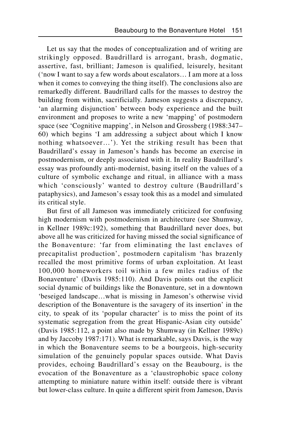Let us say that the modes of conceptualization and of writing are strikingly opposed. Baudrillard is arrogant, brash, dogmatic, assertive, fast, brilliant; Jameson is qualified, leisurely, hesitant ('now I want to say a few words about escalators… I am more at a loss when it comes to conveying the thing itself). The conclusions also are remarkedly different. Baudrillard calls for the masses to destroy the building from within, sacrificially. Jameson suggests a discrepancy, 'an alarming disjunction' between body experience and the built environment and proposes to write a new 'mapping' of postmodern space (see 'Cognitive mapping', in Nelson and Grossberg (1988:347– 60) which begins 'I am addressing a subject about which I know nothing whatsoever…'). Yet the striking result has been that Baudrillard's essay in Jameson's hands has become an exercise in postmodernism, or deeply associated with it. In reality Baudrillard's essay was profoundly anti-modernist, basing itself on the values of a culture of symbolic exchange and ritual, in alliance with a mass which 'consciously' wanted to destroy culture (Baudrillard's pataphysics), and Jameson's essay took this as a model and simulated its critical style.

But first of all Jameson was immediately criticized for confusing high modernism with postmodernism in architecture (see Shumway, in Kellner 1989c:192), something that Baudrillard never does, but above all he was criticized for having missed the social significance of the Bonaventure: 'far from eliminating the last enclaves of precapitalist production', postmodern capitalism 'has brazenly recalled the most primitive forms of urban exploitation. At least 100,000 homeworkers toil within a few miles radius of the Bonaventure' (Davis 1985:110). And Davis points out the explicit social dynamic of buildings like the Bonaventure, set in a downtown 'beseiged landscape…what is missing in Jameson's otherwise vivid description of the Bonaventure is the savagery of its insertion' in the city, to speak of its 'popular character' is to miss the point of its systematic segregation from the great Hispanic-Asian city outside' (Davis 1985:112, a point also made by Shumway (in Kellner 1989c) and by Jaccoby 1987:171). What is remarkable, says Davis, is the way in which the Bonaventure seems to be a bourgeois, high-security simulation of the genuinely popular spaces outside. What Davis provides, echoing Baudrillard's essay on the Beaubourg, is the evocation of the Bonaventure as a 'claustrophobic space colony attempting to miniature nature within itself: outside there is vibrant but lower-class culture. In quite a different spirit from Jameson, Davis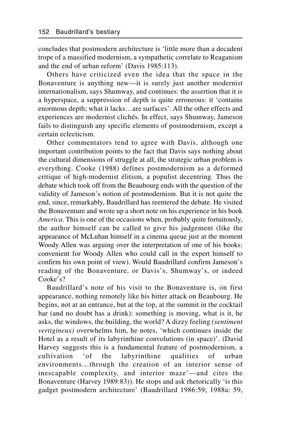concludes that postmodern architecture is 'little more than a decadent trope of a massified modernism, a sympathetic correlate to Reaganism and the end of urban reform' (Davis 1985:113).

Others have criticized even the idea that the space in the Bonaventure is anything new—it is surely just another modernist internationalism, says Shumway, and continues: the assertion that it is a hyperspace, a suppression of depth is quite erroneous: it 'contains enormous depth; what it lacks…are surfaces'. All the other effects and experiences are modernist clichés. In effect, says Shumway, Jameson fails to distinguish any specific elements of postmodernism, except a certain eclecticism.

Other commentators tend to agree with Davis, although one important contribution points to the fact that Davis says nothing about the cultural dimensions of struggle at all, the strategic urban problem is everything. Cooke (1988) defines postmodernism as a deformed critique of high-modernist élitism, a populist decentring. Thus the debate which took off from the Beaubourg ends with the question of the validity of Jameson's notion of postmodernism. But it is not quite the end, since, remarkably, Baudrillard has reentered the debate. He visited the Bonaventure and wrote up a short note on his experience in his book *America*. This is one of the occasions when, probably quite fortuitously, the author himself can be called to give his judgement (like the appearance of McLuhan himself in a cinema queue just at the moment Woody Allen was arguing over the interpretation of one of his books: convenient for Woody Allen who could call in the expert himself to confirm his own point of view). Would Baudrillard confirm Jameson's reading of the Bonaventure, or Davis's, Shumway's, or indeed Cooke's?

Baudrillard's note of his visit to the Bonaventure is, on first appearance, nothing remotely like his bitter attack on Beaubourg. He begins, not at an entrance, but at the top, at the summit in the cocktail bar (and no doubt has a drink): something is moving, what is it, he asks, the windows, the building, the world? A dizzy feeling *(sentiment vertigineux)* overwhelms him, he notes, 'which continues inside the Hotel as a result of its labyrinthine convolutions (in space)'. (David Harvey suggests this is a fundamental feature of postmodernism, a cultivation 'of the labyrinthine qualities of urban environments…through the creation of an interior sense of inescapable complexity, and interior maze'—and cites the Bonaventure (Harvey 1989:83)). He stops and ask rhetorically 'is this gadget postmodern architecture' (Baudrillard 1986:59; 1988a: 59,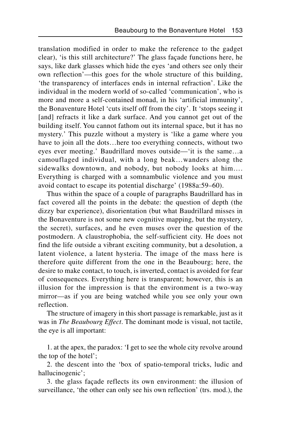translation modified in order to make the reference to the gadget clear), 'is this still architecture?' The glass façade functions here, he says, like dark glasses which hide the eyes 'and others see only their own reflection'—this goes for the whole structure of this building, 'the transparency of interfaces ends in internal refraction'. Like the individual in the modern world of so-called 'communication', who is more and more a self-contained monad, in his 'artificial immunity', the Bonaventure Hotel 'cuts itself off from the city'. It 'stops seeing it [and] refracts it like a dark surface. And you cannot get out of the building itself. You cannot fathom out its internal space, but it has no mystery.' This puzzle without a mystery is 'like a game where you have to join all the dots…here too everything connects, without two eyes ever meeting.' Baudrillard moves outside—'it is the same…a camouflaged individual, with a long beak…wanders along the sidewalks downtown, and nobody, but nobody looks at him…. Everything is charged with a somnambulic violence and you must avoid contact to escape its potential discharge' (1988a:59–60).

Thus within the space of a couple of paragraphs Baudrillard has in fact covered all the points in the debate: the question of depth (the dizzy bar experience), disorientation (but what Baudrillard misses in the Bonaventure is not some new cognitive mapping, but the mystery, the secret), surfaces, and he even muses over the question of the postmodern. A claustrophobia, the self-sufficient city. He does not find the life outside a vibrant exciting community, but a desolution, a latent violence, a latent hysteria. The image of the mass here is therefore quite different from the one in the Beaubourg; here, the desire to make contact, to touch, is inverted, contact is avoided for fear of consequences. Everything here is transparent; however, this is an illusion for the impression is that the environment is a two-way mirror—as if you are being watched while you see only your own reflection.

The structure of imagery in this short passage is remarkable, just as it was in *The Beaubourg Effect*. The dominant mode is visual, not tactile, the eye is all important:

1. at the apex, the paradox: 'I get to see the whole city revolve around the top of the hotel';

2. the descent into the 'box of spatio-temporal tricks, ludic and hallucinogenic';

3. the glass façade reflects its own environment: the illusion of surveillance, 'the other can only see his own reflection' (trs. mod.), the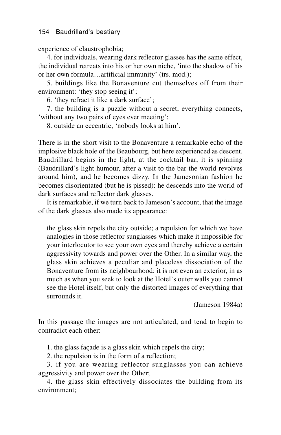experience of claustrophobia;

4. for individuals, wearing dark reflector glasses has the same effect, the individual retreats into his or her own niche, 'into the shadow of his or her own formula…artificial immunity' (trs. mod.);

5. buildings like the Bonaventure cut themselves off from their environment: 'they stop seeing it';

6. 'they refract it like a dark surface';

7. the building is a puzzle without a secret, everything connects, 'without any two pairs of eyes ever meeting';

8. outside an eccentric, 'nobody looks at him'.

There is in the short visit to the Bonaventure a remarkable echo of the implosive black hole of the Beaubourg, but here experienced as descent. Baudrillard begins in the light, at the cocktail bar, it is spinning (Baudrillard's light humour, after a visit to the bar the world revolves around him), and he becomes dizzy. In the Jamesonian fashion he becomes disorientated (but he is pissed): he descends into the world of dark surfaces and reflector dark glasses.

It is remarkable, if we turn back to Jameson's account, that the image of the dark glasses also made its appearance:

the glass skin repels the city outside; a repulsion for which we have analogies in those reflector sunglasses which make it impossible for your interlocutor to see your own eyes and thereby achieve a certain aggressivity towards and power over the Other. In a similar way, the glass skin achieves a peculiar and placeless dissociation of the Bonaventure from its neighbourhood: it is not even an exterior, in as much as when you seek to look at the Hotel's outer walls you cannot see the Hotel itself, but only the distorted images of everything that surrounds it.

(Jameson 1984a)

In this passage the images are not articulated, and tend to begin to contradict each other:

1. the glass façade is a glass skin which repels the city;

2. the repulsion is in the form of a reflection;

3. if you are wearing reflector sunglasses you can achieve aggressivity and power over the Other;

4. the glass skin effectively dissociates the building from its environment;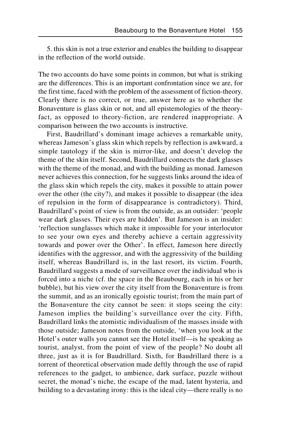5. this skin is not a true exterior and enables the building to disappear in the reflection of the world outside.

The two accounts do have some points in common, but what is striking are the differences. This is an important confrontation since we are, for the first time, faced with the problem of the assessment of fiction-theory. Clearly there is no correct, or true, answer here as to whether the Bonaventure is glass skin or not, and all epistemologies of the theoryfact, as opposed to theory-fiction, are rendered inappropriate. A comparison between the two accounts is instructive.

First, Baudrillard's dominant image achieves a remarkable unity, whereas Jameson's glass skin which repels by reflection is awkward, a simple tautology if the skin is mirror-like, and doesn't develop the theme of the skin itself. Second, Baudrillard connects the dark glasses with the theme of the monad, and with the building as monad. Jameson never achieves this connection, for he suggests links around the idea of the glass skin which repels the city, makes it possible to attain power over the other (the city?), and makes it possible to disappear (the idea of repulsion in the form of disappearance is contradictory). Third, Baudrillard's point of view is from the outside, as an outsider: 'people wear dark glasses. Their eyes are hidden'. But Jameson is an insider: 'reflection sunglasses which make it impossible for your interlocutor to see your own eyes and thereby achieve a certain aggressivity towards and power over the Other'. In effect, Jameson here directly identifies with the aggressor, and with the aggressivity of the building itself, whereas Baudrillard is, in the last resort, its victim. Fourth, Baudrillard suggests a mode of surveillance over the individual who is forced into a niche (cf. the space in the Beaubourg, each in his or her bubble), but his view over the city itself from the Bonaventure is from the summit, and as an ironically egoistic tourist; from the main part of the Bonaventure the city cannot be seen: it stops seeing the city: Jameson implies the building's surveillance over the city. Fifth, Baudrillard links the atomistic individualism of the masses inside with those outside; Jameson notes from the outside, 'when you look at the Hotel's outer walls you cannot see the Hotel itself—is he speaking as tourist, analyst, from the point of view of the people? No doubt all three, just as it is for Baudrillard. Sixth, for Baudrillard there is a torrent of theoretical observation made deftly through the use of rapid references to the gadget, to ambience, dark surface, puzzle without secret, the monad's niche, the escape of the mad, latent hysteria, and building to a devastating irony: this is the ideal city—there really is no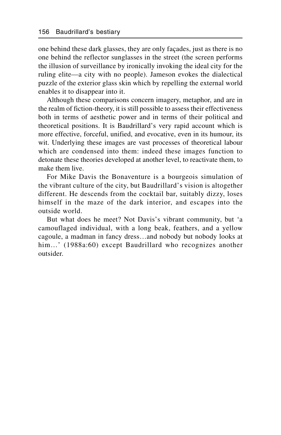one behind these dark glasses, they are only façades, just as there is no one behind the reflector sunglasses in the street (the screen performs the illusion of surveillance by ironically invoking the ideal city for the ruling elite—a city with no people). Jameson evokes the dialectical puzzle of the exterior glass skin which by repelling the external world enables it to disappear into it.

Although these comparisons concern imagery, metaphor, and are in the realm of fiction-theory, it is still possible to assess their effectiveness both in terms of aesthetic power and in terms of their political and theoretical positions. It is Baudrillard's very rapid account which is more effective, forceful, unified, and evocative, even in its humour, its wit. Underlying these images are vast processes of theoretical labour which are condensed into them: indeed these images function to detonate these theories developed at another level, to reactivate them, to make them live.

For Mike Davis the Bonaventure is a bourgeois simulation of the vibrant culture of the city, but Baudrillard's vision is altogether different. He descends from the cocktail bar, suitably dizzy, loses himself in the maze of the dark interior, and escapes into the outside world.

But what does he meet? Not Davis's vibrant community, but 'a camouflaged individual, with a long beak, feathers, and a yellow cagoule, a madman in fancy dress…and nobody but nobody looks at him...' (1988a:60) except Baudrillard who recognizes another outsider.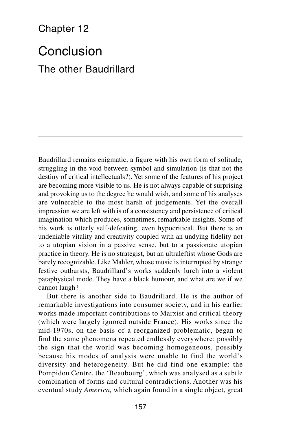# Conclusion The other Baudrillard

Baudrillard remains enigmatic, a figure with his own form of solitude, struggling in the void between symbol and simulation (is that not the destiny of critical intellectuals?). Yet some of the features of his project are becoming more visible to us. He is not always capable of surprising and provoking us to the degree he would wish, and some of his analyses are vulnerable to the most harsh of judgements. Yet the overall impression we are left with is of a consistency and persistence of critical imagination which produces, sometimes, remarkable insights. Some of his work is utterly self-defeating, even hypocritical. But there is an undeniable vitality and creativity coupled with an undying fidelity not to a utopian vision in a passive sense, but to a passionate utopian practice in theory. He is no strategist, but an ultraleftist whose Gods are barely recognizable. Like Mahler, whose music is interrupted by strange festive outbursts, Baudrillard's works suddenly lurch into a violent pataphysical mode. They have a black humour, and what are we if we cannot laugh?

But there is another side to Baudrillard. He is the author of remarkable investigations into consumer society, and in his earlier works made important contributions to Marxist and critical theory (which were largely ignored outside France). His works since the mid-1970s, on the basis of a reorganized problematic, began to find the same phenomena repeated endlessly everywhere: possibly the sign that the world was becoming homogeneous, possibly because his modes of analysis were unable to find the world's diversity and heterogeneity. But he did find one example: the Pompidou Centre, the 'Beaubourg', which was analysed as a subtle combination of forms and cultural contradictions. Another was his eventual study *America,* which again found in a single object, great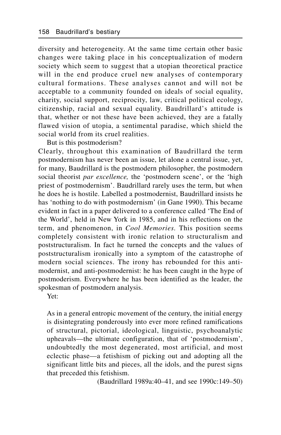diversity and heterogeneity. At the same time certain other basic changes were taking place in his conceptualization of modern society which seem to suggest that a utopian theoretical practice will in the end produce cruel new analyses of contemporary cultural formations. These analyses cannot and will not be acceptable to a community founded on ideals of social equality, charity, social support, reciprocity, law, critical political ecology, citizenship, racial and sexual equality. Baudrillard's attitude is that, whether or not these have been achieved, they are a fatally flawed vision of utopia, a sentimental paradise, which shield the social world from its cruel realities.

But is this postmoderism?

Clearly, throughout this examination of Baudrillard the term postmodernism has never been an issue, let alone a central issue, yet, for many, Baudrillard is the postmodern philosopher, the postmodern social theorist *par excellence,* the 'postmodern scene', or the 'high priest of postmodernism'. Baudrillard rarely uses the term, but when he does he is hostile. Labelled a postmodernist, Baudrillard insists he has 'nothing to do with postmodernism' (in Gane 1990). This became evident in fact in a paper delivered to a conference called 'The End of the World', held in New York in 1985, and in his reflections on the term, and phenomenon, in *Cool Memories.* This position seems completely consistent with ironic relation to structuralism and poststructuralism. In fact he turned the concepts and the values of poststructuralism ironically into a symptom of the catastrophe of modern social sciences. The irony has rebounded for this antimodernist, and anti-postmodernist: he has been caught in the hype of postmoderism. Everywhere he has been identified as the leader, the spokesman of postmodern analysis.

Yet:

As in a general entropic movement of the century, the initial energy is disintegrating ponderously into ever more refined ramifications of structural, pictorial, ideological, linguistic, psychoanalytic upheavals—the ultimate configuration, that of 'postmodernism', undoubtedly the most degenerated, most artificial, and most eclectic phase—a fetishism of picking out and adopting all the significant little bits and pieces, all the idols, and the purest signs that preceded this fetishism.

(Baudrillard 1989a:40–41, and see 1990c:149–50)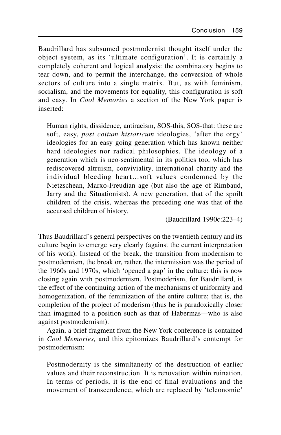Baudrillard has subsumed postmodernist thought itself under the object system, as its 'ultimate configuration'. It is certainly a completely coherent and logical analysis: the combinatory begins to tear down, and to permit the interchange, the conversion of whole sectors of culture into a single matrix. But, as with feminism, socialism, and the movements for equality, this configuration is soft and easy. In *Cool Memories* a section of the New York paper is inserted:

Human rights, dissidence, antiracism, SOS-this, SOS-that: these are soft, easy, *post coitum historicum* ideologies, 'after the orgy' ideologies for an easy going generation which has known neither hard ideologies nor radical philosophies. The ideology of a generation which is neo-sentimental in its politics too, which has rediscovered altruism, conviviality, international charity and the individual bleeding heart…soft values condemned by the Nietzschean, Marxo-Freudian age (but also the age of Rimbaud, Jarry and the Situationists). A new generation, that of the spoilt children of the crisis, whereas the preceding one was that of the accursed children of history.

(Baudrillard 1990c:223–4)

Thus Baudrillard's general perspectives on the twentieth century and its culture begin to emerge very clearly (against the current interpretation of his work). Instead of the break, the transition from modernism to postmodernism, the break or, rather, the intermission was the period of the 1960s and 1970s, which 'opened a gap' in the culture: this is now closing again with postmodernism. Postmoderism, for Baudrillard, is the effect of the continuing action of the mechanisms of uniformity and homogenization, of the feminization of the entire culture; that is, the completion of the project of moderism (thus he is paradoxically closer than imagined to a position such as that of Habermas—who is also against postmodernism).

Again, a brief fragment from the New York conference is contained in *Cool Memories,* and this epitomizes Baudrillard's contempt for postmodernism:

Postmodernity is the simultaneity of the destruction of earlier values and their reconstruction. It is renovation within ruination. In terms of periods, it is the end of final evaluations and the movement of transcendence, which are replaced by 'teleonomic'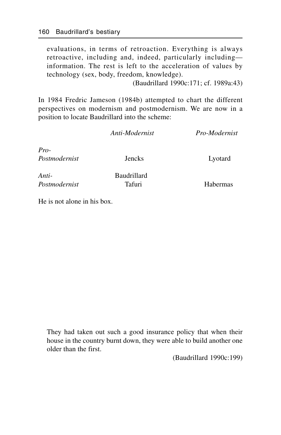evaluations, in terms of retroaction. Everything is always retroactive, including and, indeed, particularly including information. The rest is left to the acceleration of values by technology (sex, body, freedom, knowledge).

(Baudrillard 1990c:171; cf. 1989a:43)

In 1984 Fredric Jameson (1984b) attempted to chart the different perspectives on modernism and postmodernism. We are now in a position to locate Baudrillard into the scheme:

|               | Anti-Modernist | Pro-Modernist |
|---------------|----------------|---------------|
| Pro-          |                |               |
| Postmodernist | Jencks         | Lyotard       |
| Anti-         | Baudrillard    |               |
| Postmodernist | Tafuri         | Habermas      |
|               |                |               |

He is not alone in his box.

They had taken out such a good insurance policy that when their house in the country burnt down, they were able to build another one older than the first.

(Baudrillard 1990c:199)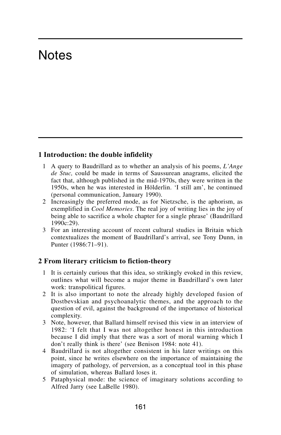# **Notes**

### **1 Introduction: the double infidelity**

- 1 A query to Baudrillard as to whether an analysis of his poems, *L'Ange de Stuc,* could be made in terms of Saussurean anagrams, elicited the fact that, although published in the mid-1970s, they were written in the 1950s, when he was interested in Hölderlin. 'I still am', he continued (personal communication, January 1990).
- 2 Increasingly the preferred mode, as for Nietzsche, is the aphorism, as exemplified in *Cool Memories*. The real joy of writing lies in the joy of being able to sacrifice a whole chapter for a single phrase' (Baudrillard 1990c:29).
- 3 For an interesting account of recent cultural studies in Britain which contextualizes the moment of Baudrillard's arrival, see Tony Dunn, in Punter (1986:71–91).

### **2 From literary criticism to fiction-theory**

- 1 It is certainly curious that this idea, so strikingly evoked in this review, outlines what will become a major theme in Baudrillard's own later work: transpolitical figures.
- 2 It is also important to note the already highly developed fusion of Dostbevskian and psychoanalytic themes, and the approach to the question of evil, against the background of the importance of historical complexity.
- 3 Note, however, that Ballard himself revised this view in an interview of 1982: 'I felt that I was not altogether honest in this introduction because I did imply that there was a sort of moral warning which I don't really think is there' (see Benison 1984: note 41).
- 4 Baudrillard is not altogether consistent in his later writings on this point, since he writes elsewhere on the importance of maintaining the imagery of pathology, of perversion, as a conceptual tool in this phase of simulation, whereas Ballard loses it.
- 5 Pataphysical mode: the science of imaginary solutions according to Alfred Jarry (see LaBelle 1980).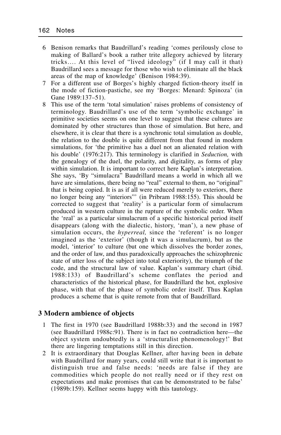- 6 Benison remarks that Baudrillard's reading 'comes perilously close to making of Ballard's book a rather trite allegory achieved by literary tricks…. At this level of "lived ideology" (if I may call it that) Baudrillard sees a message for those who wish to eliminate all the black areas of the map of knowledge' (Benison 1984:39).
- 7 For a different use of Borges's highly charged fiction-theory itself in the mode of fiction-pastiche, see my 'Borges: Menard: Spinoza' (in Gane 1989:137–51).
- 8 This use of the term 'total simulation' raises problems of consistency of terminology. Baudrillard's use of the term 'symbolic exchange' in primitive societies seems on one level to suggest that these cultures are dominated by other structures than those of simulation. But here, and elsewhere, it is clear that there is a synchronic total simulation as double, the relation to the double is quite different from that found in modern simulations, for 'the primitive has a duel not an alienated relation with his double' (1976:217). This terminology is clarified in *Seduction,* with the genealogy of the duel, the polarity, and digitality, as forms of play within simulation. It is important to correct here Kaplan's interpretation. She says, 'By "simulacra" Baudrillard means a world in which all we have are simulations, there being no "real" external to them, no "original" that is being copied. It is as if all were reduced merely to exteriors, there no longer being any "interiors"' (in Pribram 1988:155). This should be corrected to suggest that 'reality' is a particular form of simulacrum produced in western culture in the rupture of the symbolic order. When the 'real' as a particular simulacrum of a specific historical period itself disappears (along with the dialectic, history, 'man'), a new phase of simulation occurs, the *hyperreal,* since the 'referent' is no longer imagined as the 'exterior' (though it was a simulacrum), but as the model, 'interior' to culture (but one which dissolves the border zones, and the order of law, and thus paradoxically approaches the schizophrenic state of utter loss of the subject into total exteriority), the triumph of the code, and the structural law of value. Kaplan's summary chart (ibid. 1988:133) of Baudrillard's scheme conflates the period and characteristics of the historical phase, for Baudrillard the hot, explosive phase, with that of the phase of symbolic order itself. Thus Kaplan produces a scheme that is quite remote from that of Baudrillard.

#### **3 Modern ambience of objects**

- 1 The first in 1970 (see Baudrillard 1988b:33) and the second in 1987 (see Baudrillard 1988c:91). There is in fact no contradiction here—the object system undoubtedly is a 'structuralist phenomenology!' But there are lingering temptations still in this direction.
- 2 It is extraordinary that Douglas Kellner, after having been in debate with Baudrillard for many years, could still write that it is important to distinguish true and false needs: 'needs are false if they are commodities which people do not really need or if they rest on expectations and make promises that can be demonstrated to be false' (1989b:159). Kellner seems happy with this tautology.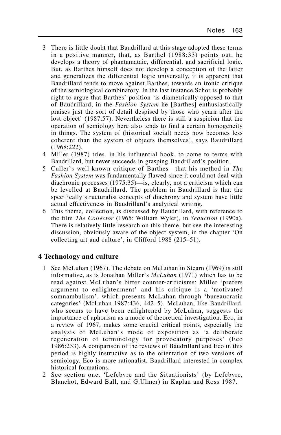- 3 There is little doubt that Baudrillard at this stage adopted these terms in a positive manner, that, as Barthel (1988:33) points out, he develops a theory of phantamataic, differential, and sacrificial logic. But, as Barthes himself does not develop a conception of the latter and generalizes the differential logic universally, it is apparent that Baudrillard tends to move against Barthes, towards an ironic critique of the semiological combinatory. In the last instance Schor is probably right to argue that Barthes' position 'is diametrically opposed to that of Baudrillard; in the *Fashion System* he [Barthes] enthusiastically praises just the sort of detail despised by those who yearn after the lost object' (1987:57). Nevertheless there is still a suspicion that the operation of semiology here also tends to find a certain homogeneity in things. The system of (historical social) needs now becomes less coherent than the system of objects themselves', says Baudrillard (1968:222).
- 4 Miller (1987) tries, in his influential book, to come to terms with Baudrillard, but never succeeds in grasping Baudrillard's position.
- 5 Culler's well-known critique of Barthes—that his method in *The Fashion System* was fundamentally flawed since it could not deal with diachronic processes (1975:35)—is, clearly, not a criticism which can be levelled at Baudrillard. The problem in Baudrillard is that the specifically structuralist concepts of diachrony and system have little actual effectiveness in Baudrillard's analytical writing.
- 6 This theme, collection, is discussed by Baudrillard, with reference to the film *The Collector* (1965: William Wyler), in *Seduction* (1990a). There is relatively little research on this theme, but see the interesting discussion, obviously aware of the object system, in the chapter 'On collecting art and culture', in Clifford 1988 (215–51).

### **4 Technology and culture**

- 1 See McLuhan (1967). The debate on McLuhan in Stearn (1969) is still informative, as is Jonathan Miller's *McLuhan* (1971) which has to be read against McLuhan's bitter counter-criticisms: Miller 'prefers argument to enlightenment' and his critique is a 'motivated somnambulism', which presents McLuhan through 'bureaucratic categories' (McLuhan 1987:436, 442–5). McLuhan, like Baudrillard, who seems to have been enlightened by McLuhan, suggests the importance of aphorism as a mode of theoretical investigation. Eco, in a review of 1967, makes some crucial critical points, especially the analysis of McLuhan's mode of exposition as 'a deliberate regeneration of terminology for provocatory purposes' (Eco 1986:233). A comparison of the reviews of Baudrillard and Eco in this period is highly instructive as to the orientation of two versions of semiology. Eco is more rationalist, Baudrillard interested in complex historical formations.
- 2 See section one, 'Lefebvre and the Situationists' (by Lefebvre, Blanchot, Edward Ball, and G.Ulmer) in Kaplan and Ross 1987.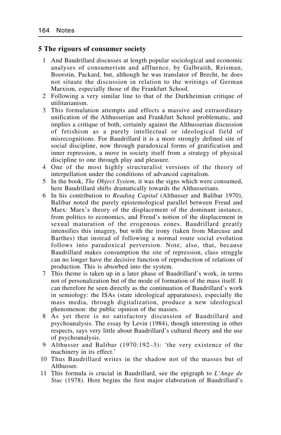#### **5 The rigours of consumer society**

- 1 And Baudrillard discusses at length popular sociological and economic analyses of consumerism and affluence, by Galbraith, Reisman, Boorstin, Packard, but, although he was translator of Brecht, he does not situate the discussion in relation to the writings of German Marxism, especially those of the Frankfurt School.
- 2 Following a very similar line to that of the Durkheimian critique of utilitarianism.
- 3 This formulation attempts and effects a massive and extraordinary unification of the Althusserian and Frankfurt School problematic, and implies a critique of both, certainly against the Althusserian discussion of fetishism as a purely intellectual or ideological field of misrecognitions. For Baudrillard it is a more strongly defined site of social discipline, now through paradoxical forms of gratification and inner repression, a move in society itself from a strategy of physical discipline to one through play and pleasure.
- 4 One of the most highly structuralist versions of the theory of interpellation under the conditions of advanced capitalism.
- 5 In the book, *The Object System,* it was the signs which were consumed, here Baudrillard shifts dramatically towards the Althusserians.
- 6 In his contribution to *Reading Capital* (Althusser and Balibar 1970), Balibar noted the purely epistemological parallel between Freud and Marx: Marx's theory of the displacement of the dominant instance, from politics to economics, and Freud's notion of the displacement in sexual maturation of the erogenous zones. Baudrillard greatly intensifies this imagery, but with the irony (taken from Marcuse and Barthes) that instead of following a normal route social evolution follows into paradoxical perversion. Note, also, that, because Baudrillard makes consumption the site of repression, class struggle can no longer have the decisive function of reproduction of relations of production. This is absorbed into the system.
- 7 This theme is taken up in a later phase of Baudrillard's work, in terms not of personalization but of the mode of formation of the mass itself. It can therefore be seen directly as the continuation of Baudrillard's work in semiology: the ISAs (state ideological apparatuses), especially the mass media, through digitalization, produce a new ideological phenomenon: the public opinion of the masses.
- 8 As yet there is no satisfactory discussion of Baudrillard and psychoanalysis. The essay by Levin (1984), though interesting in other respects, says very little about Baudrillard's cultural theory and the use of psychoanalysis.
- 9 Althusser and Balibar (1970:192–3): 'the very existence of the machinery in its effect.'
- 10 Thus Baudrillard writes in the shadow not of the masses but of Althusser.
- 11 This formula is crucial in Baudrillard, see the epigraph to *L'Ange de Stuc* (1978). Here begins the first major elaboration of Baudrillard's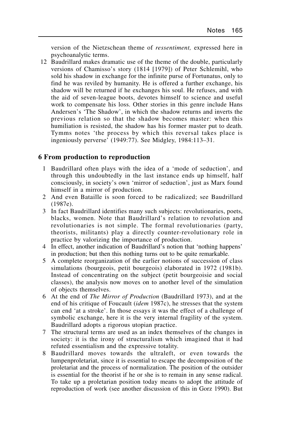version of the Nietzschean theme of *ressentiment,* expressed here in psychoanalytic terms.

12 Baudrillard makes dramatic use of the theme of the double, particularly versions of Chamisso's story (1814 [1979]) of Peter Schlemihl, who sold his shadow in exchange for the infinite purse of Fortunatus, only to find he was reviled by humanity. He is offered a further exchange, his shadow will be returned if he exchanges his soul. He refuses, and with the aid of seven-league boots, devotes himself to science and useful work to compensate his loss. Other stories in this genre include Hans Andersen's 'The Shadow', in which the shadow returns and inverts the previous relation so that the shadow becomes master: when this humiliation is resisted, the shadow has his former master put to death. Tymms notes 'the process by which this reversal takes place is ingeniously perverse' (1949:77). See Midgley, 1984:113–31.

#### **6 From production to reproduction**

- 1 Baudrillard often plays with the idea of a 'mode of seduction', and through this undoubtedly in the last instance ends up himself, half consciously, in society's own 'mirror of seduction', just as Marx found himself in a mirror of production.
- 2 And even Bataille is soon forced to be radicalized; see Baudrillard (1987e).
- 3 In fact Baudrillard identifies many such subjects: revolutionaries, poets, blacks, women. Note that Baudrillard's relation to revolution and revolutionaries is not simple. The formal revolutionaries (party, theorists, militants) play a directly counter-revolutionary role in practice by valorizing the importance of production.
- 4 In effect, another indication of Baudrillard's notion that 'nothing happens' in production; but then this nothing turns out to be quite remarkable.
- 5 A complete reorganization of the earlier notions of succession of class simulations (bourgeois, petit bourgeois) elaborated in 1972 (1981b). Instead of concentrating on the subject (petit bourgeoisie and social classes), the analysis now moves on to another level of the simulation of objects themselves.
- 6 At the end of *The Mirror of Production* (Baudrillard 1973), and at the end of his critique of Foucault (*idem* 1987c), he stresses that the system can end 'at a stroke'. In those essays it was the effect of a challenge of symbolic exchange, here it is the very internal fragility of the system. Baudrillard adopts a rigorous utopian practice.
- 7 The structural terms are used as an index themselves of the changes in society: it is the irony of structuralism which imagined that it had refuted essentialism and the expressive totality.
- 8 Baudrillard moves towards the ultraleft, or even towards the lumpenproletariat, since it is essential to escape the decomposition of the proletariat and the process of normalization. The position of the outsider is essential for the theorist if he or she is to remain in any sense radical. To take up a proletarian position today means to adopt the attitude of reproduction of work (see another discussion of this in Gorz 1990). But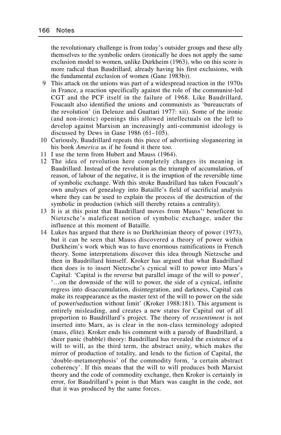the revolutionary challenge is from today's outsider groups and these ally themselves to the symbolic orders (ironically he does not apply the same exclusion model to women, unlike Durkheim (1963), who on this score is more radical than Baudrillard, already having his first exclusions, with the fundamental exclusion of women (Gane 1983b)).

- 9 This attack on the unions was part of a widespread reaction in the 1970s in France, a reaction specifically against the role of the communist-led CGT and the PCF itself in the failure of 1968. Like Baudrillard, Foucault also identified the unions and communists as 'bureaucrats of the revolution' (in Deleuze and Guattari 1977: xii). Some of the ironic (and non-ironic) openings this allowed intellectuals on the left to develop against Marxism an increasingly anti-communist ideology is discussed by Dews in Gane 1986 (61–105).
- 10 Curiously, Baudrillard repeats this piece of advertising sloganeering in his book *America* as if he found it there too.
- 11 I use the term from Hubert and Mauss (1964).
- 12 The idea of revolution here completely changes its meaning in Baudrillard. Instead of the revolution as the triumph of accumulation, of reason, of labour of the negative, it is the irruption of the reversible time of symbolic exchange. With this stroke Baudrillard has taken Foucault's own analyses of genealogy into Bataille's field of sacrificial analysis where they can be used to explain the process of the destruction of the symbolic in production (which still thereby retains a centrality).
- 13 It is at this point that Baudrillard moves from Mauss's beneficent to Nietzsche's maleficent notion of symbolic exchange, under the influence at this moment of Bataille.
- 14 Lukes has argued that there is no Durkheimian theory of power (1973), but it can be seen that Mauss discovered a theory of power within Durkheim's work which was to have enormous ramifications in French theory. Some interpretations discover this idea through Nietzsche and then in Baudrillard himself. Kroker has argued that what Baudrillard then does is to insert Nietzsche's cynical will to power into Marx's Capital: 'Capital is the reverse but parallel image of the will to power', '…on the downside of the will to power, the side of a cynical, infinite regress into disaccumulation, disintegration, and darkness, Capital can make its reappearance as the master text of the will to power on the side of power/seduction without limit' (Kroker 1988:181). This argument is entirely misleading, and creates a new status for Capital out of all proportion to Baudrillard's project. The theory of *ressentiment* is not inserted into Marx, as is clear in the non-class terminology adopted (mass, élite). Kroker ends his comment with a parody of Baudrillard, a sheer panic (babble) theory: Baudrillard has revealed the existence of a will to will, as the third term, the abstract unity, which makes the mirror of production of totality, and lends to the fiction of Capital, the 'double-metamorphosis' of the commodity form, 'a certain abstract coherency'. If this means that the will to will produces both Marxist theory and the code of commodity exchange, then Kroker is certainly in error, for Baudrillard's point is that Marx was caught in the code, not that it was produced by the same forces.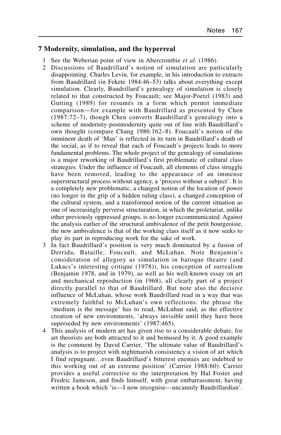#### **7 Modernity, simulation, and the hyperreal**

- 1 See the Weberian point of view in Abercrombie *et al.* (1986).
- 2 Discussions of Baudrillard's notion of simulation are particularly disappointing. Charles Levin, for example, in his introduction to extracts from Baudrillard (in Fekete 1984:46–53) talks about everything except simulation. Clearly, Baudrillard's genealogy of simulation is closely related to that constructed by Foucault; see Major-Poetzl (1983) and Gutting (1989) for resumés in a form which permit immediate comparison—for example with Baudrillard as presented by Chen (1987:72–7), though Chen converts Baudrillard's genealogy into a scheme of modernity-postmodernity quite out of line with Baudrillard's own thought (compare Chang 1986:162–8). Foucault's notion of the imminent death of 'Man' is reflected in its turn in Baudrillard's death of the social, as if to reveal that each of Foucault's projects leads to more fundamental problems. The whole project of the genealogy of simulations is a major reworking of Baudrillard's first problematic of cultural class strategies. Under the influence of Foucault, all elements of class struggle have been removed, leading to the appearance of an immense superstructural process without agency, a 'process without a subject'. It is a completely new problematic, a changed notion of the location of power (no longer in the grip of a hidden ruling class), a changed conception of the cultural system, and a transformed notion of the current situation as one of increasingly perverse structuration, in which the proletariat, unlike other previously oppressed groups, is no longer excommunicated. Against the analysis earlier of the structural ambivalence of the petit bourgeoisie, the new ambivalence is that of the working class itself as it now seeks to play its part in reproducing work for the sake of work.
- 3 In fact Baudrillard's position is very much dominated by a fusion of Derrida, Bataille, Foucault, and McLuhan. Note Benjamin's consideration of allegory as simulation in baroque theatre (and Lukacs's interesting critique (1978)), his conception of surrealism (Benjamin 1978, and in 1979), as well as his well-known essay on art and mechanical reproduction (in 1968), all clearly part of a project directly parallel to that of Baudrillard. But note also the decisive influence of McLuhan, whose work Baudrillard read in a way that was extremely faithful to McLuhan's own reflections: the phrase the 'medium is the message' has to read, McLuhan said, as the effective creation of new environments, 'always invisible until they have been superseded by new environments' (1987:465).
- 4 This analysis of modern art has given rise to a considerable debate, for art theorists are both attracted to it and bemused by it. A good example is the comment by David Carrier, 'The ultimate value of Baudrillard's analysis is to project with nightmarish consistency a vision of art which I find repugnant…even Baudrillard's bitterest enemies are indebted to this working out of an extreme position' (Carrier 1988:60). Carrier provides a useful corrective to the interpretation by Hal Foster and Fredric Jameson, and finds himself, with great embarrassment, having written a book which 'is—I now recognise—uncannily Baudrillardian'.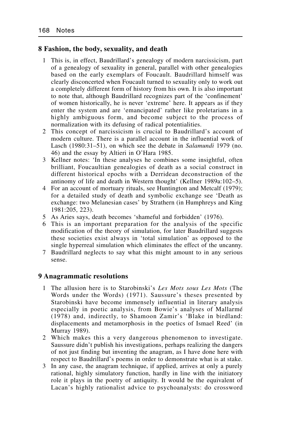#### **8 Fashion, the body, sexuality, and death**

- 1 This is, in effect, Baudrillard's genealogy of modern narcissicism, part of a genealogy of sexuality in general, parallel with other genealogies based on the early exemplars of Foucault. Baudrillard himself was clearly disconcerted when Foucault turned to sexuality only to work out a completely different form of history from his own. It is also important to note that, although Baudrillard recognizes part of the 'confinement' of women historically, he is never 'extreme' here. It appears as if they enter the system and are 'emancipated' rather like proletarians in a highly ambiguous form, and become subject to the process of normalization with its defusing of radical potentialities.
- 2 This concept of narcissicism is crucial to Baudrillard's account of modern culture. There is a parallel account in the influential work of Lasch (1980:31–51), on which see the debate in *Salamundi* 1979 (no. 46) and the essay by Altieri in O'Hara 1985.
- 3 Kellner notes: 'In these analyses he combines some insightful, often brilliant, Foucaultian genealogies of death as a social construct in different historical epochs with a Derridean deconstruction of the antinomy of life and death in Western thought' (Kellner 1989a:102–5).
- 4 For an account of mortuary rituals, see Huntington and Metcalf (1979); for a detailed study of death and symbolic exchange see 'Death as exchange: two Melanesian cases' by Strathern (in Humphreys and King 1981:205, 223).
- 5 As Aries says, death becomes 'shameful and forbidden' (1976).
- 6 This is an important preparation for the analysis of the specific modification of the theory of simulation, for later Baudrillard suggests these societies exist always in 'total simulation' as opposed to the single hyperreal simulation which eliminates the effect of the uncanny.
- 7 Baudrillard neglects to say what this might amount to in any serious sense.

#### **9 Anagrammatic resolutions**

- 1 The allusion here is to Starobinski's *Les Mots sous Les Mots* (The Words under the Words) (1971). Saussure's theses presented by Starobinski have become immensely influential in literary analysis especially in poetic analysis, from Bowie's analyses of Mallarmé (1978) and, indirectly, to Shamoon Zamir's 'Blake in birdland: displacements and metamorphosis in the poetics of Ismael Reed' (in Murray 1989).
- 2 Which makes this a very dangerous phenomenon to investigate. Saussure didn't publish his investigations, perhaps realizing the dangers of not just finding but inventing the anagram, as I have done here with respect to Baudrillard's poems in order to demonstrate what is at stake.
- 3 In any case, the anagram technique, if applied, arrives at only a purely rational, highly simulatory function, hardly in line with the initiatory role it plays in the poetry of antiquity. It would be the equivalent of Lacan's highly rationalist advice to psychoanalysts: do crossword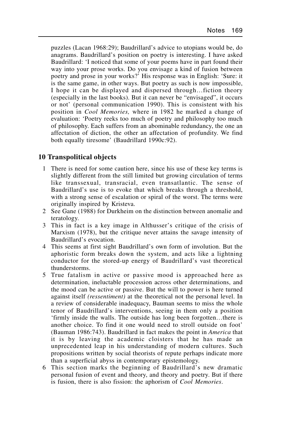puzzles (Lacan 1968:29); Baudrillard's advice to utopians would be, do anagrams. Baudrillard's position on poetry is interesting. I have asked Baudrillard: 'I noticed that some of your poems have in part found their way into your prose works. Do you envisage a kind of fusion between poetry and prose in your works?' His response was in English: 'Sure: it is the same game, in other ways. But poetry as such is now impossible, I hope it can be displayed and dispersed through…fiction theory (especially in the last books). But it can never be "envisaged", it occurs or not' (personal communication 1990). This is consistent with his position in *Cool Memories,* where in 1982 he marked a change of evaluation: 'Poetry reeks too much of poetry and philosophy too much of philosophy. Each suffers from an abominable redundancy, the one an affectation of diction, the other an affectation of profundity. We find both equally tiresome' (Baudrillard 1990c:92).

# **10 Transpolitical objects**

- 1 There is need for some caution here, since his use of these key terms is slightly different from the still limited but growing circulation of terms like transsexual, transracial, even transatlantic. The sense of Baudrillard's use is to evoke that which breaks through a threshold, with a strong sense of escalation or spiral of the worst. The terms were originally inspired by Kristeva.
- 2 See Gane (1988) for Durkheim on the distinction between anomalie and teratology.
- 3 This in fact is a key image in Althusser's critique of the crisis of Marxism (1978), but the critique never attains the savage intensity of Baudrillard's evocation.
- 4 This seems at first sight Baudrillard's own form of involution. But the aphoristic form breaks down the system, and acts like a lightning conductor for the stored-up energy of Baudrillard's vast theoretical thunderstorms.
- 5 True fatalism in active or passive mood is approached here as determination, ineluctable procession across other determinations, and the mood can be active or passive. But the will to power is here turned against itself *(ressentiment)* at the theoretical not the personal level. In a review of considerable inadequacy, Bauman seems to miss the whole tenor of Baudrillard's interventions, seeing in them only a position 'firmly inside the walls. The outside has long been forgotten…there is another choice. To find it one would need to stroll outside on foot' (Bauman 1986:743). Baudrillard in fact makes the point in *America* that it is by leaving the academic cloisters that he has made an unprecedented leap in his understanding of modern cultures. Such propositions written by social theorists of repute perhaps indicate more than a superficial abyss in contemporary epistemology.
- 6 This section marks the beginning of Baudrillard's new dramatic personal fusion of event and theory, and theory and poetry. But if there is fusion, there is also fission: the aphorism of *Cool Memories*.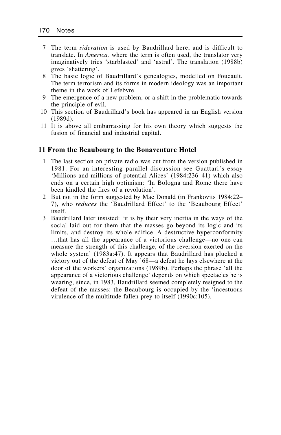- 7 The term *sideration* is used by Baudrillard here, and is difficult to translate. In *America,* where the term is often used, the translator very imaginatively tries 'starblasted' and 'astral'. The translation (1988b) gives 'shattering'.
- 8 The basic logic of Baudrillard's genealogies, modelled on Foucault. The term terrorism and its forms in modern ideology was an important theme in the work of Lefebvre.
- 9 The emergence of a new problem, or a shift in the problematic towards the principle of evil.
- 10 This section of Baudrillard's book has appeared in an English version (1989d).
- 11 It is above all embarrassing for his own theory which suggests the fusion of financial and industrial capital.

#### **11 From the Beaubourg to the Bonaventure Hotel**

- 1 The last section on private radio was cut from the version published in 1981. For an interesting parallel discussion see Guattari's essay 'Millions and millions of potential Alices' (1984:236–41) which also ends on a certain high optimism: 'In Bologna and Rome there have been kindled the fires of a revolution'.
- 2 But not in the form suggested by Mac Donald (in Frankovits 1984:22– 7), who *reduces* the 'Baudrillard Effect' to the 'Beaubourg Effect' itself.
- 3 Baudrillard later insisted: 'it is by their very inertia in the ways of the social laid out for them that the masses go beyond its logic and its limits, and destroy its whole edifice. A destructive hyperconformity …that has all the appearance of a victorious challenge—no one can measure the strength of this challenge, of the reversion exerted on the whole system' (1983a:47). It appears that Baudrillard has plucked a victory out of the defeat of May '68—a defeat he lays elsewhere at the door of the workers' organizations (1989b). Perhaps the phrase 'all the appearance of a victorious challenge' depends on which spectacles he is wearing, since, in 1983, Baudrillard seemed completely resigned to the defeat of the masses: the Beaubourg is occupied by the 'incestuous virulence of the multitude fallen prey to itself (1990c:105).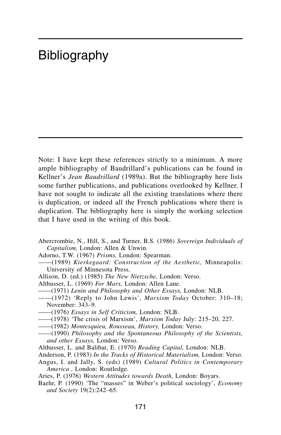# Bibliography

Note: I have kept these references strictly to a minimum. A more ample bibliography of Baudrillard's publications can be found in Kellner's *Jean Baudrillard* (1989a). But the bibliography here lists some further publications, and publications overlooked by Kellner. I have not sought to indicate all the existing translations where there is duplication, or indeed all the French publications where there is duplication. The bibliography here is simply the working selection that I have used in the writing of this book.

- Abercrombie, N., Hill, S., and Turner, B.S. (1986) *Sovereign Individuals of Capitalism,* London: Allen & Unwin.
- Adorno, T.W. (1967) *Prisms,* London: Spearman.
- ——(1989) *Kierkegaard: Construction of the Aesthetic,* Minneapolis: University of Minnesota Press.
- Allison, D. (ed.) (1985) *The New Nietzsche,* London: Verso.
- Althusser, L. (1969) *For Marx,* London: Allen Lane.
- ——(1971) *Lenin and Philosophy and Other Essays,* London: NLB.
- ——(1972) 'Reply to John Lewis', *Marxism Today* October: 310–18; November: 343–9.
- ——(1976) *Essays in Self Criticism,* London: NLB.
- ——(1978) 'The crisis of Marxism', *Marxism Today* July: 215–20, 227.
- ——(1982) *Montesquieu, Rousseau, History,* London: Verso.
- ——(1990) *Philosophy and the Spontaneous Philosophy of the Scientists, and other Essays,* London: Verso.
- Althusser, L. and Balibar, E. (1970) *Reading Capital,* London: NLB.
- Anderson, P. (1983) *In the Tracks of Historical Materialism,* London: Verso.
- Angus, I. and Jally, S. (eds) (1989) *Cultural Politics in Contemporary America ,* London: Routledge.
- Aries, P. (1976) *Western Attitudes towards Death,* London: Boyars.
- Baehr, P. (1990) 'The "masses" in Weber's political sociology', *Economy and Society* 19(2):242–65.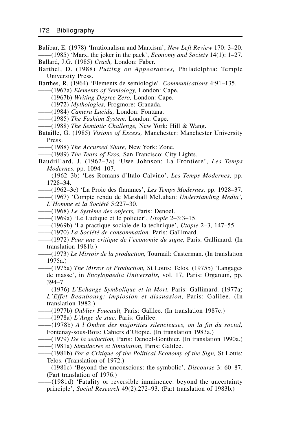Balibar, E. (1978) 'Irrationalism and Marxism', *New Left Review* 170: 3–20. ——(1985) 'Marx, the joker in the pack', *Economy and Society* 14(1): 1–27.

Ballard, J.G. (1985) *Crash,* London: Faber.

- Barthel, D. (1988) *Putting on Appearances,* Philadelphia: Temple University Press.
- Barthes, R. (1964) 'Elements de semiologie', *Communications* 4:91–135.
- ——(1967a) *Elements of Semiology,* London: Cape.
- ——(1967b) *Writing Degree Zero,* London: Cape.
- ——(1972) *Mythologies,* Frogmore: Granada.
- ——(1984) *Camera Lucida,* London: Fontana.
- ——(1985) *The Fashion System,* London: Cape.
- ——(1988) *The Semiotic Challenge,* New York: Hill & Wang.
- Bataille, G. (1985) *Visions of Excess,* Manchester: Manchester University Press.
- ——(1988) *The Accursed Share,* New York: Zone.
- ——(1989) *The Tears of Eros,* San Francisco: City Lights.
- Baudrillard, J. (1962–3a) 'Uwe Johnson: La Frontiere', *Les Temps Modernes,* pp. 1094–107.
- ——(1962–3b) 'Les Romans d'Italo Calvino', *Les Temps Modernes,* pp. 1728–34.
- ——(1962–3c) 'La Proie des flammes', *Les Temps Modernes,* pp. 1928–37.
- ——(1967) 'Compte rendu de Marshall McLuhan: *Understanding Media', L'Homme et la Société* 5:227–30.
- ——(1968) *Le Système des objects,* Paris: Denoel.
- ——(1969a) 'Le Ludique et le policier', *Utopie* 2–3:3–15.
- ——(1969b) 'La practique sociale de la technique', *Utopie* 2–3, 147–55.
- ——(1970) *La Société de consommation,* Paris: Gallimard.
- ——(1972) *Pour une critique de l'economie du signe,* Paris: Gallimard. (In translation 1981b.)
- ——(1973) *Le Mirroir de la production,* Tournail: Casterman. (In translation 1975a.)
- ——(1975a) *The Mirror of Production,* St Louis: Telos. (1975b) 'Langages de masse', in *Encylopaedia Universalis,* vol. 17, Paris: Organum, pp. 394–7.
- ——(1976) *L'Echange Symbolique et la Mort,* Paris: Gallimard. (1977a) *L'Effet Beaubourg: implosion et dissuasion,* Paris: Galilee. (In translation 1982.)
- ——(1977b) *Oublier Foucault,* Paris: Galilee. (In translation 1987c.)
- ——(1978a) *L'Ange de stuc,* Paris: Galilee.
- ——(1978b) *A l'Ombre des majorities silencieuses, on la fin du social,* Fontenay-sous-Bois: Cahiers d'Utopie. (In translation 1983a.)
- ——(1979) *De la seduction,* Paris: Denoel-Gonthier. (In translation 1990a.) ——(1981a) *Simulacres et Simulation,* Paris: Galilee.
- ——(1981b) *For a Critique of the Political Economy of the Sign,* St Louis: Telos. (Translation of 1972.)
- ——(1981c) 'Beyond the unconscious: the symbolic', *Discourse* 3: 60–87. (Part translation of 1976.)
- ——(1981d) 'Fatality or reversible imminence: beyond the uncertainty principle', *Social Research* 49(2):272–93. (Part translation of 1983b.)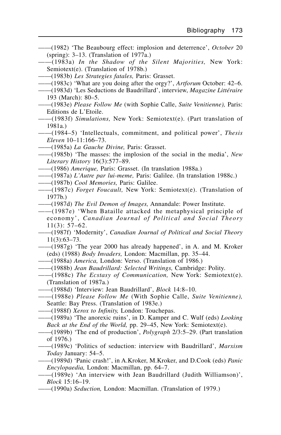——(1982) 'The Beaubourg effect: implosion and deterrence', *October* 20 (spring): 3–13. (Translation of 1977a.)

——(1983a) *In the Shadow of the Silent Majorities,* New York: Semiotext(e). (Translation of 1978b.)

- ——(1983b) *Les Strategies fatales,* Paris: Grasset.
- ——(1983c) 'What are you doing after the orgy?', *Artforum* October: 42–6.
- ——(1983d) 'Les Seductions de Baudrillard', interview, *Magazine Littéraire* 193 (March): 80–5.
- ——(1983e) *Please Follow Me* (with Sophie Calle, *Suite Venitienne),* Paris: Editions de L'Etoile.
- ——(1983f) *Simulations,* New York: Semiotext(e). (Part translation of 1981a.)
- ——(1984–5) 'Intellectuals, commitment, and political power', *Thesis Eleven* 10–11:166–73.
- ——(1985a) *La Gauche Divine,* Paris: Grasset.
- ——(1985b) 'The masses: the implosion of the social in the media', *New Literary History* 16(3):577–89.
- ——(1986) *Amerique,* Paris: Grasset. (In translation 1988a.)
- ——(1987a) *L'Autre par lui-meme,* Paris: Galilee. (In translation 1988c.)
- ——(1987b) *Cool Memories,* Paris: Galilee.
- ——(1987c) *Forget Foucault,* New York: Semiotext(e). (Translation of 1977b.)
- ——(1987d) *The Evil Demon of Images,* Annandale: Power Institute.
- ——(1987e) 'When Bataille attacked the metaphysical principle of economy', *Canadian Journal of Political and Social Theory* 11(3): 57–62.
- ——(1987f) 'Modernity', *Canadian Journal of Political and Social Theory* 11(3):63–73.
- ——(1987g) 'The year 2000 has already happened', in A. and M. Kroker (eds) (1988) *Body Invaders,* London: Macmillan, pp. 35–44.
	- ——(1988a) *America,* London: Verso. (Translation of 1986.)
- ——(1988b) *Jean Baudrillard: Selected Writings,* Cambridge: Polity.
- ——(1988c) *The Ecstasy of Communication,* New York: Semiotext(e). (Translation of 1987a.)
- ——(1988d) 'Interview: Jean Baudrillard', *Block* 14:8–10.
- ——(1988e) *Please Follow Me* (With Sophie Calle, *Suite Venitienne),* Seattle: Bay Press. (Translation of 1983e.)
- ——(1988f) *Xerox to Infinity,* London: Touchepas.
- ——(1989a) 'The anorexic ruins', in D. Kamper and C. Wulf (eds) *Looking Back at the End of the World,* pp. 29–45, New York: Semiotext(e).
- ——(1989b) 'The end of production', *Polygraph* 2/3:5–29. (Part translation of 1976.)
- ——(1989c) 'Politics of seduction: interview with Baudrillard', *Marxism Today* January: 54–5.
- ——(1989d) 'Panic crash!', in A.Kroker, M.Kroker, and D.Cook (eds) *Panic Encylopaedia,* London: Macmillan, pp. 64–7.
- ——(1989e) 'An interview with Jean Baudrillard (Judith Williamson)', *Block* 15:16–19.
	- ——(1990a) *Seduction,* London: Macmillan. (Translation of 1979.)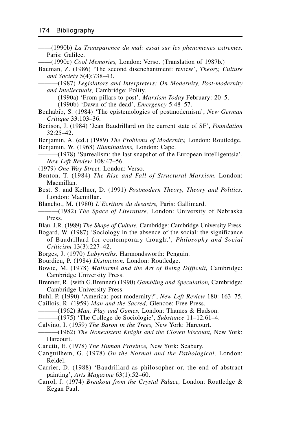——(1990b) *La Transparence du mal: essai sur les phenomenes extremes,* Paris: Galilee.

——(1990c) *Cool Memories,* London: Verso. (Translation of 1987b.)

Bauman, Z. (1986) 'The second disenchantment: review', *Theory, Culture and Society* 5(4):738–43.

———(1987) *Legislators and Interpreters: On Modernity, Post-modernity and Intellectuals,* Cambridge: Polity.

———(1990a) 'From pillars to post', *Marxism Today* February: 20–5.

———(1990b) 'Dawn of the dead', *Emergency* 5:48–57.

- Benhabib, S. (1984) 'The epistemologies of postmodernism', *New German Critique* 33:103–36.
- Benison, J. (1984) 'Jean Baudrillard on the current state of SF', *Foundation* 32:25–42.

Benjamin, A. (ed.) (1989) *The Problems of Modernity,* London: Routledge.

Benjamin, W. (1968) *Illuminations,* London: Cape.

 $-(1978)$  'Surrealism: the last snapshot of the European intelligentsia', *New Left Review* 108:47–56.

- (1979) *One Way Street,* London: Verso.
- Benton, T. (1984) *The Rise and Fall of Structural Marxism,* London: Macmillan.

Best, S. and Kellner, D. (1991) *Postmodern Theory, Theory and Politics,* London: Macmillan.

Blanchot, M. (1980) *L'Ecriture du desastre,* Paris: Gallimard.

———(1982) *The Space of Literature,* London: University of Nebraska Press.

Blau, J.R. (1989) *The Shape of Culture,* Cambridge: Cambridge University Press.

- Bogard, W. (1987) 'Sociology in the absence of the social: the significance of Baudrillard for contemporary thought', *Philosophy and Social Criticism* 13(3):227–42.
- Borges, J. (1970) *Labyrinths,* Harmondsworth: Penguin.
- Bourdieu, P. (1984) *Distinction,* London: Routledge.
- Bowie, M. (1978) *Mallarmé and the Art of Being Difficult,* Cambridge: Cambridge University Press.
- Brenner, R. (with G.Brenner) (1990) *Gambling and Speculation,* Cambridge: Cambridge University Press.
- Buhl, P. (1990) 'America: post-modernity?', *New Left Review* 180: 163–75.
- Caillois, R. (1959) *Man and the Sacred,* Glencoe: Free Press.
- ———(1962) *Man, Play and Games,* London: Thames & Hudson.
- ———(1975) 'The College de Sociologie', *Substance* 11–12:61–4.
- Calvino, I. (1959) *The Baron in the Trees,* New York: Harcourt.
- $-(1962)$  *The Nonexistent Knight and the Cloven Viscount*, New York: Harcourt.
- Canetti, E. (1978) *The Human Province,* New York: Seabury.
- Canguilhem, G. (1978) *On the Normal and the Pathological,* London: Reidel.
- Carrier, D. (1988) 'Baudrillard as philosopher or, the end of abstract painting', *Arts Magazine* 63(1):52–60.
- Carrol, J. (1974) *Breakout from the Crystal Palace,* London: Routledge & Kegan Paul.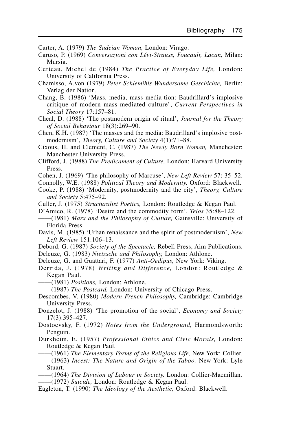Carter, A. (1979) *The Sadeian Woman,* London: Virago.

- Caruso, P. (1969) *Conversazioni con Lévi-Strauss, Foucault, Lacan,* Milan: Mursia.
- Certeau, Michel de (1984) *The Practice of Everyday Life,* London: University of California Press.
- Chamisso, A.von (1979) *Peter Schlemihls Wundersame Geschichte,* Berlin: Verlag der Nation.
- Chang, B. (1986) 'Mass, media, mass media-tion: Baudrillard's implosive critique of modern mass-mediated culture', *Current Perspectives in Social Theory* 17:157–81.
- Cheal, D. (1988) 'The postmodern origin of ritual', *Journal for the Theory of Social Behaviour* 18(3):269–90.
- Chen, K.H. (1987) 'The masses and the media: Baudrillard's implosive postmodernism', *Theory, Culture and Society* 4(1):71–88.
- Cixous, H. and Clement, C. (1987) *The Newly Born Woman,* Manchester: Manchester University Press.
- Clifford, J. (1988) *The Predicament of Culture,* London: Harvard University Press.
- Cohen, J. (1969) 'The philosophy of Marcuse', *New Left Review* 57: 35–52.
- Connolly, W.E. (1988) *Political Theory and Modernity,* Oxford: Blackwell.
- Cooke, P. (1988) 'Modernity, postmodernity and the city', *Theory, Culture and Society* 5:475–92.
- Culler, J. (1975) *Structuralist Poetics,* London: Routledge & Kegan Paul.
- D'Amico, R. (1978) 'Desire and the commodity form', *Telos* 35:88–122.
- ——(1981) *Marx and the Philosophy of Culture,* Gainsville: University of Florida Press.
- Davis, M. (1985) 'Urban renaissance and the spirit of postmodernism', *New Left Review* 151:106–13.
- Debord, G. (1987) *Society of the Spectacle,* Rebell Press, Aim Publications. Deleuze, G. (1983) *Nietzsche and Philosophy,* London: Athlone.
- Deleuze, G. and Guattari, F. (1977) *Anti-Oedipus,* New York: Viking.
- Derrida, J. (1978) *Writing and Difference,* London: Routledge & Kegan Paul.
- ——(1981) *Positions,* London: Athlone.

——(1987) *The Postcard,* London: University of Chicago Press.

- Descombes, V. (1980) *Modern French Philosophy,* Cambridge: Cambridge University Press.
- Donzelot, J. (1988) 'The promotion of the social', *Economy and Society* 17(3):395–427.
- Dostoevsky, F. (1972) *Notes from the Underground,* Harmondsworth: Penguin.
- Durkheim, E. (1957) *Professional Ethics and Civic Morals,* London: Routledge & Kegan Paul.
- ——(1961) *The Elementary Forms of the Religious Life,* New York: Collier.
- ——(1963) *Incest: The Nature and Origin of the Taboo,* New York: Lyle Stuart.
- ——(1964) *The Division of Labour in Society,* London: Collier-Macmillan. ——(1972) *Suicide,* London: Routledge & Kegan Paul.
- Eagleton, T. (1990) *The Ideology of the Aesthetic,* Oxford: Blackwell.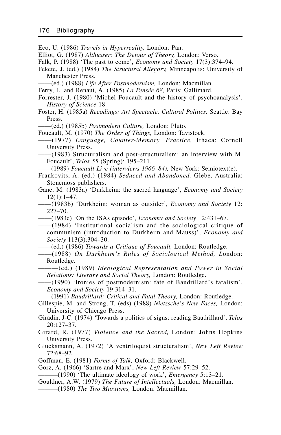Eco, U. (1986) *Travels in Hyperreality,* London: Pan.

- Elliot, G. (1987) *Althusser: The Detour of Theory,* London: Verso.
- Falk, P. (1988) 'The past to come', *Economy and Society* 17(3):374–94.
- Fekete, J. (ed.) (1984) *The Structural Allegory,* Minneapolis: University of Manchester Press.
- ——(ed.) (1988) *Life After Postmodernism,* London: Macmillan.
- Ferry, L. and Renaut, A. (1985) *La Pensée 68,* Paris: Gallimard.
- Forrester, J. (1980) 'Michel Foucault and the history of psychoanalysis', *History of Science* 18.
- Foster, H. (1985a) *Recodings: Art Spectacle, Cultural Politics,* Seattle: Bay Press.
	- ——(ed.) (1985b) *Postmodern Culture,* London: Pluto.
- Foucault, M. (1970) *The Order of Things,* London: Tavistock.
- ——(1977) *Language, Counter-Memory, Practice,* Ithaca: Cornell University Press.
- ——(1983) Structuralism and post-structuralism: an interview with M. Foucault', *Telos 55* (Spring): 195–211.
- ——(1989) *Foucault Live (interviews 1966–84),* New York: Semiotext(e).
- Frankovits, A. (ed.) (1984) *Seduced and Abandoned,* Glebe, Australia: Stonemoss publishers.
- Gane, M. (1983a) 'Durkheim: the sacred language', *Economy and Society* 12(1):1–47.
- ——(1983b) 'Durkheim: woman as outsider', *Economy and Society* 12: 227–70.
- ——(1983c) 'On the ISAs episode', *Economy and Society* 12:431–67.
- ——(1984) 'Institutional socialism and the sociological critique of communism (introduction to Durkheim and Mauss)', *Economy and Society* 113(3):304–30.
- ——(ed.) (1986) *Towards a Critique of Foucault,* London: Routledge.
- ——(1988) *On Durkheim's Rules of Sociological Method, L*ondon: Routledge.
	- ———(ed.) (1989) *Ideological Representation and Power in Social Relations: Literary and Social Theory,* London: Routledge.
- ——(1990) 'Ironies of postmodernism: fate of Baudrillard's fatalism', *Economy and Society* 19:314–31.
	- ——(1991) *Baudrillard: Critical and Fatal Theory,* London: Routledge.
- Gillespie, M. and Strong, T. (eds) (1988) *Nietzsche's New Faces,* London: University of Chicago Press.
- Giradin, J-C. (1974) 'Towards a politics of signs: reading Baudrillard', *Telos* 20:127–37.
- Girard, R. (1977) *Violence and the Sacred,* London: Johns Hopkins University Press.
- Glucksmann, A. (1972) 'A ventriloquist structuralism', *New Left Review* 72:68–92.
- Goffman, E. (1981) *Forms of Talk,* Oxford: Blackwell.
- Gorz, A. (1966) 'Sartre and Marx', *New Left Review* 57:29–52.
- ———(1990) 'The ultimate ideology of work', *Emergency* 5:13–21.
- Gouldner, A.W. (1979) *The Future of Intellectuals,* London: Macmillan. ———(1980) *The Two Marxisms,* London: Macmillan.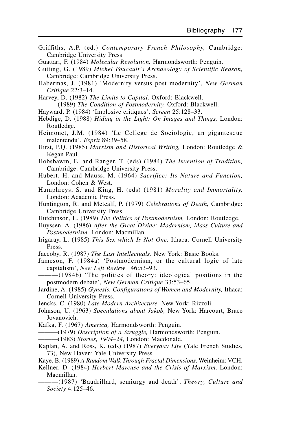- Griffiths, A.P. (ed.) *Contemporary French Philosophy,* Cambridge: Cambridge University Press.
- Guattari, F. (1984) *Molecular Revolution,* Harmondsworth: Penguin.
- Gutting, G. (1989) *Michel Foucault's Archaeology of Scientific Reason,* Cambridge: Cambridge University Press.
- Habermas, J. (1981) 'Modernity versus post modernity', *New German Critique* 22:3–14.
- Harvey, D. (1982) *The Limits to Capital,* Oxford: Blackwell.
- ———(1989) *The Condition of Postmodernity,* Oxford: Blackwell.
- Hayward, P. (1984) 'Implosive critiques', *Screen* 25:128–33.
- Hebdige, D. (1988) *Hiding in the Light: On Images and Things,* London: Routledge.
- Heimonet, J.M. (1984) 'Le College de Sociologie, un gigantesque malentendu', *Esprit* 89:39–58.
- Hirst, P.Q. (1985) *Marxism and Historical Writing,* London: Routledge & Kegan Paul.
- Hobsbawm, E. and Ranger, T. (eds) (1984) *The Invention of Tradition,* Cambridge: Cambridge University Press.
- Hubert, H. and Mauss, M. (1964) *Sacrifice: Its Nature and Function,* London: Cohen & West.
- Humphreys, S. and King, H. (eds) (1981) *Morality and Immortality,* London: Academic Press.
- Huntington, R. and Metcalf, P. (1979) *Celebrations of Death,* Cambridge: Cambridge University Press.
- Hutchinson, L. (1989) *The Politics of Postmodernism,* London: Routledge.
- Huyssen, A. (1986) *After the Great Divide: Modernism, Mass Culture and Postmodernism,* London: Macmillan.
- Irigaray, L. (1985) *This Sex which Is Not One,* Ithaca: Cornell University Press.
- Jaccoby, R. (1987) *The Last Intellectuals,* New York: Basic Books.
- Jameson, F. (1984a) 'Postmodernism, or the cultural logic of late capitalism', *New Left Review* 146:53–93.
- $-(1984b)$  'The politics of theory: ideological positions in the postmodern debate', *New German Critique* 33:53–65.
- Jardine, A. (1985) *Gynesis. Configurations of Women and Modernity,* Ithaca: Cornell University Press.
- Jencks, C. (1980) *Late-Modern Architecture,* New York: Rizzoli.
- Johnson, U. (1963) *Speculations about Jakob,* New York: Harcourt, Brace Jovanovich.
- Kafka, F. (1967) *America,* Harmondsworth: Penguin.
- ———(1979) *Description of a Struggle,* Harmondsworth: Penguin.
- ———(1983) *Stories, 1904–24,* London: Macdonald.
- Kaplan, A. and Ross, K. (eds) (1987) *Everyday Life* (Yale French Studies, 73), New Haven: Yale University Press.
- Kaye, B. (1989) *A Random Walk Through Fractal Dimensions,* Weinheim: VCH.
- Kellner, D. (1984) *Herbert Marcuse and the Crisis of Marxism,* London: Macmillan.
	- ———(1987) 'Baudrillard, semiurgy and death', *Theory, Culture and Society* 4:125–46.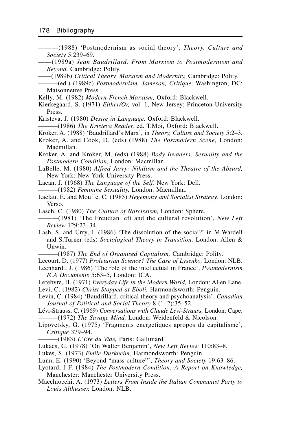- ———(1988) 'Postmodernism as social theory', *Theory, Culture and Society* 5:239–69.
- ——(1989a) *Jean Baudrillard, From Marxism to Postmodernism and Beyond,* Cambridge: Polity.
- ——(1989b) *Critical Theory, Marxism and Modernity,* Cambridge: Polity.
- ———(ed.) (1989c) *Postmodernism, Jameson, Critique,* Washington, DC: Maisonneuve Press.
- Kelly, M. (1982) *Modern French Marxism,* Oxford: Blackwell.
- Kierkegaard, S. (1971) *Either/Or,* vol. 1, New Jersey: Princeton University Press.
- Kristeva, J. (1980) *Desire in Language,* Oxford: Blackwell.
- ———(1986) *The Kristeva Reader,* ed. T.Moi, Oxford: Blackwell.
- Kroker, A. (1988) 'Baudrillard's Marx', in *Theory, Culture and Society* 5:2–3.
- Kroker, A. and Cook, D. (eds) (1988) *The Postmodern Scene,* London: Macmillan.
- Kroker, A. and Kroker, M. (eds) (1988) *Body Invaders, Sexuality and the Postmodern Condition,* London: Macmillan.
- LaBelle, M. (1980) *Alfred Jarry: Nihilism and the Theatre of the Absurd,* New York: New York University Press.
- Lacan, J. (1968) *The Language of the Self,* New York: Dell.
- ———(1982) *Feminine Sexuality,* London: Macmillan.
- Laclau, E. and Mouffe, C. (1985) *Hegemony and Socialist Strategy,* London: Verso.
- Lasch, C. (1980) *The Culture of Narcissism,* London: Sphere.
- ———(1981) 'The Freudian left and the cultural revolution', *New Left Review* 129:23–34.
- Lash, S. and Urry, J. (1986) 'The dissolution of the social?' in M.Wardell and S.Turner (eds) *Sociological Theory in Transition,* London: Allen & Unwin.
- ———(1987) *The End of Organised Capitalism,* Cambridge: Polity.
- Lecourt, D. (1977) *Proletarian Science? The Case of Lysenko,* London: NLB.
- Leenhardt, J. (1986) 'The role of the intellectual in France', *Postmodernism ICA Documents* 5:63–5, London: ICA.
- Lefebvre, H. (1971) *Everyday Life in the Modern World,* London: Allen Lane.
- Levi, C. (1982) *Christ Stopped at Eboli,* Harmondsworth: Penguin.
- Levin, C. (1984) 'Baudrillard, critical theory and psychoanalysis', *Canadian Journal of Political and Social Theory* 8 (1–2):35–52.
- Lévi-Strauss, C. (1969) *Conversations with Claude Lévi-Strauss,* London: Cape. ———(1972) *The Savage Mind,* London: Weidenfeld & Nicolson.
- Lipovetsky, G. (1975) 'Fragments energetiques apropos du capitalisme', *Critique* 379–94.
	- ———(1983) *L'Ere du Vide,* Paris: Gallimard.
- Lukacs, G. (1978) 'On Walter Benjamin', *New Left Review* 110:83–8.
- Lukes, S. (1973) *Emile Durkheim,* Harmondsworth: Penguin.
- Lunn, E. (1990) 'Beyond "mass culture"', *Theory and Society* 19:63–86.
- Lyotard, J-F. (1984) *The Postmodern Condition: A Report on Knowledge,* Manchester: Manchester University Press.
- Macchiocchi, A. (1973) *Letters From Inside the Italian Communist Party to Louis Althusser,* London: NLB.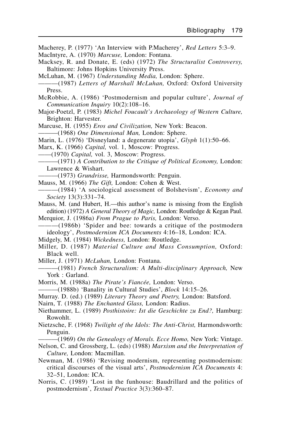Macherey, P. (1977) 'An Interview with P.Macherey', *Red Letters* 5:3–9.

MacIntyre, A. (1970) *Marcuse,* London: Fontana.

Macksey, R. and Donate, E. (eds) (1972) *The Structuralist Controversy,* Baltimore: Johns Hopkins University Press.

McLuhan, M. (1967) *Understanding Media,* London: Sphere.

McRobbie, A. (1986) 'Postmodernism and popular culture', *Journal of Communication Inquiry* 10(2):108–16.

Major-Poetzl, P. (1983) *Michel Foucault's Archaeology of Western Culture,* Brighton: Harvester.

Marcuse, H. (1955) *Eros and Civilization,* New York: Beacon.

———(1968) *One Dimensional Man,* London: Sphere.

Marin, L. (1976) 'Disneyland: a degenerate utopia', *Glyph* 1(1):50–66.

Marx, K. (1966) *Capital,* vol. 1, Moscow: Progress.

- ——(1970) *Capital,* vol. 3, Moscow: Progress.
	- ———(1971) *A Contribution to the Critique of Political Economy,* London: Lawrence & Wishart.
- ———(1973) *Grundrisse,* Harmondsworth: Penguin.

Mauss, M. (1966) *The Gift,* London: Cohen & West.

———(1984) 'A sociological assessment of Bolshevism', *Economy and Society* 13(3):331–74.

Mauss, M. (and Hubert, H.—this author's name is missing from the English edition) (1972) *A General Theory of Magic,* London: Routledge & Kegan Paul.

Merquior, J. (1986a) *From Prague to Paris,* London: Verso.  $-(1986b)$  'Spider and bee: towards a critique of the postmodern ideology', *Postmodernism ICA Documents* 4:16–18, London: ICA.

- Midgely, M. (1984) *Wickedness,* London: Routledge.
- Miller, D. (1987) *Material Culture and Mass Consumption,* Oxford: Black well.
- Miller, J. (1971) *McLuhan,* London: Fontana.

———(1981) *French Structuralism: A Multi-disciplinary Approach,* New York : Garland.

Morris, M. (1988a) *The Pirate's Fiancée,* London: Verso.

———(1988b) 'Banality in Cultural Studies', *Block* 14:15–26.

Murray. D. (ed.) (1989) *Literary Theory and Poetry,* London: Batsford.

Nairn, T. (1988) *The Enchanted Glass,* London: Radius.

- Niethammer, L. (1989) *Posthistoire: Ist die Geschichte zu End?,* Hamburg: Rowohlt.
- Nietzsche, F. (1968) *Twilight of the Idols: The Anti-Christ,* Harmondsworth: Penguin.

 $-(1969)$  *On the Genealogy of Morals. Ecce Homo*, New York: Vintage.

Nelson, C. and Grossberg, L. (eds) (1988) *Marxism and the Interpretation of Culture,* London: Macmillan.

- Newman, M. (1986) 'Revising modernism, representing postmodernism: critical discourses of the visual arts', *Postmodernism ICA Documents* 4: 32–51, London: ICA.
- Norris, C. (1989) 'Lost in the funhouse: Baudrillard and the politics of postmodernism', *Textual Practice* 3(3):360–87.

<sup>———(1987)</sup> *Letters of Marshall McLuhan,* Oxford: Oxford University Press.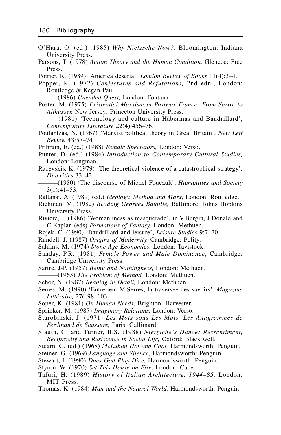- O'Hara, O. (ed.) (1985) *Why Nietzsche Now?,* Bloomington: Indiana University Press.
- Parsons, T. (1978) *Action Theory and the Human Condition,* Glencoe: Free Press.
- Poirier, R. (1989) 'America deserta', *London Review of Books* 11(4):3–4.
- Popper, K. (1972) *Conjectures and Refutations,* 2nd edn., London: Routledge & Kegan Paul.
	- ———(1986) *Unended Quest,* London: Fontana.
- Poster, M. (1975) *Existential Marxism in Postwar France: From Sartre to Althusser,* New Jersey: Princeton University Press.
- $-(1981)$  'Technology and culture in Habermas and Baudrillard', *Contemporary Literature* 22(4):456–76.
- Poulantzas, N. (1967) 'Marxist political theory in Great Britain', *New Left Review* 43:57–74.
- Pribram, E. (ed.) (1988) *Female Spectators,* London: Verso.
- Punter, D. (ed.) (1986) *Introduction to Contemporary Cultural Studies,* London: Longman.
- Racevskis, K. (1979) 'The theoretical violence of a catastrophical strategy', *Diacritics* 33–42.
- ———(1980) 'The discourse of Michel Foucault', *Humanities and Society* 3(1):41–53.
- Rattansi, A. (1989) (ed.) *Ideology, Method and Marx,* London: Routledge.
- Richman, M. (1982) *Reading Georges Bataille,* Baltimore: Johns Hopkins University Press.
- Riviere, J. (1986) 'Womanliness as masquerade', in V.Burgin, J.Donald and C.Kaplan (eds) *Formations of Fantasy,* London: Methuen.
- Rojek, C. (1990) 'Baudrillard and leisure', *Leisure Studies* 9:7–20.
- Rundell, J. (1987) *Origins of Modernity,* Cambridge: Polity.
- Sahlins, M. (1974) *Stone Age Economics,* London: Tavistock.
- Sanday, P.R. (1981) *Female Power and Male Dominance*, Cambridge: Cambridge University Press.
- Sartre, J-P. (1957) *Being and Nothingness,* London: Methuen.
- ———(1963) *The Problem of Method,* London: Methuen.
- Schor, N. (1987) *Reading in Detail,* London: Methuen.
- Serres, M. (1990) 'Entretien: M.Serres, la traversee des savoirs', *Magazine Littéraire,* 276:98–103.
- Soper, K. (1981) *On Human Needs,* Brighton: Harvester.
- Sprinker, M. (1987) *Imaginary Relations,* London: Verso.
- Starobinski, J. (1971) *Les Mots sous Les Mots, Les Anagrammes de Ferdinand de Saussure,* Paris: Gallimard.
- Stauth, G. and Turner, B.S. (1988) *Nietzsche's Dance: Ressentiment, Reciprocity and Resistence in Social Life,* Oxford: Black well.
- Stearn, G. (ed.) (1968) *McLuhan Hot and Cool,* Harmondsworth: Penguin.
- Steiner, G. (1969) *Language and Silence,* Harmondsworth: Penguin.
- Stewart, I. (1990) *Does God Play Dice,* Harmondsworth: Penguin.
- Styron, W. (1970) *Set This House on Fire,* London: Cape.
- Tafuri, H. (1989) *History of Italian Architecture, 1944–85,* London: MIT Press.
- Thomas, K. (1984) *Man and the Natural World,* Harmondsworth: Penguin.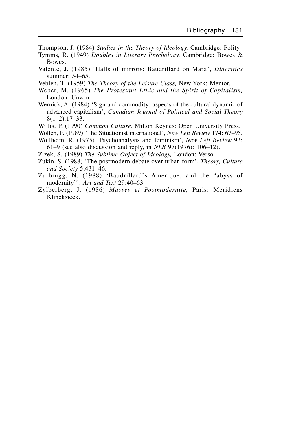Thompson, J. (1984) *Studies in the Theory of Ideology,* Cambridge: Polity.

- Tymms, R. (1949) *Doubles in Literary Psychology,* Cambridge: Bowes & Bowes.
- Valente, J. (1985) 'Halls of mirrors: Baudrillard on Marx', *Diacritics* summer: 54–65.

Veblen, T. (1959) *The Theory of the Leisure Class,* New York: Mentor.

- Weber, M. (1965) *The Protestant Ethic and the Spirit of Capitalism,* London: Unwin.
- Wernick, A. (1984) 'Sign and commodity; aspects of the cultural dynamic of advanced capitalism', *Canadian Journal of Political and Social Theory*  $8(1-2):17-33.$
- Willis, P. (1990) *Common Culture,* Milton Keynes: Open University Press.

Wollen, P. (1989) 'The Situationist international', *New Left Review* 174: 67–95.

Wollheim, R. (1975) 'Psychoanalysis and feminism', *New Left Review* 93: 61–9 (see also discussion and reply, in *NLR* 97(1976): 106–12).

Zizek, S. (1989) *The Sublime Object of Ideology,* London: Verso.

Zukin, S. (1988) 'The postmodern debate over urban form', *Theory, Culture and Society* 5:431–46.

Zurbrugg, N. (1988) 'Baudrillard's Amerique, and the "abyss of modernity"', *Art and Text* 29:40–63.

Zylberberg, J. (1986) *Masses et Postmodernite,* Paris: Meridiens Klincksieck.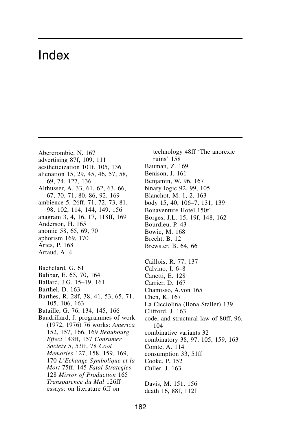## Index

Abercrombie, N. 167 advertising 87f, 109, 111 aestheticization 101f, 105, 136 alienation 15, 29, 45, 46, 57, 58, 69, 74, 127, 136 Althusser, A. 33, 61, 62, 63, 66, 67, 70, 71, 80, 86, 92, 169 ambience 5, 26ff, 71, 72, 73, 81, 98, 102, 114, 144, 149, 156 anagram 3, 4, 16, 17, 118ff, 169 Anderson, H. 165 anomie 58, 65, 69, 70 aphorism 169, 170 Aries, P. 168 Artaud, A. 4 Bachelard, G. 61 Balibar, E. 65, 70, 164 Ballard, J.G. 15–19, 161 Barthel, D. 163 Barthes, R. 28f, 38, 41, 53, 65, 71, 105, 106, 163 Bataille, G. 76, 134, 145, 166 Baudrillard, J. programmes of work (1972, 1976) 76 works: *America* 152, 157, 166, 169 *Beaubourg Effect* 143ff, 157 *Consumer Society* 5, 53ff, 78 *Cool Memories* 127, 158, 159, 169, 170 *L'Echange Symbolique et la Mort* 75ff, 145 *Fatal Strategies* 128 *Mirror of Production* 165 *Transparence du Mal* 126ff essays: on literature 6ff on

technology 48ff 'The anorexic ruins' 158 Bauman, Z. 169 Benison, J. 161 Benjamin, W. 96, 167 binary logic 92, 99, 105 Blanchot, M. 1, 2, 163 body 15, 40, 106–7, 131, 139 Bonaventure Hotel 150f Borges, J.L. 15, 19f, 148, 162 Bourdieu, P. 43 Bowie, M. 168 Brecht, B. 12 Brewster, B. 64, 66 Caillois, R. 77, 137 Calvino, I. 6–8 Canetti, E. 128 Carrier, D. 167 Chamisso, A.von 165 Chen, K. 167 La Cicciolina (Ilona Staller) 139 Clifford, J. 163 code, and structural law of 80ff, 96, 104 combinative variants 32 combinatory 38, 97, 105, 159, 163 Comte, A. 114 consumption 33, 51ff Cooke, P. 152 Culler, J. 163

Davis, M. 151, 156 death 16, 88f, 112f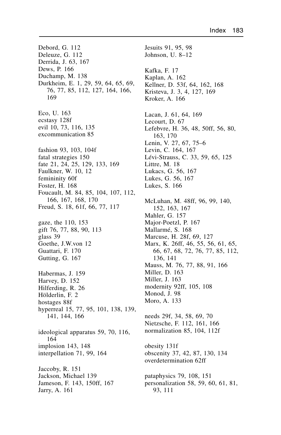Debord, G. 112 Deleuze, G. 112 Derrida, J. 63, 167 Dews, P. 166 Duchamp, M. 138 Durkheim, E. 1, 29, 59, 64, 65, 69, 76, 77, 85, 112, 127, 164, 166, 169 Eco, U. 163 ecstasy 128f evil 10, 73, 116, 135 excommunication 85 fashion 93, 103, 104f fatal strategies 150 fate 21, 24, 25, 129, 133, 169 Faulkner, W. 10, 12 femininity 60f Foster, H. 168 Foucault, M. 84, 85, 104, 107, 112, 166, 167, 168, 170 Freud, S. 18, 61f, 66, 77, 117 gaze, the 110, 153 gift 76, 77, 88, 90, 113 glass 39 Goethe, J.W.von 12 Guattari, F. 170 Gutting, G. 167 Habermas, J. 159 Harvey, D. 152 Hilferding, R. 26 Hölderlin, F. 2 hostages 88f hyperreal 15, 77, 95, 101, 138, 139, 141, 144, 166 ideological apparatus 59, 70, 116, 164 implosion 143, 148 interpellation 71, 99, 164 Jaccoby, R. 151 Jackson, Michael 139 Jameson, F. 143, 150ff, 167 Jarry, A. 161

Jesuits 91, 95, 98 Johnson, U.  $8-12$ Kafka, F. 17 Kaplan, A. 162 Kellner, D. 53f, 64, 162, 168 Kristeva, J. 3, 4, 127, 169 Kroker, A. 166 Lacan, J. 61, 64, 169 Lecourt, D. 67 Lefebvre, H. 36, 48, 50ff, 56, 80, 163, 170 Lenin, V. 27, 67, 75-6 Levin, C. 164, 167 Lévi-Strauss, C. 33, 59, 65, 125 Littre, M. 18 Lukacs, G. 56, 167 Lukes, G. 56, 167 Lukes, S. 166 McLuhan, M. 48ff, 96, 99, 140, 152, 163, 167 Mahler, G. 157 Major-Poetzl, P. 167 Mallarmé, S. 168 Marcuse, H. 28f, 69, 127 Marx, K. 26ff, 46, 55, 56, 61, 65, 66, 67, 68, 72, 76, 77, 85, 112, 136, 141 Mauss, M. 76, 77, 88, 91, 166 Miller, D. 163 Miller, J. 163 modernity 92ff, 105, 108 Monod, J. 98 Moro, A. 133 needs 29f, 34, 58, 69, 70 Nietzsche, F. 112, 161, 166 normalization 85, 104, 112f obesity 131f obscenity 37, 42, 87, 130, 134 overdetermination 62ff pataphysics 79, 108, 151 personalization 58, 59, 60, 61, 81, 93, 111